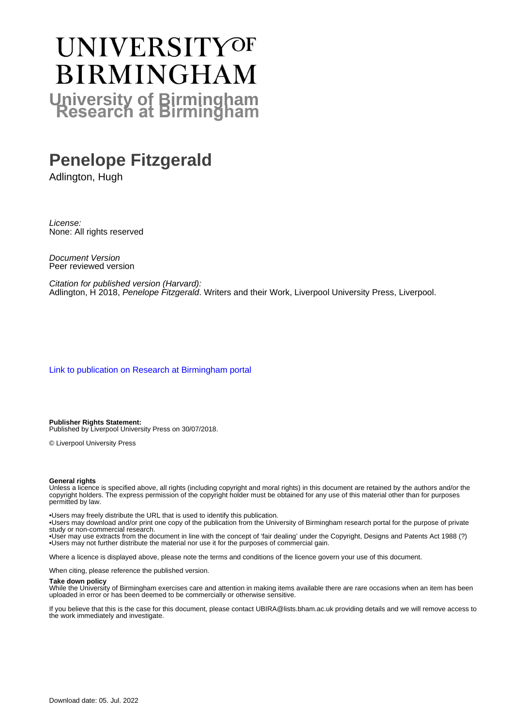# UNIVERSITYOF **BIRMINGHAM University of Birmingham**

# **Penelope Fitzgerald**

Adlington, Hugh

License: None: All rights reserved

Document Version Peer reviewed version

Citation for published version (Harvard): Adlington, H 2018, Penelope Fitzgerald. Writers and their Work, Liverpool University Press, Liverpool.

[Link to publication on Research at Birmingham portal](https://birmingham.elsevierpure.com/en/publications/17839610-45af-416b-9ee7-f1e2391009f8)

**Publisher Rights Statement:** Published by Liverpool University Press on 30/07/2018.

© Liverpool University Press

#### **General rights**

Unless a licence is specified above, all rights (including copyright and moral rights) in this document are retained by the authors and/or the copyright holders. The express permission of the copyright holder must be obtained for any use of this material other than for purposes permitted by law.

• Users may freely distribute the URL that is used to identify this publication.

• Users may download and/or print one copy of the publication from the University of Birmingham research portal for the purpose of private study or non-commercial research.

• User may use extracts from the document in line with the concept of 'fair dealing' under the Copyright, Designs and Patents Act 1988 (?) • Users may not further distribute the material nor use it for the purposes of commercial gain.

Where a licence is displayed above, please note the terms and conditions of the licence govern your use of this document.

When citing, please reference the published version.

#### **Take down policy**

While the University of Birmingham exercises care and attention in making items available there are rare occasions when an item has been uploaded in error or has been deemed to be commercially or otherwise sensitive.

If you believe that this is the case for this document, please contact UBIRA@lists.bham.ac.uk providing details and we will remove access to the work immediately and investigate.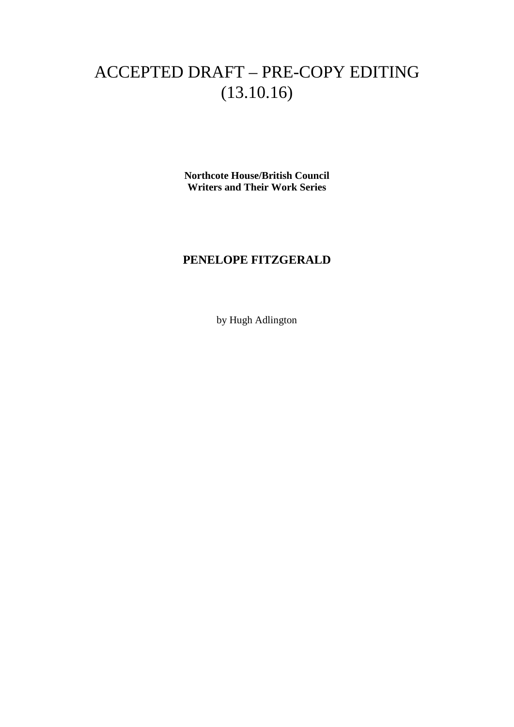# ACCEPTED DRAFT – PRE-COPY EDITING (13.10.16)

**Northcote House/British Council Writers and Their Work Series**

## **PENELOPE FITZGERALD**

by Hugh Adlington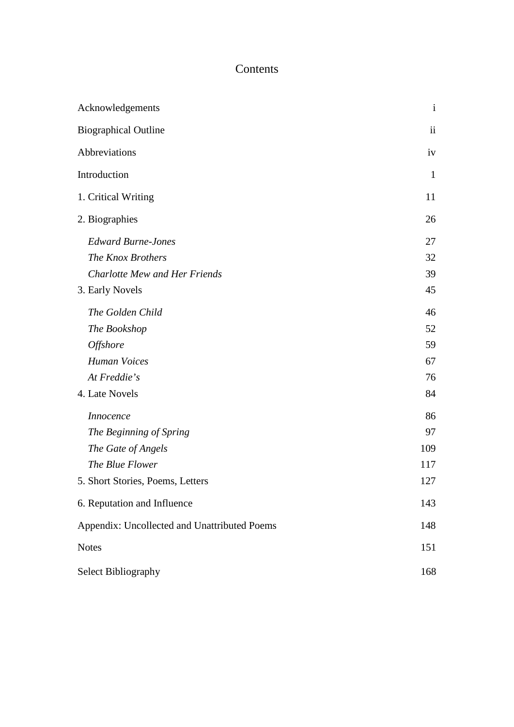#### Contents

| Acknowledgements                             |                          |
|----------------------------------------------|--------------------------|
| <b>Biographical Outline</b>                  | $\overline{\mathbf{ii}}$ |
| Abbreviations                                | iv                       |
| Introduction                                 | $\mathbf{1}$             |
| 1. Critical Writing                          | 11                       |
| 2. Biographies                               | 26                       |
| <b>Edward Burne-Jones</b>                    | 27                       |
| The Knox Brothers                            | 32                       |
| <b>Charlotte Mew and Her Friends</b>         | 39                       |
| 3. Early Novels                              | 45                       |
| The Golden Child                             | 46                       |
| The Bookshop                                 | 52                       |
| <b>Offshore</b>                              | 59                       |
| <b>Human Voices</b>                          | 67                       |
| At Freddie's                                 | 76                       |
| 4. Late Novels                               | 84                       |
| <i>Innocence</i>                             | 86                       |
| The Beginning of Spring                      | 97                       |
| The Gate of Angels                           | 109                      |
| The Blue Flower                              | 117                      |
| 5. Short Stories, Poems, Letters             | 127                      |
| 6. Reputation and Influence                  | 143                      |
| Appendix: Uncollected and Unattributed Poems | 148                      |
| <b>Notes</b>                                 | 151                      |
| Select Bibliography                          | 168                      |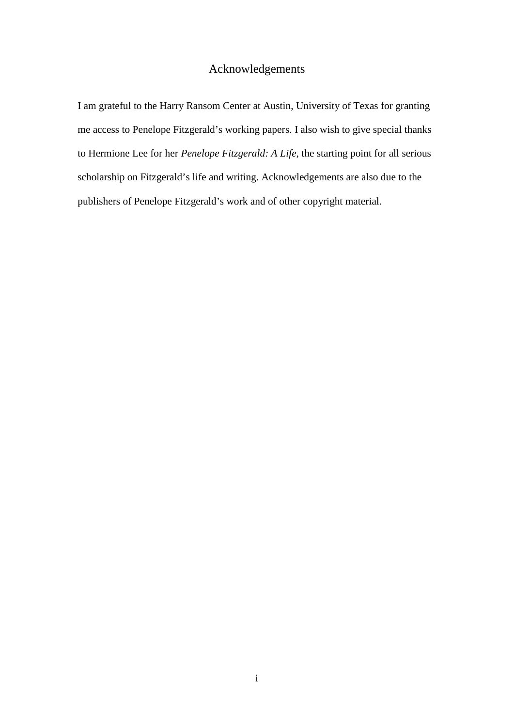## Acknowledgements

<span id="page-3-0"></span>I am grateful to the Harry Ransom Center at Austin, University of Texas for granting me access to Penelope Fitzgerald's working papers. I also wish to give special thanks to Hermione Lee for her *Penelope Fitzgerald: A Life*, the starting point for all serious scholarship on Fitzgerald's life and writing. Acknowledgements are also due to the publishers of Penelope Fitzgerald's work and of other copyright material.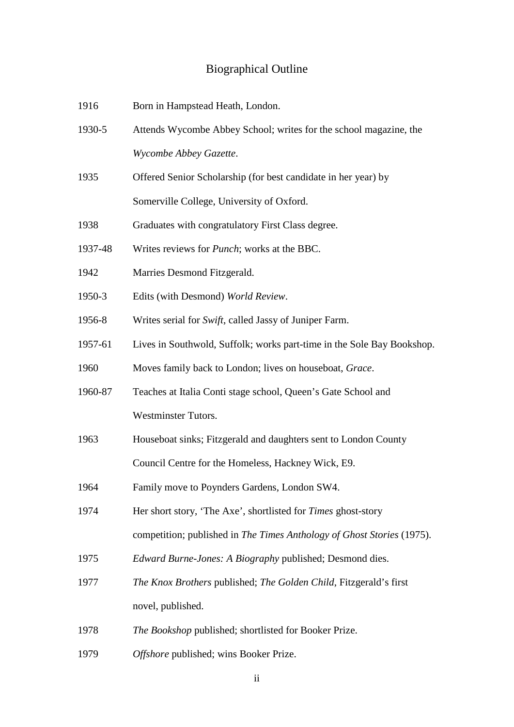## Biographical Outline

<span id="page-4-0"></span>

| 1916    | Born in Hampstead Heath, London.                                       |
|---------|------------------------------------------------------------------------|
| 1930-5  | Attends Wycombe Abbey School; writes for the school magazine, the      |
|         | Wycombe Abbey Gazette.                                                 |
| 1935    | Offered Senior Scholarship (for best candidate in her year) by         |
|         | Somerville College, University of Oxford.                              |
| 1938    | Graduates with congratulatory First Class degree.                      |
| 1937-48 | Writes reviews for <i>Punch</i> ; works at the BBC.                    |
| 1942    | Marries Desmond Fitzgerald.                                            |
| 1950-3  | Edits (with Desmond) World Review.                                     |
| 1956-8  | Writes serial for Swift, called Jassy of Juniper Farm.                 |
| 1957-61 | Lives in Southwold, Suffolk; works part-time in the Sole Bay Bookshop. |
| 1960    | Moves family back to London; lives on houseboat, Grace.                |
| 1960-87 | Teaches at Italia Conti stage school, Queen's Gate School and          |
|         | <b>Westminster Tutors.</b>                                             |
| 1963    | Houseboat sinks; Fitzgerald and daughters sent to London County        |
|         | Council Centre for the Homeless, Hackney Wick, E9.                     |
| 1964    | Family move to Poynders Gardens, London SW4                            |
| 1974    | Her short story, 'The Axe', shortlisted for Times ghost-story          |
|         | competition; published in The Times Anthology of Ghost Stories (1975). |
| 1975    | <i>Edward Burne-Jones: A Biography published; Desmond dies.</i>        |
| 1977    | The Knox Brothers published; The Golden Child, Fitzgerald's first      |
|         | novel, published.                                                      |
| 1978    | The Bookshop published; shortlisted for Booker Prize.                  |
| 1979    | Offshore published; wins Booker Prize.                                 |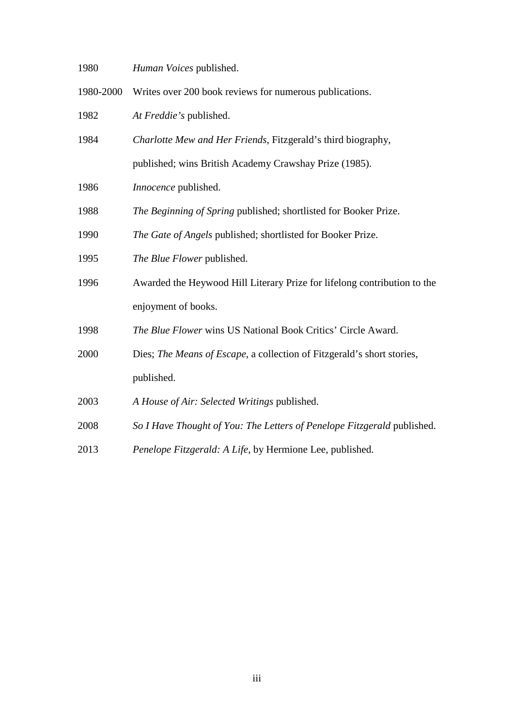*Human Voices* published.

1980-2000 Writes over 200 book reviews for numerous publications.

*At Freddie's* published.

- *Charlotte Mew and Her Friends*, Fitzgerald's third biography, published; wins British Academy Crawshay Prize (1985).
- *Innocence* published.
- *The Beginning of Spring* published; shortlisted for Booker Prize.
- *The Gate of Angels* published; shortlisted for Booker Prize.
- *The Blue Flower* published.
- Awarded the Heywood Hill Literary Prize for lifelong contribution to the enjoyment of books.
- *The Blue Flower* wins US National Book Critics' Circle Award.
- Dies; *The Means of Escape*, a collection of Fitzgerald's short stories, published.
- *A House of Air: Selected Writings* published.
- *So I Have Thought of You: The Letters of Penelope Fitzgerald* published.
- *Penelope Fitzgerald: A Life*, by Hermione Lee, published.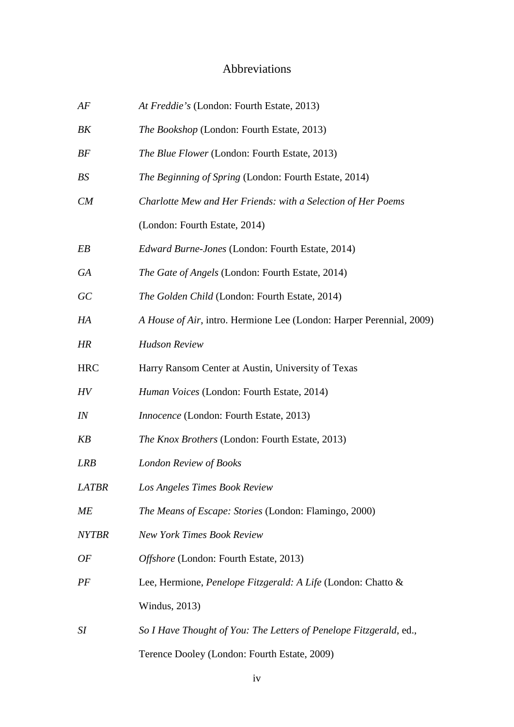## Abbreviations

<span id="page-6-0"></span>

| AF           | At Freddie's (London: Fourth Estate, 2013)                           |
|--------------|----------------------------------------------------------------------|
| BK           | The Bookshop (London: Fourth Estate, 2013)                           |
| BF           | The Blue Flower (London: Fourth Estate, 2013)                        |
| BS           | The Beginning of Spring (London: Fourth Estate, 2014)                |
| CM           | Charlotte Mew and Her Friends: with a Selection of Her Poems         |
|              | (London: Fourth Estate, 2014)                                        |
| EB           | Edward Burne-Jones (London: Fourth Estate, 2014)                     |
| GA           | The Gate of Angels (London: Fourth Estate, 2014)                     |
| GC           | The Golden Child (London: Fourth Estate, 2014)                       |
| HA           | A House of Air, intro. Hermione Lee (London: Harper Perennial, 2009) |
| HR           | <b>Hudson Review</b>                                                 |
| <b>HRC</b>   | Harry Ransom Center at Austin, University of Texas                   |
| HV           | Human Voices (London: Fourth Estate, 2014)                           |
| IN           | Innocence (London: Fourth Estate, 2013)                              |
| KB           | The Knox Brothers (London: Fourth Estate, 2013)                      |
| LRB          | London Review of Books                                               |
| LATBR        | Los Angeles Times Book Review                                        |
| МE           | The Means of Escape: Stories (London: Flamingo, 2000)                |
| <i>NYTBR</i> | <b>New York Times Book Review</b>                                    |
| OF           | Offshore (London: Fourth Estate, 2013)                               |
| PF           | Lee, Hermione, Penelope Fitzgerald: A Life (London: Chatto &         |
|              | Windus, 2013)                                                        |
| SI           | So I Have Thought of You: The Letters of Penelope Fitzgerald, ed.,   |
|              | Terence Dooley (London: Fourth Estate, 2009)                         |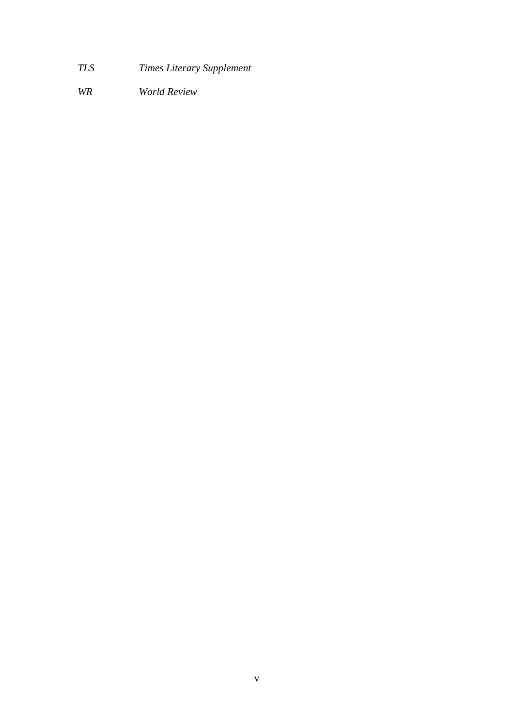- *TLS Times Literary Supplement*
- *WR World Review*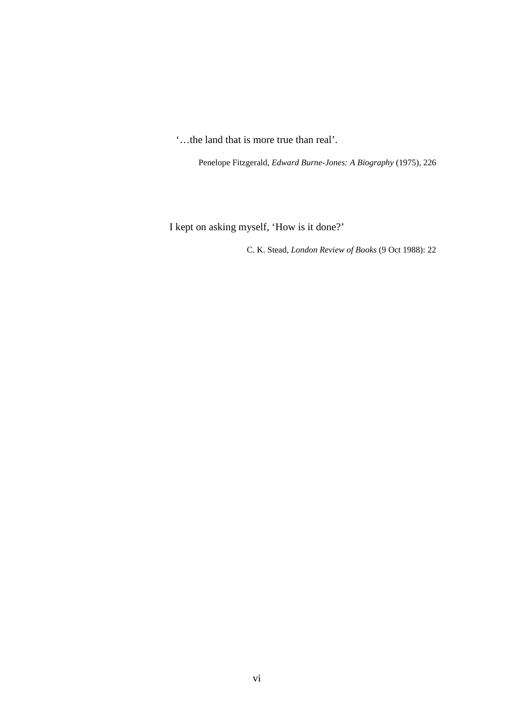'…the land that is more true than real'.

Penelope Fitzgerald, *Edward Burne-Jones: A Biography* (1975), 226

I kept on asking myself, 'How is it done?'

C. K. Stead, *London Review of Books* (9 Oct 1988): 22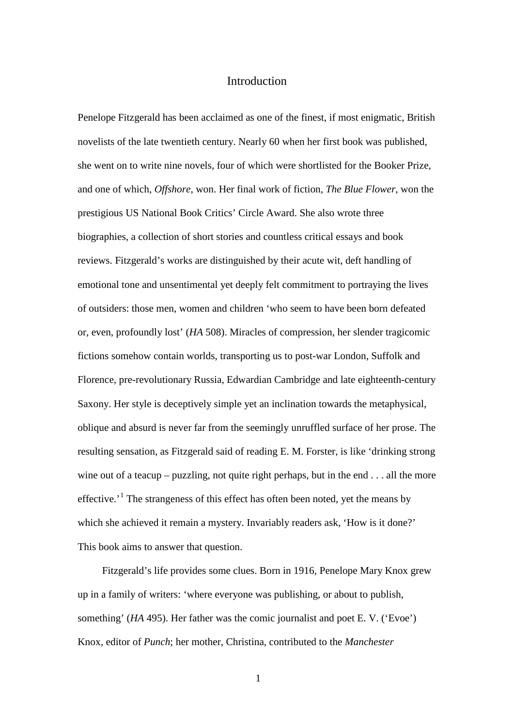#### Introduction

<span id="page-9-0"></span>Penelope Fitzgerald has been acclaimed as one of the finest, if most enigmatic, British novelists of the late twentieth century. Nearly 60 when her first book was published, she went on to write nine novels, four of which were shortlisted for the Booker Prize, and one of which, *Offshore*, won. Her final work of fiction, *The Blue Flower*, won the prestigious US National Book Critics' Circle Award. She also wrote three biographies, a collection of short stories and countless critical essays and book reviews. Fitzgerald's works are distinguished by their acute wit, deft handling of emotional tone and unsentimental yet deeply felt commitment to portraying the lives of outsiders: those men, women and children 'who seem to have been born defeated or, even, profoundly lost' (*HA* 508). Miracles of compression, her slender tragicomic fictions somehow contain worlds, transporting us to post-war London, Suffolk and Florence, pre-revolutionary Russia, Edwardian Cambridge and late eighteenth-century Saxony. Her style is deceptively simple yet an inclination towards the metaphysical, oblique and absurd is never far from the seemingly unruffled surface of her prose. The resulting sensation, as Fitzgerald said of reading E. M. Forster, is like 'drinking strong wine out of a teacup – puzzling, not quite right perhaps, but in the end . . . all the more effective.<sup> $1$ </sup> The strangeness of this effect has often been noted, yet the means by which she achieved it remain a mystery. Invariably readers ask, 'How is it done?' This book aims to answer that question.

Fitzgerald's life provides some clues. Born in 1916, Penelope Mary Knox grew up in a family of writers: 'where everyone was publishing, or about to publish, something' (*HA* 495). Her father was the comic journalist and poet E. V. ('Evoe') Knox, editor of *Punch*; her mother, Christina, contributed to the *Manchester*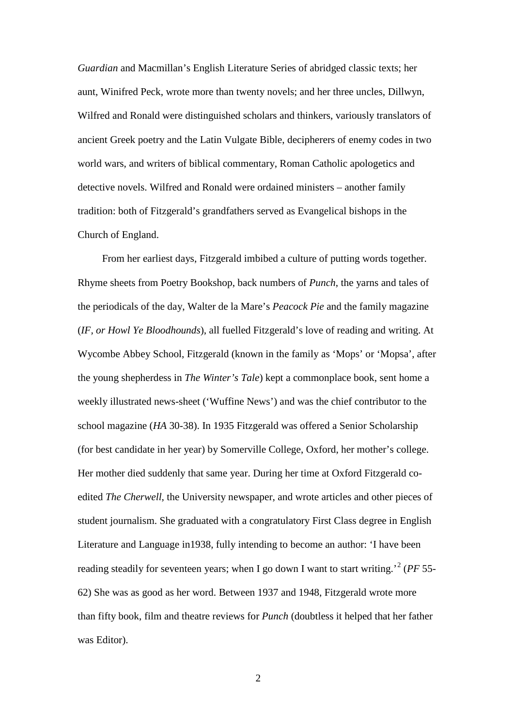*Guardian* and Macmillan's English Literature Series of abridged classic texts; her aunt, Winifred Peck, wrote more than twenty novels; and her three uncles, Dillwyn, Wilfred and Ronald were distinguished scholars and thinkers, variously translators of ancient Greek poetry and the Latin Vulgate Bible, decipherers of enemy codes in two world wars, and writers of biblical commentary, Roman Catholic apologetics and detective novels. Wilfred and Ronald were ordained ministers – another family tradition: both of Fitzgerald's grandfathers served as Evangelical bishops in the Church of England.

From her earliest days, Fitzgerald imbibed a culture of putting words together. Rhyme sheets from Poetry Bookshop, back numbers of *Punch*, the yarns and tales of the periodicals of the day, Walter de la Mare's *Peacock Pie* and the family magazine (*IF, or Howl Ye Bloodhounds*), all fuelled Fitzgerald's love of reading and writing. At Wycombe Abbey School, Fitzgerald (known in the family as 'Mops' or 'Mopsa', after the young shepherdess in *The Winter's Tale*) kept a commonplace book, sent home a weekly illustrated news-sheet ('Wuffine News') and was the chief contributor to the school magazine (*HA* 30-38). In 1935 Fitzgerald was offered a Senior Scholarship (for best candidate in her year) by Somerville College, Oxford, her mother's college. Her mother died suddenly that same year. During her time at Oxford Fitzgerald coedited *The Cherwell*, the University newspaper, and wrote articles and other pieces of student journalism. She graduated with a congratulatory First Class degree in English Literature and Language in1938, fully intending to become an author: 'I have been reading steadily for seventeen years; when I go down I want to start writing.'[2](#page-158-1) (*PF* 55- 62) She was as good as her word. Between 1937 and 1948, Fitzgerald wrote more than fifty book, film and theatre reviews for *Punch* (doubtless it helped that her father was Editor).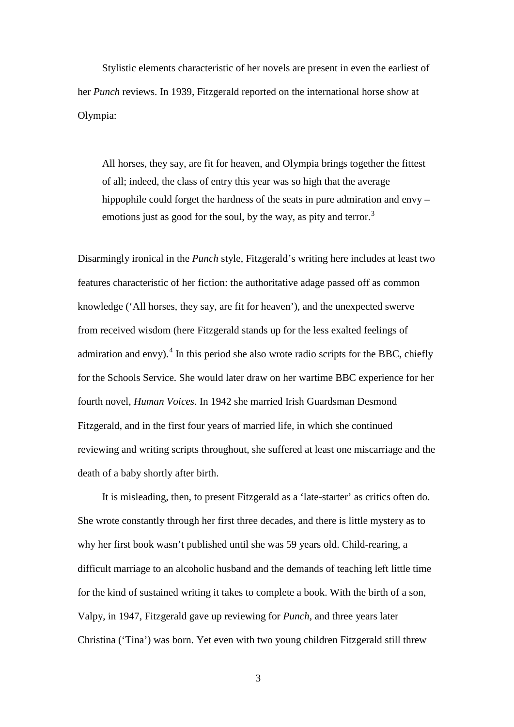Stylistic elements characteristic of her novels are present in even the earliest of her *Punch* reviews. In 1939, Fitzgerald reported on the international horse show at Olympia:

All horses, they say, are fit for heaven, and Olympia brings together the fittest of all; indeed, the class of entry this year was so high that the average hippophile could forget the hardness of the seats in pure admiration and envy – emotions just as good for the soul, by the way, as pity and terror.<sup>[3](#page-159-0)</sup>

Disarmingly ironical in the *Punch* style, Fitzgerald's writing here includes at least two features characteristic of her fiction: the authoritative adage passed off as common knowledge ('All horses, they say, are fit for heaven'), and the unexpected swerve from received wisdom (here Fitzgerald stands up for the less exalted feelings of admiration and envy).<sup>[4](#page-159-1)</sup> In this period she also wrote radio scripts for the BBC, chiefly for the Schools Service. She would later draw on her wartime BBC experience for her fourth novel, *Human Voices*. In 1942 she married Irish Guardsman Desmond Fitzgerald, and in the first four years of married life, in which she continued reviewing and writing scripts throughout, she suffered at least one miscarriage and the death of a baby shortly after birth.

It is misleading, then, to present Fitzgerald as a 'late-starter' as critics often do. She wrote constantly through her first three decades, and there is little mystery as to why her first book wasn't published until she was 59 years old. Child-rearing, a difficult marriage to an alcoholic husband and the demands of teaching left little time for the kind of sustained writing it takes to complete a book. With the birth of a son, Valpy, in 1947, Fitzgerald gave up reviewing for *Punch*, and three years later Christina ('Tina') was born. Yet even with two young children Fitzgerald still threw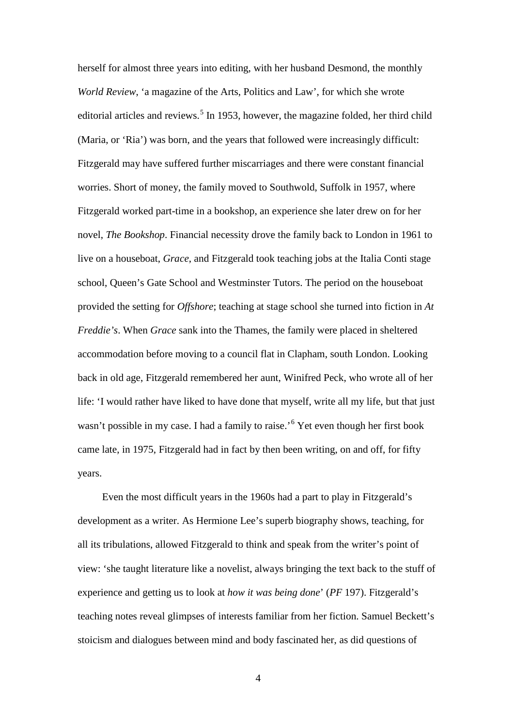herself for almost three years into editing, with her husband Desmond, the monthly *World Review*, 'a magazine of the Arts, Politics and Law', for which she wrote editorial articles and reviews.<sup>[5](#page-160-0)</sup> In 1953, however, the magazine folded, her third child (Maria, or 'Ria') was born, and the years that followed were increasingly difficult: Fitzgerald may have suffered further miscarriages and there were constant financial worries. Short of money, the family moved to Southwold, Suffolk in 1957, where Fitzgerald worked part-time in a bookshop, an experience she later drew on for her novel, *The Bookshop*. Financial necessity drove the family back to London in 1961 to live on a houseboat, *Grace*, and Fitzgerald took teaching jobs at the Italia Conti stage school, Queen's Gate School and Westminster Tutors. The period on the houseboat provided the setting for *Offshore*; teaching at stage school she turned into fiction in *At Freddie's*. When *Grace* sank into the Thames, the family were placed in sheltered accommodation before moving to a council flat in Clapham, south London. Looking back in old age, Fitzgerald remembered her aunt, Winifred Peck, who wrote all of her life: 'I would rather have liked to have done that myself, write all my life, but that just wasn't possible in my case. I had a family to raise.<sup>'[6](#page-160-1)</sup> Yet even though her first book came late, in 1975, Fitzgerald had in fact by then been writing, on and off, for fifty years.

Even the most difficult years in the 1960s had a part to play in Fitzgerald's development as a writer. As Hermione Lee's superb biography shows, teaching, for all its tribulations, allowed Fitzgerald to think and speak from the writer's point of view: 'she taught literature like a novelist, always bringing the text back to the stuff of experience and getting us to look at *how it was being done*' (*PF* 197). Fitzgerald's teaching notes reveal glimpses of interests familiar from her fiction. Samuel Beckett's stoicism and dialogues between mind and body fascinated her, as did questions of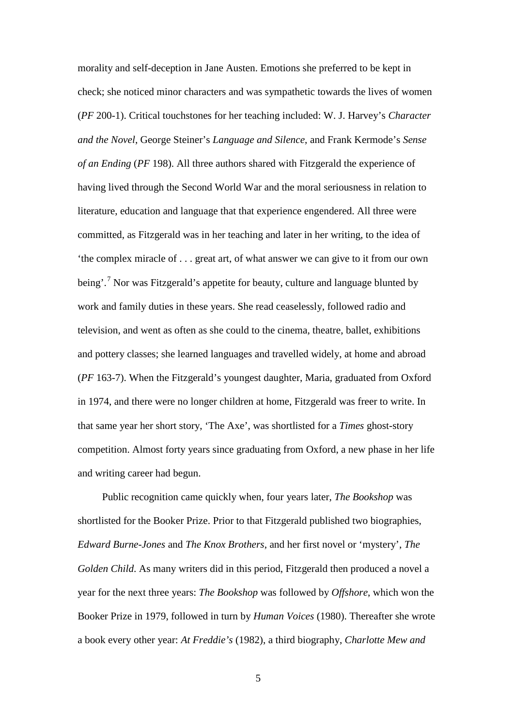morality and self-deception in Jane Austen. Emotions she preferred to be kept in check; she noticed minor characters and was sympathetic towards the lives of women (*PF* 200-1). Critical touchstones for her teaching included: W. J. Harvey's *Character and the Novel*, George Steiner's *Language and Silence*, and Frank Kermode's *Sense of an Ending* (*PF* 198). All three authors shared with Fitzgerald the experience of having lived through the Second World War and the moral seriousness in relation to literature, education and language that that experience engendered. All three were committed, as Fitzgerald was in her teaching and later in her writing, to the idea of 'the complex miracle of . . . great art, of what answer we can give to it from our own being'.<sup>[7](#page-161-0)</sup> Nor was Fitzgerald's appetite for beauty, culture and language blunted by work and family duties in these years. She read ceaselessly, followed radio and television, and went as often as she could to the cinema, theatre, ballet, exhibitions and pottery classes; she learned languages and travelled widely, at home and abroad (*PF* 163-7). When the Fitzgerald's youngest daughter, Maria, graduated from Oxford in 1974, and there were no longer children at home, Fitzgerald was freer to write. In that same year her short story, 'The Axe', was shortlisted for a *Times* ghost-story competition. Almost forty years since graduating from Oxford, a new phase in her life and writing career had begun.

Public recognition came quickly when, four years later, *The Bookshop* was shortlisted for the Booker Prize. Prior to that Fitzgerald published two biographies, *Edward Burne-Jones* and *The Knox Brothers*, and her first novel or 'mystery', *The Golden Child*. As many writers did in this period, Fitzgerald then produced a novel a year for the next three years: *The Bookshop* was followed by *Offshore*, which won the Booker Prize in 1979, followed in turn by *Human Voices* (1980). Thereafter she wrote a book every other year: *At Freddie's* (1982), a third biography, *Charlotte Mew and*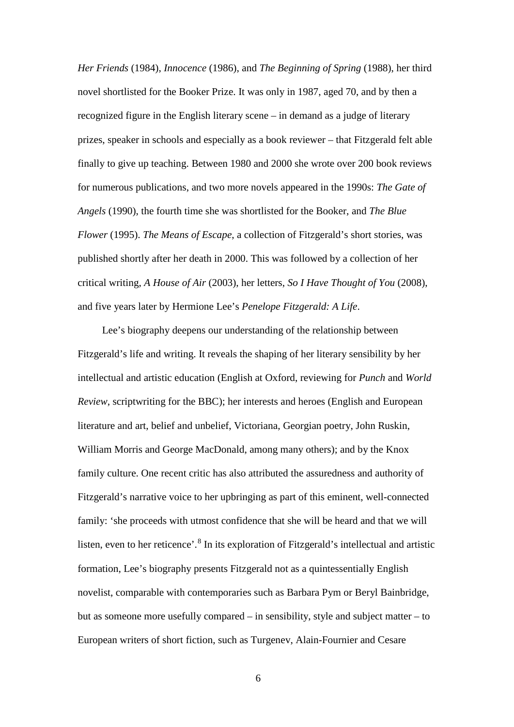*Her Friends* (1984), *Innocence* (1986), and *The Beginning of Spring* (1988), her third novel shortlisted for the Booker Prize. It was only in 1987, aged 70, and by then a recognized figure in the English literary scene – in demand as a judge of literary prizes, speaker in schools and especially as a book reviewer – that Fitzgerald felt able finally to give up teaching. Between 1980 and 2000 she wrote over 200 book reviews for numerous publications, and two more novels appeared in the 1990s: *The Gate of Angels* (1990), the fourth time she was shortlisted for the Booker, and *The Blue Flower* (1995). *The Means of Escape*, a collection of Fitzgerald's short stories, was published shortly after her death in 2000. This was followed by a collection of her critical writing, *A House of Air* (2003), her letters, *So I Have Thought of You* (2008), and five years later by Hermione Lee's *Penelope Fitzgerald: A Life*.

Lee's biography deepens our understanding of the relationship between Fitzgerald's life and writing. It reveals the shaping of her literary sensibility by her intellectual and artistic education (English at Oxford, reviewing for *Punch* and *World Review*, scriptwriting for the BBC); her interests and heroes (English and European literature and art, belief and unbelief, Victoriana, Georgian poetry, John Ruskin, William Morris and George MacDonald, among many others); and by the Knox family culture. One recent critic has also attributed the assuredness and authority of Fitzgerald's narrative voice to her upbringing as part of this eminent, well-connected family: 'she proceeds with utmost confidence that she will be heard and that we will listen, even to her reticence'.<sup>[8](#page-161-1)</sup> In its exploration of Fitzgerald's intellectual and artistic formation, Lee's biography presents Fitzgerald not as a quintessentially English novelist, comparable with contemporaries such as Barbara Pym or Beryl Bainbridge, but as someone more usefully compared – in sensibility, style and subject matter – to European writers of short fiction, such as Turgenev, Alain-Fournier and Cesare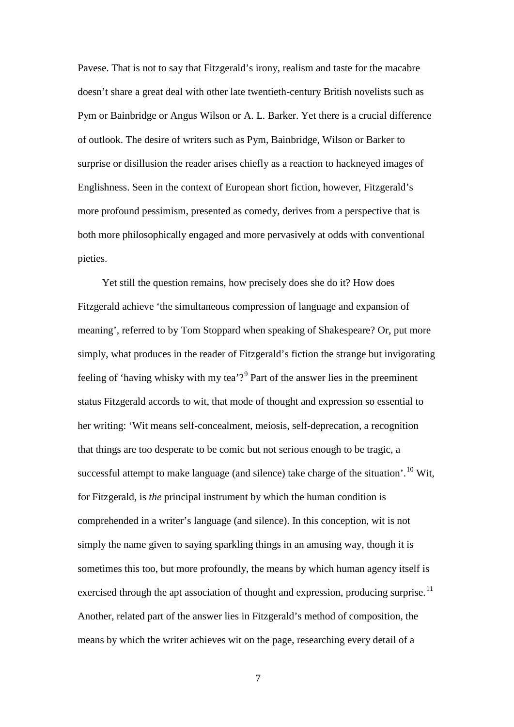Pavese. That is not to say that Fitzgerald's irony, realism and taste for the macabre doesn't share a great deal with other late twentieth-century British novelists such as Pym or Bainbridge or Angus Wilson or A. L. Barker. Yet there is a crucial difference of outlook. The desire of writers such as Pym, Bainbridge, Wilson or Barker to surprise or disillusion the reader arises chiefly as a reaction to hackneyed images of Englishness. Seen in the context of European short fiction, however, Fitzgerald's more profound pessimism, presented as comedy, derives from a perspective that is both more philosophically engaged and more pervasively at odds with conventional pieties.

Yet still the question remains, how precisely does she do it? How does Fitzgerald achieve 'the simultaneous compression of language and expansion of meaning', referred to by Tom Stoppard when speaking of Shakespeare? Or, put more simply, what produces in the reader of Fitzgerald's fiction the strange but invigorating feeling of 'having whisky with my tea'?<sup>[9](#page-162-0)</sup> Part of the answer lies in the preeminent status Fitzgerald accords to wit, that mode of thought and expression so essential to her writing: 'Wit means self-concealment, meiosis, self-deprecation, a recognition that things are too desperate to be comic but not serious enough to be tragic, a successful attempt to make language (and silence) take charge of the situation'.<sup>[10](#page-162-1)</sup> Wit, for Fitzgerald, is *the* principal instrument by which the human condition is comprehended in a writer's language (and silence). In this conception, wit is not simply the name given to saying sparkling things in an amusing way, though it is sometimes this too, but more profoundly, the means by which human agency itself is exercised through the apt association of thought and expression, producing surprise.<sup>[11](#page-162-2)</sup> Another, related part of the answer lies in Fitzgerald's method of composition, the means by which the writer achieves wit on the page, researching every detail of a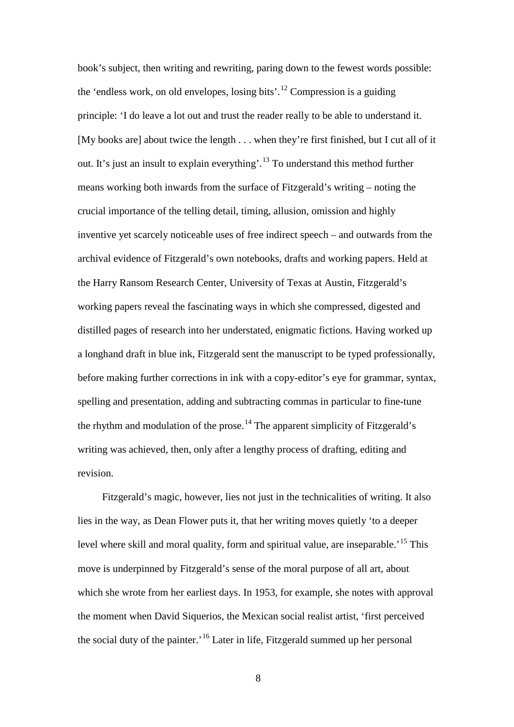book's subject, then writing and rewriting, paring down to the fewest words possible: the 'endless work, on old envelopes, losing bits'.<sup>[12](#page-163-0)</sup> Compression is a guiding principle: 'I do leave a lot out and trust the reader really to be able to understand it. [My books are] about twice the length . . . when they're first finished, but I cut all of it out. It's just an insult to explain everything'.<sup>[13](#page-163-1)</sup> To understand this method further means working both inwards from the surface of Fitzgerald's writing – noting the crucial importance of the telling detail, timing, allusion, omission and highly inventive yet scarcely noticeable uses of free indirect speech – and outwards from the archival evidence of Fitzgerald's own notebooks, drafts and working papers. Held at the Harry Ransom Research Center, University of Texas at Austin, Fitzgerald's working papers reveal the fascinating ways in which she compressed, digested and distilled pages of research into her understated, enigmatic fictions. Having worked up a longhand draft in blue ink, Fitzgerald sent the manuscript to be typed professionally, before making further corrections in ink with a copy-editor's eye for grammar, syntax, spelling and presentation, adding and subtracting commas in particular to fine-tune the rhythm and modulation of the prose.<sup>[14](#page-163-2)</sup> The apparent simplicity of Fitzgerald's writing was achieved, then, only after a lengthy process of drafting, editing and revision.

Fitzgerald's magic, however, lies not just in the technicalities of writing. It also lies in the way, as Dean Flower puts it, that her writing moves quietly 'to a deeper level where skill and moral quality, form and spiritual value, are inseparable.<sup>[15](#page-163-3)</sup> This move is underpinned by Fitzgerald's sense of the moral purpose of all art, about which she wrote from her earliest days. In 1953, for example, she notes with approval the moment when David Siquerios, the Mexican social realist artist, 'first perceived the social duty of the painter.'[16](#page-163-4) Later in life, Fitzgerald summed up her personal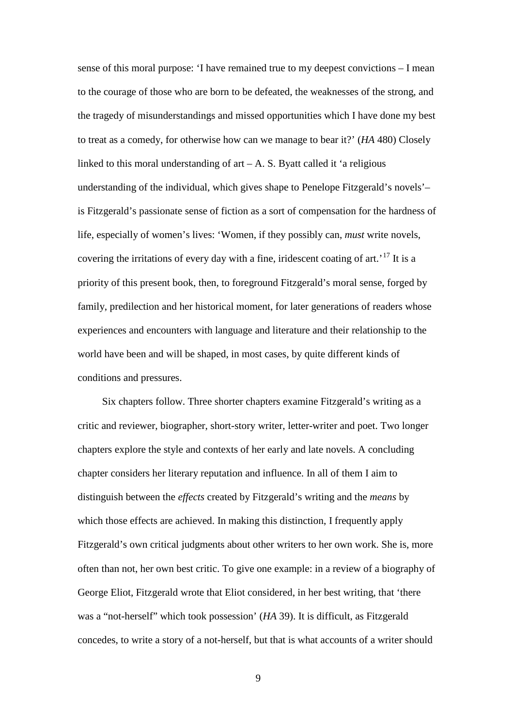sense of this moral purpose: 'I have remained true to my deepest convictions – I mean to the courage of those who are born to be defeated, the weaknesses of the strong, and the tragedy of misunderstandings and missed opportunities which I have done my best to treat as a comedy, for otherwise how can we manage to bear it?' (*HA* 480) Closely linked to this moral understanding of  $art - A$ . S. Byatt called it 'a religious understanding of the individual, which gives shape to Penelope Fitzgerald's novels'– is Fitzgerald's passionate sense of fiction as a sort of compensation for the hardness of life, especially of women's lives: 'Women, if they possibly can, *must* write novels, covering the irritations of every day with a fine, iridescent coating of  $art.^{17}$  $art.^{17}$  $art.^{17}$  It is a priority of this present book, then, to foreground Fitzgerald's moral sense, forged by family, predilection and her historical moment, for later generations of readers whose experiences and encounters with language and literature and their relationship to the world have been and will be shaped, in most cases, by quite different kinds of conditions and pressures.

Six chapters follow. Three shorter chapters examine Fitzgerald's writing as a critic and reviewer, biographer, short-story writer, letter-writer and poet. Two longer chapters explore the style and contexts of her early and late novels. A concluding chapter considers her literary reputation and influence. In all of them I aim to distinguish between the *effects* created by Fitzgerald's writing and the *means* by which those effects are achieved. In making this distinction, I frequently apply Fitzgerald's own critical judgments about other writers to her own work. She is, more often than not, her own best critic. To give one example: in a review of a biography of George Eliot, Fitzgerald wrote that Eliot considered, in her best writing, that 'there was a "not-herself" which took possession' (*HA* 39). It is difficult, as Fitzgerald concedes, to write a story of a not-herself, but that is what accounts of a writer should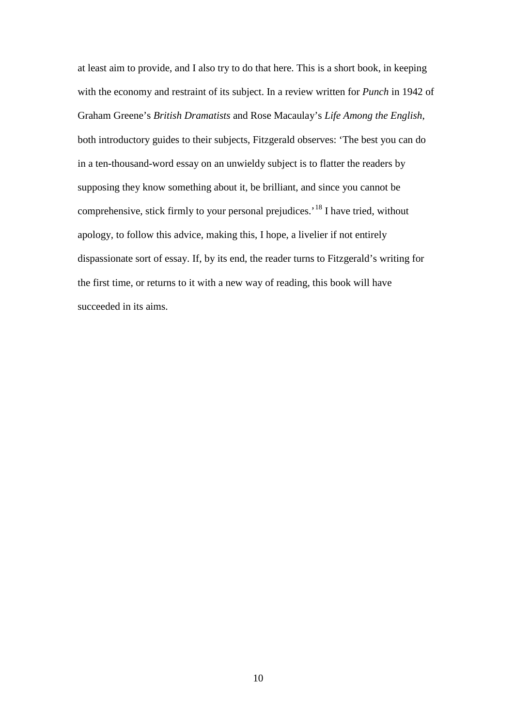at least aim to provide, and I also try to do that here. This is a short book, in keeping with the economy and restraint of its subject. In a review written for *Punch* in 1942 of Graham Greene's *British Dramatists* and Rose Macaulay's *Life Among the English*, both introductory guides to their subjects, Fitzgerald observes: 'The best you can do in a ten-thousand-word essay on an unwieldy subject is to flatter the readers by supposing they know something about it, be brilliant, and since you cannot be comprehensive, stick firmly to your personal prejudices.<sup>[18](#page-165-0)</sup> I have tried, without apology, to follow this advice, making this, I hope, a livelier if not entirely dispassionate sort of essay. If, by its end, the reader turns to Fitzgerald's writing for the first time, or returns to it with a new way of reading, this book will have succeeded in its aims.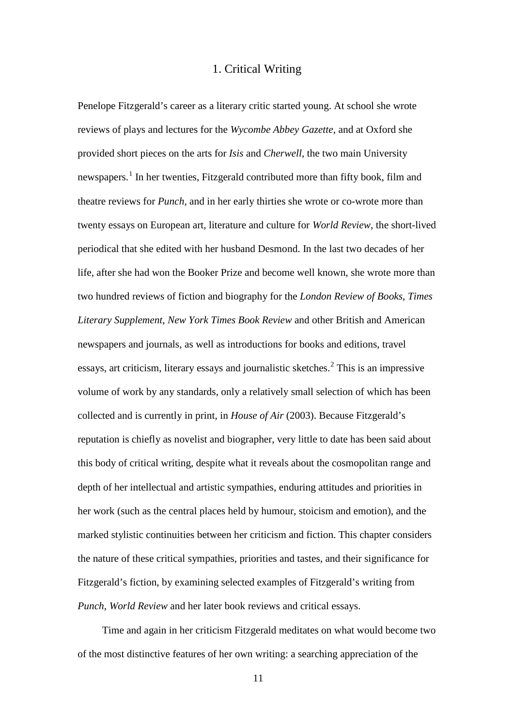#### 1. Critical Writing

<span id="page-19-0"></span>Penelope Fitzgerald's career as a literary critic started young. At school she wrote reviews of plays and lectures for the *Wycombe Abbey Gazette*, and at Oxford she provided short pieces on the arts for *Isis* and *Cherwell*, the two main University newspapers.<sup>[1](#page-166-0)</sup> In her twenties, Fitzgerald contributed more than fifty book, film and theatre reviews for *Punch*, and in her early thirties she wrote or co-wrote more than twenty essays on European art, literature and culture for *World Review*, the short-lived periodical that she edited with her husband Desmond. In the last two decades of her life, after she had won the Booker Prize and become well known, she wrote more than two hundred reviews of fiction and biography for the *London Review of Books*, *Times Literary Supplement*, *New York Times Book Review* and other British and American newspapers and journals, as well as introductions for books and editions, travel essays, art criticism, literary essays and journalistic sketches.<sup>[2](#page-166-1)</sup> This is an impressive volume of work by any standards, only a relatively small selection of which has been collected and is currently in print, in *House of Air* (2003). Because Fitzgerald's reputation is chiefly as novelist and biographer, very little to date has been said about this body of critical writing, despite what it reveals about the cosmopolitan range and depth of her intellectual and artistic sympathies, enduring attitudes and priorities in her work (such as the central places held by humour, stoicism and emotion), and the marked stylistic continuities between her criticism and fiction. This chapter considers the nature of these critical sympathies, priorities and tastes, and their significance for Fitzgerald's fiction, by examining selected examples of Fitzgerald's writing from *Punch*, *World Review* and her later book reviews and critical essays.

Time and again in her criticism Fitzgerald meditates on what would become two of the most distinctive features of her own writing: a searching appreciation of the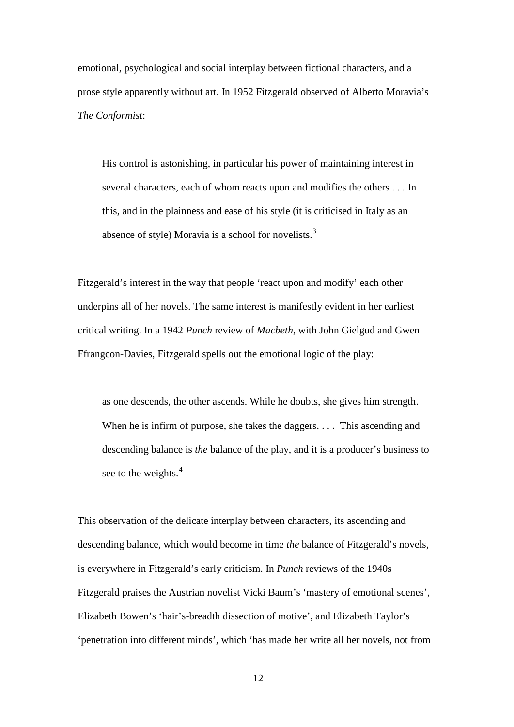emotional, psychological and social interplay between fictional characters, and a prose style apparently without art. In 1952 Fitzgerald observed of Alberto Moravia's *The Conformist*:

His control is astonishing, in particular his power of maintaining interest in several characters, each of whom reacts upon and modifies the others . . . In this, and in the plainness and ease of his style (it is criticised in Italy as an absence of style) Moravia is a school for novelists.<sup>[3](#page-167-0)</sup>

Fitzgerald's interest in the way that people 'react upon and modify' each other underpins all of her novels. The same interest is manifestly evident in her earliest critical writing. In a 1942 *Punch* review of *Macbeth*, with John Gielgud and Gwen Ffrangcon-Davies, Fitzgerald spells out the emotional logic of the play:

as one descends, the other ascends. While he doubts, she gives him strength. When he is infirm of purpose, she takes the daggers. . . . This ascending and descending balance is *the* balance of the play, and it is a producer's business to see to the weights.<sup>[4](#page-167-1)</sup>

This observation of the delicate interplay between characters, its ascending and descending balance, which would become in time *the* balance of Fitzgerald's novels, is everywhere in Fitzgerald's early criticism. In *Punch* reviews of the 1940s Fitzgerald praises the Austrian novelist Vicki Baum's 'mastery of emotional scenes', Elizabeth Bowen's 'hair's-breadth dissection of motive', and Elizabeth Taylor's 'penetration into different minds', which 'has made her write all her novels, not from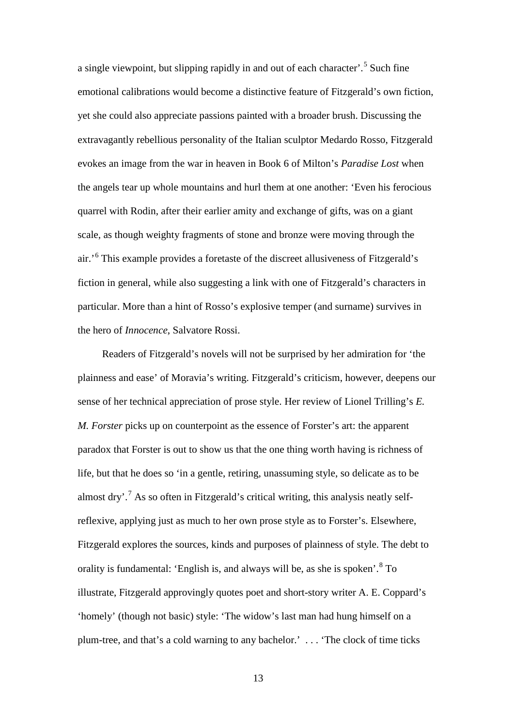a single viewpoint, but slipping rapidly in and out of each character'.[5](#page-168-0) Such fine emotional calibrations would become a distinctive feature of Fitzgerald's own fiction, yet she could also appreciate passions painted with a broader brush. Discussing the extravagantly rebellious personality of the Italian sculptor Medardo Rosso, Fitzgerald evokes an image from the war in heaven in Book 6 of Milton's *Paradise Lost* when the angels tear up whole mountains and hurl them at one another: 'Even his ferocious quarrel with Rodin, after their earlier amity and exchange of gifts, was on a giant scale, as though weighty fragments of stone and bronze were moving through the air.'[6](#page-168-1) This example provides a foretaste of the discreet allusiveness of Fitzgerald's fiction in general, while also suggesting a link with one of Fitzgerald's characters in particular. More than a hint of Rosso's explosive temper (and surname) survives in the hero of *Innocence*, Salvatore Rossi.

Readers of Fitzgerald's novels will not be surprised by her admiration for 'the plainness and ease' of Moravia's writing. Fitzgerald's criticism, however, deepens our sense of her technical appreciation of prose style. Her review of Lionel Trilling's *E. M. Forster* picks up on counterpoint as the essence of Forster's art: the apparent paradox that Forster is out to show us that the one thing worth having is richness of life, but that he does so 'in a gentle, retiring, unassuming style, so delicate as to be almost dry'.<sup>[7](#page-168-2)</sup> As so often in Fitzgerald's critical writing, this analysis neatly selfreflexive, applying just as much to her own prose style as to Forster's. Elsewhere, Fitzgerald explores the sources, kinds and purposes of plainness of style. The debt to orality is fundamental: 'English is, and always will be, as she is spoken'.<sup>[8](#page-168-3)</sup> To illustrate, Fitzgerald approvingly quotes poet and short-story writer A. E. Coppard's 'homely' (though not basic) style: 'The widow's last man had hung himself on a plum-tree, and that's a cold warning to any bachelor.' . . . 'The clock of time ticks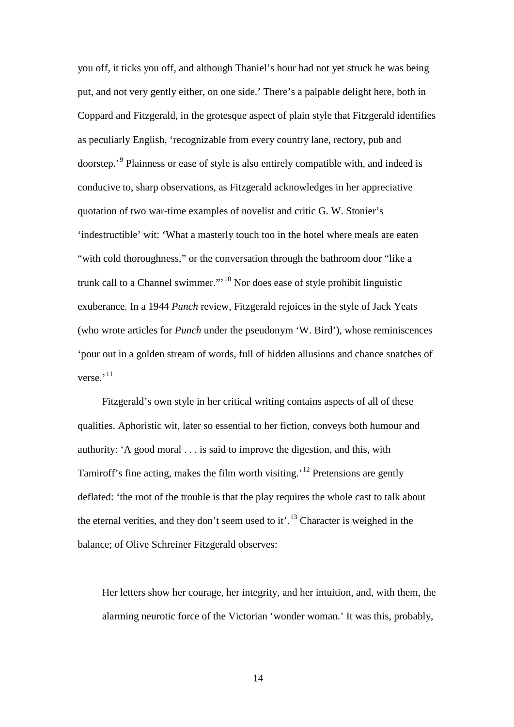you off, it ticks you off, and although Thaniel's hour had not yet struck he was being put, and not very gently either, on one side.' There's a palpable delight here, both in Coppard and Fitzgerald, in the grotesque aspect of plain style that Fitzgerald identifies as peculiarly English, 'recognizable from every country lane, rectory, pub and doorstep.'[9](#page-169-0) Plainness or ease of style is also entirely compatible with, and indeed is conducive to, sharp observations, as Fitzgerald acknowledges in her appreciative quotation of two war-time examples of novelist and critic G. W. Stonier's 'indestructible' wit: 'What a masterly touch too in the hotel where meals are eaten "with cold thoroughness," or the conversation through the bathroom door "like a trunk call to a Channel swimmer."'[10](#page-169-1) Nor does ease of style prohibit linguistic exuberance. In a 1944 *Punch* review, Fitzgerald rejoices in the style of Jack Yeats (who wrote articles for *Punch* under the pseudonym 'W. Bird'), whose reminiscences 'pour out in a golden stream of words, full of hidden allusions and chance snatches of verse.<sup>[11](#page-169-2)</sup>

Fitzgerald's own style in her critical writing contains aspects of all of these qualities. Aphoristic wit, later so essential to her fiction, conveys both humour and authority: 'A good moral . . . is said to improve the digestion, and this, with Tamiroff's fine acting, makes the film worth visiting.'[12](#page-169-3) Pretensions are gently deflated: 'the root of the trouble is that the play requires the whole cast to talk about the eternal verities, and they don't seem used to it'.<sup>[13](#page-169-4)</sup> Character is weighed in the balance; of Olive Schreiner Fitzgerald observes:

Her letters show her courage, her integrity, and her intuition, and, with them, the alarming neurotic force of the Victorian 'wonder woman.' It was this, probably,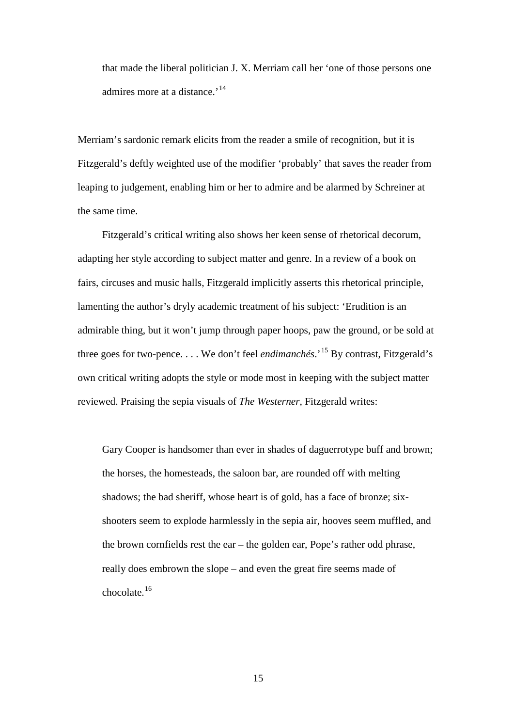that made the liberal politician J. X. Merriam call her 'one of those persons one admires more at a distance.<sup>'[14](#page-170-0)</sup>

Merriam's sardonic remark elicits from the reader a smile of recognition, but it is Fitzgerald's deftly weighted use of the modifier 'probably' that saves the reader from leaping to judgement, enabling him or her to admire and be alarmed by Schreiner at the same time.

Fitzgerald's critical writing also shows her keen sense of rhetorical decorum, adapting her style according to subject matter and genre. In a review of a book on fairs, circuses and music halls, Fitzgerald implicitly asserts this rhetorical principle, lamenting the author's dryly academic treatment of his subject: 'Erudition is an admirable thing, but it won't jump through paper hoops, paw the ground, or be sold at three goes for two-pence. . . . We don't feel *endimanchés*.'[15](#page-170-1) By contrast, Fitzgerald's own critical writing adopts the style or mode most in keeping with the subject matter reviewed. Praising the sepia visuals of *The Westerner*, Fitzgerald writes:

Gary Cooper is handsomer than ever in shades of daguerrotype buff and brown; the horses, the homesteads, the saloon bar, are rounded off with melting shadows; the bad sheriff, whose heart is of gold, has a face of bronze; sixshooters seem to explode harmlessly in the sepia air, hooves seem muffled, and the brown cornfields rest the ear – the golden ear, Pope's rather odd phrase, really does embrown the slope – and even the great fire seems made of chocolate.[16](#page-170-2)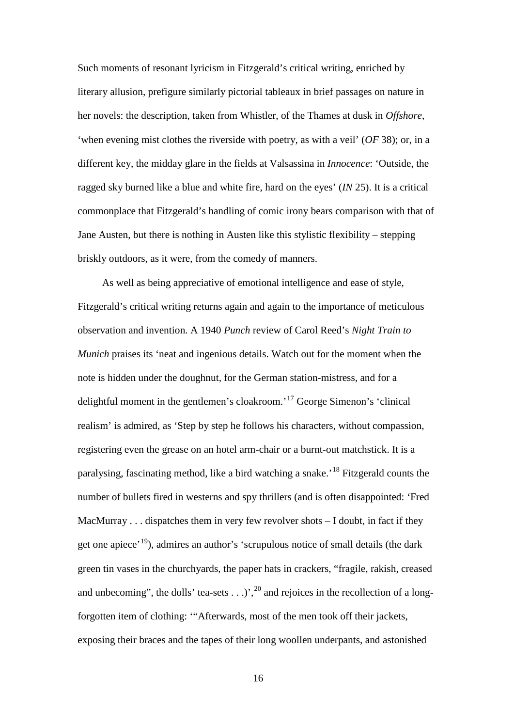Such moments of resonant lyricism in Fitzgerald's critical writing, enriched by literary allusion, prefigure similarly pictorial tableaux in brief passages on nature in her novels: the description, taken from Whistler, of the Thames at dusk in *Offshore*, 'when evening mist clothes the riverside with poetry, as with a veil' (*OF* 38); or, in a different key, the midday glare in the fields at Valsassina in *Innocence*: 'Outside, the ragged sky burned like a blue and white fire, hard on the eyes' (*IN* 25). It is a critical commonplace that Fitzgerald's handling of comic irony bears comparison with that of Jane Austen, but there is nothing in Austen like this stylistic flexibility – stepping briskly outdoors, as it were, from the comedy of manners.

As well as being appreciative of emotional intelligence and ease of style, Fitzgerald's critical writing returns again and again to the importance of meticulous observation and invention. A 1940 *Punch* review of Carol Reed's *Night Train to Munich* praises its 'neat and ingenious details. Watch out for the moment when the note is hidden under the doughnut, for the German station-mistress, and for a delightful moment in the gentlemen's cloakroom.'[17](#page-171-0) George Simenon's 'clinical realism' is admired, as 'Step by step he follows his characters, without compassion, registering even the grease on an hotel arm-chair or a burnt-out matchstick. It is a paralysing, fascinating method, like a bird watching a snake.'[18](#page-171-1) Fitzgerald counts the number of bullets fired in westerns and spy thrillers (and is often disappointed: 'Fred MacMurray . . . dispatches them in very few revolver shots – I doubt, in fact if they get one apiece<sup>'[19](#page-171-2)</sup>), admires an author's 'scrupulous notice of small details (the dark green tin vases in the churchyards, the paper hats in crackers, "fragile, rakish, creased and unbecoming", the dolls' tea-sets  $\ldots$ ,  $\ldots$ ,  $\binom{20}{3}$  $\binom{20}{3}$  $\binom{20}{3}$  and rejoices in the recollection of a longforgotten item of clothing: '"Afterwards, most of the men took off their jackets, exposing their braces and the tapes of their long woollen underpants, and astonished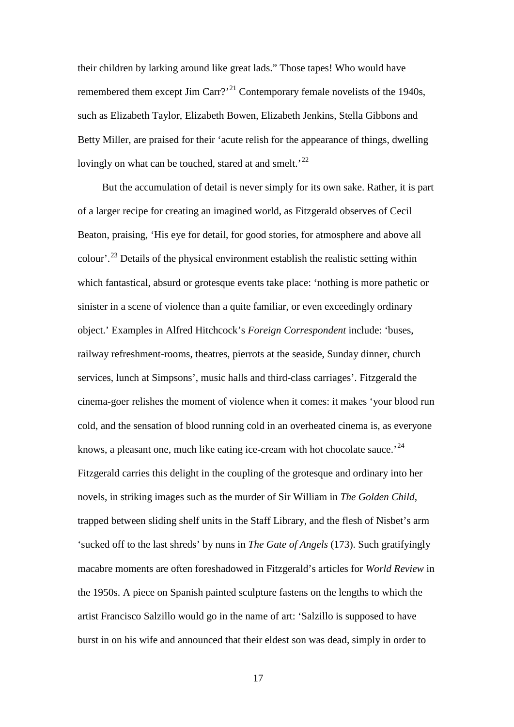their children by larking around like great lads." Those tapes! Who would have remembered them except Jim Carr?<sup> $21$ </sup> Contemporary female novelists of the 1940s, such as Elizabeth Taylor, Elizabeth Bowen, Elizabeth Jenkins, Stella Gibbons and Betty Miller, are praised for their 'acute relish for the appearance of things, dwelling lovingly on what can be touched, stared at and smelt.<sup>[22](#page-172-1)</sup>

But the accumulation of detail is never simply for its own sake. Rather, it is part of a larger recipe for creating an imagined world, as Fitzgerald observes of Cecil Beaton, praising, 'His eye for detail, for good stories, for atmosphere and above all colour'.[23](#page-172-2) Details of the physical environment establish the realistic setting within which fantastical, absurd or grotesque events take place: 'nothing is more pathetic or sinister in a scene of violence than a quite familiar, or even exceedingly ordinary object.' Examples in Alfred Hitchcock's *Foreign Correspondent* include: 'buses, railway refreshment-rooms, theatres, pierrots at the seaside, Sunday dinner, church services, lunch at Simpsons', music halls and third-class carriages'. Fitzgerald the cinema-goer relishes the moment of violence when it comes: it makes 'your blood run cold, and the sensation of blood running cold in an overheated cinema is, as everyone knows, a pleasant one, much like eating ice-cream with hot chocolate sauce.<sup>[24](#page-172-3)</sup> Fitzgerald carries this delight in the coupling of the grotesque and ordinary into her novels, in striking images such as the murder of Sir William in *The Golden Child*, trapped between sliding shelf units in the Staff Library, and the flesh of Nisbet's arm 'sucked off to the last shreds' by nuns in *The Gate of Angels* (173). Such gratifyingly macabre moments are often foreshadowed in Fitzgerald's articles for *World Review* in the 1950s. A piece on Spanish painted sculpture fastens on the lengths to which the artist Francisco Salzillo would go in the name of art: 'Salzillo is supposed to have burst in on his wife and announced that their eldest son was dead, simply in order to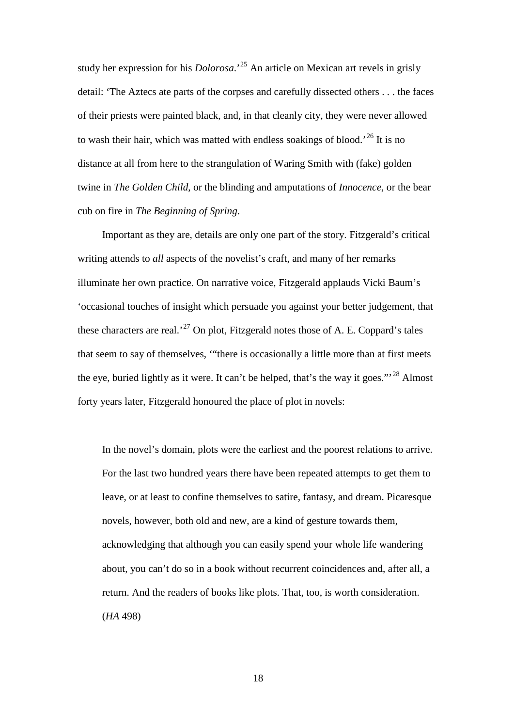study her expression for his *Dolorosa*.'[25](#page-173-0) An article on Mexican art revels in grisly detail: 'The Aztecs ate parts of the corpses and carefully dissected others . . . the faces of their priests were painted black, and, in that cleanly city, they were never allowed to wash their hair, which was matted with endless soakings of blood.<sup>[26](#page-173-1)</sup> It is no distance at all from here to the strangulation of Waring Smith with (fake) golden twine in *The Golden Child*, or the blinding and amputations of *Innocence*, or the bear cub on fire in *The Beginning of Spring*.

Important as they are, details are only one part of the story. Fitzgerald's critical writing attends to *all* aspects of the novelist's craft, and many of her remarks illuminate her own practice. On narrative voice, Fitzgerald applauds Vicki Baum's 'occasional touches of insight which persuade you against your better judgement, that these characters are real.<sup>[27](#page-173-2)</sup> On plot, Fitzgerald notes those of A. E. Coppard's tales that seem to say of themselves, '"there is occasionally a little more than at first meets the eye, buried lightly as it were. It can't be helped, that's the way it goes."<sup>[28](#page-173-3)</sup> Almost forty years later, Fitzgerald honoured the place of plot in novels:

In the novel's domain, plots were the earliest and the poorest relations to arrive. For the last two hundred years there have been repeated attempts to get them to leave, or at least to confine themselves to satire, fantasy, and dream. Picaresque novels, however, both old and new, are a kind of gesture towards them, acknowledging that although you can easily spend your whole life wandering about, you can't do so in a book without recurrent coincidences and, after all, a return. And the readers of books like plots. That, too, is worth consideration. (*HA* 498)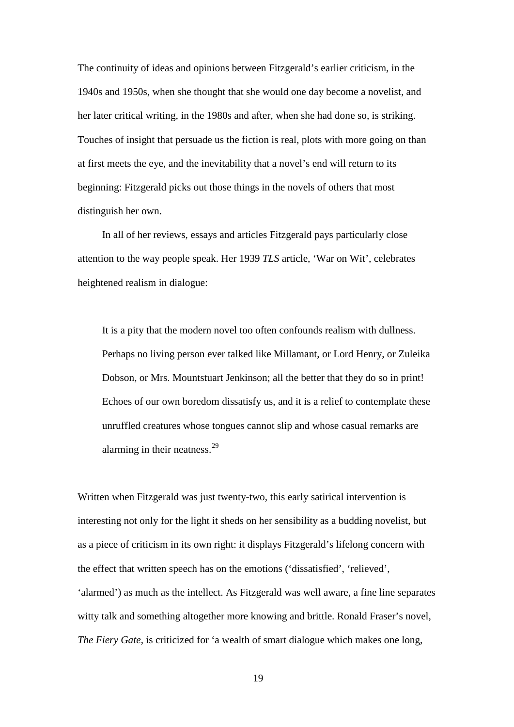The continuity of ideas and opinions between Fitzgerald's earlier criticism, in the 1940s and 1950s, when she thought that she would one day become a novelist, and her later critical writing, in the 1980s and after, when she had done so, is striking. Touches of insight that persuade us the fiction is real, plots with more going on than at first meets the eye, and the inevitability that a novel's end will return to its beginning: Fitzgerald picks out those things in the novels of others that most distinguish her own.

In all of her reviews, essays and articles Fitzgerald pays particularly close attention to the way people speak. Her 1939 *TLS* article, 'War on Wit', celebrates heightened realism in dialogue:

It is a pity that the modern novel too often confounds realism with dullness. Perhaps no living person ever talked like Millamant, or Lord Henry, or Zuleika Dobson, or Mrs. Mountstuart Jenkinson; all the better that they do so in print! Echoes of our own boredom dissatisfy us, and it is a relief to contemplate these unruffled creatures whose tongues cannot slip and whose casual remarks are alarming in their neatness. $^{29}$  $^{29}$  $^{29}$ 

Written when Fitzgerald was just twenty-two, this early satirical intervention is interesting not only for the light it sheds on her sensibility as a budding novelist, but as a piece of criticism in its own right: it displays Fitzgerald's lifelong concern with the effect that written speech has on the emotions ('dissatisfied', 'relieved', 'alarmed') as much as the intellect. As Fitzgerald was well aware, a fine line separates witty talk and something altogether more knowing and brittle. Ronald Fraser's novel, *The Fiery Gate*, is criticized for 'a wealth of smart dialogue which makes one long,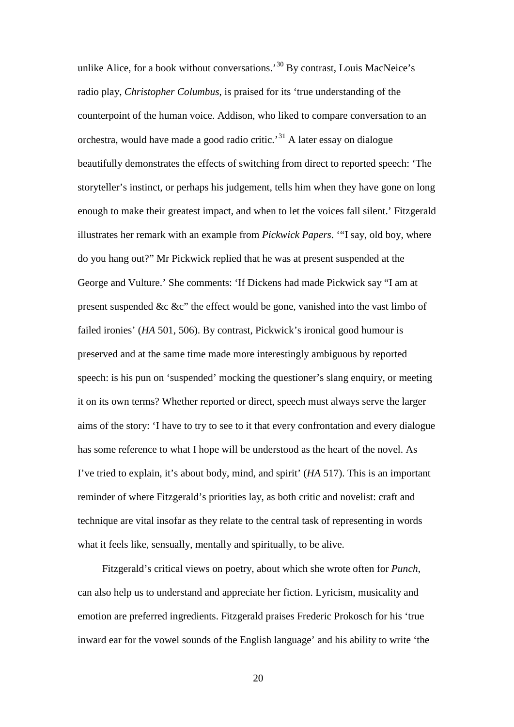unlike Alice, for a book without conversations.<sup>[30](#page-174-0)</sup> By contrast, Louis MacNeice's radio play, *Christopher Columbus*, is praised for its 'true understanding of the counterpoint of the human voice. Addison, who liked to compare conversation to an orchestra, would have made a good radio critic.<sup>[31](#page-174-1)</sup> A later essay on dialogue beautifully demonstrates the effects of switching from direct to reported speech: 'The storyteller's instinct, or perhaps his judgement, tells him when they have gone on long enough to make their greatest impact, and when to let the voices fall silent.' Fitzgerald illustrates her remark with an example from *Pickwick Papers*. '"I say, old boy, where do you hang out?" Mr Pickwick replied that he was at present suspended at the George and Vulture.' She comments: 'If Dickens had made Pickwick say "I am at present suspended &c &c" the effect would be gone, vanished into the vast limbo of failed ironies' (*HA* 501, 506). By contrast, Pickwick's ironical good humour is preserved and at the same time made more interestingly ambiguous by reported speech: is his pun on 'suspended' mocking the questioner's slang enquiry, or meeting it on its own terms? Whether reported or direct, speech must always serve the larger aims of the story: 'I have to try to see to it that every confrontation and every dialogue has some reference to what I hope will be understood as the heart of the novel. As I've tried to explain, it's about body, mind, and spirit' (*HA* 517). This is an important reminder of where Fitzgerald's priorities lay, as both critic and novelist: craft and technique are vital insofar as they relate to the central task of representing in words what it feels like, sensually, mentally and spiritually, to be alive.

Fitzgerald's critical views on poetry, about which she wrote often for *Punch*, can also help us to understand and appreciate her fiction. Lyricism, musicality and emotion are preferred ingredients. Fitzgerald praises Frederic Prokosch for his 'true inward ear for the vowel sounds of the English language' and his ability to write 'the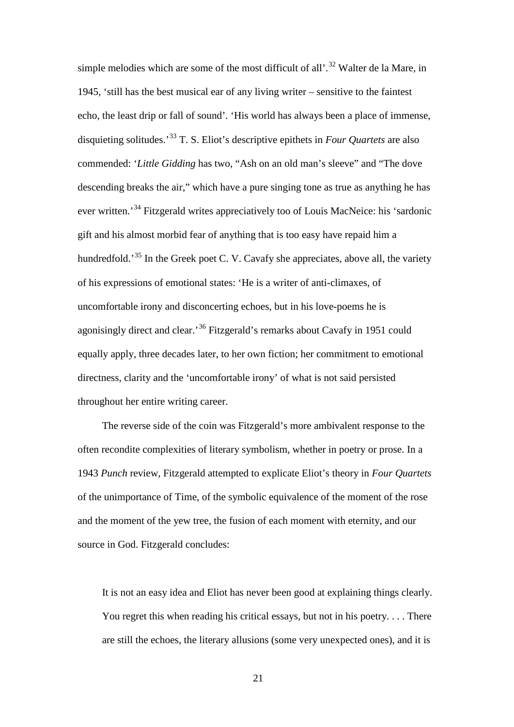simple melodies which are some of the most difficult of all'.<sup>[32](#page-175-0)</sup> Walter de la Mare, in 1945, 'still has the best musical ear of any living writer – sensitive to the faintest echo, the least drip or fall of sound'. 'His world has always been a place of immense, disquieting solitudes.'[33](#page-175-1) T. S. Eliot's descriptive epithets in *Four Quartets* are also commended: '*Little Gidding* has two, "Ash on an old man's sleeve" and "The dove descending breaks the air," which have a pure singing tone as true as anything he has ever written.'[34](#page-175-2) Fitzgerald writes appreciatively too of Louis MacNeice: his 'sardonic gift and his almost morbid fear of anything that is too easy have repaid him a hundredfold.<sup>[35](#page-175-3)</sup> In the Greek poet C. V. Cavafy she appreciates, above all, the variety of his expressions of emotional states: 'He is a writer of anti-climaxes, of uncomfortable irony and disconcerting echoes, but in his love-poems he is agonisingly direct and clear.'[36](#page-175-4) Fitzgerald's remarks about Cavafy in 1951 could equally apply, three decades later, to her own fiction; her commitment to emotional directness, clarity and the 'uncomfortable irony' of what is not said persisted throughout her entire writing career.

The reverse side of the coin was Fitzgerald's more ambivalent response to the often recondite complexities of literary symbolism, whether in poetry or prose. In a 1943 *Punch* review, Fitzgerald attempted to explicate Eliot's theory in *Four Quartets* of the unimportance of Time, of the symbolic equivalence of the moment of the rose and the moment of the yew tree, the fusion of each moment with eternity, and our source in God. Fitzgerald concludes:

It is not an easy idea and Eliot has never been good at explaining things clearly. You regret this when reading his critical essays, but not in his poetry. . . . There are still the echoes, the literary allusions (some very unexpected ones), and it is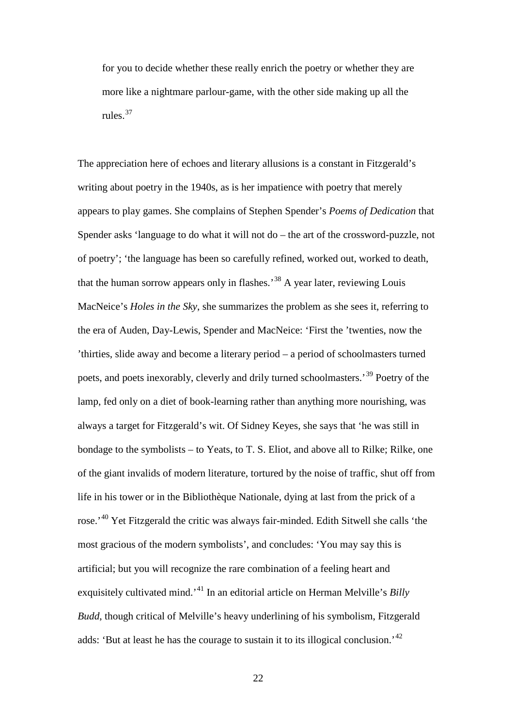for you to decide whether these really enrich the poetry or whether they are more like a nightmare parlour-game, with the other side making up all the rules.[37](#page-176-0)

The appreciation here of echoes and literary allusions is a constant in Fitzgerald's writing about poetry in the 1940s, as is her impatience with poetry that merely appears to play games. She complains of Stephen Spender's *Poems of Dedication* that Spender asks 'language to do what it will not do – the art of the crossword-puzzle, not of poetry'; 'the language has been so carefully refined, worked out, worked to death, that the human sorrow appears only in flashes.<sup>[38](#page-176-1)</sup> A year later, reviewing Louis MacNeice's *Holes in the Sky*, she summarizes the problem as she sees it, referring to the era of Auden, Day-Lewis, Spender and MacNeice: 'First the 'twenties, now the 'thirties, slide away and become a literary period – a period of schoolmasters turned poets, and poets inexorably, cleverly and drily turned schoolmasters.'[39](#page-176-2) Poetry of the lamp, fed only on a diet of book-learning rather than anything more nourishing, was always a target for Fitzgerald's wit. Of Sidney Keyes, she says that 'he was still in bondage to the symbolists – to Yeats, to T. S. Eliot, and above all to Rilke; Rilke, one of the giant invalids of modern literature, tortured by the noise of traffic, shut off from life in his tower or in the Bibliothèque Nationale, dying at last from the prick of a rose.<sup>'[40](#page-176-3)</sup> Yet Fitzgerald the critic was always fair-minded. Edith Sitwell she calls 'the most gracious of the modern symbolists', and concludes: 'You may say this is artificial; but you will recognize the rare combination of a feeling heart and exquisitely cultivated mind.'[41](#page-176-4) In an editorial article on Herman Melville's *Billy Budd*, though critical of Melville's heavy underlining of his symbolism, Fitzgerald adds: 'But at least he has the courage to sustain it to its illogical conclusion.<sup>[42](#page-176-5)</sup>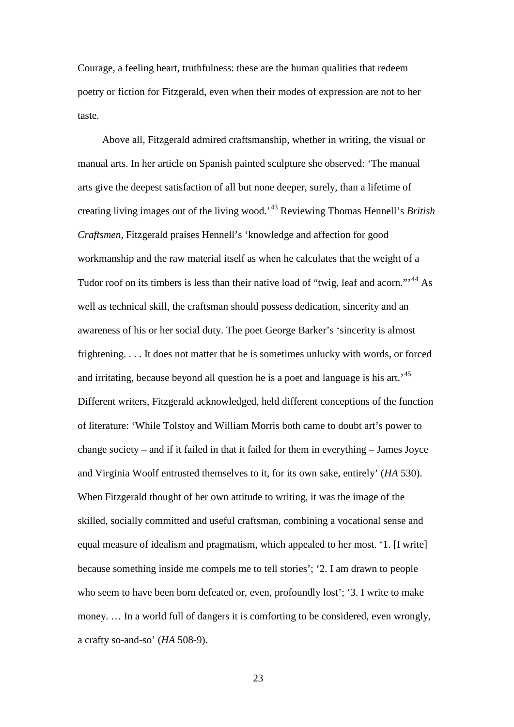Courage, a feeling heart, truthfulness: these are the human qualities that redeem poetry or fiction for Fitzgerald, even when their modes of expression are not to her taste.

Above all, Fitzgerald admired craftsmanship, whether in writing, the visual or manual arts. In her article on Spanish painted sculpture she observed: 'The manual arts give the deepest satisfaction of all but none deeper, surely, than a lifetime of creating living images out of the living wood.'[43](#page-177-0) Reviewing Thomas Hennell's *British Craftsmen*, Fitzgerald praises Hennell's 'knowledge and affection for good workmanship and the raw material itself as when he calculates that the weight of a Tudor roof on its timbers is less than their native load of "twig, leaf and acorn."<sup>[44](#page-177-1)</sup> As well as technical skill, the craftsman should possess dedication, sincerity and an awareness of his or her social duty. The poet George Barker's 'sincerity is almost frightening. . . . It does not matter that he is sometimes unlucky with words, or forced and irritating, because beyond all question he is a poet and language is his art.<sup>[45](#page-177-2)</sup> Different writers, Fitzgerald acknowledged, held different conceptions of the function of literature: 'While Tolstoy and William Morris both came to doubt art's power to change society – and if it failed in that it failed for them in everything – James Joyce and Virginia Woolf entrusted themselves to it, for its own sake, entirely' (*HA* 530). When Fitzgerald thought of her own attitude to writing, it was the image of the skilled, socially committed and useful craftsman, combining a vocational sense and equal measure of idealism and pragmatism, which appealed to her most. '1. [I write] because something inside me compels me to tell stories'; '2. I am drawn to people who seem to have been born defeated or, even, profoundly lost'; '3. I write to make money. … In a world full of dangers it is comforting to be considered, even wrongly, a crafty so-and-so' (*HA* 508-9).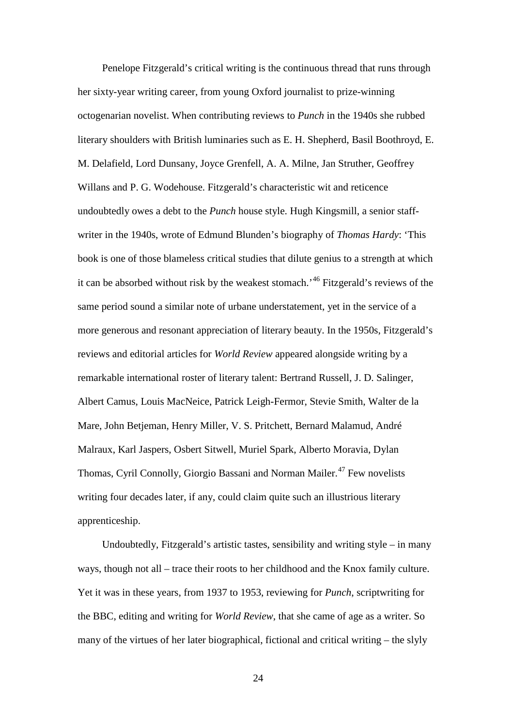Penelope Fitzgerald's critical writing is the continuous thread that runs through her sixty-year writing career, from young Oxford journalist to prize-winning octogenarian novelist. When contributing reviews to *Punch* in the 1940s she rubbed literary shoulders with British luminaries such as E. H. Shepherd, Basil Boothroyd, E. M. Delafield, Lord Dunsany, Joyce Grenfell, A. A. Milne, Jan Struther, Geoffrey Willans and P. G. Wodehouse. Fitzgerald's characteristic wit and reticence undoubtedly owes a debt to the *Punch* house style. Hugh Kingsmill, a senior staffwriter in the 1940s, wrote of Edmund Blunden's biography of *Thomas Hardy*: 'This book is one of those blameless critical studies that dilute genius to a strength at which it can be absorbed without risk by the weakest stomach.'[46](#page-178-0) Fitzgerald's reviews of the same period sound a similar note of urbane understatement, yet in the service of a more generous and resonant appreciation of literary beauty. In the 1950s, Fitzgerald's reviews and editorial articles for *World Review* appeared alongside writing by a remarkable international roster of literary talent: Bertrand Russell, J. D. Salinger, Albert Camus, Louis MacNeice, Patrick Leigh-Fermor, Stevie Smith, Walter de la Mare, John Betjeman, Henry Miller, V. S. Pritchett, Bernard Malamud, André Malraux, Karl Jaspers, Osbert Sitwell, Muriel Spark, Alberto Moravia, Dylan Thomas, Cyril Connolly, Giorgio Bassani and Norman Mailer.<sup>[47](#page-178-1)</sup> Few novelists writing four decades later, if any, could claim quite such an illustrious literary apprenticeship.

Undoubtedly, Fitzgerald's artistic tastes, sensibility and writing style  $-$  in many ways, though not all – trace their roots to her childhood and the Knox family culture. Yet it was in these years, from 1937 to 1953, reviewing for *Punch*, scriptwriting for the BBC, editing and writing for *World Review*, that she came of age as a writer. So many of the virtues of her later biographical, fictional and critical writing – the slyly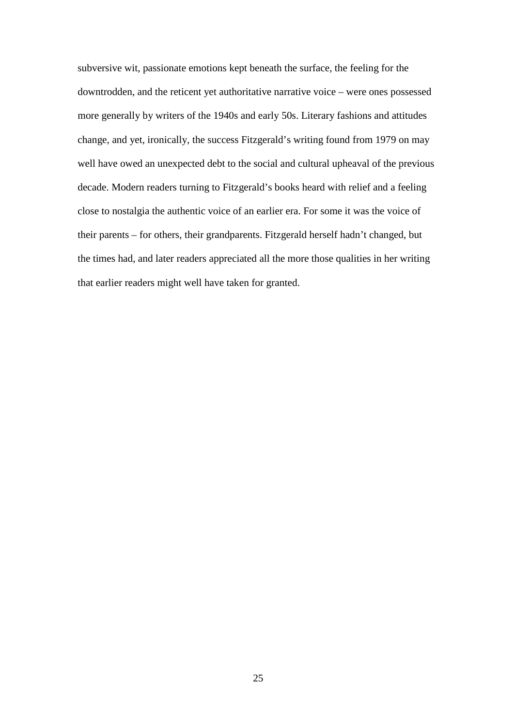subversive wit, passionate emotions kept beneath the surface, the feeling for the downtrodden, and the reticent yet authoritative narrative voice – were ones possessed more generally by writers of the 1940s and early 50s. Literary fashions and attitudes change, and yet, ironically, the success Fitzgerald's writing found from 1979 on may well have owed an unexpected debt to the social and cultural upheaval of the previous decade. Modern readers turning to Fitzgerald's books heard with relief and a feeling close to nostalgia the authentic voice of an earlier era. For some it was the voice of their parents – for others, their grandparents. Fitzgerald herself hadn't changed, but the times had, and later readers appreciated all the more those qualities in her writing that earlier readers might well have taken for granted.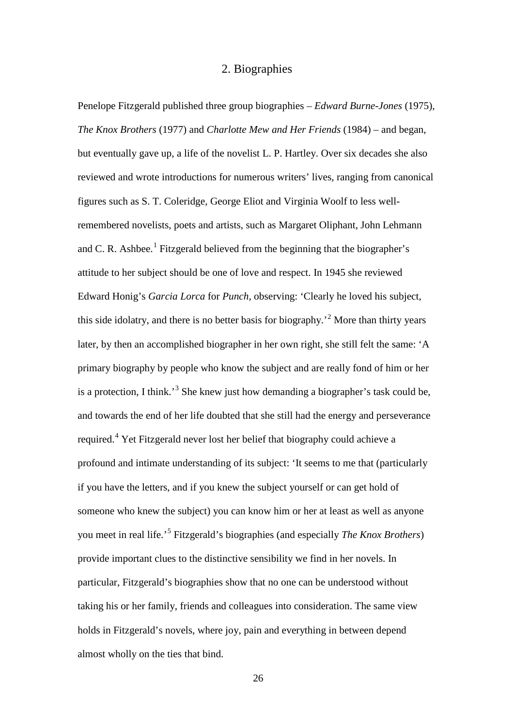#### 2. Biographies

<span id="page-34-0"></span>Penelope Fitzgerald published three group biographies – *Edward Burne-Jones* (1975), *The Knox Brothers* (1977) and *Charlotte Mew and Her Friends* (1984) – and began, but eventually gave up, a life of the novelist L. P. Hartley. Over six decades she also reviewed and wrote introductions for numerous writers' lives, ranging from canonical figures such as S. T. Coleridge, George Eliot and Virginia Woolf to less wellremembered novelists, poets and artists, such as Margaret Oliphant, John Lehmann and C. R. Ashbee.<sup>[1](#page-179-0)</sup> Fitzgerald believed from the beginning that the biographer's attitude to her subject should be one of love and respect. In 1945 she reviewed Edward Honig's *Garcia Lorca* for *Punch*, observing: 'Clearly he loved his subject, this side idolatry, and there is no better basis for biography.<sup> $2$ </sup> More than thirty years later, by then an accomplished biographer in her own right, she still felt the same: 'A primary biography by people who know the subject and are really fond of him or her is a protection, I think.<sup>[3](#page-179-2)</sup> She knew just how demanding a biographer's task could be, and towards the end of her life doubted that she still had the energy and perseverance required.[4](#page-179-3) Yet Fitzgerald never lost her belief that biography could achieve a profound and intimate understanding of its subject: 'It seems to me that (particularly if you have the letters, and if you knew the subject yourself or can get hold of someone who knew the subject) you can know him or her at least as well as anyone you meet in real life.'[5](#page-179-4) Fitzgerald's biographies (and especially *The Knox Brothers*) provide important clues to the distinctive sensibility we find in her novels. In particular, Fitzgerald's biographies show that no one can be understood without taking his or her family, friends and colleagues into consideration. The same view holds in Fitzgerald's novels, where joy, pain and everything in between depend almost wholly on the ties that bind.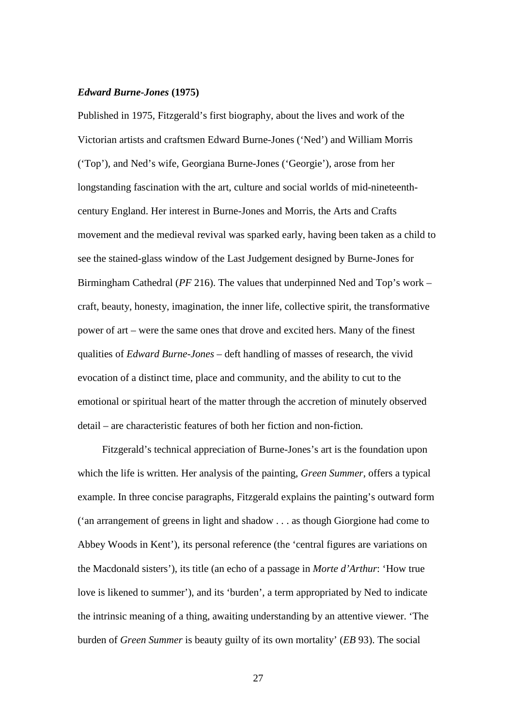#### <span id="page-35-0"></span>*Edward Burne-Jones* **(1975)**

Published in 1975, Fitzgerald's first biography, about the lives and work of the Victorian artists and craftsmen Edward Burne-Jones ('Ned') and William Morris ('Top'), and Ned's wife, Georgiana Burne-Jones ('Georgie'), arose from her longstanding fascination with the art, culture and social worlds of mid-nineteenthcentury England. Her interest in Burne-Jones and Morris, the Arts and Crafts movement and the medieval revival was sparked early, having been taken as a child to see the stained-glass window of the Last Judgement designed by Burne-Jones for Birmingham Cathedral (*PF* 216). The values that underpinned Ned and Top's work – craft, beauty, honesty, imagination, the inner life, collective spirit, the transformative power of art – were the same ones that drove and excited hers. Many of the finest qualities of *Edward Burne-Jones* – deft handling of masses of research, the vivid evocation of a distinct time, place and community, and the ability to cut to the emotional or spiritual heart of the matter through the accretion of minutely observed detail – are characteristic features of both her fiction and non-fiction.

Fitzgerald's technical appreciation of Burne-Jones's art is the foundation upon which the life is written. Her analysis of the painting, *Green Summer*, offers a typical example. In three concise paragraphs, Fitzgerald explains the painting's outward form ('an arrangement of greens in light and shadow . . . as though Giorgione had come to Abbey Woods in Kent'), its personal reference (the 'central figures are variations on the Macdonald sisters'), its title (an echo of a passage in *Morte d'Arthur*: 'How true love is likened to summer'), and its 'burden', a term appropriated by Ned to indicate the intrinsic meaning of a thing, awaiting understanding by an attentive viewer. 'The burden of *Green Summer* is beauty guilty of its own mortality' (*EB* 93). The social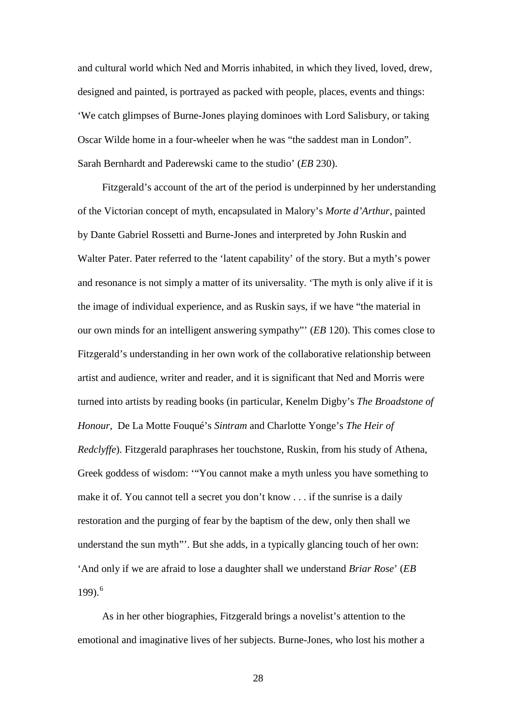and cultural world which Ned and Morris inhabited, in which they lived, loved, drew, designed and painted, is portrayed as packed with people, places, events and things: 'We catch glimpses of Burne-Jones playing dominoes with Lord Salisbury, or taking Oscar Wilde home in a four-wheeler when he was "the saddest man in London". Sarah Bernhardt and Paderewski came to the studio' (*EB* 230).

Fitzgerald's account of the art of the period is underpinned by her understanding of the Victorian concept of myth, encapsulated in Malory's *Morte d'Arthur*, painted by Dante Gabriel Rossetti and Burne-Jones and interpreted by John Ruskin and Walter Pater. Pater referred to the 'latent capability' of the story. But a myth's power and resonance is not simply a matter of its universality. 'The myth is only alive if it is the image of individual experience, and as Ruskin says, if we have "the material in our own minds for an intelligent answering sympathy"' (*EB* 120). This comes close to Fitzgerald's understanding in her own work of the collaborative relationship between artist and audience, writer and reader, and it is significant that Ned and Morris were turned into artists by reading books (in particular, Kenelm Digby's *The Broadstone of Honour*, De La Motte Fouqué's *Sintram* and Charlotte Yonge's *The Heir of Redclyffe*). Fitzgerald paraphrases her touchstone, Ruskin, from his study of Athena, Greek goddess of wisdom: '"You cannot make a myth unless you have something to make it of. You cannot tell a secret you don't know . . . if the sunrise is a daily restoration and the purging of fear by the baptism of the dew, only then shall we understand the sun myth"'. But she adds, in a typically glancing touch of her own: 'And only if we are afraid to lose a daughter shall we understand *Briar Rose*' (*EB* 199) $6$ 

As in her other biographies, Fitzgerald brings a novelist's attention to the emotional and imaginative lives of her subjects. Burne-Jones, who lost his mother a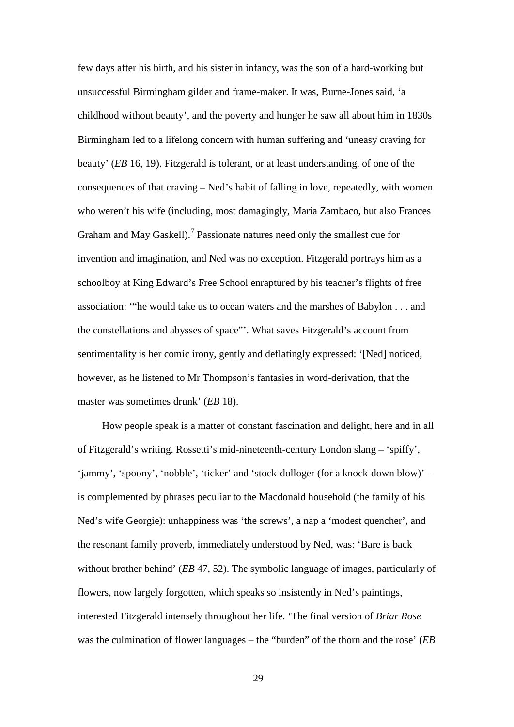few days after his birth, and his sister in infancy, was the son of a hard-working but unsuccessful Birmingham gilder and frame-maker. It was, Burne-Jones said, 'a childhood without beauty', and the poverty and hunger he saw all about him in 1830s Birmingham led to a lifelong concern with human suffering and 'uneasy craving for beauty' (*EB* 16, 19). Fitzgerald is tolerant, or at least understanding, of one of the consequences of that craving – Ned's habit of falling in love, repeatedly, with women who weren't his wife (including, most damagingly, Maria Zambaco, but also Frances Graham and May Gaskell).<sup>[7](#page-180-0)</sup> Passionate natures need only the smallest cue for invention and imagination, and Ned was no exception. Fitzgerald portrays him as a schoolboy at King Edward's Free School enraptured by his teacher's flights of free association: '"he would take us to ocean waters and the marshes of Babylon . . . and the constellations and abysses of space"'. What saves Fitzgerald's account from sentimentality is her comic irony, gently and deflatingly expressed: '[Ned] noticed, however, as he listened to Mr Thompson's fantasies in word-derivation, that the master was sometimes drunk' (*EB* 18).

How people speak is a matter of constant fascination and delight, here and in all of Fitzgerald's writing. Rossetti's mid-nineteenth-century London slang – 'spiffy', 'jammy', 'spoony', 'nobble', 'ticker' and 'stock-dolloger (for a knock-down blow)' – is complemented by phrases peculiar to the Macdonald household (the family of his Ned's wife Georgie): unhappiness was 'the screws', a nap a 'modest quencher', and the resonant family proverb, immediately understood by Ned, was: 'Bare is back without brother behind' (*EB* 47, 52). The symbolic language of images, particularly of flowers, now largely forgotten, which speaks so insistently in Ned's paintings, interested Fitzgerald intensely throughout her life. 'The final version of *Briar Rose* was the culmination of flower languages – the "burden" of the thorn and the rose' (*EB*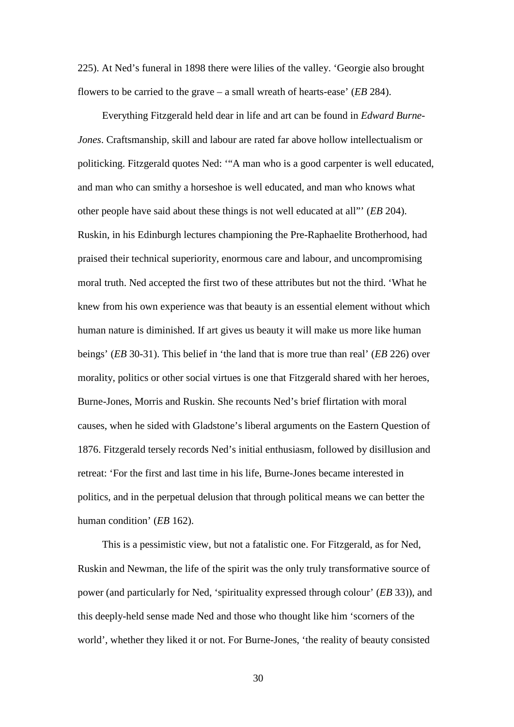225). At Ned's funeral in 1898 there were lilies of the valley. 'Georgie also brought flowers to be carried to the grave – a small wreath of hearts-ease' (*EB* 284).

Everything Fitzgerald held dear in life and art can be found in *Edward Burne-Jones*. Craftsmanship, skill and labour are rated far above hollow intellectualism or politicking. Fitzgerald quotes Ned: '"A man who is a good carpenter is well educated, and man who can smithy a horseshoe is well educated, and man who knows what other people have said about these things is not well educated at all"' (*EB* 204). Ruskin, in his Edinburgh lectures championing the Pre-Raphaelite Brotherhood, had praised their technical superiority, enormous care and labour, and uncompromising moral truth. Ned accepted the first two of these attributes but not the third. 'What he knew from his own experience was that beauty is an essential element without which human nature is diminished. If art gives us beauty it will make us more like human beings' (*EB* 30-31). This belief in 'the land that is more true than real' (*EB* 226) over morality, politics or other social virtues is one that Fitzgerald shared with her heroes, Burne-Jones, Morris and Ruskin. She recounts Ned's brief flirtation with moral causes, when he sided with Gladstone's liberal arguments on the Eastern Question of 1876. Fitzgerald tersely records Ned's initial enthusiasm, followed by disillusion and retreat: 'For the first and last time in his life, Burne-Jones became interested in politics, and in the perpetual delusion that through political means we can better the human condition' (*EB* 162).

This is a pessimistic view, but not a fatalistic one. For Fitzgerald, as for Ned, Ruskin and Newman, the life of the spirit was the only truly transformative source of power (and particularly for Ned, 'spirituality expressed through colour' (*EB* 33)), and this deeply-held sense made Ned and those who thought like him 'scorners of the world', whether they liked it or not. For Burne-Jones, 'the reality of beauty consisted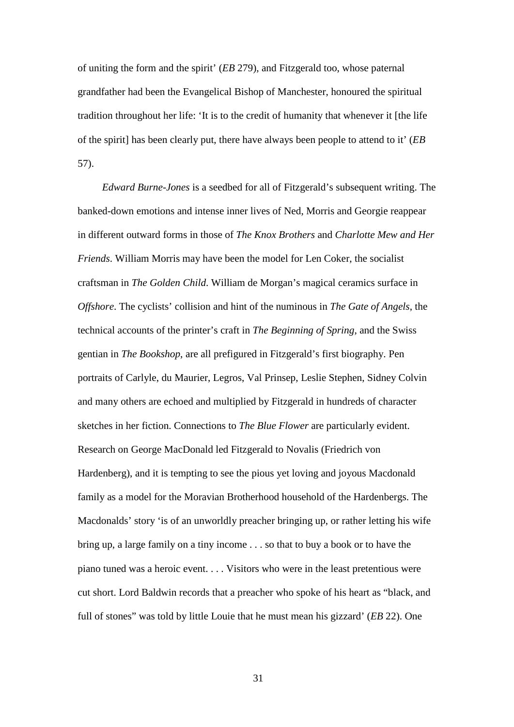of uniting the form and the spirit' (*EB* 279), and Fitzgerald too, whose paternal grandfather had been the Evangelical Bishop of Manchester, honoured the spiritual tradition throughout her life: 'It is to the credit of humanity that whenever it [the life of the spirit] has been clearly put, there have always been people to attend to it' (*EB* 57).

*Edward Burne-Jones* is a seedbed for all of Fitzgerald's subsequent writing. The banked-down emotions and intense inner lives of Ned, Morris and Georgie reappear in different outward forms in those of *The Knox Brothers* and *Charlotte Mew and Her Friends*. William Morris may have been the model for Len Coker, the socialist craftsman in *The Golden Child*. William de Morgan's magical ceramics surface in *Offshore*. The cyclists' collision and hint of the numinous in *The Gate of Angels*, the technical accounts of the printer's craft in *The Beginning of Spring*, and the Swiss gentian in *The Bookshop*, are all prefigured in Fitzgerald's first biography. Pen portraits of Carlyle, du Maurier, Legros, Val Prinsep, Leslie Stephen, Sidney Colvin and many others are echoed and multiplied by Fitzgerald in hundreds of character sketches in her fiction. Connections to *The Blue Flower* are particularly evident. Research on George MacDonald led Fitzgerald to Novalis (Friedrich von Hardenberg), and it is tempting to see the pious yet loving and joyous Macdonald family as a model for the Moravian Brotherhood household of the Hardenbergs. The Macdonalds' story 'is of an unworldly preacher bringing up, or rather letting his wife bring up, a large family on a tiny income . . . so that to buy a book or to have the piano tuned was a heroic event. . . . Visitors who were in the least pretentious were cut short. Lord Baldwin records that a preacher who spoke of his heart as "black, and full of stones" was told by little Louie that he must mean his gizzard' (*EB* 22). One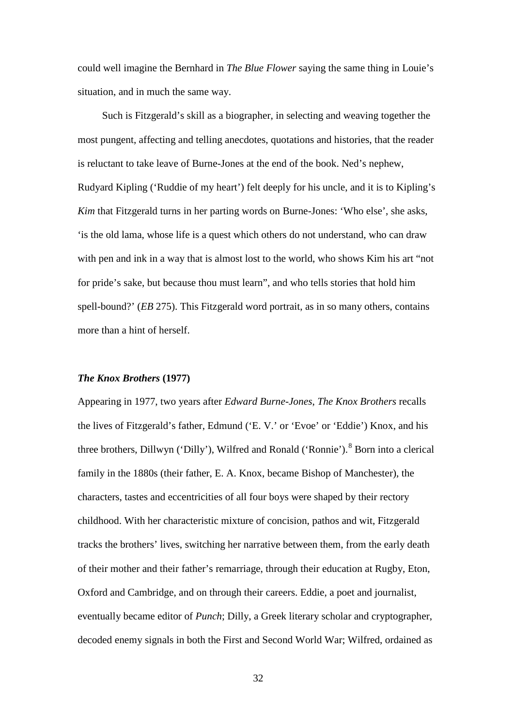could well imagine the Bernhard in *The Blue Flower* saying the same thing in Louie's situation, and in much the same way.

Such is Fitzgerald's skill as a biographer, in selecting and weaving together the most pungent, affecting and telling anecdotes, quotations and histories, that the reader is reluctant to take leave of Burne-Jones at the end of the book. Ned's nephew, Rudyard Kipling ('Ruddie of my heart') felt deeply for his uncle, and it is to Kipling's *Kim* that Fitzgerald turns in her parting words on Burne-Jones: 'Who else', she asks, 'is the old lama, whose life is a quest which others do not understand, who can draw with pen and ink in a way that is almost lost to the world, who shows Kim his art "not for pride's sake, but because thou must learn", and who tells stories that hold him spell-bound?' (*EB* 275). This Fitzgerald word portrait, as in so many others, contains more than a hint of herself.

### *The Knox Brothers* **(1977)**

Appearing in 1977, two years after *Edward Burne-Jones*, *The Knox Brothers* recalls the lives of Fitzgerald's father, Edmund ('E. V.' or 'Evoe' or 'Eddie') Knox, and his three brothers, Dillwyn ('Dilly'), Wilfred and Ronald ('Ronnie').<sup>[8](#page-180-1)</sup> Born into a clerical family in the 1880s (their father, E. A. Knox, became Bishop of Manchester), the characters, tastes and eccentricities of all four boys were shaped by their rectory childhood. With her characteristic mixture of concision, pathos and wit, Fitzgerald tracks the brothers' lives, switching her narrative between them, from the early death of their mother and their father's remarriage, through their education at Rugby, Eton, Oxford and Cambridge, and on through their careers. Eddie, a poet and journalist, eventually became editor of *Punch*; Dilly, a Greek literary scholar and cryptographer, decoded enemy signals in both the First and Second World War; Wilfred, ordained as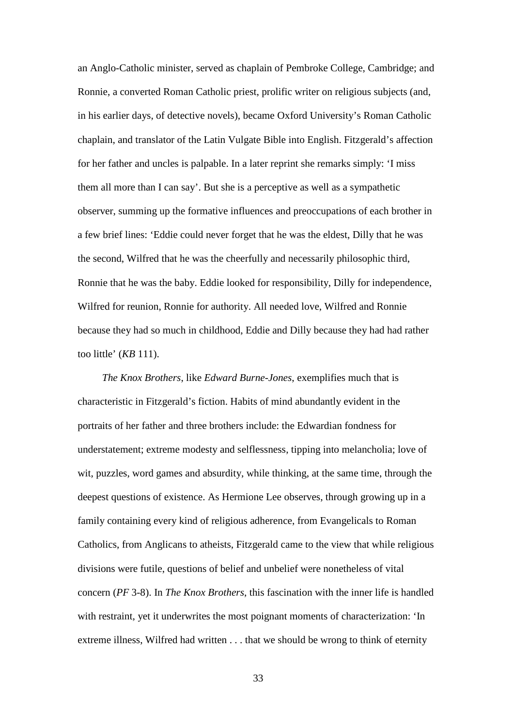an Anglo-Catholic minister, served as chaplain of Pembroke College, Cambridge; and Ronnie, a converted Roman Catholic priest, prolific writer on religious subjects (and, in his earlier days, of detective novels), became Oxford University's Roman Catholic chaplain, and translator of the Latin Vulgate Bible into English. Fitzgerald's affection for her father and uncles is palpable. In a later reprint she remarks simply: 'I miss them all more than I can say'. But she is a perceptive as well as a sympathetic observer, summing up the formative influences and preoccupations of each brother in a few brief lines: 'Eddie could never forget that he was the eldest, Dilly that he was the second, Wilfred that he was the cheerfully and necessarily philosophic third, Ronnie that he was the baby. Eddie looked for responsibility, Dilly for independence, Wilfred for reunion, Ronnie for authority. All needed love, Wilfred and Ronnie because they had so much in childhood, Eddie and Dilly because they had had rather too little' (*KB* 111).

*The Knox Brothers*, like *Edward Burne-Jones*, exemplifies much that is characteristic in Fitzgerald's fiction. Habits of mind abundantly evident in the portraits of her father and three brothers include: the Edwardian fondness for understatement; extreme modesty and selflessness, tipping into melancholia; love of wit, puzzles, word games and absurdity, while thinking, at the same time, through the deepest questions of existence. As Hermione Lee observes, through growing up in a family containing every kind of religious adherence, from Evangelicals to Roman Catholics, from Anglicans to atheists, Fitzgerald came to the view that while religious divisions were futile, questions of belief and unbelief were nonetheless of vital concern (*PF* 3-8). In *The Knox Brothers*, this fascination with the inner life is handled with restraint, yet it underwrites the most poignant moments of characterization: 'In extreme illness, Wilfred had written . . . that we should be wrong to think of eternity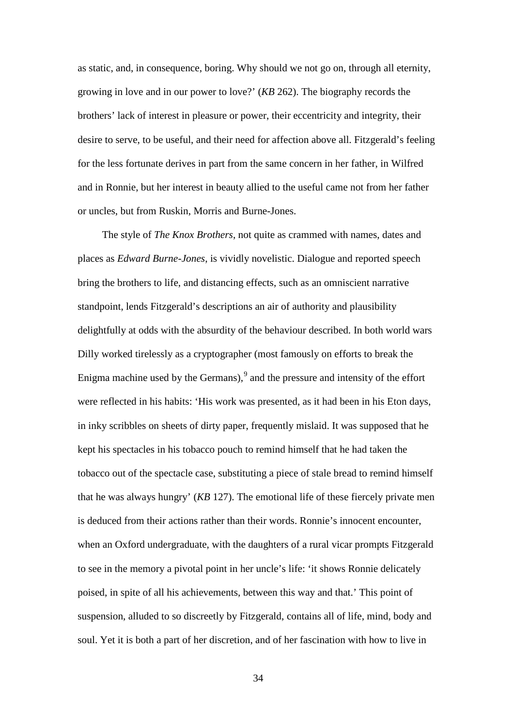as static, and, in consequence, boring. Why should we not go on, through all eternity, growing in love and in our power to love?' (*KB* 262). The biography records the brothers' lack of interest in pleasure or power, their eccentricity and integrity, their desire to serve, to be useful, and their need for affection above all. Fitzgerald's feeling for the less fortunate derives in part from the same concern in her father, in Wilfred and in Ronnie, but her interest in beauty allied to the useful came not from her father or uncles, but from Ruskin, Morris and Burne-Jones.

The style of *The Knox Brothers*, not quite as crammed with names, dates and places as *Edward Burne-Jones*, is vividly novelistic. Dialogue and reported speech bring the brothers to life, and distancing effects, such as an omniscient narrative standpoint, lends Fitzgerald's descriptions an air of authority and plausibility delightfully at odds with the absurdity of the behaviour described. In both world wars Dilly worked tirelessly as a cryptographer (most famously on efforts to break the Enigma machine used by the Germans), $\frac{9}{2}$  $\frac{9}{2}$  $\frac{9}{2}$  and the pressure and intensity of the effort were reflected in his habits: 'His work was presented, as it had been in his Eton days, in inky scribbles on sheets of dirty paper, frequently mislaid. It was supposed that he kept his spectacles in his tobacco pouch to remind himself that he had taken the tobacco out of the spectacle case, substituting a piece of stale bread to remind himself that he was always hungry' (*KB* 127). The emotional life of these fiercely private men is deduced from their actions rather than their words. Ronnie's innocent encounter, when an Oxford undergraduate, with the daughters of a rural vicar prompts Fitzgerald to see in the memory a pivotal point in her uncle's life: 'it shows Ronnie delicately poised, in spite of all his achievements, between this way and that.' This point of suspension, alluded to so discreetly by Fitzgerald, contains all of life, mind, body and soul. Yet it is both a part of her discretion, and of her fascination with how to live in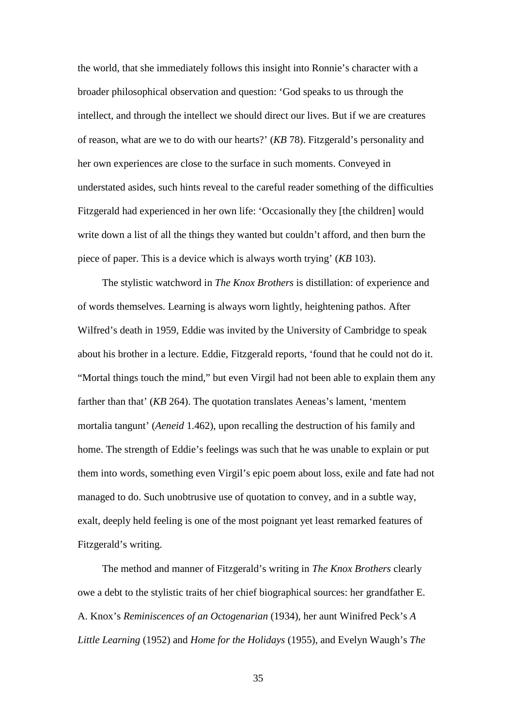the world, that she immediately follows this insight into Ronnie's character with a broader philosophical observation and question: 'God speaks to us through the intellect, and through the intellect we should direct our lives. But if we are creatures of reason, what are we to do with our hearts?' (*KB* 78). Fitzgerald's personality and her own experiences are close to the surface in such moments. Conveyed in understated asides, such hints reveal to the careful reader something of the difficulties Fitzgerald had experienced in her own life: 'Occasionally they [the children] would write down a list of all the things they wanted but couldn't afford, and then burn the piece of paper. This is a device which is always worth trying' (*KB* 103).

The stylistic watchword in *The Knox Brothers* is distillation: of experience and of words themselves. Learning is always worn lightly, heightening pathos. After Wilfred's death in 1959, Eddie was invited by the University of Cambridge to speak about his brother in a lecture. Eddie, Fitzgerald reports, 'found that he could not do it. "Mortal things touch the mind," but even Virgil had not been able to explain them any farther than that' (*KB* 264). The quotation translates Aeneas's lament, 'mentem mortalia tangunt' (*Aeneid* 1.462), upon recalling the destruction of his family and home. The strength of Eddie's feelings was such that he was unable to explain or put them into words, something even Virgil's epic poem about loss, exile and fate had not managed to do. Such unobtrusive use of quotation to convey, and in a subtle way, exalt, deeply held feeling is one of the most poignant yet least remarked features of Fitzgerald's writing.

The method and manner of Fitzgerald's writing in *The Knox Brothers* clearly owe a debt to the stylistic traits of her chief biographical sources: her grandfather E. A. Knox's *Reminiscences of an Octogenarian* (1934), her aunt Winifred Peck's *A Little Learning* (1952) and *Home for the Holidays* (1955), and Evelyn Waugh's *The*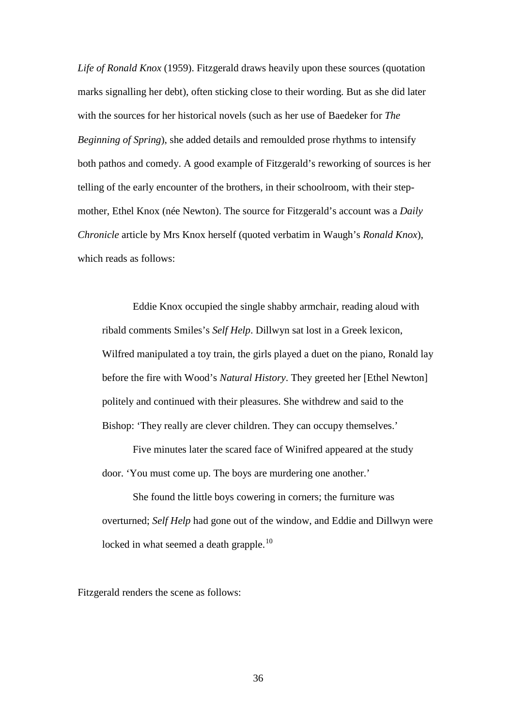*Life of Ronald Knox* (1959). Fitzgerald draws heavily upon these sources (quotation marks signalling her debt), often sticking close to their wording. But as she did later with the sources for her historical novels (such as her use of Baedeker for *The Beginning of Spring*), she added details and remoulded prose rhythms to intensify both pathos and comedy. A good example of Fitzgerald's reworking of sources is her telling of the early encounter of the brothers, in their schoolroom, with their stepmother, Ethel Knox (née Newton). The source for Fitzgerald's account was a *Daily Chronicle* article by Mrs Knox herself (quoted verbatim in Waugh's *Ronald Knox*), which reads as follows:

Eddie Knox occupied the single shabby armchair, reading aloud with ribald comments Smiles's *Self Help*. Dillwyn sat lost in a Greek lexicon, Wilfred manipulated a toy train, the girls played a duet on the piano, Ronald lay before the fire with Wood's *Natural History*. They greeted her [Ethel Newton] politely and continued with their pleasures. She withdrew and said to the Bishop: 'They really are clever children. They can occupy themselves.'

Five minutes later the scared face of Winifred appeared at the study door. 'You must come up. The boys are murdering one another.'

She found the little boys cowering in corners; the furniture was overturned; *Self Help* had gone out of the window, and Eddie and Dillwyn were locked in what seemed a death grapple.<sup>[10](#page-181-1)</sup>

Fitzgerald renders the scene as follows: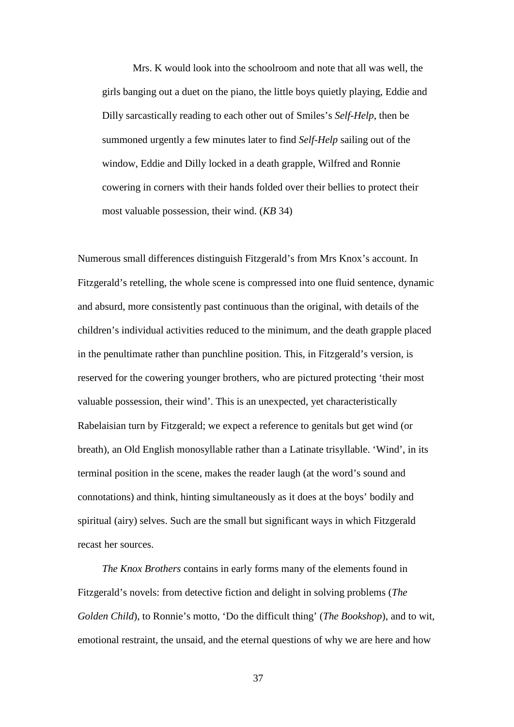Mrs. K would look into the schoolroom and note that all was well, the girls banging out a duet on the piano, the little boys quietly playing, Eddie and Dilly sarcastically reading to each other out of Smiles's *Self-Help*, then be summoned urgently a few minutes later to find *Self-Help* sailing out of the window, Eddie and Dilly locked in a death grapple, Wilfred and Ronnie cowering in corners with their hands folded over their bellies to protect their most valuable possession, their wind. (*KB* 34)

Numerous small differences distinguish Fitzgerald's from Mrs Knox's account. In Fitzgerald's retelling, the whole scene is compressed into one fluid sentence, dynamic and absurd, more consistently past continuous than the original, with details of the children's individual activities reduced to the minimum, and the death grapple placed in the penultimate rather than punchline position. This, in Fitzgerald's version, is reserved for the cowering younger brothers, who are pictured protecting 'their most valuable possession, their wind'. This is an unexpected, yet characteristically Rabelaisian turn by Fitzgerald; we expect a reference to genitals but get wind (or breath), an Old English monosyllable rather than a Latinate trisyllable. 'Wind', in its terminal position in the scene, makes the reader laugh (at the word's sound and connotations) and think, hinting simultaneously as it does at the boys' bodily and spiritual (airy) selves. Such are the small but significant ways in which Fitzgerald recast her sources.

*The Knox Brothers* contains in early forms many of the elements found in Fitzgerald's novels: from detective fiction and delight in solving problems (*The Golden Child*), to Ronnie's motto, 'Do the difficult thing' (*The Bookshop*), and to wit, emotional restraint, the unsaid, and the eternal questions of why we are here and how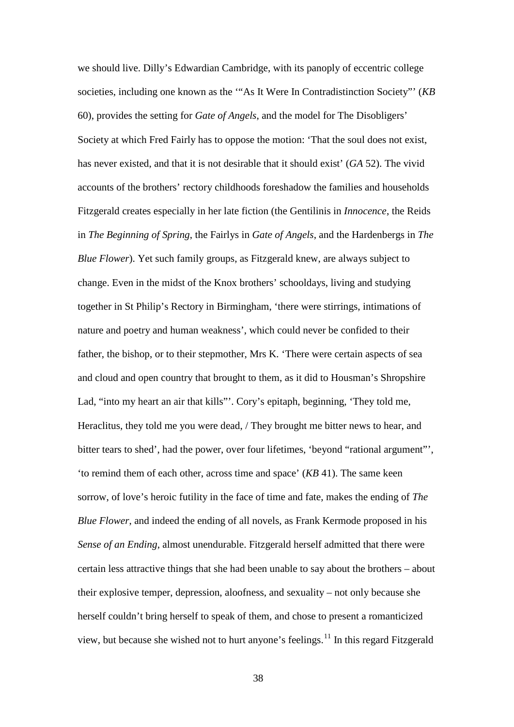we should live. Dilly's Edwardian Cambridge, with its panoply of eccentric college societies, including one known as the '"As It Were In Contradistinction Society"' (*KB* 60), provides the setting for *Gate of Angels*, and the model for The Disobligers' Society at which Fred Fairly has to oppose the motion: 'That the soul does not exist, has never existed, and that it is not desirable that it should exist' (*GA* 52). The vivid accounts of the brothers' rectory childhoods foreshadow the families and households Fitzgerald creates especially in her late fiction (the Gentilinis in *Innocence*, the Reids in *The Beginning of Spring*, the Fairlys in *Gate of Angels*, and the Hardenbergs in *The Blue Flower*). Yet such family groups, as Fitzgerald knew, are always subject to change. Even in the midst of the Knox brothers' schooldays, living and studying together in St Philip's Rectory in Birmingham, 'there were stirrings, intimations of nature and poetry and human weakness', which could never be confided to their father, the bishop, or to their stepmother, Mrs K. 'There were certain aspects of sea and cloud and open country that brought to them, as it did to Housman's Shropshire Lad, "into my heart an air that kills"'. Cory's epitaph, beginning, 'They told me, Heraclitus, they told me you were dead, / They brought me bitter news to hear, and bitter tears to shed', had the power, over four lifetimes, 'beyond "rational argument"', 'to remind them of each other, across time and space' (*KB* 41). The same keen sorrow, of love's heroic futility in the face of time and fate, makes the ending of *The Blue Flower*, and indeed the ending of all novels, as Frank Kermode proposed in his *Sense of an Ending*, almost unendurable. Fitzgerald herself admitted that there were certain less attractive things that she had been unable to say about the brothers – about their explosive temper, depression, aloofness, and sexuality – not only because she herself couldn't bring herself to speak of them, and chose to present a romanticized view, but because she wished not to hurt anyone's feelings.<sup>[11](#page-181-2)</sup> In this regard Fitzgerald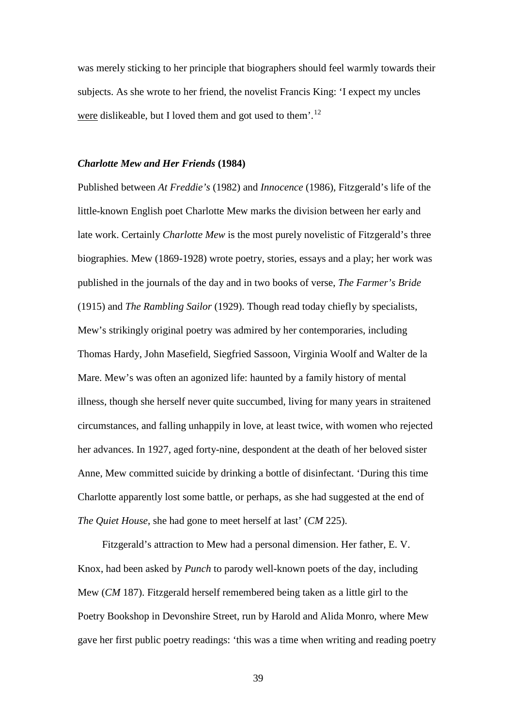was merely sticking to her principle that biographers should feel warmly towards their subjects. As she wrote to her friend, the novelist Francis King: 'I expect my uncles were dislikeable, but I loved them and got used to them'.<sup>[12](#page-182-0)</sup>

#### *Charlotte Mew and Her Friends* **(1984)**

Published between *At Freddie's* (1982) and *Innocence* (1986), Fitzgerald's life of the little-known English poet Charlotte Mew marks the division between her early and late work. Certainly *Charlotte Mew* is the most purely novelistic of Fitzgerald's three biographies. Mew (1869-1928) wrote poetry, stories, essays and a play; her work was published in the journals of the day and in two books of verse, *The Farmer's Bride* (1915) and *The Rambling Sailor* (1929). Though read today chiefly by specialists, Mew's strikingly original poetry was admired by her contemporaries, including Thomas Hardy, John Masefield, Siegfried Sassoon, Virginia Woolf and Walter de la Mare. Mew's was often an agonized life: haunted by a family history of mental illness, though she herself never quite succumbed, living for many years in straitened circumstances, and falling unhappily in love, at least twice, with women who rejected her advances. In 1927, aged forty-nine, despondent at the death of her beloved sister Anne, Mew committed suicide by drinking a bottle of disinfectant. 'During this time Charlotte apparently lost some battle, or perhaps, as she had suggested at the end of *The Quiet House*, she had gone to meet herself at last' (*CM* 225).

Fitzgerald's attraction to Mew had a personal dimension. Her father, E. V. Knox, had been asked by *Punch* to parody well-known poets of the day, including Mew (*CM* 187). Fitzgerald herself remembered being taken as a little girl to the Poetry Bookshop in Devonshire Street, run by Harold and Alida Monro, where Mew gave her first public poetry readings: 'this was a time when writing and reading poetry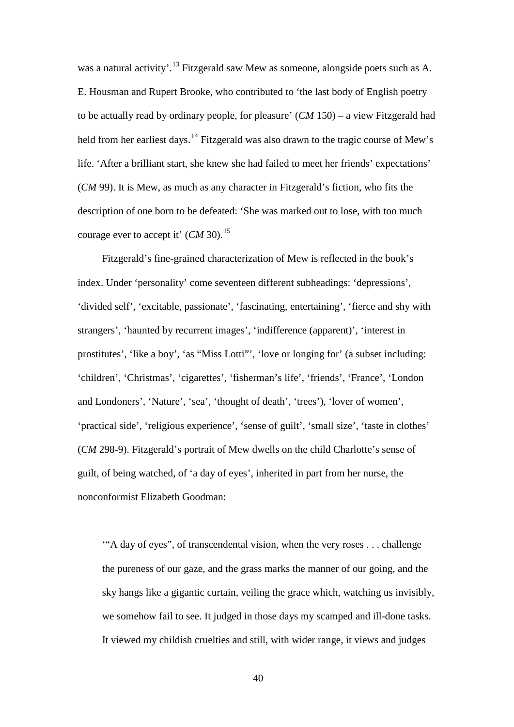was a natural activity'.<sup>[13](#page-183-0)</sup> Fitzgerald saw Mew as someone, alongside poets such as A. E. Housman and Rupert Brooke, who contributed to 'the last body of English poetry to be actually read by ordinary people, for pleasure' (*CM* 150) – a view Fitzgerald had held from her earliest days.<sup>[14](#page-183-1)</sup> Fitzgerald was also drawn to the tragic course of Mew's life. 'After a brilliant start, she knew she had failed to meet her friends' expectations' (*CM* 99). It is Mew, as much as any character in Fitzgerald's fiction, who fits the description of one born to be defeated: 'She was marked out to lose, with too much courage ever to accept it' (*CM* 30).<sup>[15](#page-183-2)</sup>

Fitzgerald's fine-grained characterization of Mew is reflected in the book's index. Under 'personality' come seventeen different subheadings: 'depressions', 'divided self', 'excitable, passionate', 'fascinating, entertaining', 'fierce and shy with strangers', 'haunted by recurrent images', 'indifference (apparent)', 'interest in prostitutes', 'like a boy', 'as "Miss Lotti"', 'love or longing for' (a subset including: 'children', 'Christmas', 'cigarettes', 'fisherman's life', 'friends', 'France', 'London and Londoners', 'Nature', 'sea', 'thought of death', 'trees'), 'lover of women', 'practical side', 'religious experience', 'sense of guilt', 'small size', 'taste in clothes' (*CM* 298-9). Fitzgerald's portrait of Mew dwells on the child Charlotte's sense of guilt, of being watched, of 'a day of eyes', inherited in part from her nurse, the nonconformist Elizabeth Goodman:

'"A day of eyes", of transcendental vision, when the very roses . . . challenge the pureness of our gaze, and the grass marks the manner of our going, and the sky hangs like a gigantic curtain, veiling the grace which, watching us invisibly, we somehow fail to see. It judged in those days my scamped and ill-done tasks. It viewed my childish cruelties and still, with wider range, it views and judges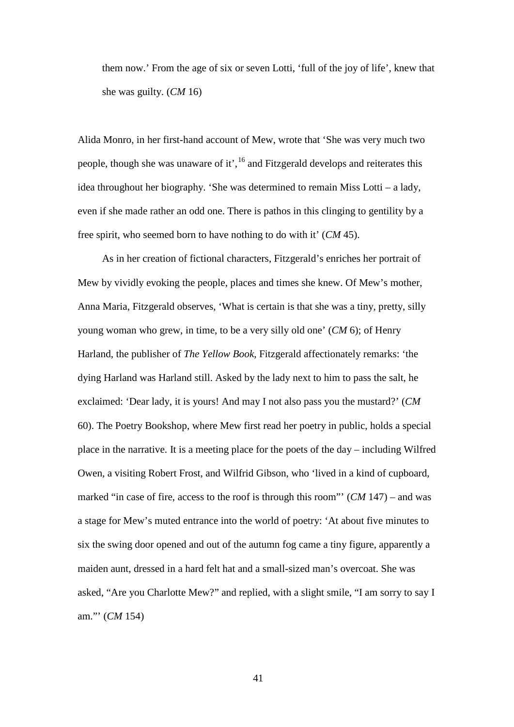them now.' From the age of six or seven Lotti, 'full of the joy of life', knew that she was guilty. (*CM* 16)

Alida Monro, in her first-hand account of Mew, wrote that 'She was very much two people, though she was unaware of it',[16](#page-184-0) and Fitzgerald develops and reiterates this idea throughout her biography. 'She was determined to remain Miss Lotti – a lady, even if she made rather an odd one. There is pathos in this clinging to gentility by a free spirit, who seemed born to have nothing to do with it' (*CM* 45).

As in her creation of fictional characters, Fitzgerald's enriches her portrait of Mew by vividly evoking the people, places and times she knew. Of Mew's mother, Anna Maria, Fitzgerald observes, 'What is certain is that she was a tiny, pretty, silly young woman who grew, in time, to be a very silly old one' (*CM* 6); of Henry Harland, the publisher of *The Yellow Book*, Fitzgerald affectionately remarks: 'the dying Harland was Harland still. Asked by the lady next to him to pass the salt, he exclaimed: 'Dear lady, it is yours! And may I not also pass you the mustard?' (*CM* 60). The Poetry Bookshop, where Mew first read her poetry in public, holds a special place in the narrative. It is a meeting place for the poets of the day – including Wilfred Owen, a visiting Robert Frost, and Wilfrid Gibson, who 'lived in a kind of cupboard, marked "in case of fire, access to the roof is through this room"' (*CM* 147) – and was a stage for Mew's muted entrance into the world of poetry: 'At about five minutes to six the swing door opened and out of the autumn fog came a tiny figure, apparently a maiden aunt, dressed in a hard felt hat and a small-sized man's overcoat. She was asked, "Are you Charlotte Mew?" and replied, with a slight smile, "I am sorry to say I am."' (*CM* 154)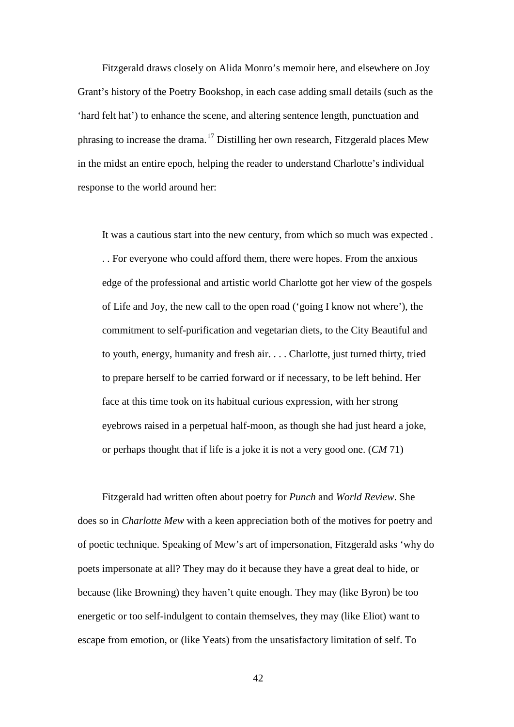Fitzgerald draws closely on Alida Monro's memoir here, and elsewhere on Joy Grant's history of the Poetry Bookshop, in each case adding small details (such as the 'hard felt hat') to enhance the scene, and altering sentence length, punctuation and phrasing to increase the drama.<sup>[17](#page-185-0)</sup> Distilling her own research, Fitzgerald places Mew in the midst an entire epoch, helping the reader to understand Charlotte's individual response to the world around her:

It was a cautious start into the new century, from which so much was expected . . . For everyone who could afford them, there were hopes. From the anxious edge of the professional and artistic world Charlotte got her view of the gospels of Life and Joy, the new call to the open road ('going I know not where'), the commitment to self-purification and vegetarian diets, to the City Beautiful and to youth, energy, humanity and fresh air. . . . Charlotte, just turned thirty, tried to prepare herself to be carried forward or if necessary, to be left behind. Her face at this time took on its habitual curious expression, with her strong eyebrows raised in a perpetual half-moon, as though she had just heard a joke, or perhaps thought that if life is a joke it is not a very good one. (*CM* 71)

Fitzgerald had written often about poetry for *Punch* and *World Review*. She does so in *Charlotte Mew* with a keen appreciation both of the motives for poetry and of poetic technique. Speaking of Mew's art of impersonation, Fitzgerald asks 'why do poets impersonate at all? They may do it because they have a great deal to hide, or because (like Browning) they haven't quite enough. They may (like Byron) be too energetic or too self-indulgent to contain themselves, they may (like Eliot) want to escape from emotion, or (like Yeats) from the unsatisfactory limitation of self. To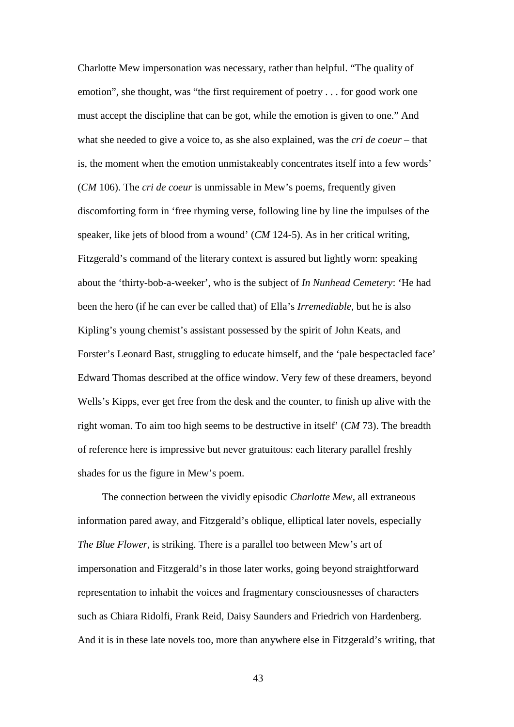Charlotte Mew impersonation was necessary, rather than helpful. "The quality of emotion", she thought, was "the first requirement of poetry . . . for good work one must accept the discipline that can be got, while the emotion is given to one." And what she needed to give a voice to, as she also explained, was the *cri de coeur* – that is, the moment when the emotion unmistakeably concentrates itself into a few words' (*CM* 106). The *cri de coeur* is unmissable in Mew's poems, frequently given discomforting form in 'free rhyming verse, following line by line the impulses of the speaker, like jets of blood from a wound' (*CM* 124-5). As in her critical writing, Fitzgerald's command of the literary context is assured but lightly worn: speaking about the 'thirty-bob-a-weeker', who is the subject of *In Nunhead Cemetery*: 'He had been the hero (if he can ever be called that) of Ella's *Irremediable*, but he is also Kipling's young chemist's assistant possessed by the spirit of John Keats, and Forster's Leonard Bast, struggling to educate himself, and the 'pale bespectacled face' Edward Thomas described at the office window. Very few of these dreamers, beyond Wells's Kipps, ever get free from the desk and the counter, to finish up alive with the right woman. To aim too high seems to be destructive in itself' (*CM* 73). The breadth of reference here is impressive but never gratuitous: each literary parallel freshly shades for us the figure in Mew's poem.

The connection between the vividly episodic *Charlotte Mew*, all extraneous information pared away, and Fitzgerald's oblique, elliptical later novels, especially *The Blue Flower*, is striking. There is a parallel too between Mew's art of impersonation and Fitzgerald's in those later works, going beyond straightforward representation to inhabit the voices and fragmentary consciousnesses of characters such as Chiara Ridolfi, Frank Reid, Daisy Saunders and Friedrich von Hardenberg. And it is in these late novels too, more than anywhere else in Fitzgerald's writing, that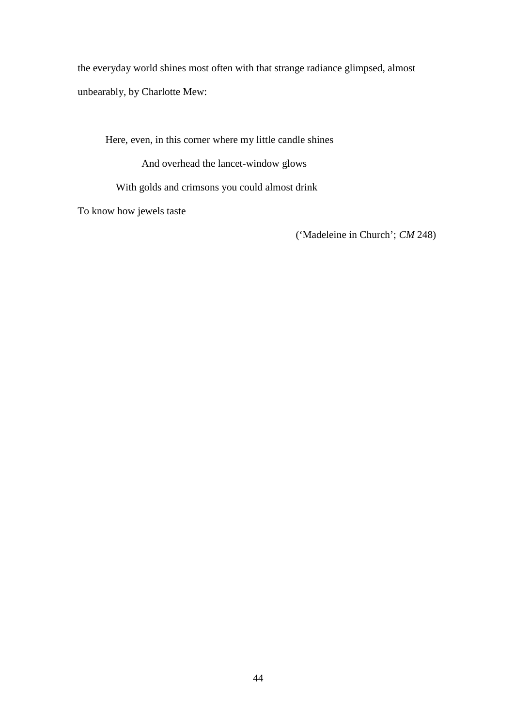the everyday world shines most often with that strange radiance glimpsed, almost unbearably, by Charlotte Mew:

Here, even, in this corner where my little candle shines

And overhead the lancet-window glows

With golds and crimsons you could almost drink

To know how jewels taste

('Madeleine in Church'; *CM* 248)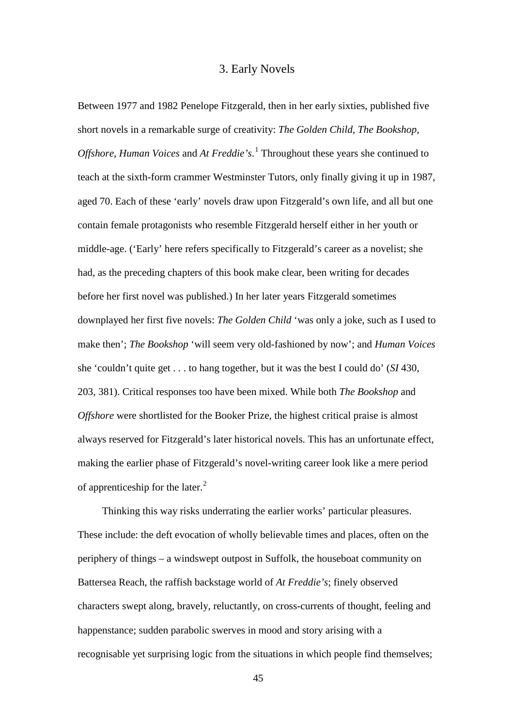# 3. Early Novels

Between 1977 and 1982 Penelope Fitzgerald, then in her early sixties, published five short novels in a remarkable surge of creativity: *The Golden Child*, *The Bookshop*, *Offshore*, *Human Voices* and *At Freddie's*. [1](#page-185-1) Throughout these years she continued to teach at the sixth-form crammer Westminster Tutors, only finally giving it up in 1987, aged 70. Each of these 'early' novels draw upon Fitzgerald's own life, and all but one contain female protagonists who resemble Fitzgerald herself either in her youth or middle-age. ('Early' here refers specifically to Fitzgerald's career as a novelist; she had, as the preceding chapters of this book make clear, been writing for decades before her first novel was published.) In her later years Fitzgerald sometimes downplayed her first five novels: *The Golden Child* 'was only a joke, such as I used to make then'; *The Bookshop* 'will seem very old-fashioned by now'; and *Human Voices* she 'couldn't quite get . . . to hang together, but it was the best I could do' (*SI* 430, 203, 381). Critical responses too have been mixed. While both *The Bookshop* and *Offshore* were shortlisted for the Booker Prize, the highest critical praise is almost always reserved for Fitzgerald's later historical novels. This has an unfortunate effect, making the earlier phase of Fitzgerald's novel-writing career look like a mere period of apprenticeship for the later.<sup>[2](#page-185-2)</sup>

Thinking this way risks underrating the earlier works' particular pleasures. These include: the deft evocation of wholly believable times and places, often on the periphery of things – a windswept outpost in Suffolk, the houseboat community on Battersea Reach, the raffish backstage world of *At Freddie's*; finely observed characters swept along, bravely, reluctantly, on cross-currents of thought, feeling and happenstance; sudden parabolic swerves in mood and story arising with a recognisable yet surprising logic from the situations in which people find themselves;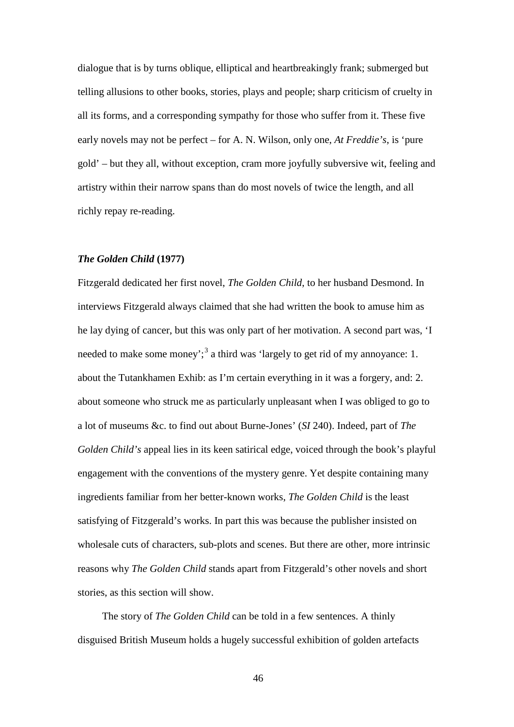dialogue that is by turns oblique, elliptical and heartbreakingly frank; submerged but telling allusions to other books, stories, plays and people; sharp criticism of cruelty in all its forms, and a corresponding sympathy for those who suffer from it. These five early novels may not be perfect – for A. N. Wilson, only one, *At Freddie's*, is 'pure gold' – but they all, without exception, cram more joyfully subversive wit, feeling and artistry within their narrow spans than do most novels of twice the length, and all richly repay re-reading.

### *The Golden Child* **(1977)**

Fitzgerald dedicated her first novel, *The Golden Child*, to her husband Desmond. In interviews Fitzgerald always claimed that she had written the book to amuse him as he lay dying of cancer, but this was only part of her motivation. A second part was, 'I needed to make some money';<sup>[3](#page-186-0)</sup> a third was 'largely to get rid of my annoyance: 1. about the Tutankhamen Exhib: as I'm certain everything in it was a forgery, and: 2. about someone who struck me as particularly unpleasant when I was obliged to go to a lot of museums &c. to find out about Burne-Jones' (*SI* 240). Indeed, part of *The Golden Child's* appeal lies in its keen satirical edge, voiced through the book's playful engagement with the conventions of the mystery genre. Yet despite containing many ingredients familiar from her better-known works, *The Golden Child* is the least satisfying of Fitzgerald's works. In part this was because the publisher insisted on wholesale cuts of characters, sub-plots and scenes. But there are other, more intrinsic reasons why *The Golden Child* stands apart from Fitzgerald's other novels and short stories, as this section will show.

The story of *The Golden Child* can be told in a few sentences. A thinly disguised British Museum holds a hugely successful exhibition of golden artefacts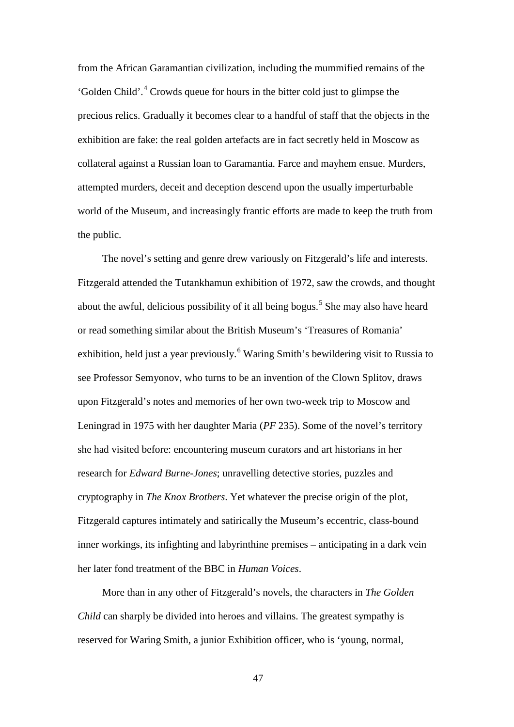from the African Garamantian civilization, including the mummified remains of the 'Golden Child'.[4](#page-187-0) Crowds queue for hours in the bitter cold just to glimpse the precious relics. Gradually it becomes clear to a handful of staff that the objects in the exhibition are fake: the real golden artefacts are in fact secretly held in Moscow as collateral against a Russian loan to Garamantia. Farce and mayhem ensue. Murders, attempted murders, deceit and deception descend upon the usually imperturbable world of the Museum, and increasingly frantic efforts are made to keep the truth from the public.

The novel's setting and genre drew variously on Fitzgerald's life and interests. Fitzgerald attended the Tutankhamun exhibition of 1972, saw the crowds, and thought about the awful, delicious possibility of it all being bogus.<sup>[5](#page-187-1)</sup> She may also have heard or read something similar about the British Museum's 'Treasures of Romania' exhibition, held just a year previously.<sup>[6](#page-187-2)</sup> Waring Smith's bewildering visit to Russia to see Professor Semyonov, who turns to be an invention of the Clown Splitov, draws upon Fitzgerald's notes and memories of her own two-week trip to Moscow and Leningrad in 1975 with her daughter Maria (*PF* 235). Some of the novel's territory she had visited before: encountering museum curators and art historians in her research for *Edward Burne-Jones*; unravelling detective stories, puzzles and cryptography in *The Knox Brothers*. Yet whatever the precise origin of the plot, Fitzgerald captures intimately and satirically the Museum's eccentric, class-bound inner workings, its infighting and labyrinthine premises – anticipating in a dark vein her later fond treatment of the BBC in *Human Voices*.

More than in any other of Fitzgerald's novels, the characters in *The Golden Child* can sharply be divided into heroes and villains. The greatest sympathy is reserved for Waring Smith, a junior Exhibition officer, who is 'young, normal,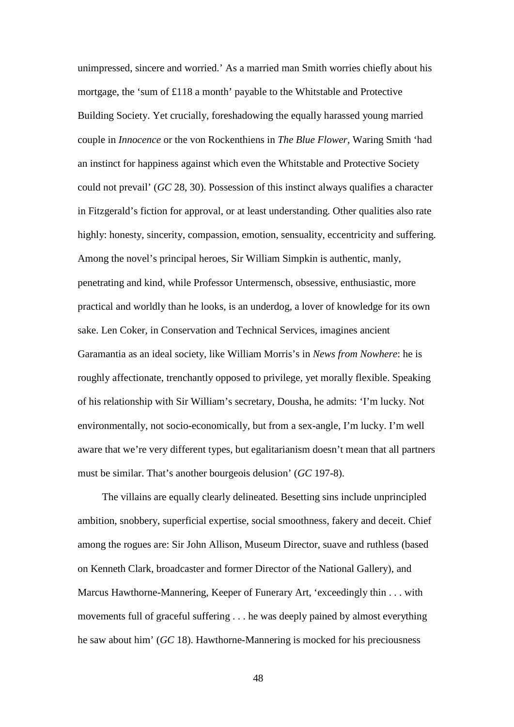unimpressed, sincere and worried.' As a married man Smith worries chiefly about his mortgage, the 'sum of £118 a month' payable to the Whitstable and Protective Building Society. Yet crucially, foreshadowing the equally harassed young married couple in *Innocence* or the von Rockenthiens in *The Blue Flower*, Waring Smith 'had an instinct for happiness against which even the Whitstable and Protective Society could not prevail' (*GC* 28, 30). Possession of this instinct always qualifies a character in Fitzgerald's fiction for approval, or at least understanding. Other qualities also rate highly: honesty, sincerity, compassion, emotion, sensuality, eccentricity and suffering. Among the novel's principal heroes, Sir William Simpkin is authentic, manly, penetrating and kind, while Professor Untermensch, obsessive, enthusiastic, more practical and worldly than he looks, is an underdog, a lover of knowledge for its own sake. Len Coker, in Conservation and Technical Services, imagines ancient Garamantia as an ideal society, like William Morris's in *News from Nowhere*: he is roughly affectionate, trenchantly opposed to privilege, yet morally flexible. Speaking of his relationship with Sir William's secretary, Dousha, he admits: 'I'm lucky. Not environmentally, not socio-economically, but from a sex-angle, I'm lucky. I'm well aware that we're very different types, but egalitarianism doesn't mean that all partners must be similar. That's another bourgeois delusion' (*GC* 197-8).

The villains are equally clearly delineated. Besetting sins include unprincipled ambition, snobbery, superficial expertise, social smoothness, fakery and deceit. Chief among the rogues are: Sir John Allison, Museum Director, suave and ruthless (based on Kenneth Clark, broadcaster and former Director of the National Gallery), and Marcus Hawthorne-Mannering, Keeper of Funerary Art, 'exceedingly thin . . . with movements full of graceful suffering . . . he was deeply pained by almost everything he saw about him' (*GC* 18). Hawthorne-Mannering is mocked for his preciousness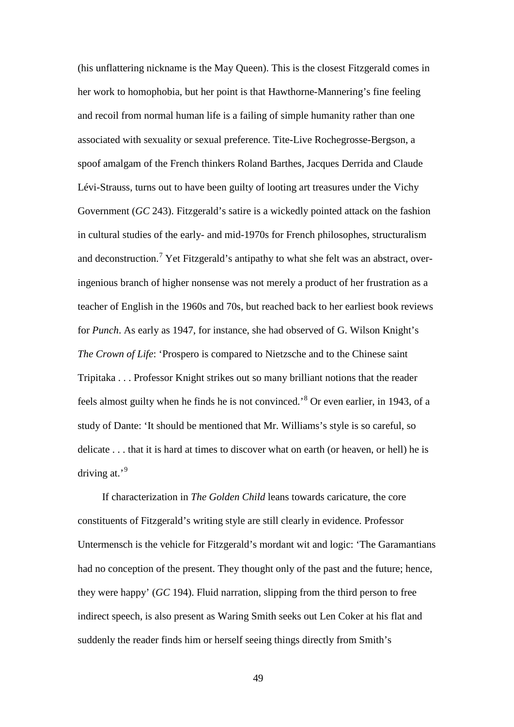(his unflattering nickname is the May Queen). This is the closest Fitzgerald comes in her work to homophobia, but her point is that Hawthorne-Mannering's fine feeling and recoil from normal human life is a failing of simple humanity rather than one associated with sexuality or sexual preference. Tite-Live Rochegrosse-Bergson, a spoof amalgam of the French thinkers Roland Barthes, Jacques Derrida and Claude Lévi-Strauss, turns out to have been guilty of looting art treasures under the Vichy Government (*GC* 243). Fitzgerald's satire is a wickedly pointed attack on the fashion in cultural studies of the early- and mid-1970s for French philosophes, structuralism and deconstruction.<sup>[7](#page-188-0)</sup> Yet Fitzgerald's antipathy to what she felt was an abstract, overingenious branch of higher nonsense was not merely a product of her frustration as a teacher of English in the 1960s and 70s, but reached back to her earliest book reviews for *Punch*. As early as 1947, for instance, she had observed of G. Wilson Knight's *The Crown of Life*: 'Prospero is compared to Nietzsche and to the Chinese saint Tripitaka . . . Professor Knight strikes out so many brilliant notions that the reader feels almost guilty when he finds he is not convinced.'[8](#page-188-1) Or even earlier, in 1943, of a study of Dante: 'It should be mentioned that Mr. Williams's style is so careful, so delicate . . . that it is hard at times to discover what on earth (or heaven, or hell) he is driving at.'<sup>[9](#page-188-2)</sup>

If characterization in *The Golden Child* leans towards caricature, the core constituents of Fitzgerald's writing style are still clearly in evidence. Professor Untermensch is the vehicle for Fitzgerald's mordant wit and logic: 'The Garamantians had no conception of the present. They thought only of the past and the future; hence, they were happy' (*GC* 194). Fluid narration, slipping from the third person to free indirect speech, is also present as Waring Smith seeks out Len Coker at his flat and suddenly the reader finds him or herself seeing things directly from Smith's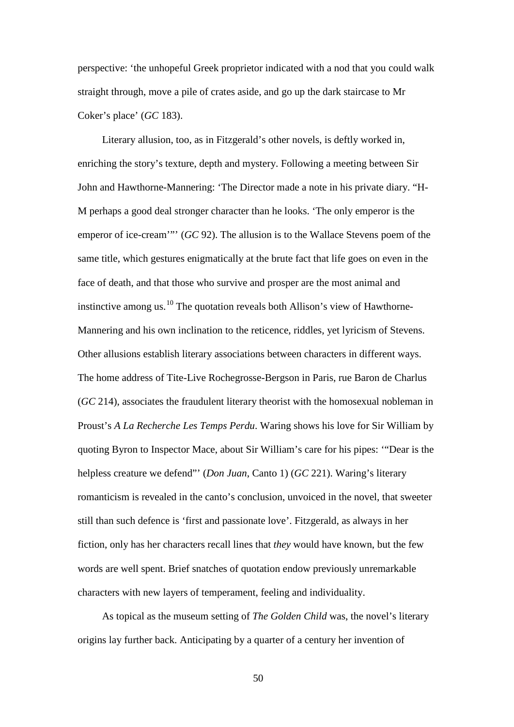perspective: 'the unhopeful Greek proprietor indicated with a nod that you could walk straight through, move a pile of crates aside, and go up the dark staircase to Mr Coker's place' (*GC* 183).

Literary allusion, too, as in Fitzgerald's other novels, is deftly worked in, enriching the story's texture, depth and mystery. Following a meeting between Sir John and Hawthorne-Mannering: 'The Director made a note in his private diary. "H-M perhaps a good deal stronger character than he looks. 'The only emperor is the emperor of ice-cream'"' (*GC* 92). The allusion is to the Wallace Stevens poem of the same title, which gestures enigmatically at the brute fact that life goes on even in the face of death, and that those who survive and prosper are the most animal and instinctive among us. $^{10}$  $^{10}$  $^{10}$  The quotation reveals both Allison's view of Hawthorne-Mannering and his own inclination to the reticence, riddles, yet lyricism of Stevens. Other allusions establish literary associations between characters in different ways. The home address of Tite-Live Rochegrosse-Bergson in Paris, rue Baron de Charlus (*GC* 214), associates the fraudulent literary theorist with the homosexual nobleman in Proust's *A La Recherche Les Temps Perdu*. Waring shows his love for Sir William by quoting Byron to Inspector Mace, about Sir William's care for his pipes: '"Dear is the helpless creature we defend"' (*Don Juan*, Canto 1) (*GC* 221). Waring's literary romanticism is revealed in the canto's conclusion, unvoiced in the novel, that sweeter still than such defence is 'first and passionate love'. Fitzgerald, as always in her fiction, only has her characters recall lines that *they* would have known, but the few words are well spent. Brief snatches of quotation endow previously unremarkable characters with new layers of temperament, feeling and individuality.

As topical as the museum setting of *The Golden Child* was, the novel's literary origins lay further back. Anticipating by a quarter of a century her invention of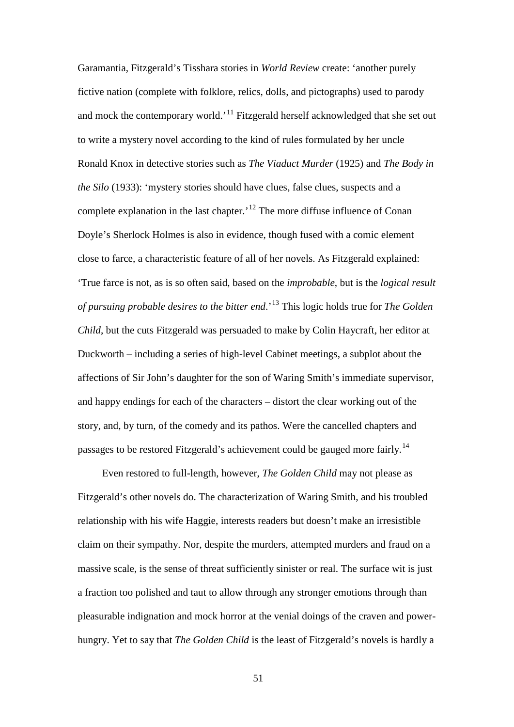Garamantia, Fitzgerald's Tisshara stories in *World Review* create: 'another purely fictive nation (complete with folklore, relics, dolls, and pictographs) used to parody and mock the contemporary world.<sup>'[11](#page-190-0)</sup> Fitzgerald herself acknowledged that she set out to write a mystery novel according to the kind of rules formulated by her uncle Ronald Knox in detective stories such as *The Viaduct Murder* (1925) and *The Body in the Silo* (1933): 'mystery stories should have clues, false clues, suspects and a complete explanation in the last chapter.<sup>[12](#page-190-1)</sup> The more diffuse influence of Conan Doyle's Sherlock Holmes is also in evidence, though fused with a comic element close to farce, a characteristic feature of all of her novels. As Fitzgerald explained: 'True farce is not, as is so often said, based on the *improbable*, but is the *logical result of pursuing probable desires to the bitter end*.'[13](#page-190-2) This logic holds true for *The Golden Child*, but the cuts Fitzgerald was persuaded to make by Colin Haycraft, her editor at Duckworth – including a series of high-level Cabinet meetings, a subplot about the affections of Sir John's daughter for the son of Waring Smith's immediate supervisor, and happy endings for each of the characters – distort the clear working out of the story, and, by turn, of the comedy and its pathos. Were the cancelled chapters and passages to be restored Fitzgerald's achievement could be gauged more fairly.<sup>[14](#page-190-3)</sup>

Even restored to full-length, however, *The Golden Child* may not please as Fitzgerald's other novels do. The characterization of Waring Smith, and his troubled relationship with his wife Haggie, interests readers but doesn't make an irresistible claim on their sympathy. Nor, despite the murders, attempted murders and fraud on a massive scale, is the sense of threat sufficiently sinister or real. The surface wit is just a fraction too polished and taut to allow through any stronger emotions through than pleasurable indignation and mock horror at the venial doings of the craven and powerhungry. Yet to say that *The Golden Child* is the least of Fitzgerald's novels is hardly a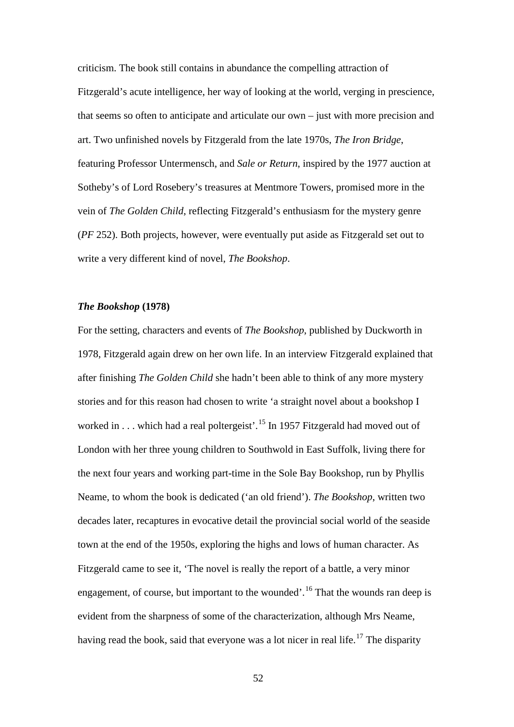criticism. The book still contains in abundance the compelling attraction of Fitzgerald's acute intelligence, her way of looking at the world, verging in prescience, that seems so often to anticipate and articulate our own – just with more precision and art. Two unfinished novels by Fitzgerald from the late 1970s, *The Iron Bridge*, featuring Professor Untermensch, and *Sale or Return*, inspired by the 1977 auction at Sotheby's of Lord Rosebery's treasures at Mentmore Towers, promised more in the vein of *The Golden Child*, reflecting Fitzgerald's enthusiasm for the mystery genre (*PF* 252). Both projects, however, were eventually put aside as Fitzgerald set out to write a very different kind of novel, *The Bookshop*.

# *The Bookshop* **(1978)**

For the setting, characters and events of *The Bookshop*, published by Duckworth in 1978, Fitzgerald again drew on her own life. In an interview Fitzgerald explained that after finishing *The Golden Child* she hadn't been able to think of any more mystery stories and for this reason had chosen to write 'a straight novel about a bookshop I worked in  $\dots$  which had a real poltergeist'.<sup>[15](#page-191-0)</sup> In 1957 Fitzgerald had moved out of London with her three young children to Southwold in East Suffolk, living there for the next four years and working part-time in the Sole Bay Bookshop, run by Phyllis Neame, to whom the book is dedicated ('an old friend'). *The Bookshop*, written two decades later, recaptures in evocative detail the provincial social world of the seaside town at the end of the 1950s, exploring the highs and lows of human character. As Fitzgerald came to see it, 'The novel is really the report of a battle, a very minor engagement, of course, but important to the wounded'.<sup>[16](#page-191-1)</sup> That the wounds ran deep is evident from the sharpness of some of the characterization, although Mrs Neame, having read the book, said that everyone was a lot nicer in real life.<sup>[17](#page-191-2)</sup> The disparity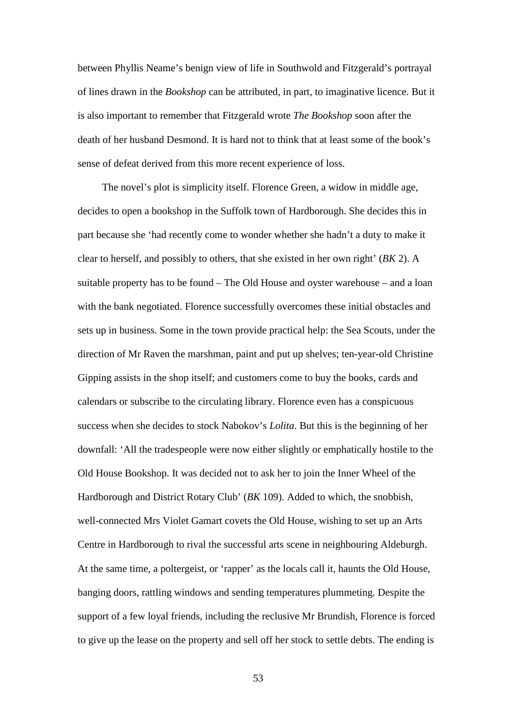between Phyllis Neame's benign view of life in Southwold and Fitzgerald's portrayal of lines drawn in the *Bookshop* can be attributed, in part, to imaginative licence. But it is also important to remember that Fitzgerald wrote *The Bookshop* soon after the death of her husband Desmond. It is hard not to think that at least some of the book's sense of defeat derived from this more recent experience of loss.

The novel's plot is simplicity itself. Florence Green, a widow in middle age, decides to open a bookshop in the Suffolk town of Hardborough. She decides this in part because she 'had recently come to wonder whether she hadn't a duty to make it clear to herself, and possibly to others, that she existed in her own right' (*BK* 2). A suitable property has to be found – The Old House and oyster warehouse – and a loan with the bank negotiated. Florence successfully overcomes these initial obstacles and sets up in business. Some in the town provide practical help: the Sea Scouts, under the direction of Mr Raven the marshman, paint and put up shelves; ten-year-old Christine Gipping assists in the shop itself; and customers come to buy the books, cards and calendars or subscribe to the circulating library. Florence even has a conspicuous success when she decides to stock Nabokov's *Lolita*. But this is the beginning of her downfall: 'All the tradespeople were now either slightly or emphatically hostile to the Old House Bookshop. It was decided not to ask her to join the Inner Wheel of the Hardborough and District Rotary Club' (*BK* 109). Added to which, the snobbish, well-connected Mrs Violet Gamart covets the Old House, wishing to set up an Arts Centre in Hardborough to rival the successful arts scene in neighbouring Aldeburgh. At the same time, a poltergeist, or 'rapper' as the locals call it, haunts the Old House, banging doors, rattling windows and sending temperatures plummeting. Despite the support of a few loyal friends, including the reclusive Mr Brundish, Florence is forced to give up the lease on the property and sell off her stock to settle debts. The ending is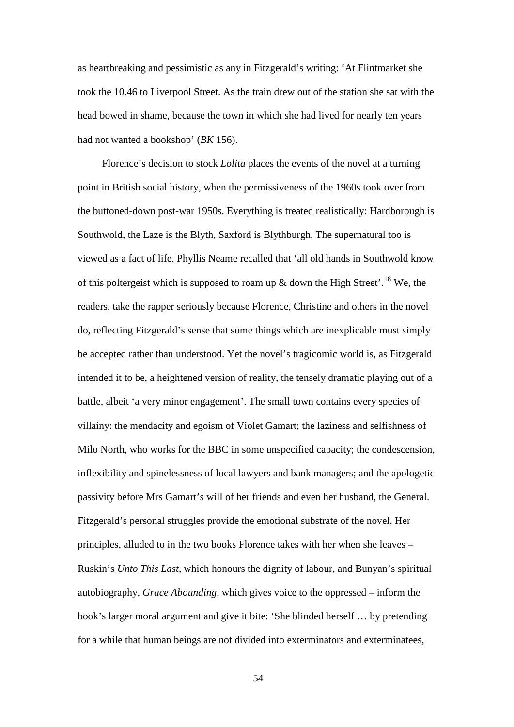as heartbreaking and pessimistic as any in Fitzgerald's writing: 'At Flintmarket she took the 10.46 to Liverpool Street. As the train drew out of the station she sat with the head bowed in shame, because the town in which she had lived for nearly ten years had not wanted a bookshop' (*BK* 156).

Florence's decision to stock *Lolita* places the events of the novel at a turning point in British social history, when the permissiveness of the 1960s took over from the buttoned-down post-war 1950s. Everything is treated realistically: Hardborough is Southwold, the Laze is the Blyth, Saxford is Blythburgh. The supernatural too is viewed as a fact of life. Phyllis Neame recalled that 'all old hands in Southwold know of this poltergeist which is supposed to roam up  $\&$  down the High Street'.<sup>[18](#page-191-3)</sup> We, the readers, take the rapper seriously because Florence, Christine and others in the novel do, reflecting Fitzgerald's sense that some things which are inexplicable must simply be accepted rather than understood. Yet the novel's tragicomic world is, as Fitzgerald intended it to be, a heightened version of reality, the tensely dramatic playing out of a battle, albeit 'a very minor engagement'. The small town contains every species of villainy: the mendacity and egoism of Violet Gamart; the laziness and selfishness of Milo North, who works for the BBC in some unspecified capacity; the condescension, inflexibility and spinelessness of local lawyers and bank managers; and the apologetic passivity before Mrs Gamart's will of her friends and even her husband, the General. Fitzgerald's personal struggles provide the emotional substrate of the novel. Her principles, alluded to in the two books Florence takes with her when she leaves – Ruskin's *Unto This Last*, which honours the dignity of labour, and Bunyan's spiritual autobiography, *Grace Abounding*, which gives voice to the oppressed – inform the book's larger moral argument and give it bite: 'She blinded herself … by pretending for a while that human beings are not divided into exterminators and exterminatees,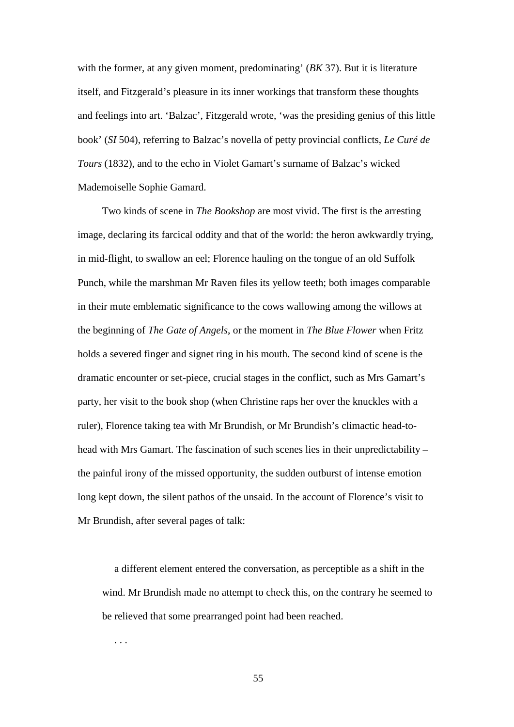with the former, at any given moment, predominating' (*BK* 37). But it is literature itself, and Fitzgerald's pleasure in its inner workings that transform these thoughts and feelings into art. 'Balzac', Fitzgerald wrote, 'was the presiding genius of this little book' (*SI* 504), referring to Balzac's novella of petty provincial conflicts, *Le Curé de Tours* (1832), and to the echo in Violet Gamart's surname of Balzac's wicked Mademoiselle Sophie Gamard.

Two kinds of scene in *The Bookshop* are most vivid. The first is the arresting image, declaring its farcical oddity and that of the world: the heron awkwardly trying, in mid-flight, to swallow an eel; Florence hauling on the tongue of an old Suffolk Punch, while the marshman Mr Raven files its yellow teeth; both images comparable in their mute emblematic significance to the cows wallowing among the willows at the beginning of *The Gate of Angels*, or the moment in *The Blue Flower* when Fritz holds a severed finger and signet ring in his mouth. The second kind of scene is the dramatic encounter or set-piece, crucial stages in the conflict, such as Mrs Gamart's party, her visit to the book shop (when Christine raps her over the knuckles with a ruler), Florence taking tea with Mr Brundish, or Mr Brundish's climactic head-tohead with Mrs Gamart. The fascination of such scenes lies in their unpredictability – the painful irony of the missed opportunity, the sudden outburst of intense emotion long kept down, the silent pathos of the unsaid. In the account of Florence's visit to Mr Brundish, after several pages of talk:

a different element entered the conversation, as perceptible as a shift in the wind. Mr Brundish made no attempt to check this, on the contrary he seemed to be relieved that some prearranged point had been reached.

55

. . .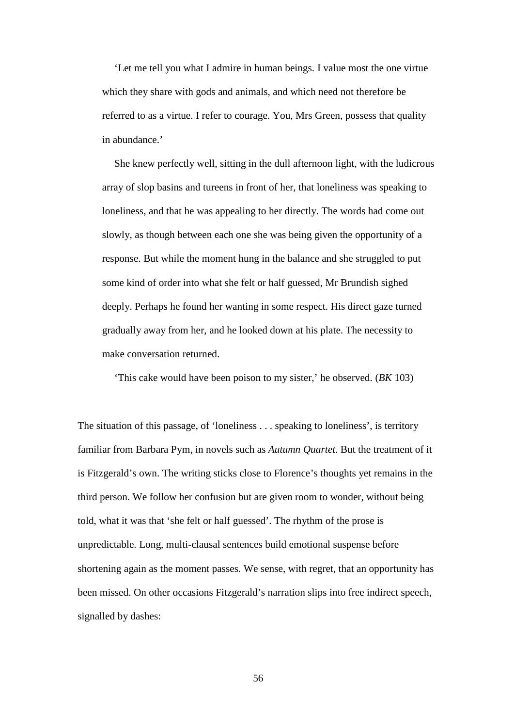'Let me tell you what I admire in human beings. I value most the one virtue which they share with gods and animals, and which need not therefore be referred to as a virtue. I refer to courage. You, Mrs Green, possess that quality in abundance.'

She knew perfectly well, sitting in the dull afternoon light, with the ludicrous array of slop basins and tureens in front of her, that loneliness was speaking to loneliness, and that he was appealing to her directly. The words had come out slowly, as though between each one she was being given the opportunity of a response. But while the moment hung in the balance and she struggled to put some kind of order into what she felt or half guessed, Mr Brundish sighed deeply. Perhaps he found her wanting in some respect. His direct gaze turned gradually away from her, and he looked down at his plate. The necessity to make conversation returned.

'This cake would have been poison to my sister,' he observed. (*BK* 103)

The situation of this passage, of 'loneliness . . . speaking to loneliness', is territory familiar from Barbara Pym, in novels such as *Autumn Quartet*. But the treatment of it is Fitzgerald's own. The writing sticks close to Florence's thoughts yet remains in the third person. We follow her confusion but are given room to wonder, without being told, what it was that 'she felt or half guessed'. The rhythm of the prose is unpredictable. Long, multi-clausal sentences build emotional suspense before shortening again as the moment passes. We sense, with regret, that an opportunity has been missed. On other occasions Fitzgerald's narration slips into free indirect speech, signalled by dashes: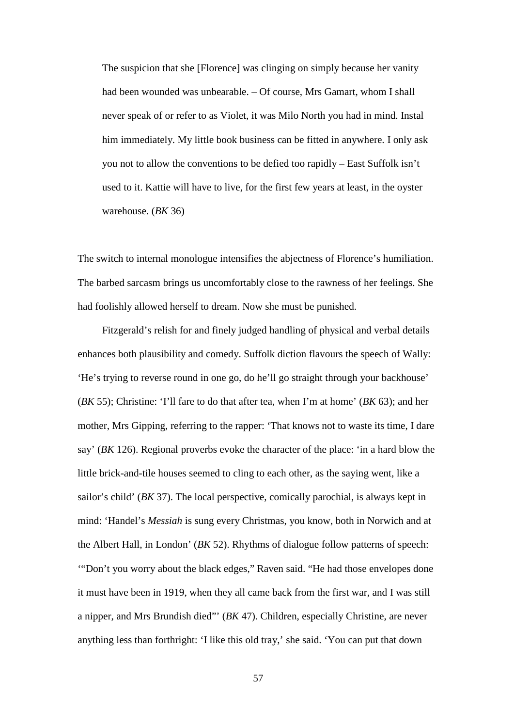The suspicion that she [Florence] was clinging on simply because her vanity had been wounded was unbearable. – Of course, Mrs Gamart, whom I shall never speak of or refer to as Violet, it was Milo North you had in mind. Instal him immediately. My little book business can be fitted in anywhere. I only ask you not to allow the conventions to be defied too rapidly – East Suffolk isn't used to it. Kattie will have to live, for the first few years at least, in the oyster warehouse. (*BK* 36)

The switch to internal monologue intensifies the abjectness of Florence's humiliation. The barbed sarcasm brings us uncomfortably close to the rawness of her feelings. She had foolishly allowed herself to dream. Now she must be punished.

Fitzgerald's relish for and finely judged handling of physical and verbal details enhances both plausibility and comedy. Suffolk diction flavours the speech of Wally: 'He's trying to reverse round in one go, do he'll go straight through your backhouse' (*BK* 55); Christine: 'I'll fare to do that after tea, when I'm at home' (*BK* 63); and her mother, Mrs Gipping, referring to the rapper: 'That knows not to waste its time, I dare say' (*BK* 126). Regional proverbs evoke the character of the place: 'in a hard blow the little brick-and-tile houses seemed to cling to each other, as the saying went, like a sailor's child' (*BK* 37). The local perspective, comically parochial, is always kept in mind: 'Handel's *Messiah* is sung every Christmas, you know, both in Norwich and at the Albert Hall, in London' (*BK* 52). Rhythms of dialogue follow patterns of speech: '"Don't you worry about the black edges," Raven said. "He had those envelopes done it must have been in 1919, when they all came back from the first war, and I was still a nipper, and Mrs Brundish died"' (*BK* 47). Children, especially Christine, are never anything less than forthright: 'I like this old tray,' she said. 'You can put that down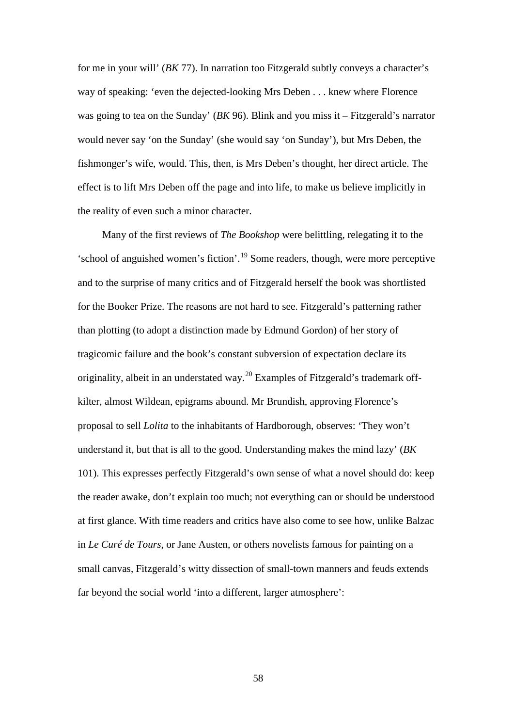for me in your will' (*BK* 77). In narration too Fitzgerald subtly conveys a character's way of speaking: 'even the dejected-looking Mrs Deben . . . knew where Florence was going to tea on the Sunday' (*BK* 96). Blink and you miss it – Fitzgerald's narrator would never say 'on the Sunday' (she would say 'on Sunday'), but Mrs Deben, the fishmonger's wife, would. This, then, is Mrs Deben's thought, her direct article. The effect is to lift Mrs Deben off the page and into life, to make us believe implicitly in the reality of even such a minor character.

Many of the first reviews of *The Bookshop* were belittling, relegating it to the 'school of anguished women's fiction'.[19](#page-191-4) Some readers, though, were more perceptive and to the surprise of many critics and of Fitzgerald herself the book was shortlisted for the Booker Prize. The reasons are not hard to see. Fitzgerald's patterning rather than plotting (to adopt a distinction made by Edmund Gordon) of her story of tragicomic failure and the book's constant subversion of expectation declare its originality, albeit in an understated way.<sup>[20](#page-191-5)</sup> Examples of Fitzgerald's trademark offkilter, almost Wildean, epigrams abound. Mr Brundish, approving Florence's proposal to sell *Lolita* to the inhabitants of Hardborough, observes: 'They won't understand it, but that is all to the good. Understanding makes the mind lazy' (*BK* 101). This expresses perfectly Fitzgerald's own sense of what a novel should do: keep the reader awake, don't explain too much; not everything can or should be understood at first glance. With time readers and critics have also come to see how, unlike Balzac in *Le Curé de Tours*, or Jane Austen, or others novelists famous for painting on a small canvas, Fitzgerald's witty dissection of small-town manners and feuds extends far beyond the social world 'into a different, larger atmosphere':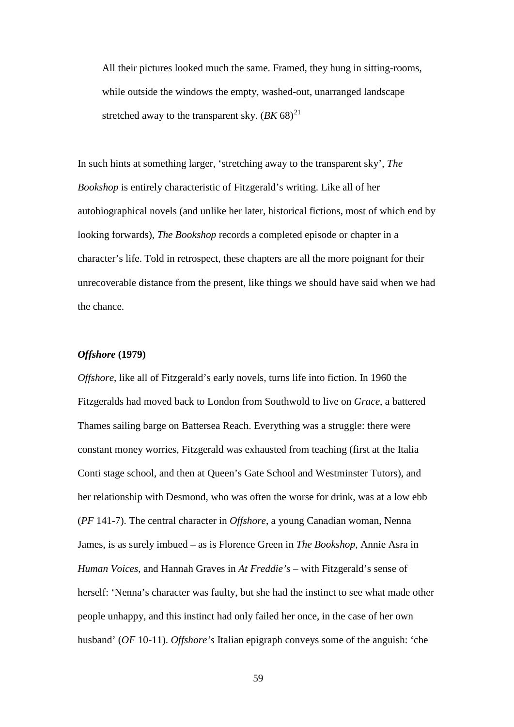All their pictures looked much the same. Framed, they hung in sitting-rooms, while outside the windows the empty, washed-out, unarranged landscape stretched away to the transparent sky.  $(BK 68)^{21}$  $(BK 68)^{21}$  $(BK 68)^{21}$ 

In such hints at something larger, 'stretching away to the transparent sky', *The Bookshop* is entirely characteristic of Fitzgerald's writing. Like all of her autobiographical novels (and unlike her later, historical fictions, most of which end by looking forwards), *The Bookshop* records a completed episode or chapter in a character's life. Told in retrospect, these chapters are all the more poignant for their unrecoverable distance from the present, like things we should have said when we had the chance.

# *Offshore* **(1979)**

*Offshore*, like all of Fitzgerald's early novels, turns life into fiction. In 1960 the Fitzgeralds had moved back to London from Southwold to live on *Grace*, a battered Thames sailing barge on Battersea Reach. Everything was a struggle: there were constant money worries, Fitzgerald was exhausted from teaching (first at the Italia Conti stage school, and then at Queen's Gate School and Westminster Tutors), and her relationship with Desmond, who was often the worse for drink, was at a low ebb (*PF* 141-7). The central character in *Offshore*, a young Canadian woman, Nenna James, is as surely imbued – as is Florence Green in *The Bookshop*, Annie Asra in *Human Voices*, and Hannah Graves in *At Freddie's* – with Fitzgerald's sense of herself: 'Nenna's character was faulty, but she had the instinct to see what made other people unhappy, and this instinct had only failed her once, in the case of her own husband' (*OF* 10-11). *Offshore's* Italian epigraph conveys some of the anguish: 'che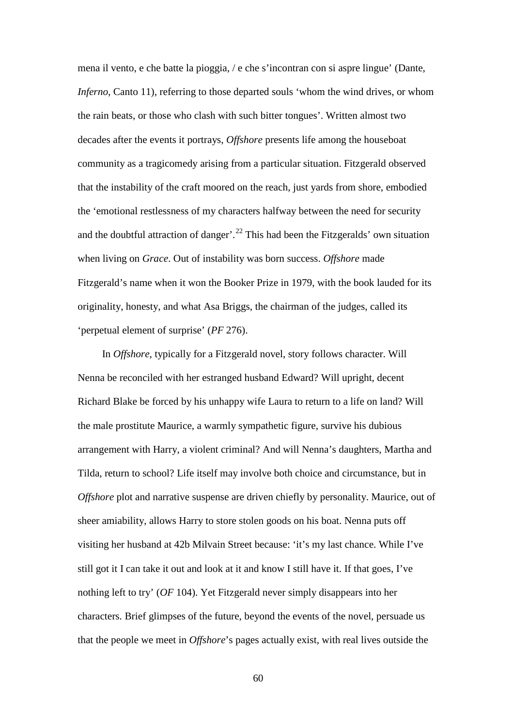mena il vento, e che batte la pioggia, / e che s'incontran con si aspre lingue' (Dante, *Inferno*, Canto 11), referring to those departed souls 'whom the wind drives, or whom the rain beats, or those who clash with such bitter tongues'. Written almost two decades after the events it portrays, *Offshore* presents life among the houseboat community as a tragicomedy arising from a particular situation. Fitzgerald observed that the instability of the craft moored on the reach, just yards from shore, embodied the 'emotional restlessness of my characters halfway between the need for security and the doubtful attraction of danger'.<sup>[22](#page-191-7)</sup> This had been the Fitzgeralds' own situation when living on *Grace*. Out of instability was born success. *Offshore* made Fitzgerald's name when it won the Booker Prize in 1979, with the book lauded for its originality, honesty, and what Asa Briggs, the chairman of the judges, called its 'perpetual element of surprise' (*PF* 276).

In *Offshore*, typically for a Fitzgerald novel, story follows character. Will Nenna be reconciled with her estranged husband Edward? Will upright, decent Richard Blake be forced by his unhappy wife Laura to return to a life on land? Will the male prostitute Maurice, a warmly sympathetic figure, survive his dubious arrangement with Harry, a violent criminal? And will Nenna's daughters, Martha and Tilda, return to school? Life itself may involve both choice and circumstance, but in *Offshore* plot and narrative suspense are driven chiefly by personality. Maurice, out of sheer amiability, allows Harry to store stolen goods on his boat. Nenna puts off visiting her husband at 42b Milvain Street because: 'it's my last chance. While I've still got it I can take it out and look at it and know I still have it. If that goes, I've nothing left to try' (*OF* 104). Yet Fitzgerald never simply disappears into her characters. Brief glimpses of the future, beyond the events of the novel, persuade us that the people we meet in *Offshore*'s pages actually exist, with real lives outside the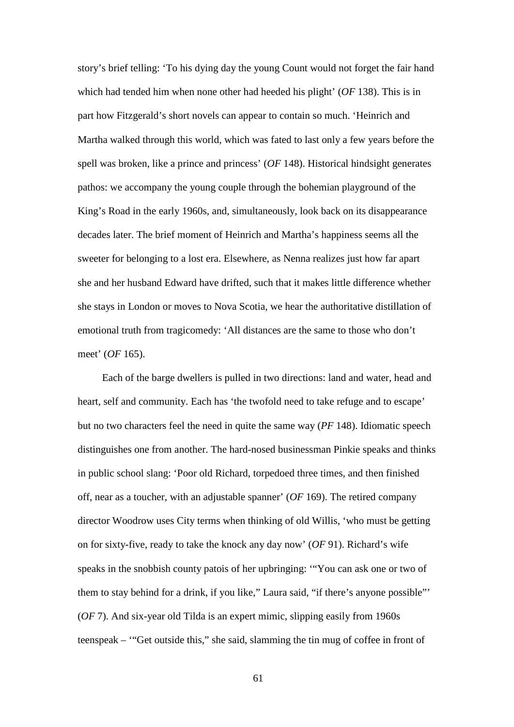story's brief telling: 'To his dying day the young Count would not forget the fair hand which had tended him when none other had heeded his plight' (*OF* 138). This is in part how Fitzgerald's short novels can appear to contain so much. 'Heinrich and Martha walked through this world, which was fated to last only a few years before the spell was broken, like a prince and princess' (*OF* 148). Historical hindsight generates pathos: we accompany the young couple through the bohemian playground of the King's Road in the early 1960s, and, simultaneously, look back on its disappearance decades later. The brief moment of Heinrich and Martha's happiness seems all the sweeter for belonging to a lost era. Elsewhere, as Nenna realizes just how far apart she and her husband Edward have drifted, such that it makes little difference whether she stays in London or moves to Nova Scotia, we hear the authoritative distillation of emotional truth from tragicomedy: 'All distances are the same to those who don't meet' (*OF* 165).

Each of the barge dwellers is pulled in two directions: land and water, head and heart, self and community. Each has 'the twofold need to take refuge and to escape' but no two characters feel the need in quite the same way (*PF* 148). Idiomatic speech distinguishes one from another. The hard-nosed businessman Pinkie speaks and thinks in public school slang: 'Poor old Richard, torpedoed three times, and then finished off, near as a toucher, with an adjustable spanner' (*OF* 169). The retired company director Woodrow uses City terms when thinking of old Willis, 'who must be getting on for sixty-five, ready to take the knock any day now' (*OF* 91). Richard's wife speaks in the snobbish county patois of her upbringing: '"You can ask one or two of them to stay behind for a drink, if you like," Laura said, "if there's anyone possible"' (*OF* 7). And six-year old Tilda is an expert mimic, slipping easily from 1960s teenspeak – '"Get outside this," she said, slamming the tin mug of coffee in front of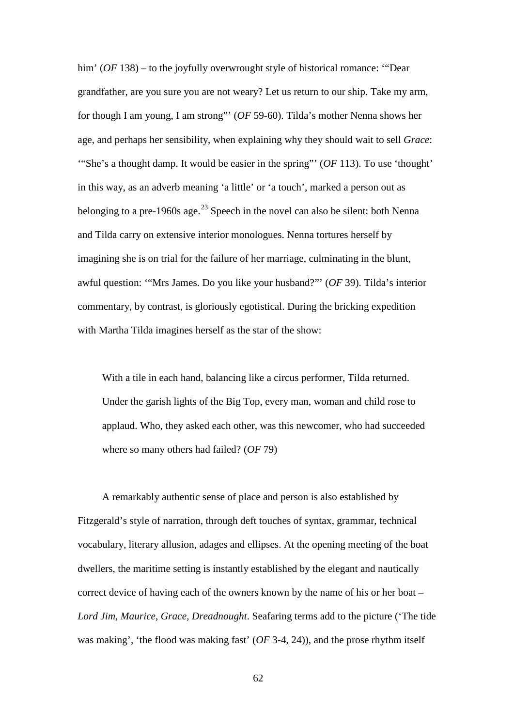him' (*OF* 138) – to the joyfully overwrought style of historical romance: "Dear" grandfather, are you sure you are not weary? Let us return to our ship. Take my arm, for though I am young, I am strong"' (*OF* 59-60). Tilda's mother Nenna shows her age, and perhaps her sensibility, when explaining why they should wait to sell *Grace*: '"She's a thought damp. It would be easier in the spring"' (*OF* 113). To use 'thought' in this way, as an adverb meaning 'a little' or 'a touch', marked a person out as belonging to a pre-1960s age.<sup>[23](#page-191-8)</sup> Speech in the novel can also be silent: both Nenna and Tilda carry on extensive interior monologues. Nenna tortures herself by imagining she is on trial for the failure of her marriage, culminating in the blunt, awful question: '"Mrs James. Do you like your husband?"' (*OF* 39). Tilda's interior commentary, by contrast, is gloriously egotistical. During the bricking expedition with Martha Tilda imagines herself as the star of the show:

With a tile in each hand, balancing like a circus performer, Tilda returned. Under the garish lights of the Big Top, every man, woman and child rose to applaud. Who, they asked each other, was this newcomer, who had succeeded where so many others had failed? (*OF* 79)

A remarkably authentic sense of place and person is also established by Fitzgerald's style of narration, through deft touches of syntax, grammar, technical vocabulary, literary allusion, adages and ellipses. At the opening meeting of the boat dwellers, the maritime setting is instantly established by the elegant and nautically correct device of having each of the owners known by the name of his or her boat – *Lord Jim*, *Maurice*, *Grace*, *Dreadnought*. Seafaring terms add to the picture ('The tide was making', 'the flood was making fast' (*OF* 3-4, 24)), and the prose rhythm itself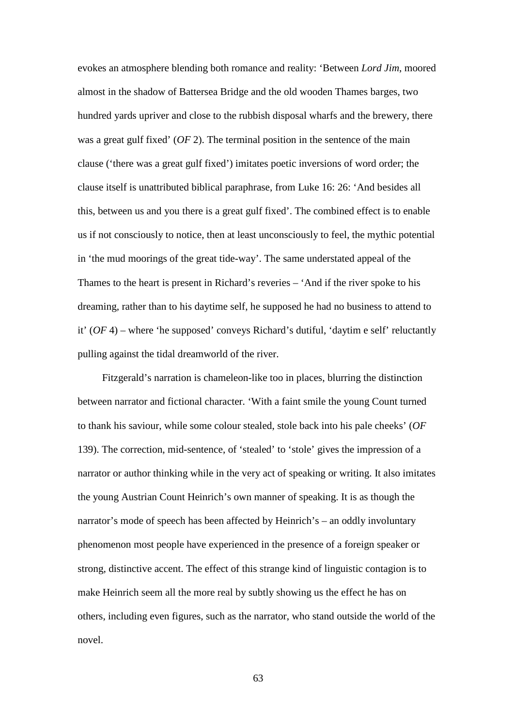evokes an atmosphere blending both romance and reality: 'Between *Lord Jim*, moored almost in the shadow of Battersea Bridge and the old wooden Thames barges, two hundred yards upriver and close to the rubbish disposal wharfs and the brewery, there was a great gulf fixed' (*OF* 2). The terminal position in the sentence of the main clause ('there was a great gulf fixed') imitates poetic inversions of word order; the clause itself is unattributed biblical paraphrase, from Luke 16: 26: 'And besides all this, between us and you there is a great gulf fixed'. The combined effect is to enable us if not consciously to notice, then at least unconsciously to feel, the mythic potential in 'the mud moorings of the great tide-way'. The same understated appeal of the Thames to the heart is present in Richard's reveries – 'And if the river spoke to his dreaming, rather than to his daytime self, he supposed he had no business to attend to it' (*OF* 4) – where 'he supposed' conveys Richard's dutiful, 'daytim e self' reluctantly pulling against the tidal dreamworld of the river.

Fitzgerald's narration is chameleon-like too in places, blurring the distinction between narrator and fictional character. 'With a faint smile the young Count turned to thank his saviour, while some colour stealed, stole back into his pale cheeks' (*OF* 139). The correction, mid-sentence, of 'stealed' to 'stole' gives the impression of a narrator or author thinking while in the very act of speaking or writing. It also imitates the young Austrian Count Heinrich's own manner of speaking. It is as though the narrator's mode of speech has been affected by Heinrich's – an oddly involuntary phenomenon most people have experienced in the presence of a foreign speaker or strong, distinctive accent. The effect of this strange kind of linguistic contagion is to make Heinrich seem all the more real by subtly showing us the effect he has on others, including even figures, such as the narrator, who stand outside the world of the novel.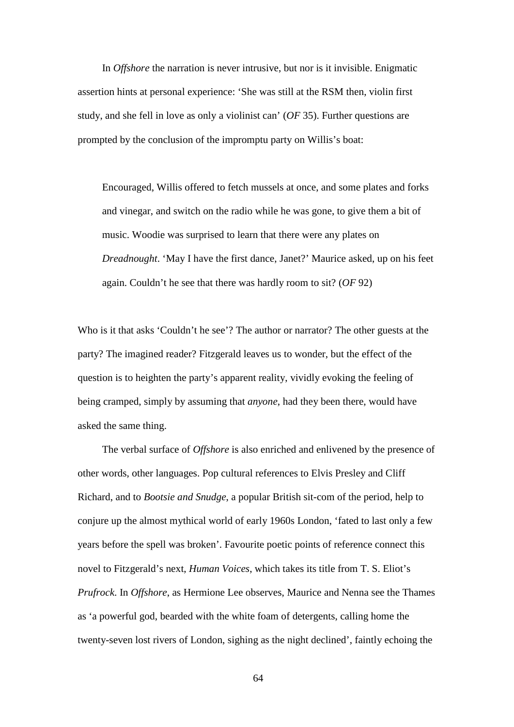In *Offshore* the narration is never intrusive, but nor is it invisible. Enigmatic assertion hints at personal experience: 'She was still at the RSM then, violin first study, and she fell in love as only a violinist can' (*OF* 35). Further questions are prompted by the conclusion of the impromptu party on Willis's boat:

Encouraged, Willis offered to fetch mussels at once, and some plates and forks and vinegar, and switch on the radio while he was gone, to give them a bit of music. Woodie was surprised to learn that there were any plates on *Dreadnought*. 'May I have the first dance, Janet?' Maurice asked, up on his feet again. Couldn't he see that there was hardly room to sit? (*OF* 92)

Who is it that asks 'Couldn't he see'? The author or narrator? The other guests at the party? The imagined reader? Fitzgerald leaves us to wonder, but the effect of the question is to heighten the party's apparent reality, vividly evoking the feeling of being cramped, simply by assuming that *anyone*, had they been there, would have asked the same thing.

The verbal surface of *Offshore* is also enriched and enlivened by the presence of other words, other languages. Pop cultural references to Elvis Presley and Cliff Richard, and to *Bootsie and Snudge*, a popular British sit-com of the period, help to conjure up the almost mythical world of early 1960s London, 'fated to last only a few years before the spell was broken'. Favourite poetic points of reference connect this novel to Fitzgerald's next, *Human Voices*, which takes its title from T. S. Eliot's *Prufrock*. In *Offshore*, as Hermione Lee observes, Maurice and Nenna see the Thames as 'a powerful god, bearded with the white foam of detergents, calling home the twenty-seven lost rivers of London, sighing as the night declined', faintly echoing the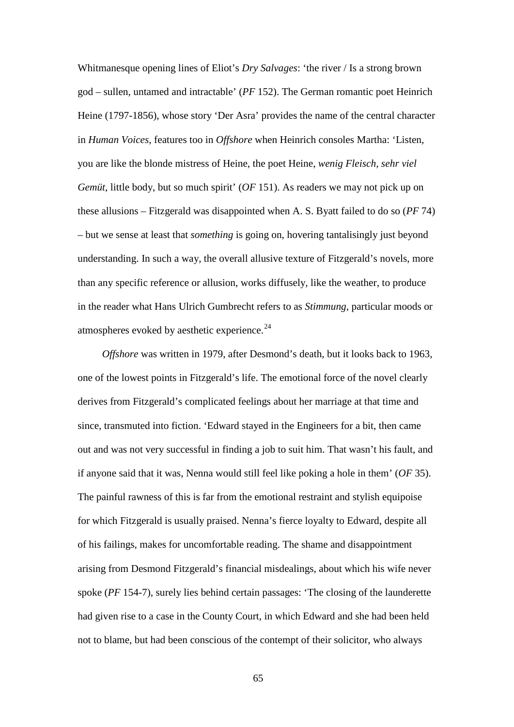Whitmanesque opening lines of Eliot's *Dry Salvages*: 'the river / Is a strong brown god – sullen, untamed and intractable' (*PF* 152). The German romantic poet Heinrich Heine (1797-1856), whose story 'Der Asra' provides the name of the central character in *Human Voices*, features too in *Offshore* when Heinrich consoles Martha: 'Listen, you are like the blonde mistress of Heine, the poet Heine, *wenig Fleisch, sehr viel Gemüt*, little body, but so much spirit' (*OF* 151). As readers we may not pick up on these allusions – Fitzgerald was disappointed when A. S. Byatt failed to do so (*PF* 74) – but we sense at least that *something* is going on, hovering tantalisingly just beyond understanding. In such a way, the overall allusive texture of Fitzgerald's novels, more than any specific reference or allusion, works diffusely, like the weather, to produce in the reader what Hans Ulrich Gumbrecht refers to as *Stimmung*, particular moods or atmospheres evoked by aesthetic experience.<sup>[24](#page-191-0)</sup>

*Offshore* was written in 1979, after Desmond's death, but it looks back to 1963, one of the lowest points in Fitzgerald's life. The emotional force of the novel clearly derives from Fitzgerald's complicated feelings about her marriage at that time and since, transmuted into fiction. 'Edward stayed in the Engineers for a bit, then came out and was not very successful in finding a job to suit him. That wasn't his fault, and if anyone said that it was, Nenna would still feel like poking a hole in them' (*OF* 35). The painful rawness of this is far from the emotional restraint and stylish equipoise for which Fitzgerald is usually praised. Nenna's fierce loyalty to Edward, despite all of his failings, makes for uncomfortable reading. The shame and disappointment arising from Desmond Fitzgerald's financial misdealings, about which his wife never spoke (*PF* 154-7), surely lies behind certain passages: 'The closing of the launderette had given rise to a case in the County Court, in which Edward and she had been held not to blame, but had been conscious of the contempt of their solicitor, who always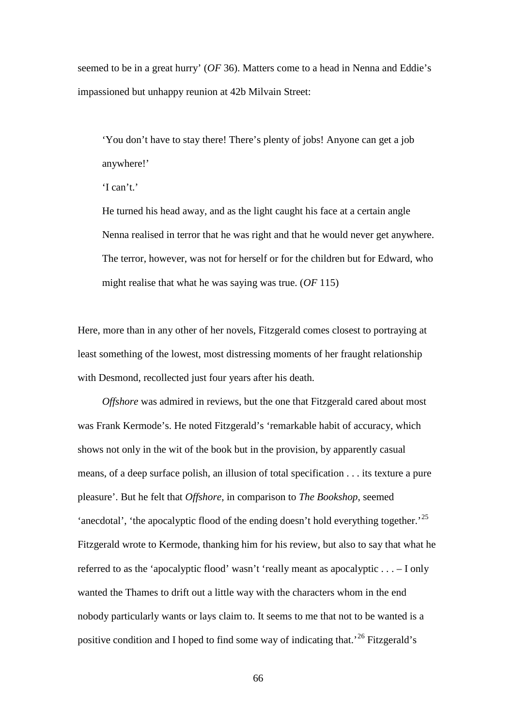seemed to be in a great hurry' (*OF* 36). Matters come to a head in Nenna and Eddie's impassioned but unhappy reunion at 42b Milvain Street:

'You don't have to stay there! There's plenty of jobs! Anyone can get a job anywhere!'

He turned his head away, and as the light caught his face at a certain angle Nenna realised in terror that he was right and that he would never get anywhere. The terror, however, was not for herself or for the children but for Edward, who might realise that what he was saying was true. (*OF* 115)

Here, more than in any other of her novels, Fitzgerald comes closest to portraying at least something of the lowest, most distressing moments of her fraught relationship with Desmond, recollected just four years after his death.

*Offshore* was admired in reviews, but the one that Fitzgerald cared about most was Frank Kermode's. He noted Fitzgerald's 'remarkable habit of accuracy, which shows not only in the wit of the book but in the provision, by apparently casual means, of a deep surface polish, an illusion of total specification . . . its texture a pure pleasure'. But he felt that *Offshore*, in comparison to *The Bookshop*, seemed 'anecdotal', 'the apocalyptic flood of the ending doesn't hold everything together.<sup>[25](#page-191-1)</sup> Fitzgerald wrote to Kermode, thanking him for his review, but also to say that what he referred to as the 'apocalyptic flood' wasn't 'really meant as apocalyptic . . . – I only wanted the Thames to drift out a little way with the characters whom in the end nobody particularly wants or lays claim to. It seems to me that not to be wanted is a positive condition and I hoped to find some way of indicating that.'[26](#page-191-2) Fitzgerald's

<sup>&#</sup>x27;I can't.'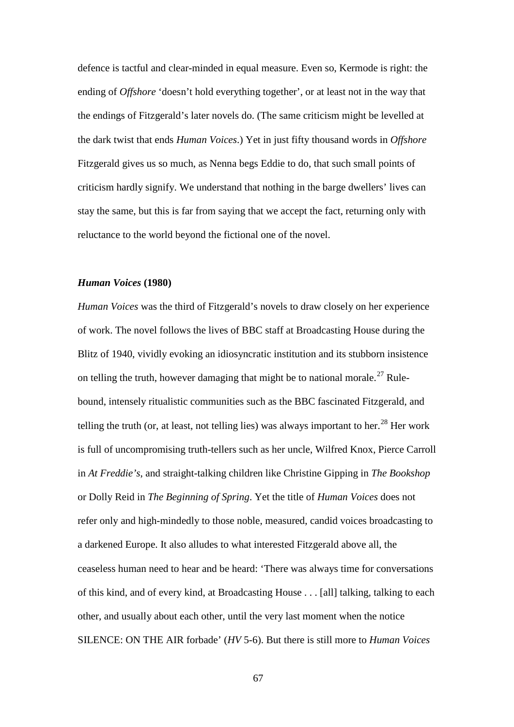defence is tactful and clear-minded in equal measure. Even so, Kermode is right: the ending of *Offshore* 'doesn't hold everything together', or at least not in the way that the endings of Fitzgerald's later novels do. (The same criticism might be levelled at the dark twist that ends *Human Voices*.) Yet in just fifty thousand words in *Offshore* Fitzgerald gives us so much, as Nenna begs Eddie to do, that such small points of criticism hardly signify. We understand that nothing in the barge dwellers' lives can stay the same, but this is far from saying that we accept the fact, returning only with reluctance to the world beyond the fictional one of the novel.

## *Human Voices* **(1980)**

*Human Voices* was the third of Fitzgerald's novels to draw closely on her experience of work. The novel follows the lives of BBC staff at Broadcasting House during the Blitz of 1940, vividly evoking an idiosyncratic institution and its stubborn insistence on telling the truth, however damaging that might be to national morale.<sup>[27](#page-191-3)</sup> Rulebound, intensely ritualistic communities such as the BBC fascinated Fitzgerald, and telling the truth (or, at least, not telling lies) was always important to her.<sup>[28](#page-191-4)</sup> Her work is full of uncompromising truth-tellers such as her uncle, Wilfred Knox, Pierce Carroll in *At Freddie's*, and straight-talking children like Christine Gipping in *The Bookshop* or Dolly Reid in *The Beginning of Spring*. Yet the title of *Human Voices* does not refer only and high-mindedly to those noble, measured, candid voices broadcasting to a darkened Europe. It also alludes to what interested Fitzgerald above all, the ceaseless human need to hear and be heard: 'There was always time for conversations of this kind, and of every kind, at Broadcasting House . . . [all] talking, talking to each other, and usually about each other, until the very last moment when the notice SILENCE: ON THE AIR forbade' (*HV* 5-6). But there is still more to *Human Voices*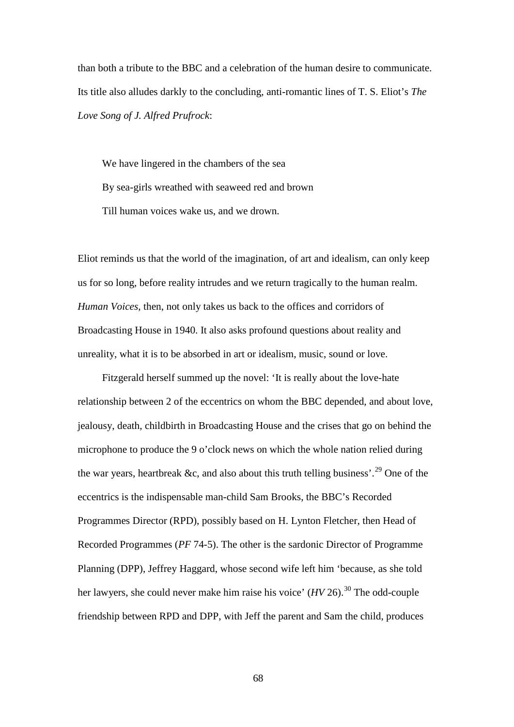than both a tribute to the BBC and a celebration of the human desire to communicate. Its title also alludes darkly to the concluding, anti-romantic lines of T. S. Eliot's *The Love Song of J. Alfred Prufrock*:

We have lingered in the chambers of the sea By sea-girls wreathed with seaweed red and brown Till human voices wake us, and we drown.

Eliot reminds us that the world of the imagination, of art and idealism, can only keep us for so long, before reality intrudes and we return tragically to the human realm. *Human Voices*, then, not only takes us back to the offices and corridors of Broadcasting House in 1940. It also asks profound questions about reality and unreality, what it is to be absorbed in art or idealism, music, sound or love.

Fitzgerald herself summed up the novel: 'It is really about the love-hate relationship between 2 of the eccentrics on whom the BBC depended, and about love, jealousy, death, childbirth in Broadcasting House and the crises that go on behind the microphone to produce the 9 o'clock news on which the whole nation relied during the war years, heartbreak &c, and also about this truth telling business'.<sup>[29](#page-191-5)</sup> One of the eccentrics is the indispensable man-child Sam Brooks, the BBC's Recorded Programmes Director (RPD), possibly based on H. Lynton Fletcher, then Head of Recorded Programmes (*PF* 74-5). The other is the sardonic Director of Programme Planning (DPP), Jeffrey Haggard, whose second wife left him 'because, as she told her lawyers, she could never make him raise his voice' (*HV* 26).<sup>[30](#page-191-6)</sup> The odd-couple friendship between RPD and DPP, with Jeff the parent and Sam the child, produces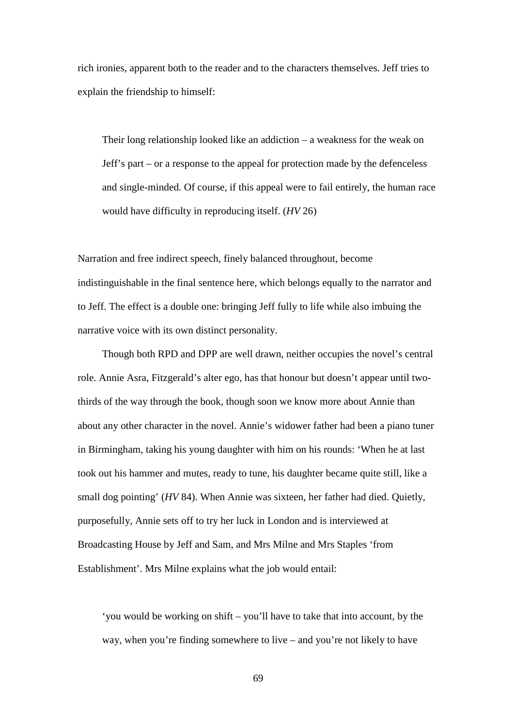rich ironies, apparent both to the reader and to the characters themselves. Jeff tries to explain the friendship to himself:

Their long relationship looked like an addiction – a weakness for the weak on Jeff's part – or a response to the appeal for protection made by the defenceless and single-minded. Of course, if this appeal were to fail entirely, the human race would have difficulty in reproducing itself. (*HV* 26)

Narration and free indirect speech, finely balanced throughout, become indistinguishable in the final sentence here, which belongs equally to the narrator and to Jeff. The effect is a double one: bringing Jeff fully to life while also imbuing the narrative voice with its own distinct personality.

Though both RPD and DPP are well drawn, neither occupies the novel's central role. Annie Asra, Fitzgerald's alter ego, has that honour but doesn't appear until twothirds of the way through the book, though soon we know more about Annie than about any other character in the novel. Annie's widower father had been a piano tuner in Birmingham, taking his young daughter with him on his rounds: 'When he at last took out his hammer and mutes, ready to tune, his daughter became quite still, like a small dog pointing' (*HV* 84). When Annie was sixteen, her father had died. Quietly, purposefully, Annie sets off to try her luck in London and is interviewed at Broadcasting House by Jeff and Sam, and Mrs Milne and Mrs Staples 'from Establishment'. Mrs Milne explains what the job would entail:

'you would be working on shift – you'll have to take that into account, by the way, when you're finding somewhere to live – and you're not likely to have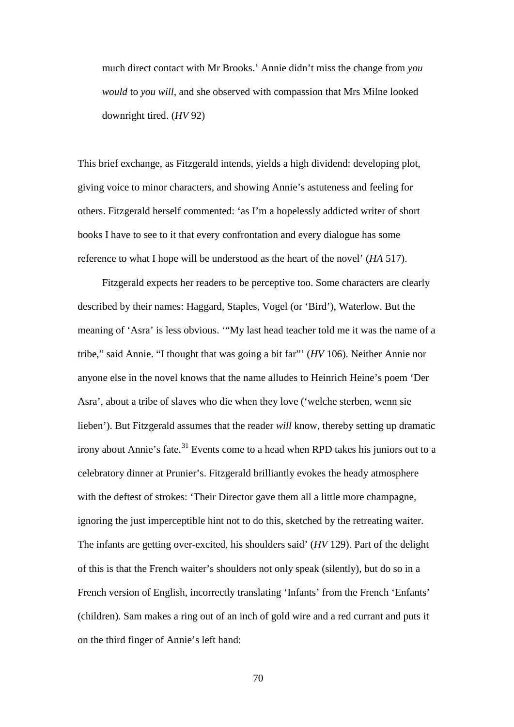much direct contact with Mr Brooks.' Annie didn't miss the change from *you would* to *you will*, and she observed with compassion that Mrs Milne looked downright tired. (*HV* 92)

This brief exchange, as Fitzgerald intends, yields a high dividend: developing plot, giving voice to minor characters, and showing Annie's astuteness and feeling for others. Fitzgerald herself commented: 'as I'm a hopelessly addicted writer of short books I have to see to it that every confrontation and every dialogue has some reference to what I hope will be understood as the heart of the novel' (*HA* 517).

Fitzgerald expects her readers to be perceptive too. Some characters are clearly described by their names: Haggard, Staples, Vogel (or 'Bird'), Waterlow. But the meaning of 'Asra' is less obvious. '"My last head teacher told me it was the name of a tribe," said Annie. "I thought that was going a bit far"' (*HV* 106). Neither Annie nor anyone else in the novel knows that the name alludes to Heinrich Heine's poem 'Der Asra', about a tribe of slaves who die when they love ('welche sterben, wenn sie lieben'). But Fitzgerald assumes that the reader *will* know, thereby setting up dramatic irony about Annie's fate.<sup>[31](#page-191-7)</sup> Events come to a head when RPD takes his juniors out to a celebratory dinner at Prunier's. Fitzgerald brilliantly evokes the heady atmosphere with the deftest of strokes: 'Their Director gave them all a little more champagne, ignoring the just imperceptible hint not to do this, sketched by the retreating waiter. The infants are getting over-excited, his shoulders said' (*HV* 129). Part of the delight of this is that the French waiter's shoulders not only speak (silently), but do so in a French version of English, incorrectly translating 'Infants' from the French 'Enfants' (children). Sam makes a ring out of an inch of gold wire and a red currant and puts it on the third finger of Annie's left hand: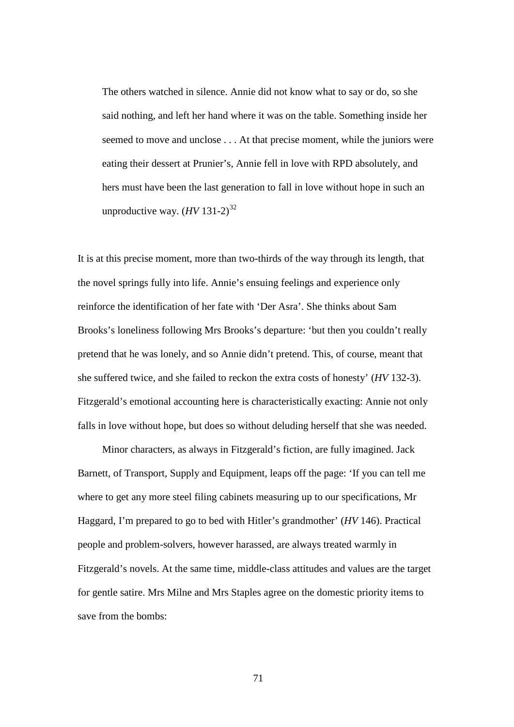The others watched in silence. Annie did not know what to say or do, so she said nothing, and left her hand where it was on the table. Something inside her seemed to move and unclose . . . At that precise moment, while the juniors were eating their dessert at Prunier's, Annie fell in love with RPD absolutely, and hers must have been the last generation to fall in love without hope in such an unproductive way.  $(HV 131-2)^{32}$  $(HV 131-2)^{32}$  $(HV 131-2)^{32}$ 

It is at this precise moment, more than two-thirds of the way through its length, that the novel springs fully into life. Annie's ensuing feelings and experience only reinforce the identification of her fate with 'Der Asra'. She thinks about Sam Brooks's loneliness following Mrs Brooks's departure: 'but then you couldn't really pretend that he was lonely, and so Annie didn't pretend. This, of course, meant that she suffered twice, and she failed to reckon the extra costs of honesty' (*HV* 132-3). Fitzgerald's emotional accounting here is characteristically exacting: Annie not only falls in love without hope, but does so without deluding herself that she was needed.

Minor characters, as always in Fitzgerald's fiction, are fully imagined. Jack Barnett, of Transport, Supply and Equipment, leaps off the page: 'If you can tell me where to get any more steel filing cabinets measuring up to our specifications, Mr Haggard, I'm prepared to go to bed with Hitler's grandmother' (*HV* 146). Practical people and problem-solvers, however harassed, are always treated warmly in Fitzgerald's novels. At the same time, middle-class attitudes and values are the target for gentle satire. Mrs Milne and Mrs Staples agree on the domestic priority items to save from the bombs: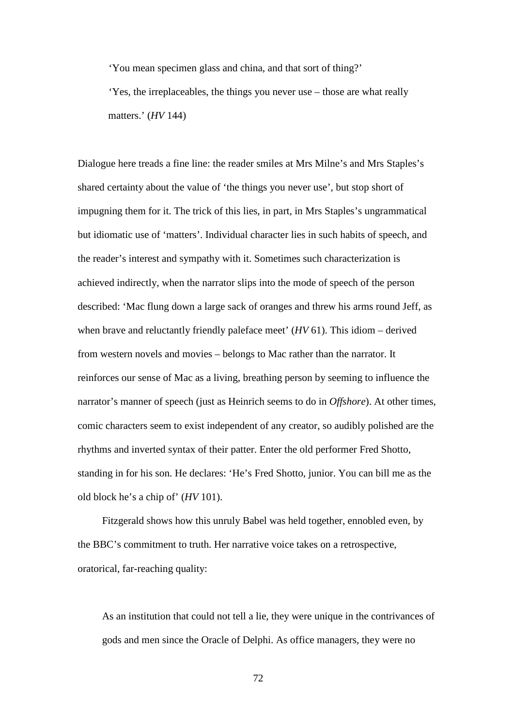'You mean specimen glass and china, and that sort of thing?'

'Yes, the irreplaceables, the things you never use – those are what really matters.' (*HV* 144)

Dialogue here treads a fine line: the reader smiles at Mrs Milne's and Mrs Staples's shared certainty about the value of 'the things you never use', but stop short of impugning them for it. The trick of this lies, in part, in Mrs Staples's ungrammatical but idiomatic use of 'matters'. Individual character lies in such habits of speech, and the reader's interest and sympathy with it. Sometimes such characterization is achieved indirectly, when the narrator slips into the mode of speech of the person described: 'Mac flung down a large sack of oranges and threw his arms round Jeff, as when brave and reluctantly friendly paleface meet' (*HV* 61). This idiom – derived from western novels and movies – belongs to Mac rather than the narrator. It reinforces our sense of Mac as a living, breathing person by seeming to influence the narrator's manner of speech (just as Heinrich seems to do in *Offshore*). At other times, comic characters seem to exist independent of any creator, so audibly polished are the rhythms and inverted syntax of their patter. Enter the old performer Fred Shotto, standing in for his son. He declares: 'He's Fred Shotto, junior. You can bill me as the old block he's a chip of' (*HV* 101).

Fitzgerald shows how this unruly Babel was held together, ennobled even, by the BBC's commitment to truth. Her narrative voice takes on a retrospective, oratorical, far-reaching quality:

As an institution that could not tell a lie, they were unique in the contrivances of gods and men since the Oracle of Delphi. As office managers, they were no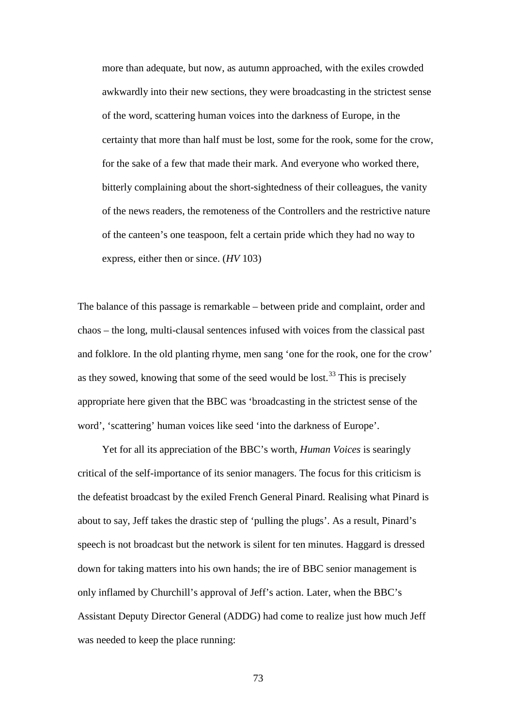more than adequate, but now, as autumn approached, with the exiles crowded awkwardly into their new sections, they were broadcasting in the strictest sense of the word, scattering human voices into the darkness of Europe, in the certainty that more than half must be lost, some for the rook, some for the crow, for the sake of a few that made their mark. And everyone who worked there, bitterly complaining about the short-sightedness of their colleagues, the vanity of the news readers, the remoteness of the Controllers and the restrictive nature of the canteen's one teaspoon, felt a certain pride which they had no way to express, either then or since. (*HV* 103)

The balance of this passage is remarkable – between pride and complaint, order and chaos – the long, multi-clausal sentences infused with voices from the classical past and folklore. In the old planting rhyme, men sang 'one for the rook, one for the crow' as they sowed, knowing that some of the seed would be lost.<sup>[33](#page-191-9)</sup> This is precisely appropriate here given that the BBC was 'broadcasting in the strictest sense of the word', 'scattering' human voices like seed 'into the darkness of Europe'.

Yet for all its appreciation of the BBC's worth, *Human Voices* is searingly critical of the self-importance of its senior managers. The focus for this criticism is the defeatist broadcast by the exiled French General Pinard. Realising what Pinard is about to say, Jeff takes the drastic step of 'pulling the plugs'. As a result, Pinard's speech is not broadcast but the network is silent for ten minutes. Haggard is dressed down for taking matters into his own hands; the ire of BBC senior management is only inflamed by Churchill's approval of Jeff's action. Later, when the BBC's Assistant Deputy Director General (ADDG) had come to realize just how much Jeff was needed to keep the place running: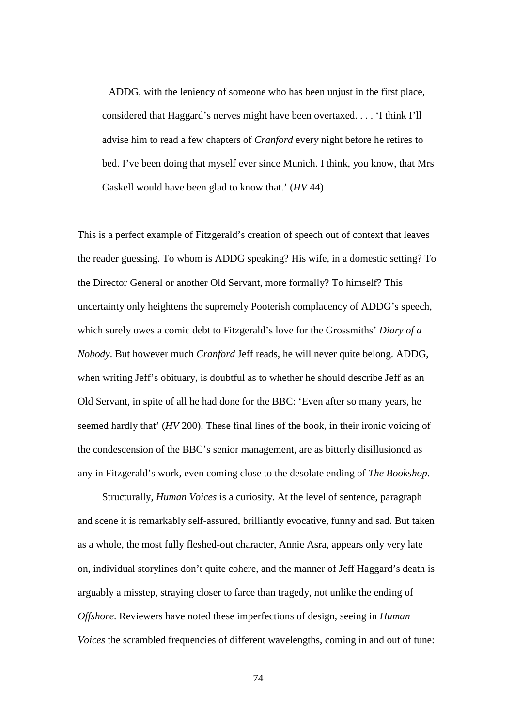ADDG, with the leniency of someone who has been unjust in the first place, considered that Haggard's nerves might have been overtaxed. . . . 'I think I'll advise him to read a few chapters of *Cranford* every night before he retires to bed. I've been doing that myself ever since Munich. I think, you know, that Mrs Gaskell would have been glad to know that.' (*HV* 44)

This is a perfect example of Fitzgerald's creation of speech out of context that leaves the reader guessing. To whom is ADDG speaking? His wife, in a domestic setting? To the Director General or another Old Servant, more formally? To himself? This uncertainty only heightens the supremely Pooterish complacency of ADDG's speech, which surely owes a comic debt to Fitzgerald's love for the Grossmiths' *Diary of a Nobody*. But however much *Cranford* Jeff reads, he will never quite belong. ADDG, when writing Jeff's obituary, is doubtful as to whether he should describe Jeff as an Old Servant, in spite of all he had done for the BBC: 'Even after so many years, he seemed hardly that' (*HV* 200). These final lines of the book, in their ironic voicing of the condescension of the BBC's senior management, are as bitterly disillusioned as any in Fitzgerald's work, even coming close to the desolate ending of *The Bookshop*.

Structurally, *Human Voices* is a curiosity. At the level of sentence, paragraph and scene it is remarkably self-assured, brilliantly evocative, funny and sad. But taken as a whole, the most fully fleshed-out character, Annie Asra, appears only very late on, individual storylines don't quite cohere, and the manner of Jeff Haggard's death is arguably a misstep, straying closer to farce than tragedy, not unlike the ending of *Offshore*. Reviewers have noted these imperfections of design, seeing in *Human Voices* the scrambled frequencies of different wavelengths, coming in and out of tune: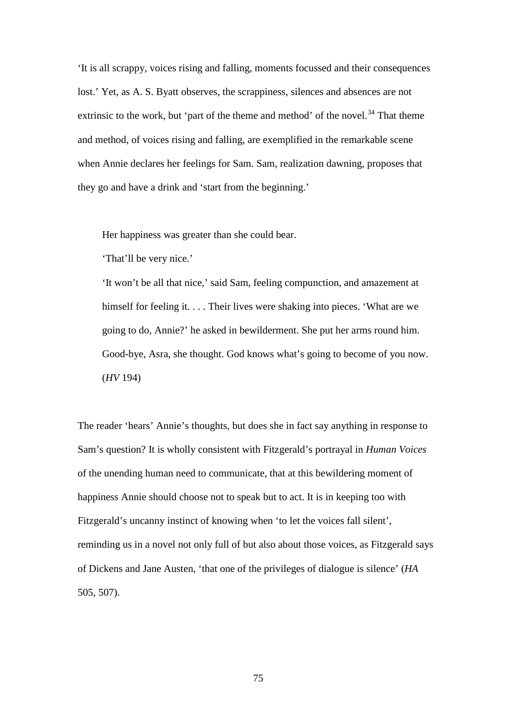'It is all scrappy, voices rising and falling, moments focussed and their consequences lost.' Yet, as A. S. Byatt observes, the scrappiness, silences and absences are not extrinsic to the work, but 'part of the theme and method' of the novel.<sup>[34](#page-191-10)</sup> That theme and method, of voices rising and falling, are exemplified in the remarkable scene when Annie declares her feelings for Sam. Sam, realization dawning, proposes that they go and have a drink and 'start from the beginning.'

Her happiness was greater than she could bear.

'That'll be very nice.'

'It won't be all that nice,' said Sam, feeling compunction, and amazement at himself for feeling it. . . . Their lives were shaking into pieces. 'What are we going to do, Annie?' he asked in bewilderment. She put her arms round him. Good-bye, Asra, she thought. God knows what's going to become of you now. (*HV* 194)

The reader 'hears' Annie's thoughts, but does she in fact say anything in response to Sam's question? It is wholly consistent with Fitzgerald's portrayal in *Human Voices* of the unending human need to communicate, that at this bewildering moment of happiness Annie should choose not to speak but to act. It is in keeping too with Fitzgerald's uncanny instinct of knowing when 'to let the voices fall silent', reminding us in a novel not only full of but also about those voices, as Fitzgerald says of Dickens and Jane Austen, 'that one of the privileges of dialogue is silence' (*HA* 505, 507).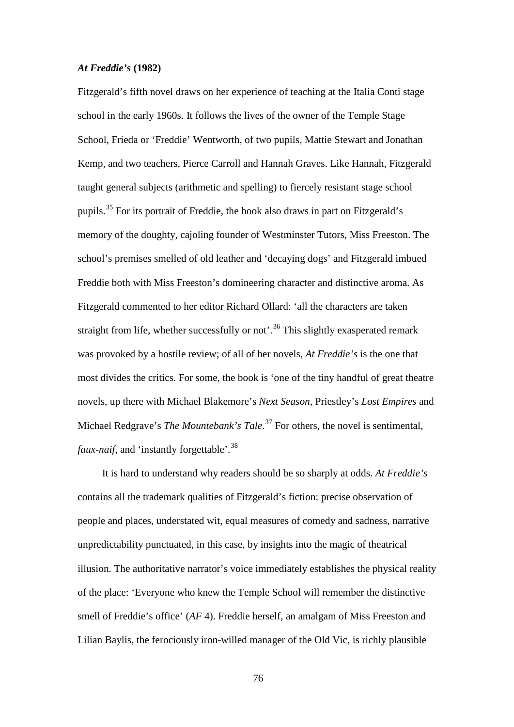## *At Freddie's* **(1982)**

Fitzgerald's fifth novel draws on her experience of teaching at the Italia Conti stage school in the early 1960s. It follows the lives of the owner of the Temple Stage School, Frieda or 'Freddie' Wentworth, of two pupils, Mattie Stewart and Jonathan Kemp, and two teachers, Pierce Carroll and Hannah Graves. Like Hannah, Fitzgerald taught general subjects (arithmetic and spelling) to fiercely resistant stage school pupils.[35](#page-191-11) For its portrait of Freddie, the book also draws in part on Fitzgerald's memory of the doughty, cajoling founder of Westminster Tutors, Miss Freeston. The school's premises smelled of old leather and 'decaying dogs' and Fitzgerald imbued Freddie both with Miss Freeston's domineering character and distinctive aroma. As Fitzgerald commented to her editor Richard Ollard: 'all the characters are taken straight from life, whether successfully or not'.<sup>[36](#page-191-2)</sup> This slightly exasperated remark was provoked by a hostile review; of all of her novels, *At Freddie's* is the one that most divides the critics. For some, the book is 'one of the tiny handful of great theatre novels, up there with Michael Blakemore's *Next Season*, Priestley's *Lost Empires* and Michael Redgrave's *The Mountebank's Tale*. [37](#page-191-3) For others, the novel is sentimental, *faux-naif*, and 'instantly forgettable'.<sup>[38](#page-191-12)</sup>

It is hard to understand why readers should be so sharply at odds. *At Freddie's* contains all the trademark qualities of Fitzgerald's fiction: precise observation of people and places, understated wit, equal measures of comedy and sadness, narrative unpredictability punctuated, in this case, by insights into the magic of theatrical illusion. The authoritative narrator's voice immediately establishes the physical reality of the place: 'Everyone who knew the Temple School will remember the distinctive smell of Freddie's office' (*AF* 4). Freddie herself, an amalgam of Miss Freeston and Lilian Baylis, the ferociously iron-willed manager of the Old Vic, is richly plausible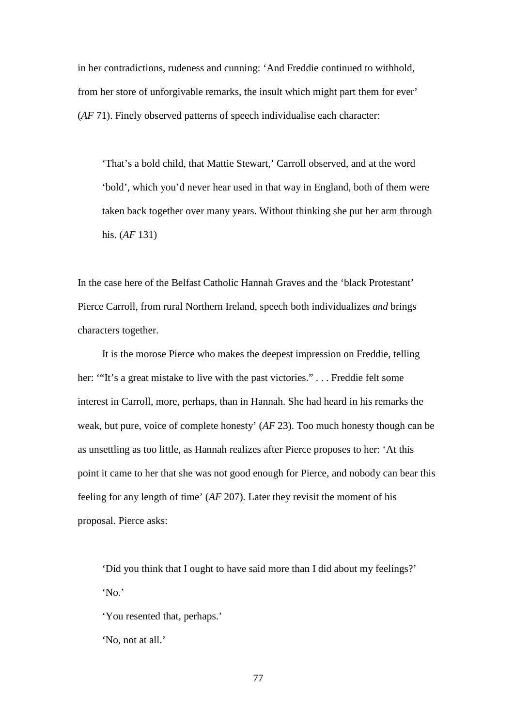in her contradictions, rudeness and cunning: 'And Freddie continued to withhold, from her store of unforgivable remarks, the insult which might part them for ever' (*AF* 71). Finely observed patterns of speech individualise each character:

'That's a bold child, that Mattie Stewart,' Carroll observed, and at the word 'bold', which you'd never hear used in that way in England, both of them were taken back together over many years. Without thinking she put her arm through his. (*AF* 131)

In the case here of the Belfast Catholic Hannah Graves and the 'black Protestant' Pierce Carroll, from rural Northern Ireland, speech both individualizes *and* brings characters together.

It is the morose Pierce who makes the deepest impression on Freddie, telling her: "It's a great mistake to live with the past victories." . . . Freddie felt some interest in Carroll, more, perhaps, than in Hannah. She had heard in his remarks the weak, but pure, voice of complete honesty' (*AF* 23). Too much honesty though can be as unsettling as too little, as Hannah realizes after Pierce proposes to her: 'At this point it came to her that she was not good enough for Pierce, and nobody can bear this feeling for any length of time' (*AF* 207). Later they revisit the moment of his proposal. Pierce asks:

'Did you think that I ought to have said more than I did about my feelings?' 'No.'

'You resented that, perhaps.'

'No, not at all.'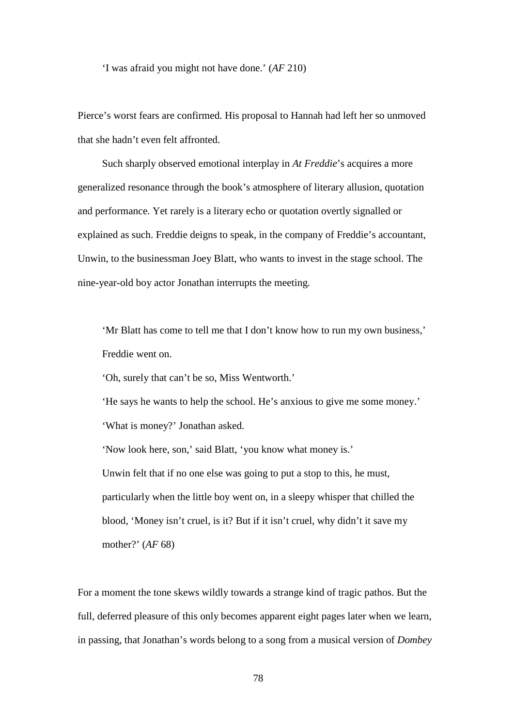'I was afraid you might not have done.' (*AF* 210)

Pierce's worst fears are confirmed. His proposal to Hannah had left her so unmoved that she hadn't even felt affronted.

Such sharply observed emotional interplay in *At Freddie*'s acquires a more generalized resonance through the book's atmosphere of literary allusion, quotation and performance. Yet rarely is a literary echo or quotation overtly signalled or explained as such. Freddie deigns to speak, in the company of Freddie's accountant, Unwin, to the businessman Joey Blatt, who wants to invest in the stage school. The nine-year-old boy actor Jonathan interrupts the meeting.

'Mr Blatt has come to tell me that I don't know how to run my own business,' Freddie went on.

'Oh, surely that can't be so, Miss Wentworth.'

'He says he wants to help the school. He's anxious to give me some money.' 'What is money?' Jonathan asked.

'Now look here, son,' said Blatt, 'you know what money is.' Unwin felt that if no one else was going to put a stop to this, he must, particularly when the little boy went on, in a sleepy whisper that chilled the blood, 'Money isn't cruel, is it? But if it isn't cruel, why didn't it save my mother?' (*AF* 68)

For a moment the tone skews wildly towards a strange kind of tragic pathos. But the full, deferred pleasure of this only becomes apparent eight pages later when we learn, in passing, that Jonathan's words belong to a song from a musical version of *Dombey*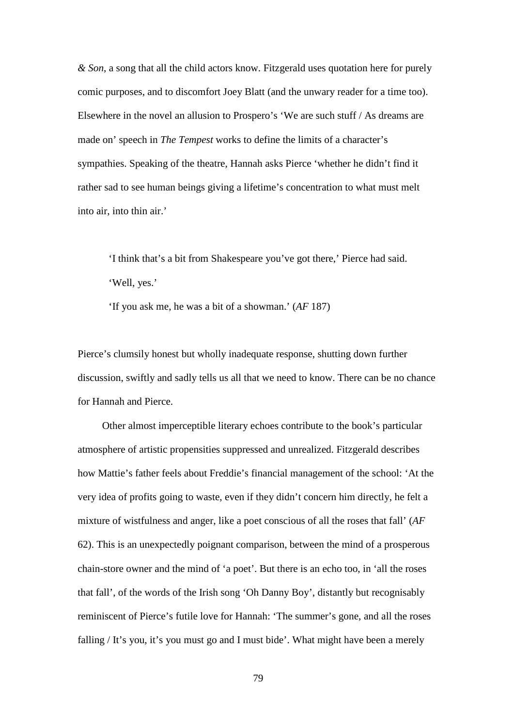*& Son*, a song that all the child actors know. Fitzgerald uses quotation here for purely comic purposes, and to discomfort Joey Blatt (and the unwary reader for a time too). Elsewhere in the novel an allusion to Prospero's 'We are such stuff / As dreams are made on' speech in *The Tempest* works to define the limits of a character's sympathies. Speaking of the theatre, Hannah asks Pierce 'whether he didn't find it rather sad to see human beings giving a lifetime's concentration to what must melt into air, into thin air.'

'I think that's a bit from Shakespeare you've got there,' Pierce had said. 'Well, yes.'

'If you ask me, he was a bit of a showman.' (*AF* 187)

Pierce's clumsily honest but wholly inadequate response, shutting down further discussion, swiftly and sadly tells us all that we need to know. There can be no chance for Hannah and Pierce.

Other almost imperceptible literary echoes contribute to the book's particular atmosphere of artistic propensities suppressed and unrealized. Fitzgerald describes how Mattie's father feels about Freddie's financial management of the school: 'At the very idea of profits going to waste, even if they didn't concern him directly, he felt a mixture of wistfulness and anger, like a poet conscious of all the roses that fall' (*AF* 62). This is an unexpectedly poignant comparison, between the mind of a prosperous chain-store owner and the mind of 'a poet'. But there is an echo too, in 'all the roses that fall', of the words of the Irish song 'Oh Danny Boy', distantly but recognisably reminiscent of Pierce's futile love for Hannah: 'The summer's gone, and all the roses falling / It's you, it's you must go and I must bide'. What might have been a merely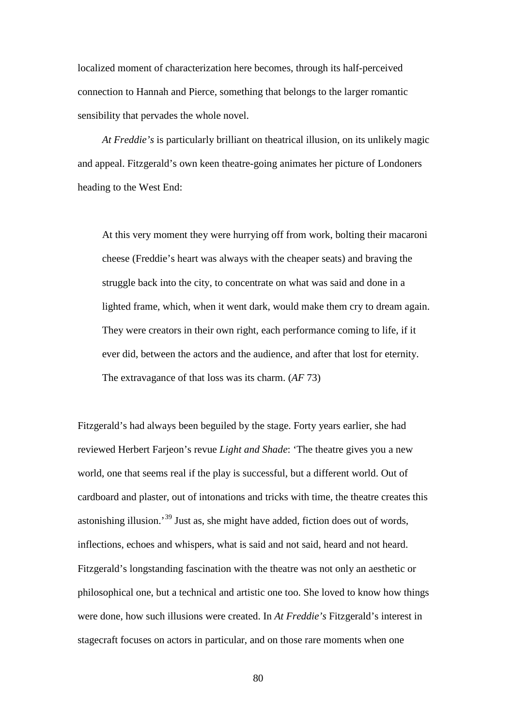localized moment of characterization here becomes, through its half-perceived connection to Hannah and Pierce, something that belongs to the larger romantic sensibility that pervades the whole novel.

*At Freddie's* is particularly brilliant on theatrical illusion, on its unlikely magic and appeal. Fitzgerald's own keen theatre-going animates her picture of Londoners heading to the West End:

At this very moment they were hurrying off from work, bolting their macaroni cheese (Freddie's heart was always with the cheaper seats) and braving the struggle back into the city, to concentrate on what was said and done in a lighted frame, which, when it went dark, would make them cry to dream again. They were creators in their own right, each performance coming to life, if it ever did, between the actors and the audience, and after that lost for eternity. The extravagance of that loss was its charm. (*AF* 73)

Fitzgerald's had always been beguiled by the stage. Forty years earlier, she had reviewed Herbert Farjeon's revue *Light and Shade*: 'The theatre gives you a new world, one that seems real if the play is successful, but a different world. Out of cardboard and plaster, out of intonations and tricks with time, the theatre creates this astonishing illusion.'[39](#page-191-13) Just as, she might have added, fiction does out of words, inflections, echoes and whispers, what is said and not said, heard and not heard. Fitzgerald's longstanding fascination with the theatre was not only an aesthetic or philosophical one, but a technical and artistic one too. She loved to know how things were done, how such illusions were created. In *At Freddie's* Fitzgerald's interest in stagecraft focuses on actors in particular, and on those rare moments when one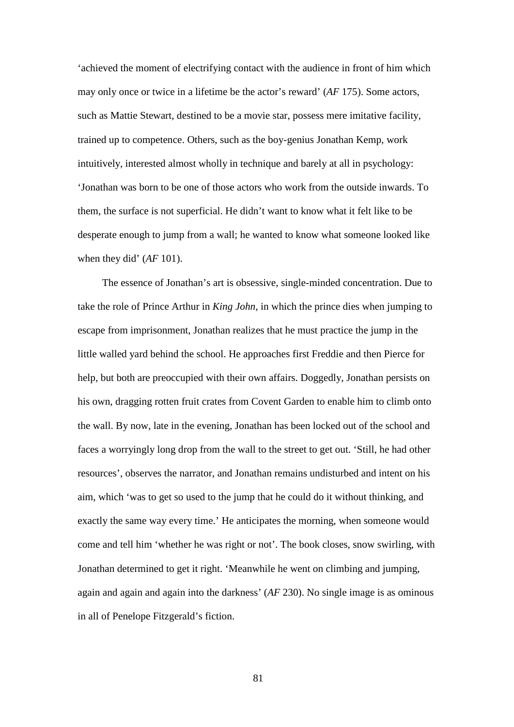'achieved the moment of electrifying contact with the audience in front of him which may only once or twice in a lifetime be the actor's reward' (*AF* 175). Some actors, such as Mattie Stewart, destined to be a movie star, possess mere imitative facility, trained up to competence. Others, such as the boy-genius Jonathan Kemp, work intuitively, interested almost wholly in technique and barely at all in psychology: 'Jonathan was born to be one of those actors who work from the outside inwards. To them, the surface is not superficial. He didn't want to know what it felt like to be desperate enough to jump from a wall; he wanted to know what someone looked like when they did' (*AF* 101).

The essence of Jonathan's art is obsessive, single-minded concentration. Due to take the role of Prince Arthur in *King John*, in which the prince dies when jumping to escape from imprisonment, Jonathan realizes that he must practice the jump in the little walled yard behind the school. He approaches first Freddie and then Pierce for help, but both are preoccupied with their own affairs. Doggedly, Jonathan persists on his own, dragging rotten fruit crates from Covent Garden to enable him to climb onto the wall. By now, late in the evening, Jonathan has been locked out of the school and faces a worryingly long drop from the wall to the street to get out. 'Still, he had other resources', observes the narrator, and Jonathan remains undisturbed and intent on his aim, which 'was to get so used to the jump that he could do it without thinking, and exactly the same way every time.' He anticipates the morning, when someone would come and tell him 'whether he was right or not'. The book closes, snow swirling, with Jonathan determined to get it right. 'Meanwhile he went on climbing and jumping, again and again and again into the darkness' (*AF* 230). No single image is as ominous in all of Penelope Fitzgerald's fiction.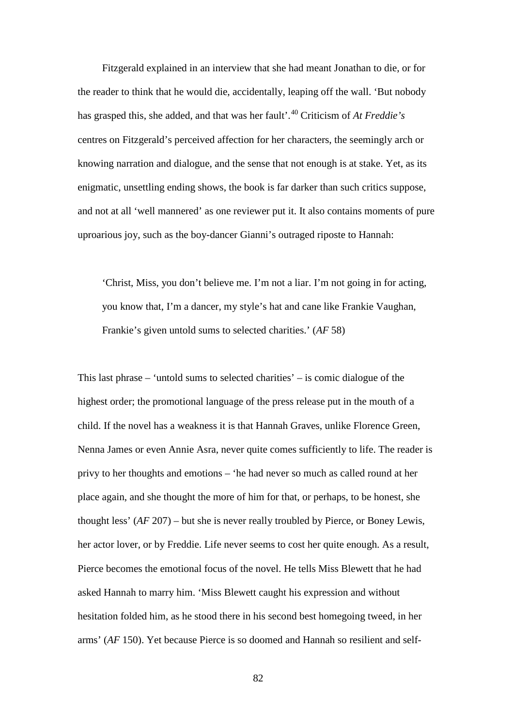Fitzgerald explained in an interview that she had meant Jonathan to die, or for the reader to think that he would die, accidentally, leaping off the wall. 'But nobody has grasped this, she added, and that was her fault'.[40](#page-191-4) Criticism of *At Freddie's* centres on Fitzgerald's perceived affection for her characters, the seemingly arch or knowing narration and dialogue, and the sense that not enough is at stake. Yet, as its enigmatic, unsettling ending shows, the book is far darker than such critics suppose, and not at all 'well mannered' as one reviewer put it. It also contains moments of pure uproarious joy, such as the boy-dancer Gianni's outraged riposte to Hannah:

'Christ, Miss, you don't believe me. I'm not a liar. I'm not going in for acting, you know that, I'm a dancer, my style's hat and cane like Frankie Vaughan, Frankie's given untold sums to selected charities.' (*AF* 58)

This last phrase – 'untold sums to selected charities' – is comic dialogue of the highest order; the promotional language of the press release put in the mouth of a child. If the novel has a weakness it is that Hannah Graves, unlike Florence Green, Nenna James or even Annie Asra, never quite comes sufficiently to life. The reader is privy to her thoughts and emotions – 'he had never so much as called round at her place again, and she thought the more of him for that, or perhaps, to be honest, she thought less' (*AF* 207) – but she is never really troubled by Pierce, or Boney Lewis, her actor lover, or by Freddie. Life never seems to cost her quite enough. As a result, Pierce becomes the emotional focus of the novel. He tells Miss Blewett that he had asked Hannah to marry him. 'Miss Blewett caught his expression and without hesitation folded him, as he stood there in his second best homegoing tweed, in her arms' (*AF* 150). Yet because Pierce is so doomed and Hannah so resilient and self-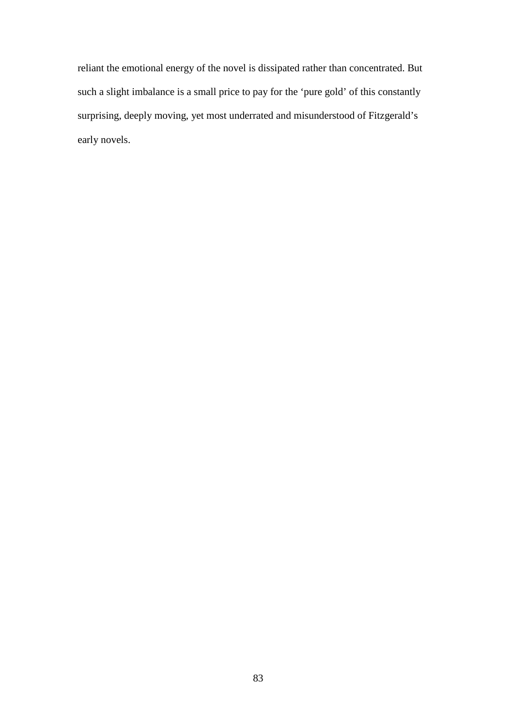reliant the emotional energy of the novel is dissipated rather than concentrated. But such a slight imbalance is a small price to pay for the 'pure gold' of this constantly surprising, deeply moving, yet most underrated and misunderstood of Fitzgerald's early novels.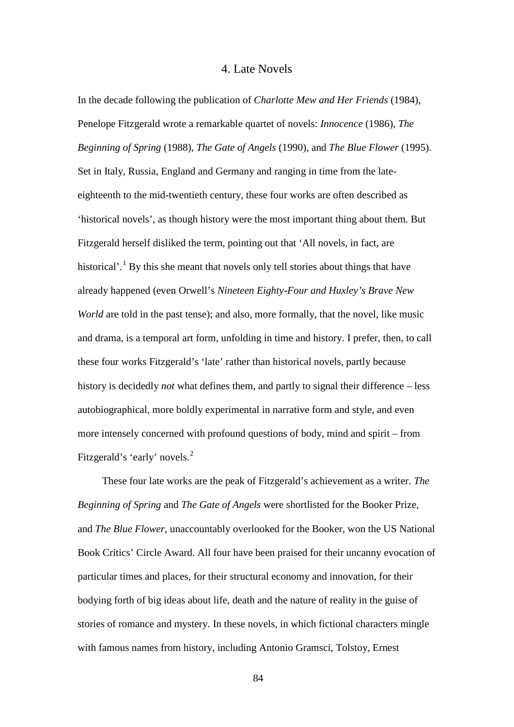# 4. Late Novels

In the decade following the publication of *Charlotte Mew and Her Friends* (1984), Penelope Fitzgerald wrote a remarkable quartet of novels: *Innocence* (1986), *The Beginning of Spring* (1988), *The Gate of Angels* (1990), and *The Blue Flower* (1995). Set in Italy, Russia, England and Germany and ranging in time from the lateeighteenth to the mid-twentieth century, these four works are often described as 'historical novels', as though history were the most important thing about them. But Fitzgerald herself disliked the term, pointing out that 'All novels, in fact, are historical'.<sup>[1](#page-191-14)</sup> By this she meant that novels only tell stories about things that have already happened (even Orwell's *Nineteen Eighty-Four and Huxley's Brave New World* are told in the past tense); and also, more formally, that the novel, like music and drama, is a temporal art form, unfolding in time and history. I prefer, then, to call these four works Fitzgerald's 'late' rather than historical novels, partly because history is decidedly *not* what defines them, and partly to signal their difference – less autobiographical, more boldly experimental in narrative form and style, and even more intensely concerned with profound questions of body, mind and spirit – from Fitzgerald's 'early' novels.<sup>[2](#page-191-6)</sup>

These four late works are the peak of Fitzgerald's achievement as a writer. *The Beginning of Spring* and *The Gate of Angels* were shortlisted for the Booker Prize, and *The Blue Flower*, unaccountably overlooked for the Booker, won the US National Book Critics' Circle Award. All four have been praised for their uncanny evocation of particular times and places, for their structural economy and innovation, for their bodying forth of big ideas about life, death and the nature of reality in the guise of stories of romance and mystery. In these novels, in which fictional characters mingle with famous names from history, including Antonio Gramsci, Tolstoy, Ernest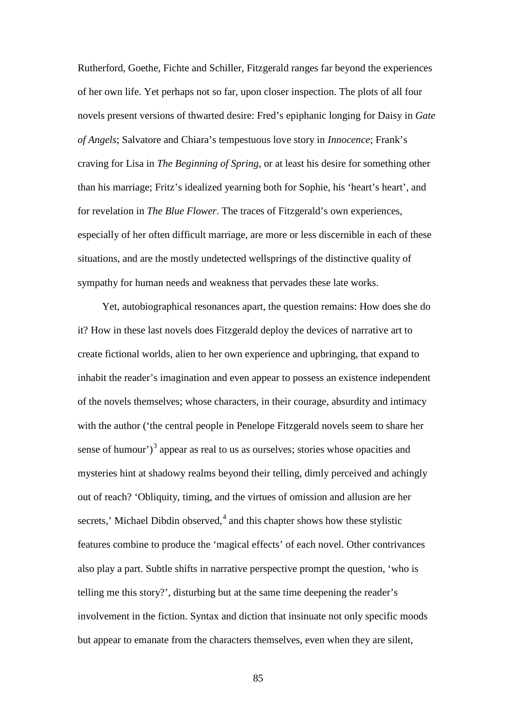Rutherford, Goethe, Fichte and Schiller, Fitzgerald ranges far beyond the experiences of her own life. Yet perhaps not so far, upon closer inspection. The plots of all four novels present versions of thwarted desire: Fred's epiphanic longing for Daisy in *Gate of Angels*; Salvatore and Chiara's tempestuous love story in *Innocence*; Frank's craving for Lisa in *The Beginning of Spring*, or at least his desire for something other than his marriage; Fritz's idealized yearning both for Sophie, his 'heart's heart', and for revelation in *The Blue Flower*. The traces of Fitzgerald's own experiences, especially of her often difficult marriage, are more or less discernible in each of these situations, and are the mostly undetected wellsprings of the distinctive quality of sympathy for human needs and weakness that pervades these late works.

Yet, autobiographical resonances apart, the question remains: How does she do it? How in these last novels does Fitzgerald deploy the devices of narrative art to create fictional worlds, alien to her own experience and upbringing, that expand to inhabit the reader's imagination and even appear to possess an existence independent of the novels themselves; whose characters, in their courage, absurdity and intimacy with the author ('the central people in Penelope Fitzgerald novels seem to share her sense of humour')<sup>[3](#page-191-7)</sup> appear as real to us as ourselves; stories whose opacities and mysteries hint at shadowy realms beyond their telling, dimly perceived and achingly out of reach? 'Obliquity, timing, and the virtues of omission and allusion are her secrets,' Michael Dibdin observed, $4$  and this chapter shows how these stylistic features combine to produce the 'magical effects' of each novel. Other contrivances also play a part. Subtle shifts in narrative perspective prompt the question, 'who is telling me this story?', disturbing but at the same time deepening the reader's involvement in the fiction. Syntax and diction that insinuate not only specific moods but appear to emanate from the characters themselves, even when they are silent,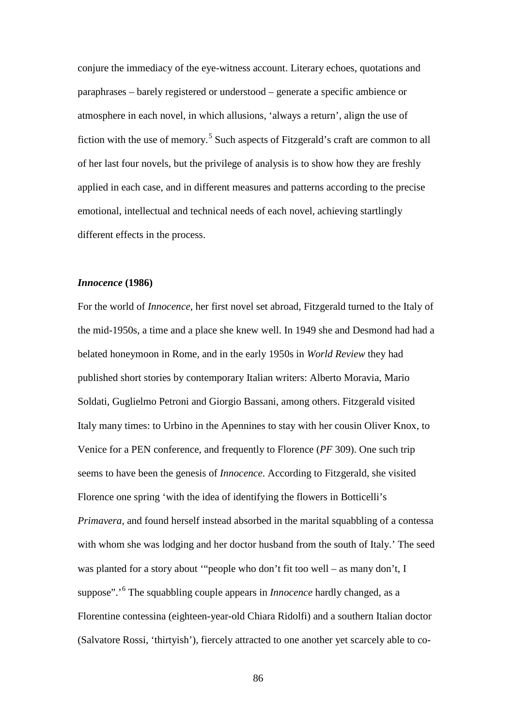conjure the immediacy of the eye-witness account. Literary echoes, quotations and paraphrases – barely registered or understood – generate a specific ambience or atmosphere in each novel, in which allusions, 'always a return', align the use of fiction with the use of memory.<sup>[5](#page-191-9)</sup> Such aspects of Fitzgerald's craft are common to all of her last four novels, but the privilege of analysis is to show how they are freshly applied in each case, and in different measures and patterns according to the precise emotional, intellectual and technical needs of each novel, achieving startlingly different effects in the process.

## *Innocence* **(1986)**

For the world of *Innocence*, her first novel set abroad, Fitzgerald turned to the Italy of the mid-1950s, a time and a place she knew well. In 1949 she and Desmond had had a belated honeymoon in Rome, and in the early 1950s in *World Review* they had published short stories by contemporary Italian writers: Alberto Moravia, Mario Soldati, Guglielmo Petroni and Giorgio Bassani, among others. Fitzgerald visited Italy many times: to Urbino in the Apennines to stay with her cousin Oliver Knox, to Venice for a PEN conference, and frequently to Florence (*PF* 309). One such trip seems to have been the genesis of *Innocence*. According to Fitzgerald, she visited Florence one spring 'with the idea of identifying the flowers in Botticelli's *Primavera*, and found herself instead absorbed in the marital squabbling of a contessa with whom she was lodging and her doctor husband from the south of Italy.' The seed was planted for a story about '"people who don't fit too well – as many don't, I suppose".<sup>'[6](#page-191-10)</sup> The squabbling couple appears in *Innocence* hardly changed, as a Florentine contessina (eighteen-year-old Chiara Ridolfi) and a southern Italian doctor (Salvatore Rossi, 'thirtyish'), fiercely attracted to one another yet scarcely able to co-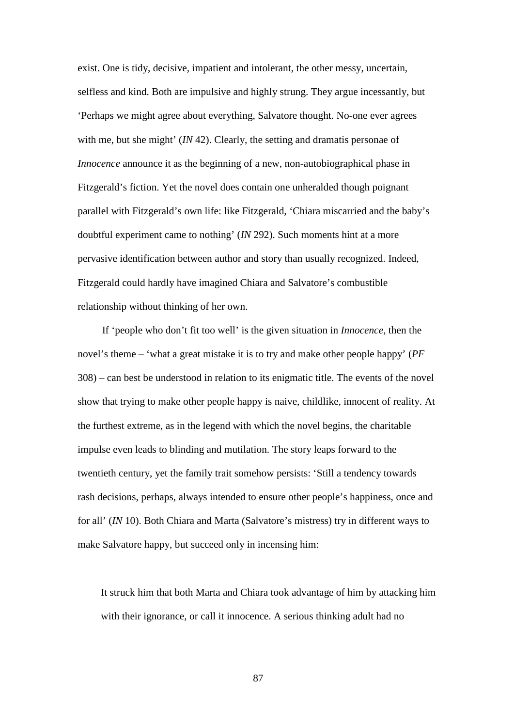exist. One is tidy, decisive, impatient and intolerant, the other messy, uncertain, selfless and kind. Both are impulsive and highly strung. They argue incessantly, but 'Perhaps we might agree about everything, Salvatore thought. No-one ever agrees with me, but she might' *(IN* 42). Clearly, the setting and dramatis personae of *Innocence* announce it as the beginning of a new, non-autobiographical phase in Fitzgerald's fiction. Yet the novel does contain one unheralded though poignant parallel with Fitzgerald's own life: like Fitzgerald, 'Chiara miscarried and the baby's doubtful experiment came to nothing' (*IN* 292). Such moments hint at a more pervasive identification between author and story than usually recognized. Indeed, Fitzgerald could hardly have imagined Chiara and Salvatore's combustible relationship without thinking of her own.

If 'people who don't fit too well' is the given situation in *Innocence*, then the novel's theme – 'what a great mistake it is to try and make other people happy' (*PF* 308) – can best be understood in relation to its enigmatic title. The events of the novel show that trying to make other people happy is naive, childlike, innocent of reality. At the furthest extreme, as in the legend with which the novel begins, the charitable impulse even leads to blinding and mutilation. The story leaps forward to the twentieth century, yet the family trait somehow persists: 'Still a tendency towards rash decisions, perhaps, always intended to ensure other people's happiness, once and for all' (*IN* 10). Both Chiara and Marta (Salvatore's mistress) try in different ways to make Salvatore happy, but succeed only in incensing him:

It struck him that both Marta and Chiara took advantage of him by attacking him with their ignorance, or call it innocence. A serious thinking adult had no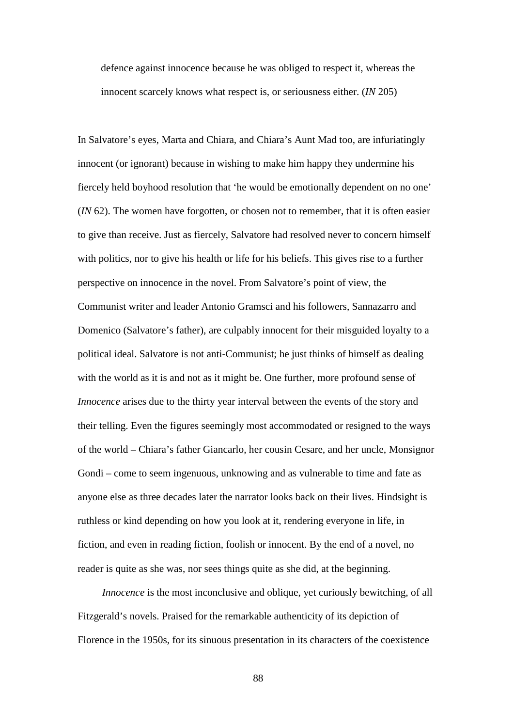defence against innocence because he was obliged to respect it, whereas the innocent scarcely knows what respect is, or seriousness either. (*IN* 205)

In Salvatore's eyes, Marta and Chiara, and Chiara's Aunt Mad too, are infuriatingly innocent (or ignorant) because in wishing to make him happy they undermine his fiercely held boyhood resolution that 'he would be emotionally dependent on no one' (*IN* 62). The women have forgotten, or chosen not to remember, that it is often easier to give than receive. Just as fiercely, Salvatore had resolved never to concern himself with politics, nor to give his health or life for his beliefs. This gives rise to a further perspective on innocence in the novel. From Salvatore's point of view, the Communist writer and leader Antonio Gramsci and his followers, Sannazarro and Domenico (Salvatore's father), are culpably innocent for their misguided loyalty to a political ideal. Salvatore is not anti-Communist; he just thinks of himself as dealing with the world as it is and not as it might be. One further, more profound sense of *Innocence* arises due to the thirty year interval between the events of the story and their telling. Even the figures seemingly most accommodated or resigned to the ways of the world – Chiara's father Giancarlo, her cousin Cesare, and her uncle, Monsignor Gondi – come to seem ingenuous, unknowing and as vulnerable to time and fate as anyone else as three decades later the narrator looks back on their lives. Hindsight is ruthless or kind depending on how you look at it, rendering everyone in life, in fiction, and even in reading fiction, foolish or innocent. By the end of a novel, no reader is quite as she was, nor sees things quite as she did, at the beginning.

*Innocence* is the most inconclusive and oblique, yet curiously bewitching, of all Fitzgerald's novels. Praised for the remarkable authenticity of its depiction of Florence in the 1950s, for its sinuous presentation in its characters of the coexistence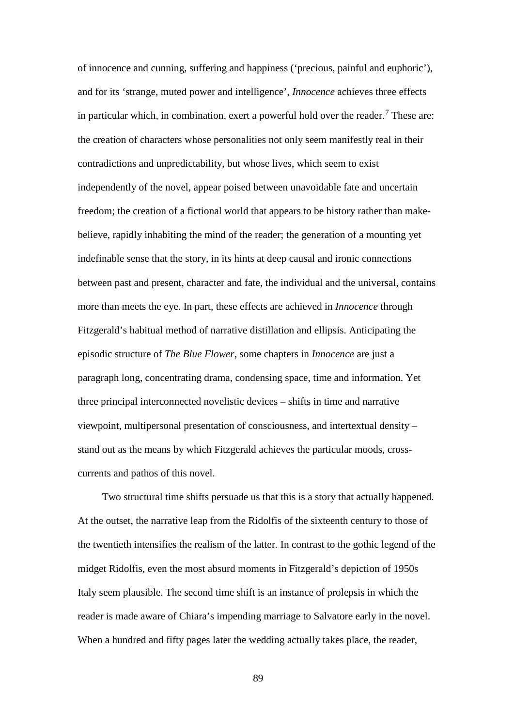of innocence and cunning, suffering and happiness ('precious, painful and euphoric'), and for its 'strange, muted power and intelligence', *Innocence* achieves three effects in particular which, in combination, exert a powerful hold over the reader.<sup>[7](#page-191-11)</sup> These are: the creation of characters whose personalities not only seem manifestly real in their contradictions and unpredictability, but whose lives, which seem to exist independently of the novel, appear poised between unavoidable fate and uncertain freedom; the creation of a fictional world that appears to be history rather than makebelieve, rapidly inhabiting the mind of the reader; the generation of a mounting yet indefinable sense that the story, in its hints at deep causal and ironic connections between past and present, character and fate, the individual and the universal, contains more than meets the eye. In part, these effects are achieved in *Innocence* through Fitzgerald's habitual method of narrative distillation and ellipsis. Anticipating the episodic structure of *The Blue Flower*, some chapters in *Innocence* are just a paragraph long, concentrating drama, condensing space, time and information. Yet three principal interconnected novelistic devices – shifts in time and narrative viewpoint, multipersonal presentation of consciousness, and intertextual density – stand out as the means by which Fitzgerald achieves the particular moods, crosscurrents and pathos of this novel.

Two structural time shifts persuade us that this is a story that actually happened. At the outset, the narrative leap from the Ridolfis of the sixteenth century to those of the twentieth intensifies the realism of the latter. In contrast to the gothic legend of the midget Ridolfis, even the most absurd moments in Fitzgerald's depiction of 1950s Italy seem plausible. The second time shift is an instance of prolepsis in which the reader is made aware of Chiara's impending marriage to Salvatore early in the novel. When a hundred and fifty pages later the wedding actually takes place, the reader,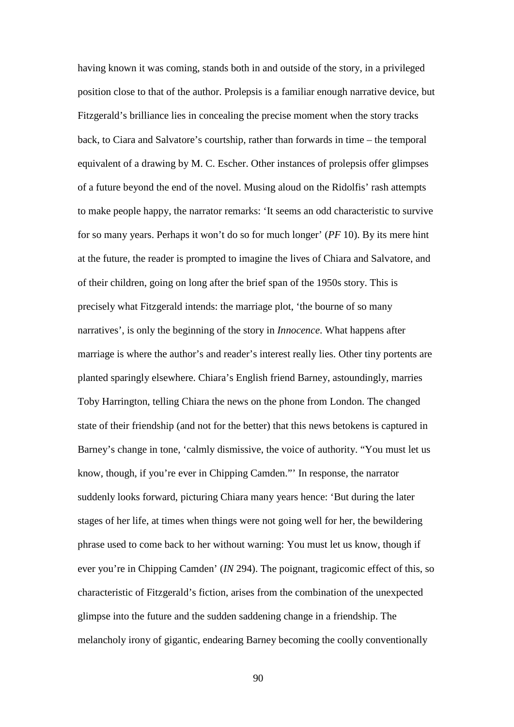having known it was coming, stands both in and outside of the story, in a privileged position close to that of the author. Prolepsis is a familiar enough narrative device, but Fitzgerald's brilliance lies in concealing the precise moment when the story tracks back, to Ciara and Salvatore's courtship, rather than forwards in time – the temporal equivalent of a drawing by M. C. Escher. Other instances of prolepsis offer glimpses of a future beyond the end of the novel. Musing aloud on the Ridolfis' rash attempts to make people happy, the narrator remarks: 'It seems an odd characteristic to survive for so many years. Perhaps it won't do so for much longer' (*PF* 10). By its mere hint at the future, the reader is prompted to imagine the lives of Chiara and Salvatore, and of their children, going on long after the brief span of the 1950s story. This is precisely what Fitzgerald intends: the marriage plot, 'the bourne of so many narratives', is only the beginning of the story in *Innocence*. What happens after marriage is where the author's and reader's interest really lies. Other tiny portents are planted sparingly elsewhere. Chiara's English friend Barney, astoundingly, marries Toby Harrington, telling Chiara the news on the phone from London. The changed state of their friendship (and not for the better) that this news betokens is captured in Barney's change in tone, 'calmly dismissive, the voice of authority. "You must let us know, though, if you're ever in Chipping Camden."' In response, the narrator suddenly looks forward, picturing Chiara many years hence: 'But during the later stages of her life, at times when things were not going well for her, the bewildering phrase used to come back to her without warning: You must let us know, though if ever you're in Chipping Camden' (*IN* 294). The poignant, tragicomic effect of this, so characteristic of Fitzgerald's fiction, arises from the combination of the unexpected glimpse into the future and the sudden saddening change in a friendship. The melancholy irony of gigantic, endearing Barney becoming the coolly conventionally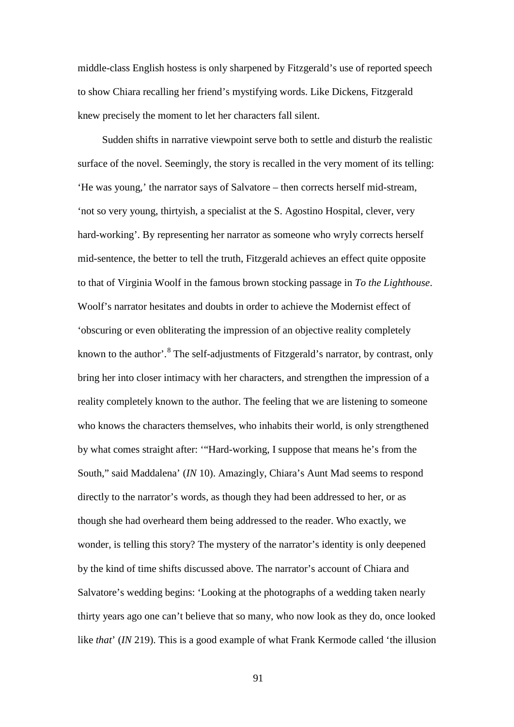middle-class English hostess is only sharpened by Fitzgerald's use of reported speech to show Chiara recalling her friend's mystifying words. Like Dickens, Fitzgerald knew precisely the moment to let her characters fall silent.

Sudden shifts in narrative viewpoint serve both to settle and disturb the realistic surface of the novel. Seemingly, the story is recalled in the very moment of its telling: 'He was young,' the narrator says of Salvatore – then corrects herself mid-stream, 'not so very young, thirtyish, a specialist at the S. Agostino Hospital, clever, very hard-working'. By representing her narrator as someone who wryly corrects herself mid-sentence, the better to tell the truth, Fitzgerald achieves an effect quite opposite to that of Virginia Woolf in the famous brown stocking passage in *To the Lighthouse*. Woolf's narrator hesitates and doubts in order to achieve the Modernist effect of 'obscuring or even obliterating the impression of an objective reality completely known to the author'.<sup>[8](#page-191-3)</sup> The self-adjustments of Fitzgerald's narrator, by contrast, only bring her into closer intimacy with her characters, and strengthen the impression of a reality completely known to the author. The feeling that we are listening to someone who knows the characters themselves, who inhabits their world, is only strengthened by what comes straight after: '"Hard-working, I suppose that means he's from the South," said Maddalena' (*IN* 10). Amazingly, Chiara's Aunt Mad seems to respond directly to the narrator's words, as though they had been addressed to her, or as though she had overheard them being addressed to the reader. Who exactly, we wonder, is telling this story? The mystery of the narrator's identity is only deepened by the kind of time shifts discussed above. The narrator's account of Chiara and Salvatore's wedding begins: 'Looking at the photographs of a wedding taken nearly thirty years ago one can't believe that so many, who now look as they do, once looked like *that*' (*IN* 219). This is a good example of what Frank Kermode called 'the illusion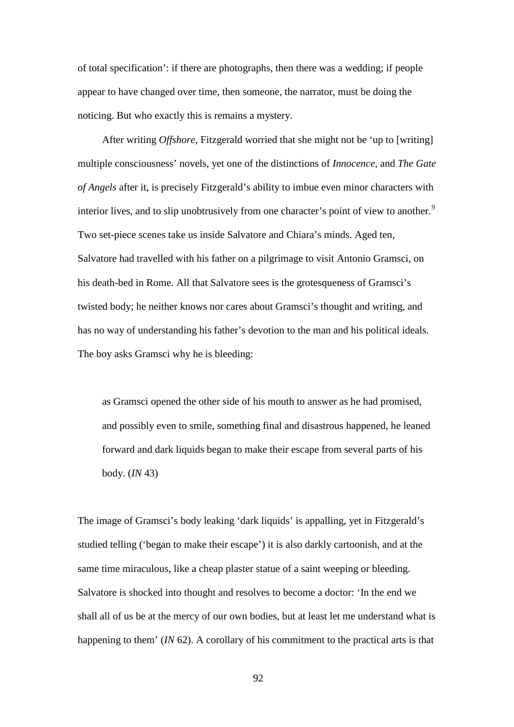of total specification': if there are photographs, then there was a wedding; if people appear to have changed over time, then someone, the narrator, must be doing the noticing. But who exactly this is remains a mystery.

After writing *Offshore*, Fitzgerald worried that she might not be 'up to [writing] multiple consciousness' novels, yet one of the distinctions of *Innocence*, and *The Gate of Angels* after it, is precisely Fitzgerald's ability to imbue even minor characters with interior lives, and to slip unobtrusively from one character's point of view to another.<sup>[9](#page-191-16)</sup> Two set-piece scenes take us inside Salvatore and Chiara's minds. Aged ten, Salvatore had travelled with his father on a pilgrimage to visit Antonio Gramsci, on his death-bed in Rome. All that Salvatore sees is the grotesqueness of Gramsci's twisted body; he neither knows nor cares about Gramsci's thought and writing, and has no way of understanding his father's devotion to the man and his political ideals. The boy asks Gramsci why he is bleeding:

as Gramsci opened the other side of his mouth to answer as he had promised, and possibly even to smile, something final and disastrous happened, he leaned forward and dark liquids began to make their escape from several parts of his body. (*IN* 43)

The image of Gramsci's body leaking 'dark liquids' is appalling, yet in Fitzgerald's studied telling ('began to make their escape') it is also darkly cartoonish, and at the same time miraculous, like a cheap plaster statue of a saint weeping or bleeding. Salvatore is shocked into thought and resolves to become a doctor: 'In the end we shall all of us be at the mercy of our own bodies, but at least let me understand what is happening to them' (*IN* 62). A corollary of his commitment to the practical arts is that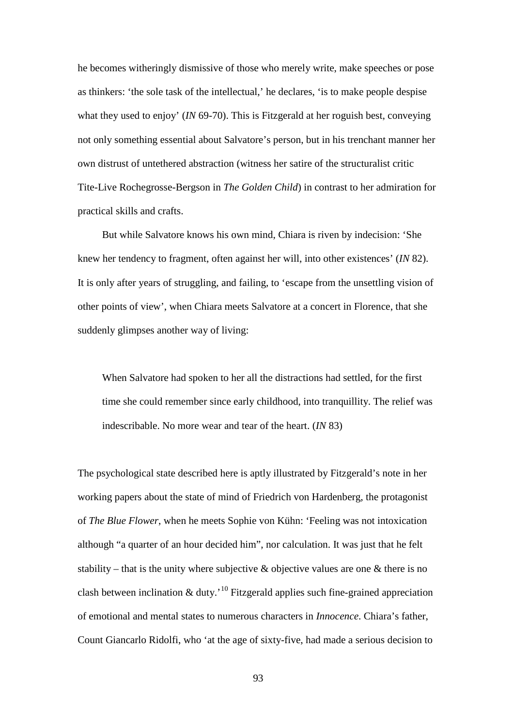he becomes witheringly dismissive of those who merely write, make speeches or pose as thinkers: 'the sole task of the intellectual,' he declares, 'is to make people despise what they used to enjoy' (*IN* 69-70). This is Fitzgerald at her roguish best, conveying not only something essential about Salvatore's person, but in his trenchant manner her own distrust of untethered abstraction (witness her satire of the structuralist critic Tite-Live Rochegrosse-Bergson in *The Golden Child*) in contrast to her admiration for practical skills and crafts.

But while Salvatore knows his own mind, Chiara is riven by indecision: 'She knew her tendency to fragment, often against her will, into other existences' (*IN* 82). It is only after years of struggling, and failing, to 'escape from the unsettling vision of other points of view', when Chiara meets Salvatore at a concert in Florence, that she suddenly glimpses another way of living:

When Salvatore had spoken to her all the distractions had settled, for the first time she could remember since early childhood, into tranquillity. The relief was indescribable. No more wear and tear of the heart. (*IN* 83)

The psychological state described here is aptly illustrated by Fitzgerald's note in her working papers about the state of mind of Friedrich von Hardenberg, the protagonist of *The Blue Flower*, when he meets Sophie von Kühn: 'Feeling was not intoxication although "a quarter of an hour decided him", nor calculation. It was just that he felt stability – that is the unity where subjective  $\&$  objective values are one  $\&$  there is no clash between inclination  $\&$  duty.<sup>'[10](#page-191-17)</sup> Fitzgerald applies such fine-grained appreciation of emotional and mental states to numerous characters in *Innocence*. Chiara's father, Count Giancarlo Ridolfi, who 'at the age of sixty-five, had made a serious decision to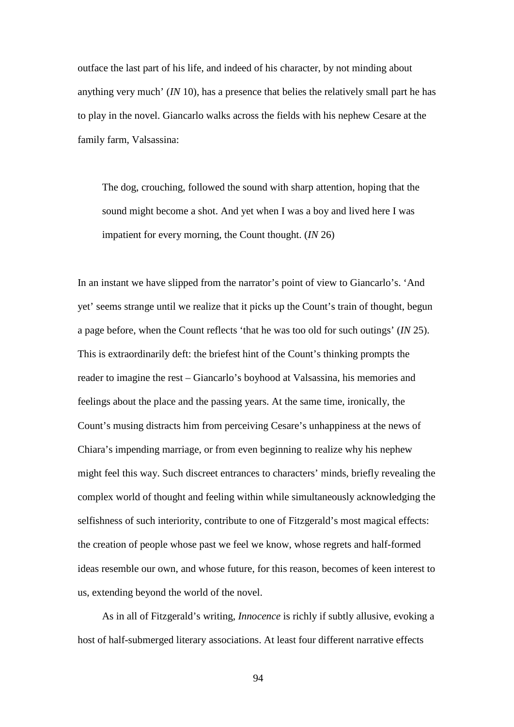outface the last part of his life, and indeed of his character, by not minding about anything very much' (*IN* 10), has a presence that belies the relatively small part he has to play in the novel. Giancarlo walks across the fields with his nephew Cesare at the family farm, Valsassina:

The dog, crouching, followed the sound with sharp attention, hoping that the sound might become a shot. And yet when I was a boy and lived here I was impatient for every morning, the Count thought. (*IN* 26)

In an instant we have slipped from the narrator's point of view to Giancarlo's. 'And yet' seems strange until we realize that it picks up the Count's train of thought, begun a page before, when the Count reflects 'that he was too old for such outings' (*IN* 25). This is extraordinarily deft: the briefest hint of the Count's thinking prompts the reader to imagine the rest – Giancarlo's boyhood at Valsassina, his memories and feelings about the place and the passing years. At the same time, ironically, the Count's musing distracts him from perceiving Cesare's unhappiness at the news of Chiara's impending marriage, or from even beginning to realize why his nephew might feel this way. Such discreet entrances to characters' minds, briefly revealing the complex world of thought and feeling within while simultaneously acknowledging the selfishness of such interiority, contribute to one of Fitzgerald's most magical effects: the creation of people whose past we feel we know, whose regrets and half-formed ideas resemble our own, and whose future, for this reason, becomes of keen interest to us, extending beyond the world of the novel.

As in all of Fitzgerald's writing, *Innocence* is richly if subtly allusive, evoking a host of half-submerged literary associations. At least four different narrative effects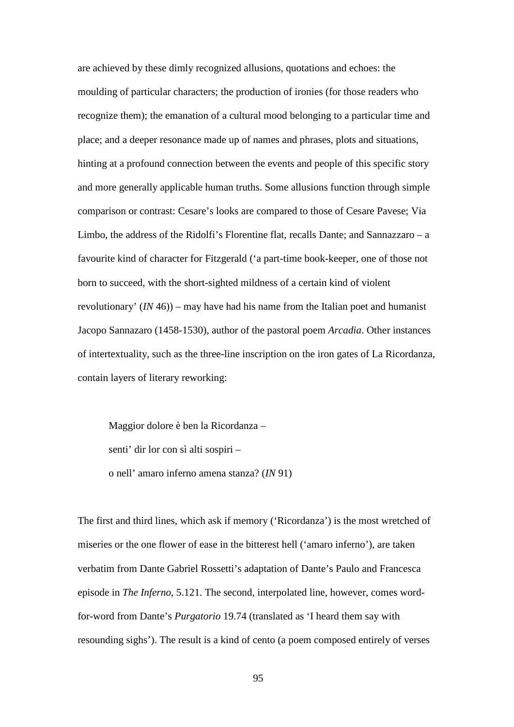are achieved by these dimly recognized allusions, quotations and echoes: the moulding of particular characters; the production of ironies (for those readers who recognize them); the emanation of a cultural mood belonging to a particular time and place; and a deeper resonance made up of names and phrases, plots and situations, hinting at a profound connection between the events and people of this specific story and more generally applicable human truths. Some allusions function through simple comparison or contrast: Cesare's looks are compared to those of Cesare Pavese; Via Limbo, the address of the Ridolfi's Florentine flat, recalls Dante; and Sannazzaro – a favourite kind of character for Fitzgerald ('a part-time book-keeper, one of those not born to succeed, with the short-sighted mildness of a certain kind of violent revolutionary' (*IN* 46)) – may have had his name from the Italian poet and humanist Jacopo Sannazaro (1458-1530), author of the pastoral poem *Arcadia*. Other instances of intertextuality, such as the three-line inscription on the iron gates of La Ricordanza, contain layers of literary reworking:

Maggior dolore è ben la Ricordanza – senti' dir lor con sì alti sospiri – o nell' amaro inferno amena stanza? (*IN* 91)

The first and third lines, which ask if memory ('Ricordanza') is the most wretched of miseries or the one flower of ease in the bitterest hell ('amaro inferno'), are taken verbatim from Dante Gabriel Rossetti's adaptation of Dante's Paulo and Francesca episode in *The Inferno*, 5.121. The second, interpolated line, however, comes wordfor-word from Dante's *Purgatorio* 19.74 (translated as 'I heard them say with resounding sighs'). The result is a kind of cento (a poem composed entirely of verses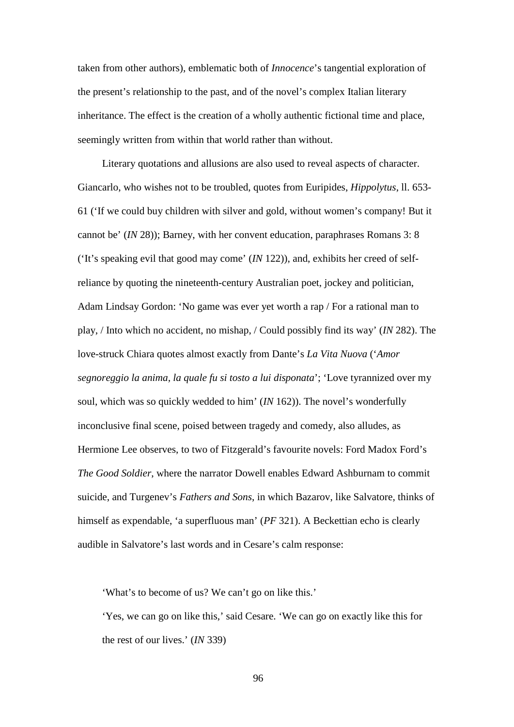taken from other authors), emblematic both of *Innocence*'s tangential exploration of the present's relationship to the past, and of the novel's complex Italian literary inheritance. The effect is the creation of a wholly authentic fictional time and place, seemingly written from within that world rather than without.

Literary quotations and allusions are also used to reveal aspects of character. Giancarlo, who wishes not to be troubled, quotes from Euripides, *Hippolytus*, ll. 653- 61 ('If we could buy children with silver and gold, without women's company! But it cannot be' (*IN* 28)); Barney, with her convent education, paraphrases Romans 3: 8 ('It's speaking evil that good may come' (*IN* 122)), and, exhibits her creed of selfreliance by quoting the nineteenth-century Australian poet, jockey and politician, Adam Lindsay Gordon: 'No game was ever yet worth a rap / For a rational man to play, / Into which no accident, no mishap, / Could possibly find its way' (*IN* 282). The love-struck Chiara quotes almost exactly from Dante's *La Vita Nuova* ('*Amor segnoreggio la anima, la quale fu si tosto a lui disponata*'; 'Love tyrannized over my soul, which was so quickly wedded to him' (*IN* 162)). The novel's wonderfully inconclusive final scene, poised between tragedy and comedy, also alludes, as Hermione Lee observes, to two of Fitzgerald's favourite novels: Ford Madox Ford's *The Good Soldier*, where the narrator Dowell enables Edward Ashburnam to commit suicide, and Turgenev's *Fathers and Sons*, in which Bazarov, like Salvatore, thinks of himself as expendable, 'a superfluous man' (*PF* 321). A Beckettian echo is clearly audible in Salvatore's last words and in Cesare's calm response:

'What's to become of us? We can't go on like this.'

'Yes, we can go on like this,' said Cesare. 'We can go on exactly like this for the rest of our lives.' (*IN* 339)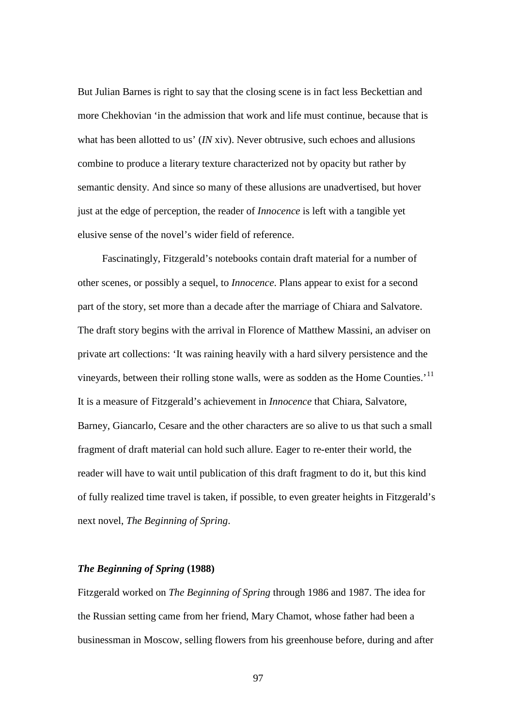But Julian Barnes is right to say that the closing scene is in fact less Beckettian and more Chekhovian 'in the admission that work and life must continue, because that is what has been allotted to us' *(IN* xiv). Never obtrusive, such echoes and allusions combine to produce a literary texture characterized not by opacity but rather by semantic density. And since so many of these allusions are unadvertised, but hover just at the edge of perception, the reader of *Innocence* is left with a tangible yet elusive sense of the novel's wider field of reference.

Fascinatingly, Fitzgerald's notebooks contain draft material for a number of other scenes, or possibly a sequel, to *Innocence*. Plans appear to exist for a second part of the story, set more than a decade after the marriage of Chiara and Salvatore. The draft story begins with the arrival in Florence of Matthew Massini, an adviser on private art collections: 'It was raining heavily with a hard silvery persistence and the vineyards, between their rolling stone walls, were as sodden as the Home Counties.'<sup>[11](#page-191-13)</sup> It is a measure of Fitzgerald's achievement in *Innocence* that Chiara, Salvatore, Barney, Giancarlo, Cesare and the other characters are so alive to us that such a small fragment of draft material can hold such allure. Eager to re-enter their world, the reader will have to wait until publication of this draft fragment to do it, but this kind of fully realized time travel is taken, if possible, to even greater heights in Fitzgerald's next novel, *The Beginning of Spring*.

# *The Beginning of Spring* **(1988)**

Fitzgerald worked on *The Beginning of Spring* through 1986 and 1987. The idea for the Russian setting came from her friend, Mary Chamot, whose father had been a businessman in Moscow, selling flowers from his greenhouse before, during and after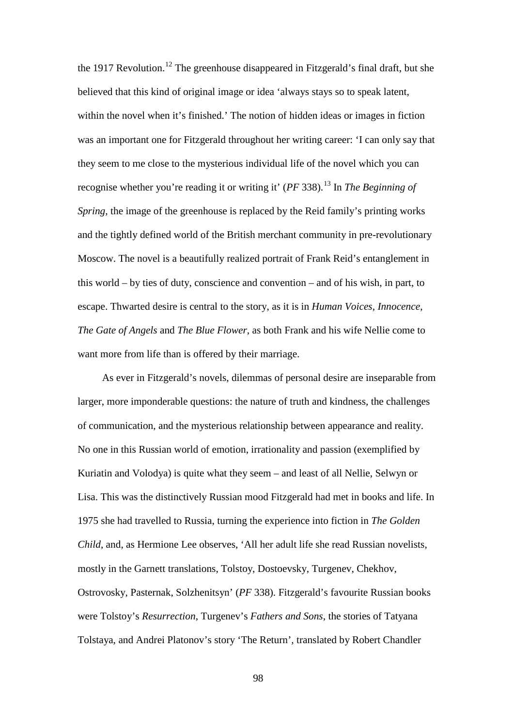the 1917 Revolution.<sup>[12](#page-191-4)</sup> The greenhouse disappeared in Fitzgerald's final draft, but she believed that this kind of original image or idea 'always stays so to speak latent, within the novel when it's finished.' The notion of hidden ideas or images in fiction was an important one for Fitzgerald throughout her writing career: 'I can only say that they seem to me close to the mysterious individual life of the novel which you can recognise whether you're reading it or writing it' (*PF* 338).[13](#page-191-18) In *The Beginning of Spring*, the image of the greenhouse is replaced by the Reid family's printing works and the tightly defined world of the British merchant community in pre-revolutionary Moscow. The novel is a beautifully realized portrait of Frank Reid's entanglement in this world – by ties of duty, conscience and convention – and of his wish, in part, to escape. Thwarted desire is central to the story, as it is in *Human Voices*, *Innocence*, *The Gate of Angels* and *The Blue Flower*, as both Frank and his wife Nellie come to want more from life than is offered by their marriage.

As ever in Fitzgerald's novels, dilemmas of personal desire are inseparable from larger, more imponderable questions: the nature of truth and kindness, the challenges of communication, and the mysterious relationship between appearance and reality. No one in this Russian world of emotion, irrationality and passion (exemplified by Kuriatin and Volodya) is quite what they seem – and least of all Nellie, Selwyn or Lisa. This was the distinctively Russian mood Fitzgerald had met in books and life. In 1975 she had travelled to Russia, turning the experience into fiction in *The Golden Child*, and, as Hermione Lee observes, 'All her adult life she read Russian novelists, mostly in the Garnett translations, Tolstoy, Dostoevsky, Turgenev, Chekhov, Ostrovosky, Pasternak, Solzhenitsyn' (*PF* 338). Fitzgerald's favourite Russian books were Tolstoy's *Resurrection*, Turgenev's *Fathers and Sons*, the stories of Tatyana Tolstaya, and Andrei Platonov's story 'The Return', translated by Robert Chandler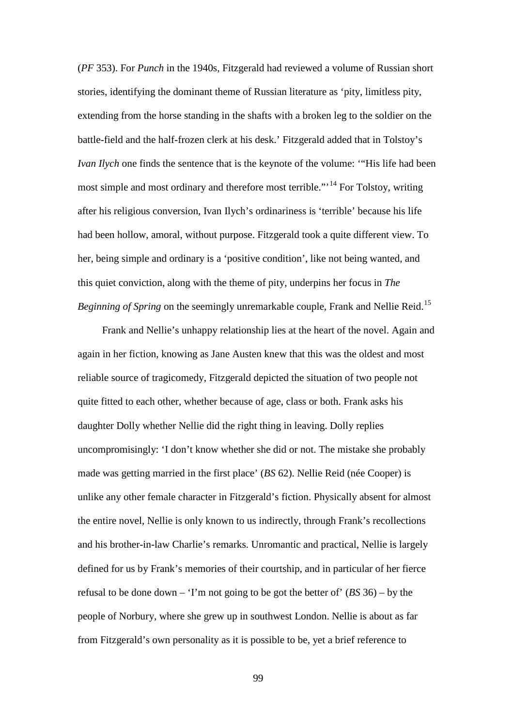(*PF* 353). For *Punch* in the 1940s, Fitzgerald had reviewed a volume of Russian short stories, identifying the dominant theme of Russian literature as 'pity, limitless pity, extending from the horse standing in the shafts with a broken leg to the soldier on the battle-field and the half-frozen clerk at his desk.' Fitzgerald added that in Tolstoy's *Ivan Ilych* one finds the sentence that is the keynote of the volume: '"His life had been most simple and most ordinary and therefore most terrible."<sup>[14](#page-191-6)</sup> For Tolstoy, writing after his religious conversion, Ivan Ilych's ordinariness is 'terrible' because his life had been hollow, amoral, without purpose. Fitzgerald took a quite different view. To her, being simple and ordinary is a 'positive condition', like not being wanted, and this quiet conviction, along with the theme of pity, underpins her focus in *The Beginning of Spring* on the seemingly unremarkable couple, Frank and Nellie Reid.<sup>[15](#page-191-19)</sup>

Frank and Nellie's unhappy relationship lies at the heart of the novel. Again and again in her fiction, knowing as Jane Austen knew that this was the oldest and most reliable source of tragicomedy, Fitzgerald depicted the situation of two people not quite fitted to each other, whether because of age, class or both. Frank asks his daughter Dolly whether Nellie did the right thing in leaving. Dolly replies uncompromisingly: 'I don't know whether she did or not. The mistake she probably made was getting married in the first place' (*BS* 62). Nellie Reid (née Cooper) is unlike any other female character in Fitzgerald's fiction. Physically absent for almost the entire novel, Nellie is only known to us indirectly, through Frank's recollections and his brother-in-law Charlie's remarks. Unromantic and practical, Nellie is largely defined for us by Frank's memories of their courtship, and in particular of her fierce refusal to be done down – 'I'm not going to be got the better of' (*BS* 36) – by the people of Norbury, where she grew up in southwest London. Nellie is about as far from Fitzgerald's own personality as it is possible to be, yet a brief reference to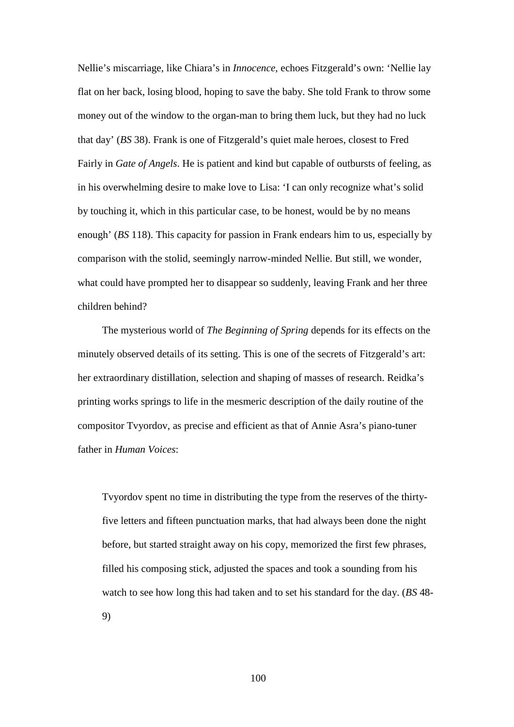Nellie's miscarriage, like Chiara's in *Innocence*, echoes Fitzgerald's own: 'Nellie lay flat on her back, losing blood, hoping to save the baby. She told Frank to throw some money out of the window to the organ-man to bring them luck, but they had no luck that day' (*BS* 38). Frank is one of Fitzgerald's quiet male heroes, closest to Fred Fairly in *Gate of Angels*. He is patient and kind but capable of outbursts of feeling, as in his overwhelming desire to make love to Lisa: 'I can only recognize what's solid by touching it, which in this particular case, to be honest, would be by no means enough' (*BS* 118). This capacity for passion in Frank endears him to us, especially by comparison with the stolid, seemingly narrow-minded Nellie. But still, we wonder, what could have prompted her to disappear so suddenly, leaving Frank and her three children behind?

The mysterious world of *The Beginning of Spring* depends for its effects on the minutely observed details of its setting. This is one of the secrets of Fitzgerald's art: her extraordinary distillation, selection and shaping of masses of research. Reidka's printing works springs to life in the mesmeric description of the daily routine of the compositor Tvyordov, as precise and efficient as that of Annie Asra's piano-tuner father in *Human Voices*:

Tvyordov spent no time in distributing the type from the reserves of the thirtyfive letters and fifteen punctuation marks, that had always been done the night before, but started straight away on his copy, memorized the first few phrases, filled his composing stick, adjusted the spaces and took a sounding from his watch to see how long this had taken and to set his standard for the day. (*BS* 48- 9)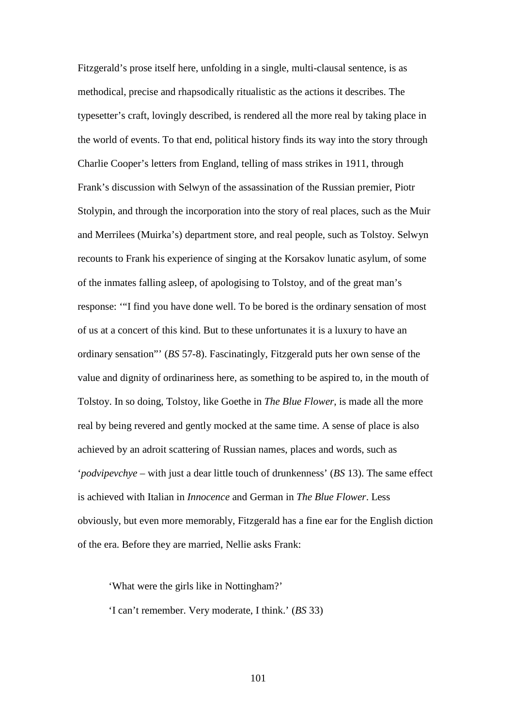Fitzgerald's prose itself here, unfolding in a single, multi-clausal sentence, is as methodical, precise and rhapsodically ritualistic as the actions it describes. The typesetter's craft, lovingly described, is rendered all the more real by taking place in the world of events. To that end, political history finds its way into the story through Charlie Cooper's letters from England, telling of mass strikes in 1911, through Frank's discussion with Selwyn of the assassination of the Russian premier, Piotr Stolypin, and through the incorporation into the story of real places, such as the Muir and Merrilees (Muirka's) department store, and real people, such as Tolstoy. Selwyn recounts to Frank his experience of singing at the Korsakov lunatic asylum, of some of the inmates falling asleep, of apologising to Tolstoy, and of the great man's response: '"I find you have done well. To be bored is the ordinary sensation of most of us at a concert of this kind. But to these unfortunates it is a luxury to have an ordinary sensation"' (*BS* 57-8). Fascinatingly, Fitzgerald puts her own sense of the value and dignity of ordinariness here, as something to be aspired to, in the mouth of Tolstoy. In so doing, Tolstoy, like Goethe in *The Blue Flower*, is made all the more real by being revered and gently mocked at the same time. A sense of place is also achieved by an adroit scattering of Russian names, places and words, such as '*podvipevchye* – with just a dear little touch of drunkenness' (*BS* 13). The same effect is achieved with Italian in *Innocence* and German in *The Blue Flower*. Less obviously, but even more memorably, Fitzgerald has a fine ear for the English diction of the era. Before they are married, Nellie asks Frank:

'What were the girls like in Nottingham?' 'I can't remember. Very moderate, I think.' (*BS* 33)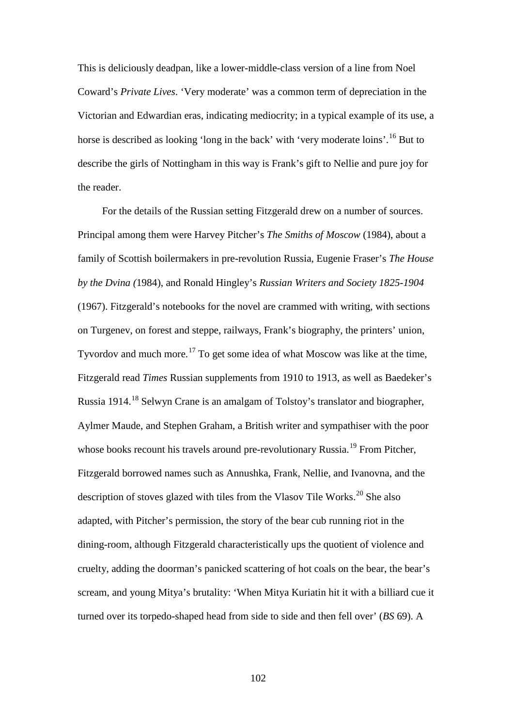This is deliciously deadpan, like a lower-middle-class version of a line from Noel Coward's *Private Lives*. 'Very moderate' was a common term of depreciation in the Victorian and Edwardian eras, indicating mediocrity; in a typical example of its use, a horse is described as looking 'long in the back' with 'very moderate loins'.<sup>[16](#page-191-0)</sup> But to describe the girls of Nottingham in this way is Frank's gift to Nellie and pure joy for the reader.

For the details of the Russian setting Fitzgerald drew on a number of sources. Principal among them were Harvey Pitcher's *The Smiths of Moscow* (1984), about a family of Scottish boilermakers in pre-revolution Russia, Eugenie Fraser's *The House by the Dvina (*1984), and Ronald Hingley's *Russian Writers and Society 1825-1904* (1967). Fitzgerald's notebooks for the novel are crammed with writing, with sections on Turgenev, on forest and steppe, railways, Frank's biography, the printers' union, Tyvordov and much more.<sup>[17](#page-191-1)</sup> To get some idea of what Moscow was like at the time, Fitzgerald read *Times* Russian supplements from 1910 to 1913, as well as Baedeker's Russia 1914.[18](#page-191-2) Selwyn Crane is an amalgam of Tolstoy's translator and biographer, Aylmer Maude, and Stephen Graham, a British writer and sympathiser with the poor whose books recount his travels around pre-revolutionary Russia.<sup>[19](#page-191-3)</sup> From Pitcher, Fitzgerald borrowed names such as Annushka, Frank, Nellie, and Ivanovna, and the description of stoves glazed with tiles from the Vlasov Tile Works.<sup>[20](#page-191-4)</sup> She also adapted, with Pitcher's permission, the story of the bear cub running riot in the dining-room, although Fitzgerald characteristically ups the quotient of violence and cruelty, adding the doorman's panicked scattering of hot coals on the bear, the bear's scream, and young Mitya's brutality: 'When Mitya Kuriatin hit it with a billiard cue it turned over its torpedo-shaped head from side to side and then fell over' (*BS* 69). A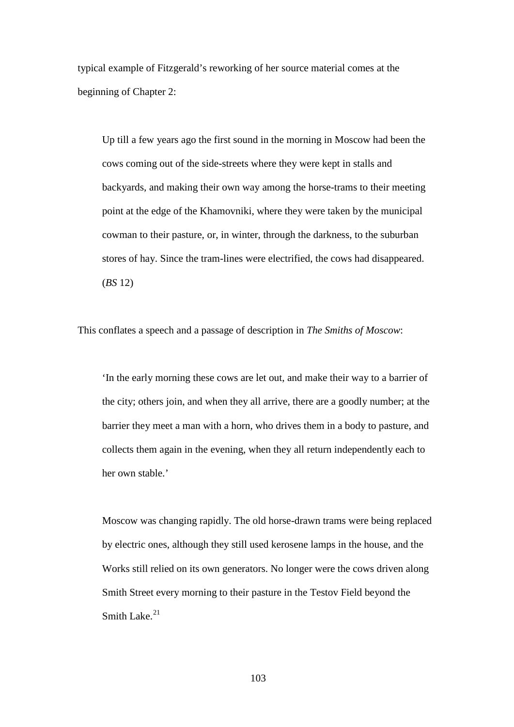typical example of Fitzgerald's reworking of her source material comes at the beginning of Chapter 2:

Up till a few years ago the first sound in the morning in Moscow had been the cows coming out of the side-streets where they were kept in stalls and backyards, and making their own way among the horse-trams to their meeting point at the edge of the Khamovniki, where they were taken by the municipal cowman to their pasture, or, in winter, through the darkness, to the suburban stores of hay. Since the tram-lines were electrified, the cows had disappeared. (*BS* 12)

This conflates a speech and a passage of description in *The Smiths of Moscow*:

'In the early morning these cows are let out, and make their way to a barrier of the city; others join, and when they all arrive, there are a goodly number; at the barrier they meet a man with a horn, who drives them in a body to pasture, and collects them again in the evening, when they all return independently each to her own stable.'

Moscow was changing rapidly. The old horse-drawn trams were being replaced by electric ones, although they still used kerosene lamps in the house, and the Works still relied on its own generators. No longer were the cows driven along Smith Street every morning to their pasture in the Testov Field beyond the Smith Lake. $21$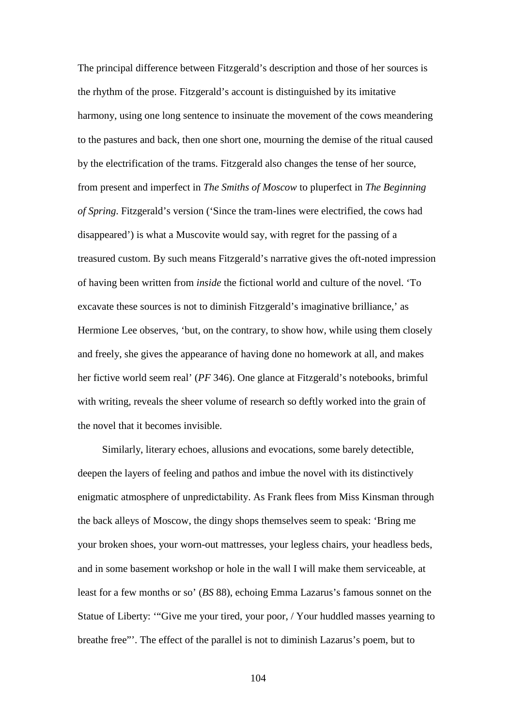The principal difference between Fitzgerald's description and those of her sources is the rhythm of the prose. Fitzgerald's account is distinguished by its imitative harmony, using one long sentence to insinuate the movement of the cows meandering to the pastures and back, then one short one, mourning the demise of the ritual caused by the electrification of the trams. Fitzgerald also changes the tense of her source, from present and imperfect in *The Smiths of Moscow* to pluperfect in *The Beginning of Spring*. Fitzgerald's version ('Since the tram-lines were electrified, the cows had disappeared') is what a Muscovite would say, with regret for the passing of a treasured custom. By such means Fitzgerald's narrative gives the oft-noted impression of having been written from *inside* the fictional world and culture of the novel. 'To excavate these sources is not to diminish Fitzgerald's imaginative brilliance,' as Hermione Lee observes, 'but, on the contrary, to show how, while using them closely and freely, she gives the appearance of having done no homework at all, and makes her fictive world seem real' (*PF* 346). One glance at Fitzgerald's notebooks, brimful with writing, reveals the sheer volume of research so deftly worked into the grain of the novel that it becomes invisible.

Similarly, literary echoes, allusions and evocations, some barely detectible, deepen the layers of feeling and pathos and imbue the novel with its distinctively enigmatic atmosphere of unpredictability. As Frank flees from Miss Kinsman through the back alleys of Moscow, the dingy shops themselves seem to speak: 'Bring me your broken shoes, your worn-out mattresses, your legless chairs, your headless beds, and in some basement workshop or hole in the wall I will make them serviceable, at least for a few months or so' (*BS* 88), echoing Emma Lazarus's famous sonnet on the Statue of Liberty: '"Give me your tired, your poor, / Your huddled masses yearning to breathe free"'. The effect of the parallel is not to diminish Lazarus's poem, but to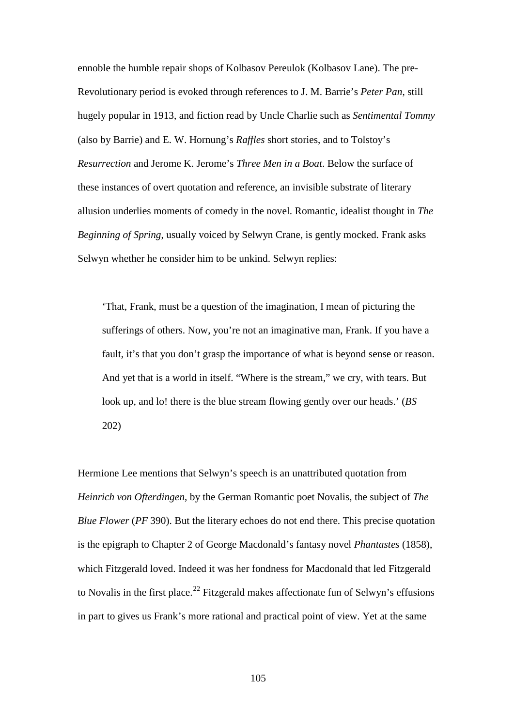ennoble the humble repair shops of Kolbasov Pereulok (Kolbasov Lane). The pre-Revolutionary period is evoked through references to J. M. Barrie's *Peter Pan*, still hugely popular in 1913, and fiction read by Uncle Charlie such as *Sentimental Tommy* (also by Barrie) and E. W. Hornung's *Raffles* short stories, and to Tolstoy's *Resurrection* and Jerome K. Jerome's *Three Men in a Boat*. Below the surface of these instances of overt quotation and reference, an invisible substrate of literary allusion underlies moments of comedy in the novel. Romantic, idealist thought in *The Beginning of Spring*, usually voiced by Selwyn Crane, is gently mocked. Frank asks Selwyn whether he consider him to be unkind. Selwyn replies:

'That, Frank, must be a question of the imagination, I mean of picturing the sufferings of others. Now, you're not an imaginative man, Frank. If you have a fault, it's that you don't grasp the importance of what is beyond sense or reason. And yet that is a world in itself. "Where is the stream," we cry, with tears. But look up, and lo! there is the blue stream flowing gently over our heads.' (*BS* 202)

Hermione Lee mentions that Selwyn's speech is an unattributed quotation from *Heinrich von Ofterdingen*, by the German Romantic poet Novalis, the subject of *The Blue Flower* (*PF* 390). But the literary echoes do not end there. This precise quotation is the epigraph to Chapter 2 of George Macdonald's fantasy novel *Phantastes* (1858), which Fitzgerald loved. Indeed it was her fondness for Macdonald that led Fitzgerald to Novalis in the first place.<sup>[22](#page-191-6)</sup> Fitzgerald makes affectionate fun of Selwyn's effusions in part to gives us Frank's more rational and practical point of view. Yet at the same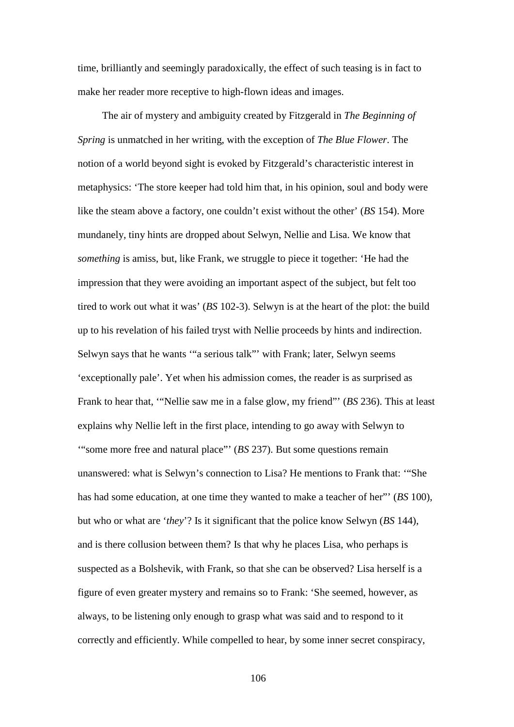time, brilliantly and seemingly paradoxically, the effect of such teasing is in fact to make her reader more receptive to high-flown ideas and images.

The air of mystery and ambiguity created by Fitzgerald in *The Beginning of Spring* is unmatched in her writing, with the exception of *The Blue Flower*. The notion of a world beyond sight is evoked by Fitzgerald's characteristic interest in metaphysics: 'The store keeper had told him that, in his opinion, soul and body were like the steam above a factory, one couldn't exist without the other' (*BS* 154). More mundanely, tiny hints are dropped about Selwyn, Nellie and Lisa. We know that *something* is amiss, but, like Frank, we struggle to piece it together: 'He had the impression that they were avoiding an important aspect of the subject, but felt too tired to work out what it was' (*BS* 102-3). Selwyn is at the heart of the plot: the build up to his revelation of his failed tryst with Nellie proceeds by hints and indirection. Selwyn says that he wants '"a serious talk"' with Frank; later, Selwyn seems 'exceptionally pale'. Yet when his admission comes, the reader is as surprised as Frank to hear that, '"Nellie saw me in a false glow, my friend"' (*BS* 236). This at least explains why Nellie left in the first place, intending to go away with Selwyn to '"some more free and natural place"' (*BS* 237). But some questions remain unanswered: what is Selwyn's connection to Lisa? He mentions to Frank that: '"She has had some education, at one time they wanted to make a teacher of her"' (*BS* 100), but who or what are '*they*'? Is it significant that the police know Selwyn (*BS* 144), and is there collusion between them? Is that why he places Lisa, who perhaps is suspected as a Bolshevik, with Frank, so that she can be observed? Lisa herself is a figure of even greater mystery and remains so to Frank: 'She seemed, however, as always, to be listening only enough to grasp what was said and to respond to it correctly and efficiently. While compelled to hear, by some inner secret conspiracy,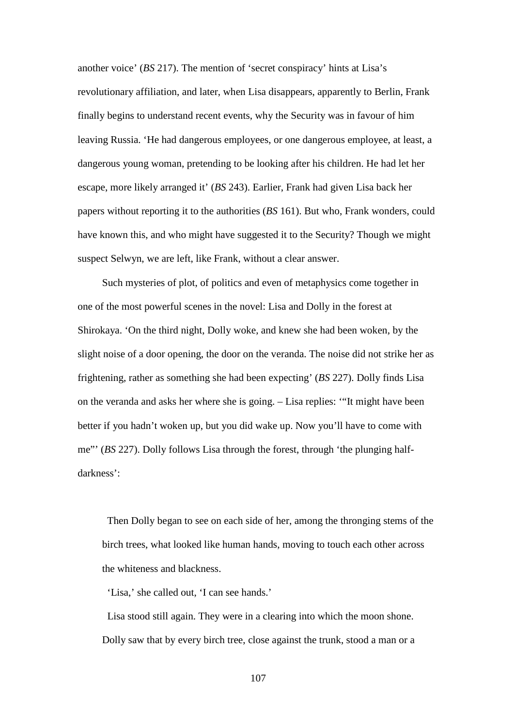another voice' (*BS* 217). The mention of 'secret conspiracy' hints at Lisa's revolutionary affiliation, and later, when Lisa disappears, apparently to Berlin, Frank finally begins to understand recent events, why the Security was in favour of him leaving Russia. 'He had dangerous employees, or one dangerous employee, at least, a dangerous young woman, pretending to be looking after his children. He had let her escape, more likely arranged it' (*BS* 243). Earlier, Frank had given Lisa back her papers without reporting it to the authorities (*BS* 161). But who, Frank wonders, could have known this, and who might have suggested it to the Security? Though we might suspect Selwyn, we are left, like Frank, without a clear answer.

Such mysteries of plot, of politics and even of metaphysics come together in one of the most powerful scenes in the novel: Lisa and Dolly in the forest at Shirokaya. 'On the third night, Dolly woke, and knew she had been woken, by the slight noise of a door opening, the door on the veranda. The noise did not strike her as frightening, rather as something she had been expecting' (*BS* 227). Dolly finds Lisa on the veranda and asks her where she is going. – Lisa replies: '"It might have been better if you hadn't woken up, but you did wake up. Now you'll have to come with me"' (*BS* 227). Dolly follows Lisa through the forest, through 'the plunging halfdarkness':

 Then Dolly began to see on each side of her, among the thronging stems of the birch trees, what looked like human hands, moving to touch each other across the whiteness and blackness.

'Lisa,' she called out, 'I can see hands.'

 Lisa stood still again. They were in a clearing into which the moon shone. Dolly saw that by every birch tree, close against the trunk, stood a man or a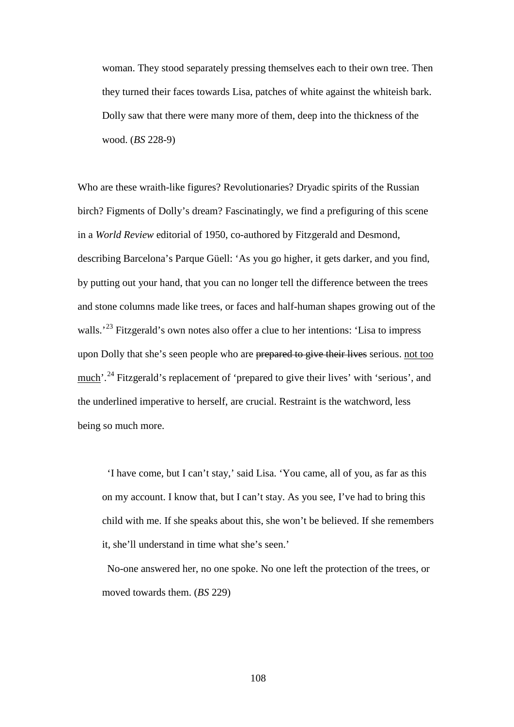woman. They stood separately pressing themselves each to their own tree. Then they turned their faces towards Lisa, patches of white against the whiteish bark. Dolly saw that there were many more of them, deep into the thickness of the wood. (*BS* 228-9)

Who are these wraith-like figures? Revolutionaries? Dryadic spirits of the Russian birch? Figments of Dolly's dream? Fascinatingly, we find a prefiguring of this scene in a *World Review* editorial of 1950, co-authored by Fitzgerald and Desmond, describing Barcelona's Parque Güell: 'As you go higher, it gets darker, and you find, by putting out your hand, that you can no longer tell the difference between the trees and stone columns made like trees, or faces and half-human shapes growing out of the walls.'<sup>[23](#page-191-7)</sup> Fitzgerald's own notes also offer a clue to her intentions: 'Lisa to impress upon Dolly that she's seen people who are prepared to give their lives serious, not too much'.<sup>[24](#page-191-8)</sup> Fitzgerald's replacement of 'prepared to give their lives' with 'serious', and the underlined imperative to herself, are crucial. Restraint is the watchword, less being so much more.

 'I have come, but I can't stay,' said Lisa. 'You came, all of you, as far as this on my account. I know that, but I can't stay. As you see, I've had to bring this child with me. If she speaks about this, she won't be believed. If she remembers it, she'll understand in time what she's seen.'

 No-one answered her, no one spoke. No one left the protection of the trees, or moved towards them. (*BS* 229)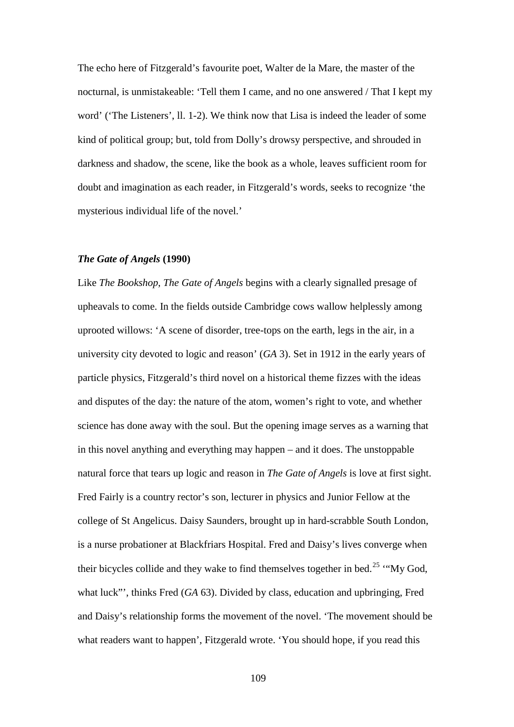The echo here of Fitzgerald's favourite poet, Walter de la Mare, the master of the nocturnal, is unmistakeable: 'Tell them I came, and no one answered / That I kept my word' ('The Listeners', ll. 1-2). We think now that Lisa is indeed the leader of some kind of political group; but, told from Dolly's drowsy perspective, and shrouded in darkness and shadow, the scene, like the book as a whole, leaves sufficient room for doubt and imagination as each reader, in Fitzgerald's words, seeks to recognize 'the mysterious individual life of the novel.'

## *The Gate of Angels* **(1990)**

Like *The Bookshop*, *The Gate of Angels* begins with a clearly signalled presage of upheavals to come. In the fields outside Cambridge cows wallow helplessly among uprooted willows: 'A scene of disorder, tree-tops on the earth, legs in the air, in a university city devoted to logic and reason' (*GA* 3). Set in 1912 in the early years of particle physics, Fitzgerald's third novel on a historical theme fizzes with the ideas and disputes of the day: the nature of the atom, women's right to vote, and whether science has done away with the soul. But the opening image serves as a warning that in this novel anything and everything may happen – and it does. The unstoppable natural force that tears up logic and reason in *The Gate of Angels* is love at first sight. Fred Fairly is a country rector's son, lecturer in physics and Junior Fellow at the college of St Angelicus. Daisy Saunders, brought up in hard-scrabble South London, is a nurse probationer at Blackfriars Hospital. Fred and Daisy's lives converge when their bicycles collide and they wake to find themselves together in bed.<sup>[25](#page-191-9)</sup> "My God, what luck"', thinks Fred (*GA* 63). Divided by class, education and upbringing, Fred and Daisy's relationship forms the movement of the novel. 'The movement should be what readers want to happen', Fitzgerald wrote. 'You should hope, if you read this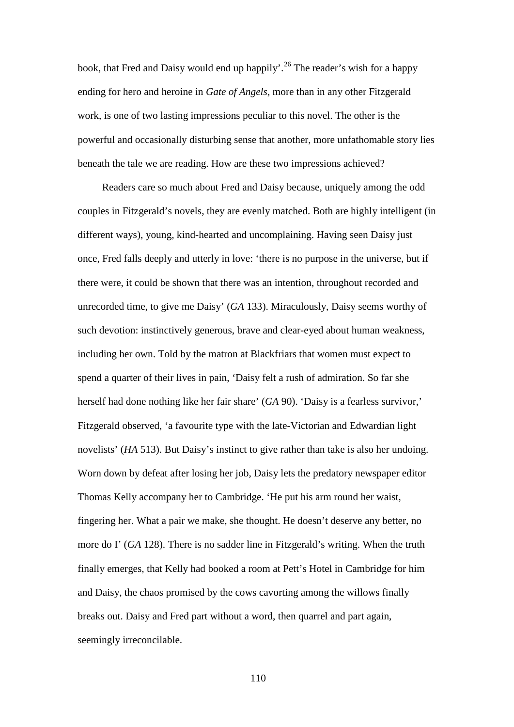book, that Fred and Daisy would end up happily'.<sup>[26](#page-191-10)</sup> The reader's wish for a happy ending for hero and heroine in *Gate of Angels*, more than in any other Fitzgerald work, is one of two lasting impressions peculiar to this novel. The other is the powerful and occasionally disturbing sense that another, more unfathomable story lies beneath the tale we are reading. How are these two impressions achieved?

Readers care so much about Fred and Daisy because, uniquely among the odd couples in Fitzgerald's novels, they are evenly matched. Both are highly intelligent (in different ways), young, kind-hearted and uncomplaining. Having seen Daisy just once, Fred falls deeply and utterly in love: 'there is no purpose in the universe, but if there were, it could be shown that there was an intention, throughout recorded and unrecorded time, to give me Daisy' (*GA* 133). Miraculously, Daisy seems worthy of such devotion: instinctively generous, brave and clear-eyed about human weakness, including her own. Told by the matron at Blackfriars that women must expect to spend a quarter of their lives in pain, 'Daisy felt a rush of admiration. So far she herself had done nothing like her fair share' (*GA* 90). 'Daisy is a fearless survivor,' Fitzgerald observed, 'a favourite type with the late-Victorian and Edwardian light novelists' (*HA* 513). But Daisy's instinct to give rather than take is also her undoing. Worn down by defeat after losing her job, Daisy lets the predatory newspaper editor Thomas Kelly accompany her to Cambridge. 'He put his arm round her waist, fingering her. What a pair we make, she thought. He doesn't deserve any better, no more do I' (*GA* 128). There is no sadder line in Fitzgerald's writing. When the truth finally emerges, that Kelly had booked a room at Pett's Hotel in Cambridge for him and Daisy, the chaos promised by the cows cavorting among the willows finally breaks out. Daisy and Fred part without a word, then quarrel and part again, seemingly irreconcilable.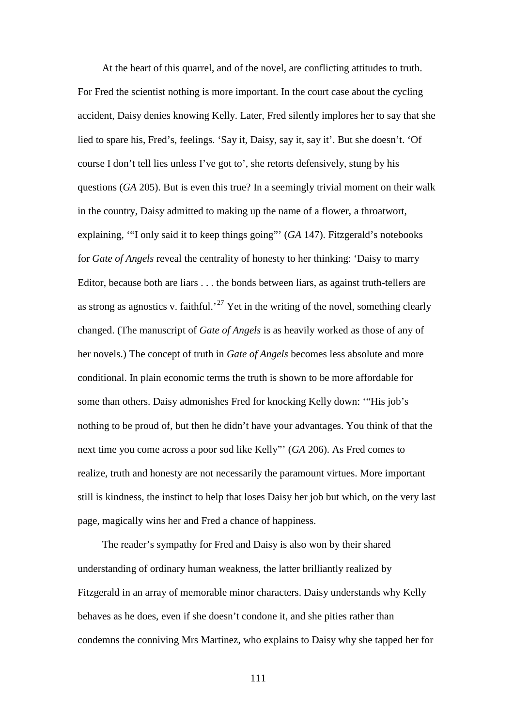At the heart of this quarrel, and of the novel, are conflicting attitudes to truth. For Fred the scientist nothing is more important. In the court case about the cycling accident, Daisy denies knowing Kelly. Later, Fred silently implores her to say that she lied to spare his, Fred's, feelings. 'Say it, Daisy, say it, say it'. But she doesn't. 'Of course I don't tell lies unless I've got to', she retorts defensively, stung by his questions (*GA* 205). But is even this true? In a seemingly trivial moment on their walk in the country, Daisy admitted to making up the name of a flower, a throatwort, explaining, '"I only said it to keep things going"' (*GA* 147). Fitzgerald's notebooks for *Gate of Angels* reveal the centrality of honesty to her thinking: 'Daisy to marry Editor, because both are liars . . . the bonds between liars, as against truth-tellers are as strong as agnostics v. faithful.<sup>[27](#page-191-11)</sup> Yet in the writing of the novel, something clearly changed. (The manuscript of *Gate of Angels* is as heavily worked as those of any of her novels.) The concept of truth in *Gate of Angels* becomes less absolute and more conditional. In plain economic terms the truth is shown to be more affordable for some than others. Daisy admonishes Fred for knocking Kelly down: '"His job's nothing to be proud of, but then he didn't have your advantages. You think of that the next time you come across a poor sod like Kelly"' (*GA* 206). As Fred comes to realize, truth and honesty are not necessarily the paramount virtues. More important still is kindness, the instinct to help that loses Daisy her job but which, on the very last page, magically wins her and Fred a chance of happiness.

The reader's sympathy for Fred and Daisy is also won by their shared understanding of ordinary human weakness, the latter brilliantly realized by Fitzgerald in an array of memorable minor characters. Daisy understands why Kelly behaves as he does, even if she doesn't condone it, and she pities rather than condemns the conniving Mrs Martinez, who explains to Daisy why she tapped her for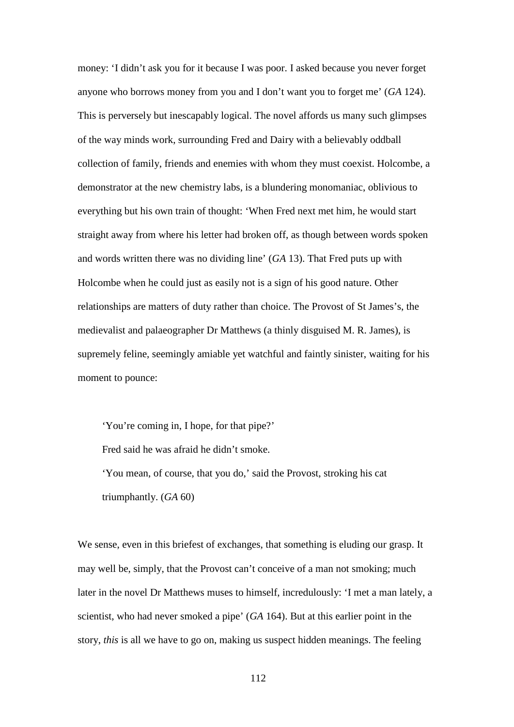money: 'I didn't ask you for it because I was poor. I asked because you never forget anyone who borrows money from you and I don't want you to forget me' (*GA* 124). This is perversely but inescapably logical. The novel affords us many such glimpses of the way minds work, surrounding Fred and Dairy with a believably oddball collection of family, friends and enemies with whom they must coexist. Holcombe, a demonstrator at the new chemistry labs, is a blundering monomaniac, oblivious to everything but his own train of thought: 'When Fred next met him, he would start straight away from where his letter had broken off, as though between words spoken and words written there was no dividing line' (*GA* 13). That Fred puts up with Holcombe when he could just as easily not is a sign of his good nature. Other relationships are matters of duty rather than choice. The Provost of St James's, the medievalist and palaeographer Dr Matthews (a thinly disguised M. R. James), is supremely feline, seemingly amiable yet watchful and faintly sinister, waiting for his moment to pounce:

'You're coming in, I hope, for that pipe?' Fred said he was afraid he didn't smoke. 'You mean, of course, that you do,' said the Provost, stroking his cat triumphantly. (*GA* 60)

We sense, even in this briefest of exchanges, that something is eluding our grasp. It may well be, simply, that the Provost can't conceive of a man not smoking; much later in the novel Dr Matthews muses to himself, incredulously: 'I met a man lately, a scientist, who had never smoked a pipe' (*GA* 164). But at this earlier point in the story, *this* is all we have to go on, making us suspect hidden meanings. The feeling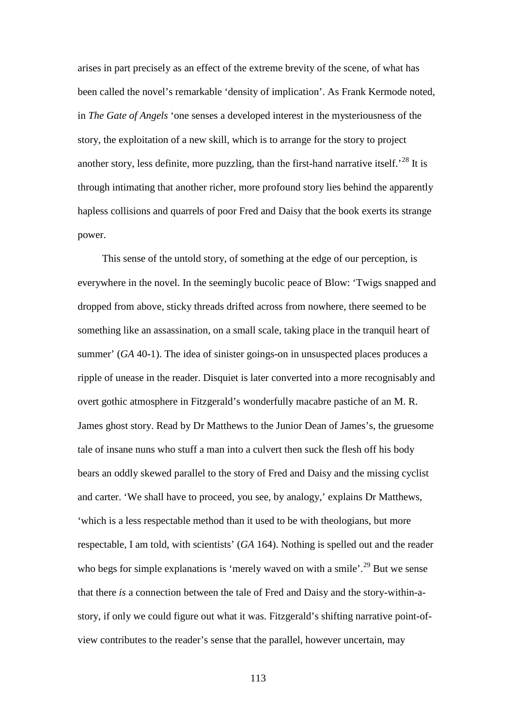arises in part precisely as an effect of the extreme brevity of the scene, of what has been called the novel's remarkable 'density of implication'. As Frank Kermode noted, in *The Gate of Angels* 'one senses a developed interest in the mysteriousness of the story, the exploitation of a new skill, which is to arrange for the story to project another story, less definite, more puzzling, than the first-hand narrative itself.<sup>[28](#page-191-12)</sup> It is through intimating that another richer, more profound story lies behind the apparently hapless collisions and quarrels of poor Fred and Daisy that the book exerts its strange power.

This sense of the untold story, of something at the edge of our perception, is everywhere in the novel. In the seemingly bucolic peace of Blow: 'Twigs snapped and dropped from above, sticky threads drifted across from nowhere, there seemed to be something like an assassination, on a small scale, taking place in the tranquil heart of summer' (*GA* 40-1). The idea of sinister goings-on in unsuspected places produces a ripple of unease in the reader. Disquiet is later converted into a more recognisably and overt gothic atmosphere in Fitzgerald's wonderfully macabre pastiche of an M. R. James ghost story. Read by Dr Matthews to the Junior Dean of James's, the gruesome tale of insane nuns who stuff a man into a culvert then suck the flesh off his body bears an oddly skewed parallel to the story of Fred and Daisy and the missing cyclist and carter. 'We shall have to proceed, you see, by analogy,' explains Dr Matthews, 'which is a less respectable method than it used to be with theologians, but more respectable, I am told, with scientists' (*GA* 164). Nothing is spelled out and the reader who begs for simple explanations is 'merely waved on with a smile'.<sup>[29](#page-191-13)</sup> But we sense that there *is* a connection between the tale of Fred and Daisy and the story-within-astory, if only we could figure out what it was. Fitzgerald's shifting narrative point-ofview contributes to the reader's sense that the parallel, however uncertain, may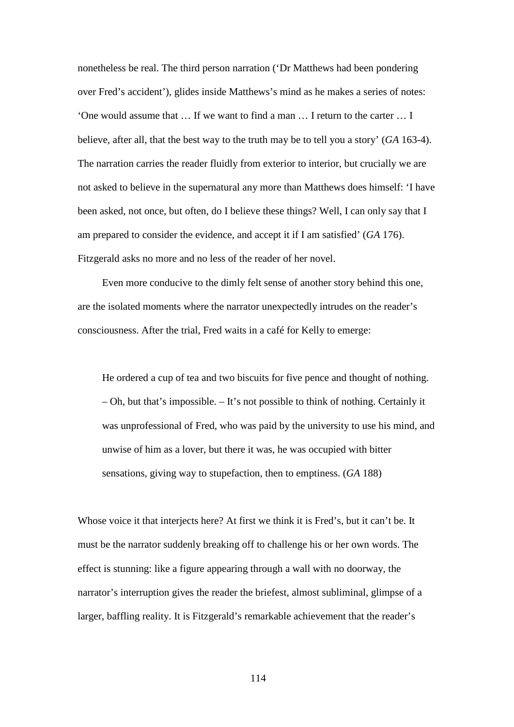nonetheless be real. The third person narration ('Dr Matthews had been pondering over Fred's accident'), glides inside Matthews's mind as he makes a series of notes: 'One would assume that … If we want to find a man … I return to the carter … I believe, after all, that the best way to the truth may be to tell you a story' (*GA* 163-4). The narration carries the reader fluidly from exterior to interior, but crucially we are not asked to believe in the supernatural any more than Matthews does himself: 'I have been asked, not once, but often, do I believe these things? Well, I can only say that I am prepared to consider the evidence, and accept it if I am satisfied' (*GA* 176). Fitzgerald asks no more and no less of the reader of her novel.

Even more conducive to the dimly felt sense of another story behind this one, are the isolated moments where the narrator unexpectedly intrudes on the reader's consciousness. After the trial, Fred waits in a café for Kelly to emerge:

He ordered a cup of tea and two biscuits for five pence and thought of nothing. – Oh, but that's impossible. – It's not possible to think of nothing. Certainly it was unprofessional of Fred, who was paid by the university to use his mind, and unwise of him as a lover, but there it was, he was occupied with bitter sensations, giving way to stupefaction, then to emptiness. (*GA* 188)

Whose voice it that interjects here? At first we think it is Fred's, but it can't be. It must be the narrator suddenly breaking off to challenge his or her own words. The effect is stunning: like a figure appearing through a wall with no doorway, the narrator's interruption gives the reader the briefest, almost subliminal, glimpse of a larger, baffling reality. It is Fitzgerald's remarkable achievement that the reader's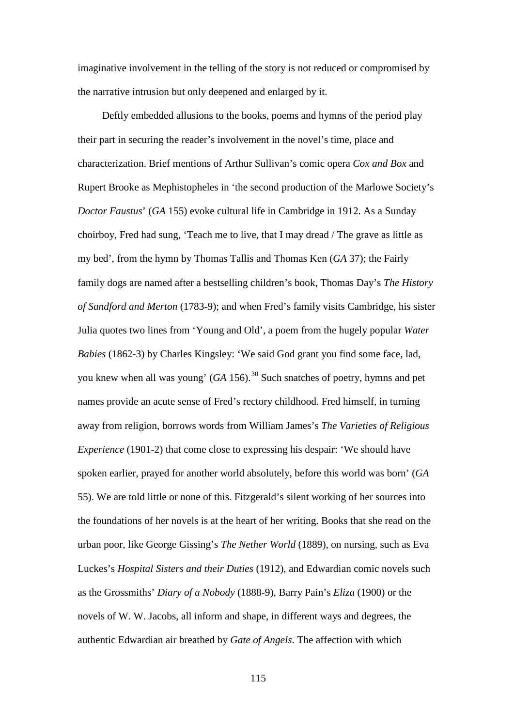imaginative involvement in the telling of the story is not reduced or compromised by the narrative intrusion but only deepened and enlarged by it.

Deftly embedded allusions to the books, poems and hymns of the period play their part in securing the reader's involvement in the novel's time, place and characterization. Brief mentions of Arthur Sullivan's comic opera *Cox and Box* and Rupert Brooke as Mephistopheles in 'the second production of the Marlowe Society's *Doctor Faustus*' (*GA* 155) evoke cultural life in Cambridge in 1912. As a Sunday choirboy, Fred had sung, 'Teach me to live, that I may dread / The grave as little as my bed', from the hymn by Thomas Tallis and Thomas Ken (*GA* 37); the Fairly family dogs are named after a bestselling children's book, Thomas Day's *The History of Sandford and Merton* (1783-9); and when Fred's family visits Cambridge, his sister Julia quotes two lines from 'Young and Old', a poem from the hugely popular *Water Babies* (1862-3) by Charles Kingsley: 'We said God grant you find some face, lad, you knew when all was young'  $(GA\ 156)$ .<sup>[30](#page-191-14)</sup> Such snatches of poetry, hymns and pet names provide an acute sense of Fred's rectory childhood. Fred himself, in turning away from religion, borrows words from William James's *The Varieties of Religious Experience* (1901-2) that come close to expressing his despair: 'We should have spoken earlier, prayed for another world absolutely, before this world was born' (*GA* 55). We are told little or none of this. Fitzgerald's silent working of her sources into the foundations of her novels is at the heart of her writing. Books that she read on the urban poor, like George Gissing's *The Nether World* (1889), on nursing, such as Eva Luckes's *Hospital Sisters and their Duties* (1912), and Edwardian comic novels such as the Grossmiths' *Diary of a Nobody* (1888-9), Barry Pain's *Eliza* (1900) or the novels of W. W. Jacobs, all inform and shape, in different ways and degrees, the authentic Edwardian air breathed by *Gate of Angels*. The affection with which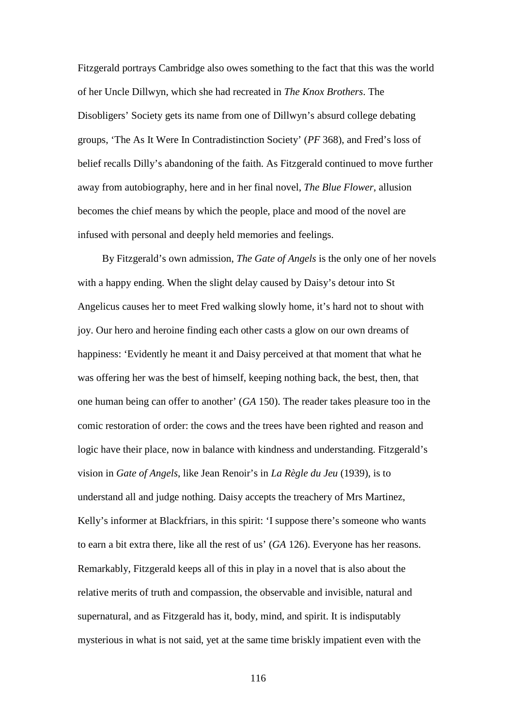Fitzgerald portrays Cambridge also owes something to the fact that this was the world of her Uncle Dillwyn, which she had recreated in *The Knox Brothers*. The Disobligers' Society gets its name from one of Dillwyn's absurd college debating groups, 'The As It Were In Contradistinction Society' (*PF* 368), and Fred's loss of belief recalls Dilly's abandoning of the faith. As Fitzgerald continued to move further away from autobiography, here and in her final novel, *The Blue Flower*, allusion becomes the chief means by which the people, place and mood of the novel are infused with personal and deeply held memories and feelings.

By Fitzgerald's own admission, *The Gate of Angels* is the only one of her novels with a happy ending. When the slight delay caused by Daisy's detour into St Angelicus causes her to meet Fred walking slowly home, it's hard not to shout with joy. Our hero and heroine finding each other casts a glow on our own dreams of happiness: 'Evidently he meant it and Daisy perceived at that moment that what he was offering her was the best of himself, keeping nothing back, the best, then, that one human being can offer to another' (*GA* 150). The reader takes pleasure too in the comic restoration of order: the cows and the trees have been righted and reason and logic have their place, now in balance with kindness and understanding. Fitzgerald's vision in *Gate of Angels*, like Jean Renoir's in *La Règle du Jeu* (1939), is to understand all and judge nothing. Daisy accepts the treachery of Mrs Martinez, Kelly's informer at Blackfriars, in this spirit: 'I suppose there's someone who wants to earn a bit extra there, like all the rest of us' (*GA* 126). Everyone has her reasons. Remarkably, Fitzgerald keeps all of this in play in a novel that is also about the relative merits of truth and compassion, the observable and invisible, natural and supernatural, and as Fitzgerald has it, body, mind, and spirit. It is indisputably mysterious in what is not said, yet at the same time briskly impatient even with the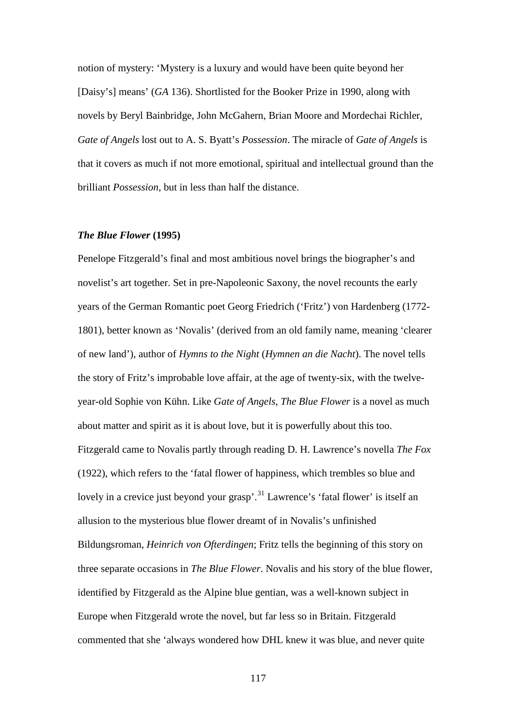notion of mystery: 'Mystery is a luxury and would have been quite beyond her [Daisy's] means' (*GA* 136). Shortlisted for the Booker Prize in 1990, along with novels by Beryl Bainbridge, John McGahern, Brian Moore and Mordechai Richler, *Gate of Angels* lost out to A. S. Byatt's *Possession*. The miracle of *Gate of Angels* is that it covers as much if not more emotional, spiritual and intellectual ground than the brilliant *Possession*, but in less than half the distance.

## *The Blue Flower* **(1995)**

Penelope Fitzgerald's final and most ambitious novel brings the biographer's and novelist's art together. Set in pre-Napoleonic Saxony, the novel recounts the early years of the German Romantic poet Georg Friedrich ('Fritz') von Hardenberg (1772- 1801), better known as 'Novalis' (derived from an old family name, meaning 'clearer of new land'), author of *Hymns to the Night* (*Hymnen an die Nacht*). The novel tells the story of Fritz's improbable love affair, at the age of twenty-six, with the twelveyear-old Sophie von Kühn. Like *Gate of Angels*, *The Blue Flower* is a novel as much about matter and spirit as it is about love, but it is powerfully about this too. Fitzgerald came to Novalis partly through reading D. H. Lawrence's novella *The Fox* (1922), which refers to the 'fatal flower of happiness, which trembles so blue and lovely in a crevice just beyond your grasp'.<sup>[31](#page-191-15)</sup> Lawrence's 'fatal flower' is itself an allusion to the mysterious blue flower dreamt of in Novalis's unfinished Bildungsroman, *Heinrich von Ofterdingen*; Fritz tells the beginning of this story on three separate occasions in *The Blue Flower*. Novalis and his story of the blue flower, identified by Fitzgerald as the Alpine blue gentian, was a well-known subject in Europe when Fitzgerald wrote the novel, but far less so in Britain. Fitzgerald commented that she 'always wondered how DHL knew it was blue, and never quite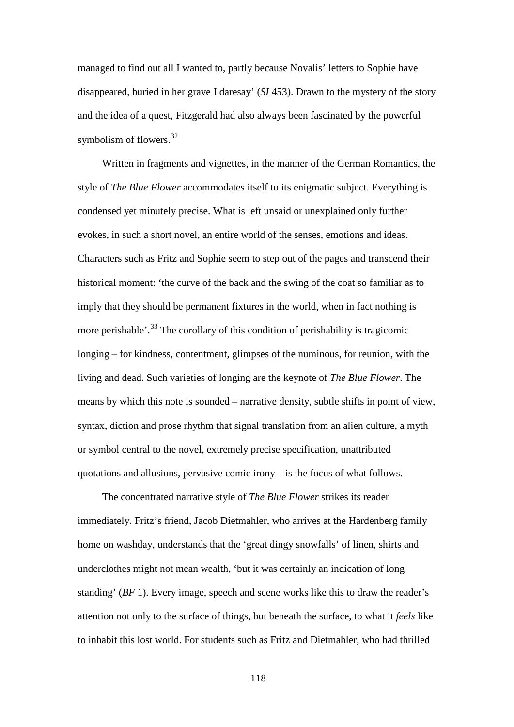managed to find out all I wanted to, partly because Novalis' letters to Sophie have disappeared, buried in her grave I daresay' (*SI* 453). Drawn to the mystery of the story and the idea of a quest, Fitzgerald had also always been fascinated by the powerful symbolism of flowers. $32$ 

Written in fragments and vignettes, in the manner of the German Romantics, the style of *The Blue Flower* accommodates itself to its enigmatic subject. Everything is condensed yet minutely precise. What is left unsaid or unexplained only further evokes, in such a short novel, an entire world of the senses, emotions and ideas. Characters such as Fritz and Sophie seem to step out of the pages and transcend their historical moment: 'the curve of the back and the swing of the coat so familiar as to imply that they should be permanent fixtures in the world, when in fact nothing is more perishable'.<sup>[33](#page-191-17)</sup> The corollary of this condition of perishability is tragicomic longing – for kindness, contentment, glimpses of the numinous, for reunion, with the living and dead. Such varieties of longing are the keynote of *The Blue Flower*. The means by which this note is sounded – narrative density, subtle shifts in point of view, syntax, diction and prose rhythm that signal translation from an alien culture, a myth or symbol central to the novel, extremely precise specification, unattributed quotations and allusions, pervasive comic irony – is the focus of what follows.

The concentrated narrative style of *The Blue Flower* strikes its reader immediately. Fritz's friend, Jacob Dietmahler, who arrives at the Hardenberg family home on washday, understands that the 'great dingy snowfalls' of linen, shirts and underclothes might not mean wealth, 'but it was certainly an indication of long standing' (*BF* 1). Every image, speech and scene works like this to draw the reader's attention not only to the surface of things, but beneath the surface, to what it *feels* like to inhabit this lost world. For students such as Fritz and Dietmahler, who had thrilled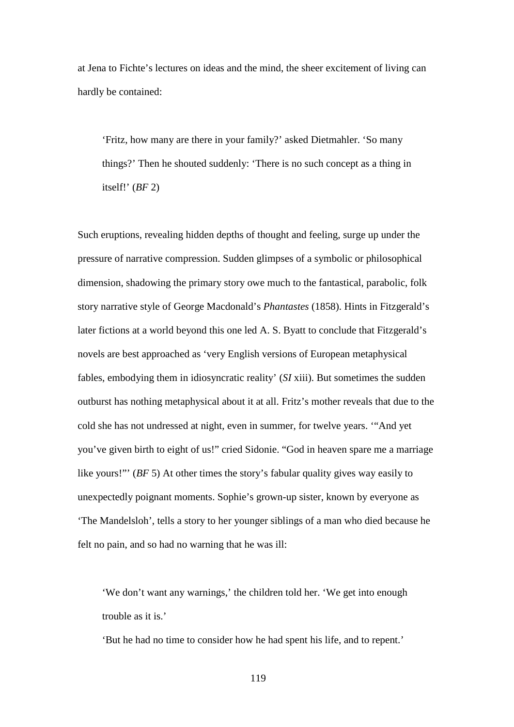at Jena to Fichte's lectures on ideas and the mind, the sheer excitement of living can hardly be contained:

'Fritz, how many are there in your family?' asked Dietmahler. 'So many things?' Then he shouted suddenly: 'There is no such concept as a thing in itself!' (*BF* 2)

Such eruptions, revealing hidden depths of thought and feeling, surge up under the pressure of narrative compression. Sudden glimpses of a symbolic or philosophical dimension, shadowing the primary story owe much to the fantastical, parabolic, folk story narrative style of George Macdonald's *Phantastes* (1858). Hints in Fitzgerald's later fictions at a world beyond this one led A. S. Byatt to conclude that Fitzgerald's novels are best approached as 'very English versions of European metaphysical fables, embodying them in idiosyncratic reality' (*SI* xiii). But sometimes the sudden outburst has nothing metaphysical about it at all. Fritz's mother reveals that due to the cold she has not undressed at night, even in summer, for twelve years. '"And yet you've given birth to eight of us!" cried Sidonie. "God in heaven spare me a marriage like yours!"' (*BF* 5) At other times the story's fabular quality gives way easily to unexpectedly poignant moments. Sophie's grown-up sister, known by everyone as 'The Mandelsloh', tells a story to her younger siblings of a man who died because he felt no pain, and so had no warning that he was ill:

'We don't want any warnings,' the children told her. 'We get into enough trouble as it is.'

'But he had no time to consider how he had spent his life, and to repent.'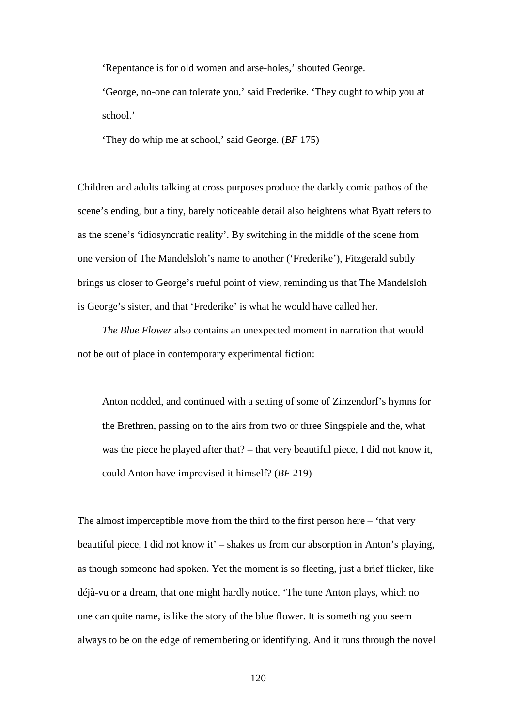'Repentance is for old women and arse-holes,' shouted George.

'George, no-one can tolerate you,' said Frederike. 'They ought to whip you at school.'

'They do whip me at school,' said George. (*BF* 175)

Children and adults talking at cross purposes produce the darkly comic pathos of the scene's ending, but a tiny, barely noticeable detail also heightens what Byatt refers to as the scene's 'idiosyncratic reality'. By switching in the middle of the scene from one version of The Mandelsloh's name to another ('Frederike'), Fitzgerald subtly brings us closer to George's rueful point of view, reminding us that The Mandelsloh is George's sister, and that 'Frederike' is what he would have called her.

*The Blue Flower* also contains an unexpected moment in narration that would not be out of place in contemporary experimental fiction:

Anton nodded, and continued with a setting of some of Zinzendorf's hymns for the Brethren, passing on to the airs from two or three Singspiele and the, what was the piece he played after that? – that very beautiful piece, I did not know it, could Anton have improvised it himself? (*BF* 219)

The almost imperceptible move from the third to the first person here  $-$  'that very beautiful piece, I did not know it' – shakes us from our absorption in Anton's playing, as though someone had spoken. Yet the moment is so fleeting, just a brief flicker, like déjà-vu or a dream, that one might hardly notice. 'The tune Anton plays, which no one can quite name, is like the story of the blue flower. It is something you seem always to be on the edge of remembering or identifying. And it runs through the novel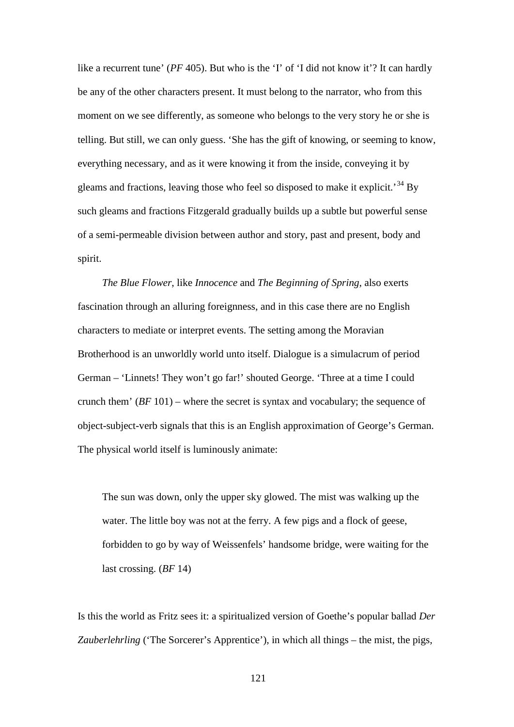like a recurrent tune' (*PF* 405). But who is the 'I' of 'I did not know it'? It can hardly be any of the other characters present. It must belong to the narrator, who from this moment on we see differently, as someone who belongs to the very story he or she is telling. But still, we can only guess. 'She has the gift of knowing, or seeming to know, everything necessary, and as it were knowing it from the inside, conveying it by gleams and fractions, leaving those who feel so disposed to make it explicit.<sup>[34](#page-191-1)</sup> By such gleams and fractions Fitzgerald gradually builds up a subtle but powerful sense of a semi-permeable division between author and story, past and present, body and spirit.

*The Blue Flower*, like *Innocence* and *The Beginning of Spring*, also exerts fascination through an alluring foreignness, and in this case there are no English characters to mediate or interpret events. The setting among the Moravian Brotherhood is an unworldly world unto itself. Dialogue is a simulacrum of period German – 'Linnets! They won't go far!' shouted George. 'Three at a time I could crunch them'  $(BF 101)$  – where the secret is syntax and vocabulary; the sequence of object-subject-verb signals that this is an English approximation of George's German. The physical world itself is luminously animate:

The sun was down, only the upper sky glowed. The mist was walking up the water. The little boy was not at the ferry. A few pigs and a flock of geese, forbidden to go by way of Weissenfels' handsome bridge, were waiting for the last crossing. (*BF* 14)

Is this the world as Fritz sees it: a spiritualized version of Goethe's popular ballad *Der Zauberlehrling* ('The Sorcerer's Apprentice'), in which all things – the mist, the pigs,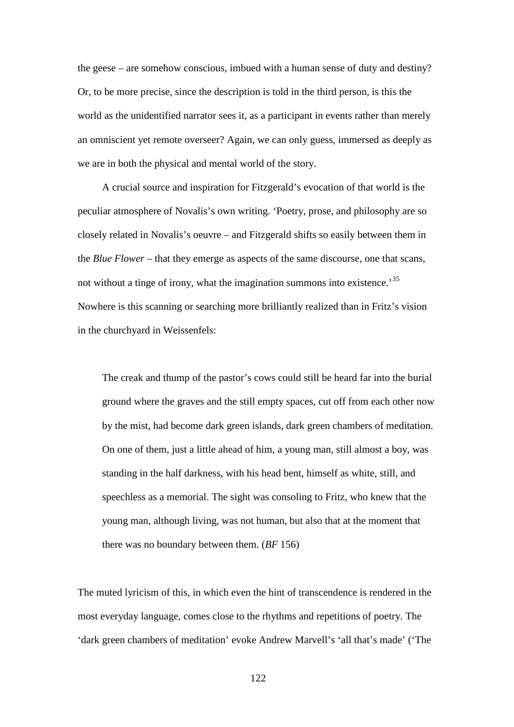the geese – are somehow conscious, imbued with a human sense of duty and destiny? Or, to be more precise, since the description is told in the third person, is this the world as the unidentified narrator sees it, as a participant in events rather than merely an omniscient yet remote overseer? Again, we can only guess, immersed as deeply as we are in both the physical and mental world of the story.

A crucial source and inspiration for Fitzgerald's evocation of that world is the peculiar atmosphere of Novalis's own writing. 'Poetry, prose, and philosophy are so closely related in Novalis's oeuvre – and Fitzgerald shifts so easily between them in the *Blue Flower* – that they emerge as aspects of the same discourse, one that scans, not without a tinge of irony, what the imagination summons into existence.<sup>[35](#page-191-2)</sup> Nowhere is this scanning or searching more brilliantly realized than in Fritz's vision in the churchyard in Weissenfels:

The creak and thump of the pastor's cows could still be heard far into the burial ground where the graves and the still empty spaces, cut off from each other now by the mist, had become dark green islands, dark green chambers of meditation. On one of them, just a little ahead of him, a young man, still almost a boy, was standing in the half darkness, with his head bent, himself as white, still, and speechless as a memorial. The sight was consoling to Fritz, who knew that the young man, although living, was not human, but also that at the moment that there was no boundary between them. (*BF* 156)

The muted lyricism of this, in which even the hint of transcendence is rendered in the most everyday language, comes close to the rhythms and repetitions of poetry. The 'dark green chambers of meditation' evoke Andrew Marvell's 'all that's made' ('The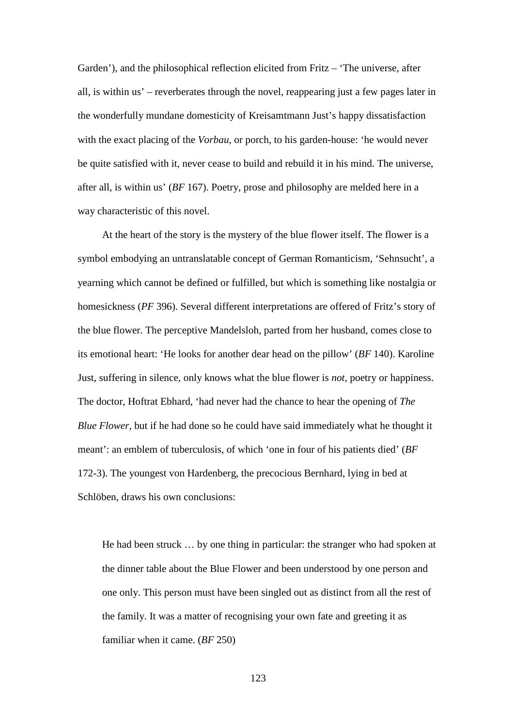Garden'), and the philosophical reflection elicited from Fritz – 'The universe, after all, is within us' – reverberates through the novel, reappearing just a few pages later in the wonderfully mundane domesticity of Kreisamtmann Just's happy dissatisfaction with the exact placing of the *Vorbau*, or porch, to his garden-house: 'he would never be quite satisfied with it, never cease to build and rebuild it in his mind. The universe, after all, is within us' (*BF* 167). Poetry, prose and philosophy are melded here in a way characteristic of this novel.

At the heart of the story is the mystery of the blue flower itself. The flower is a symbol embodying an untranslatable concept of German Romanticism, 'Sehnsucht', a yearning which cannot be defined or fulfilled, but which is something like nostalgia or homesickness (*PF* 396). Several different interpretations are offered of Fritz's story of the blue flower. The perceptive Mandelsloh, parted from her husband, comes close to its emotional heart: 'He looks for another dear head on the pillow' (*BF* 140). Karoline Just, suffering in silence, only knows what the blue flower is *not*, poetry or happiness. The doctor, Hoftrat Ebhard, 'had never had the chance to hear the opening of *The Blue Flower*, but if he had done so he could have said immediately what he thought it meant': an emblem of tuberculosis, of which 'one in four of his patients died' (*BF* 172-3). The youngest von Hardenberg, the precocious Bernhard, lying in bed at Schlöben, draws his own conclusions:

He had been struck … by one thing in particular: the stranger who had spoken at the dinner table about the Blue Flower and been understood by one person and one only. This person must have been singled out as distinct from all the rest of the family. It was a matter of recognising your own fate and greeting it as familiar when it came. (*BF* 250)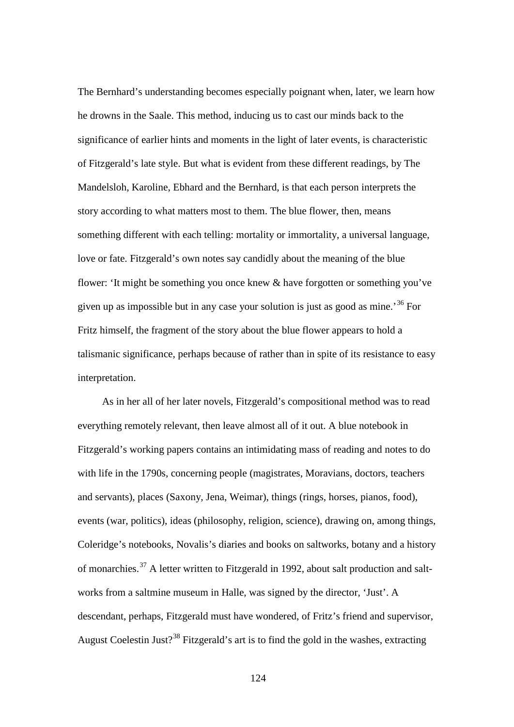The Bernhard's understanding becomes especially poignant when, later, we learn how he drowns in the Saale. This method, inducing us to cast our minds back to the significance of earlier hints and moments in the light of later events, is characteristic of Fitzgerald's late style. But what is evident from these different readings, by The Mandelsloh, Karoline, Ebhard and the Bernhard, is that each person interprets the story according to what matters most to them. The blue flower, then, means something different with each telling: mortality or immortality, a universal language, love or fate. Fitzgerald's own notes say candidly about the meaning of the blue flower: 'It might be something you once knew & have forgotten or something you've given up as impossible but in any case your solution is just as good as mine.<sup>[36](#page-191-4)</sup> For Fritz himself, the fragment of the story about the blue flower appears to hold a talismanic significance, perhaps because of rather than in spite of its resistance to easy interpretation.

As in her all of her later novels, Fitzgerald's compositional method was to read everything remotely relevant, then leave almost all of it out. A blue notebook in Fitzgerald's working papers contains an intimidating mass of reading and notes to do with life in the 1790s, concerning people (magistrates, Moravians, doctors, teachers and servants), places (Saxony, Jena, Weimar), things (rings, horses, pianos, food), events (war, politics), ideas (philosophy, religion, science), drawing on, among things, Coleridge's notebooks, Novalis's diaries and books on saltworks, botany and a history of monarchies.<sup>[37](#page-191-5)</sup> A letter written to Fitzgerald in 1992, about salt production and saltworks from a saltmine museum in Halle, was signed by the director, 'Just'. A descendant, perhaps, Fitzgerald must have wondered, of Fritz's friend and supervisor, August Coelestin Just?<sup>[38](#page-191-6)</sup> Fitzgerald's art is to find the gold in the washes, extracting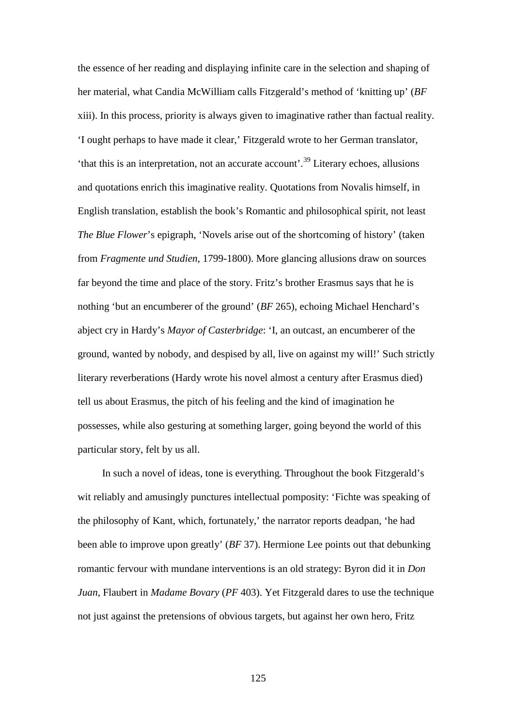the essence of her reading and displaying infinite care in the selection and shaping of her material, what Candia McWilliam calls Fitzgerald's method of 'knitting up' (*BF* xiii). In this process, priority is always given to imaginative rather than factual reality. 'I ought perhaps to have made it clear,' Fitzgerald wrote to her German translator, 'that this is an interpretation, not an accurate account'.[39](#page-191-18) Literary echoes, allusions and quotations enrich this imaginative reality. Quotations from Novalis himself, in English translation, establish the book's Romantic and philosophical spirit, not least *The Blue Flower*'s epigraph, 'Novels arise out of the shortcoming of history' (taken from *Fragmente und Studien*, 1799-1800). More glancing allusions draw on sources far beyond the time and place of the story. Fritz's brother Erasmus says that he is nothing 'but an encumberer of the ground' (*BF* 265), echoing Michael Henchard's abject cry in Hardy's *Mayor of Casterbridge*: 'I, an outcast, an encumberer of the ground, wanted by nobody, and despised by all, live on against my will!' Such strictly literary reverberations (Hardy wrote his novel almost a century after Erasmus died) tell us about Erasmus, the pitch of his feeling and the kind of imagination he possesses, while also gesturing at something larger, going beyond the world of this particular story, felt by us all.

In such a novel of ideas, tone is everything. Throughout the book Fitzgerald's wit reliably and amusingly punctures intellectual pomposity: 'Fichte was speaking of the philosophy of Kant, which, fortunately,' the narrator reports deadpan, 'he had been able to improve upon greatly' (*BF* 37). Hermione Lee points out that debunking romantic fervour with mundane interventions is an old strategy: Byron did it in *Don Juan*, Flaubert in *Madame Bovary* (*PF* 403). Yet Fitzgerald dares to use the technique not just against the pretensions of obvious targets, but against her own hero, Fritz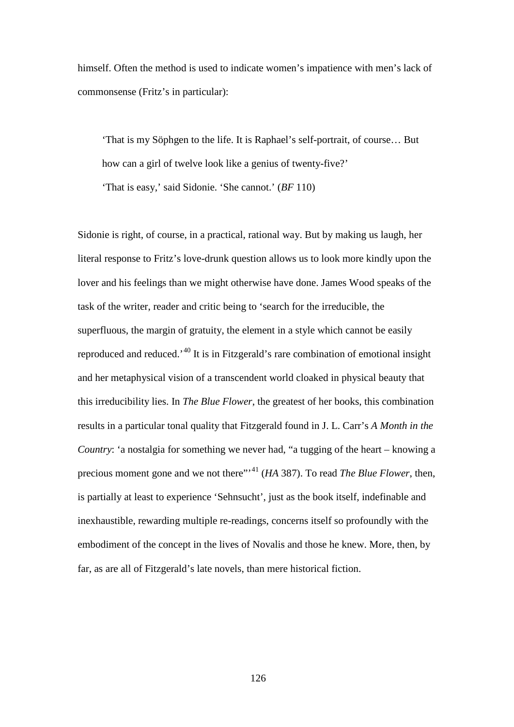himself. Often the method is used to indicate women's impatience with men's lack of commonsense (Fritz's in particular):

'That is my Söphgen to the life. It is Raphael's self-portrait, of course… But how can a girl of twelve look like a genius of twenty-five?' 'That is easy,' said Sidonie. 'She cannot.' (*BF* 110)

Sidonie is right, of course, in a practical, rational way. But by making us laugh, her literal response to Fritz's love-drunk question allows us to look more kindly upon the lover and his feelings than we might otherwise have done. James Wood speaks of the task of the writer, reader and critic being to 'search for the irreducible, the superfluous, the margin of gratuity, the element in a style which cannot be easily reproduced and reduced.'[40](#page-191-7) It is in Fitzgerald's rare combination of emotional insight and her metaphysical vision of a transcendent world cloaked in physical beauty that this irreducibility lies. In *The Blue Flower*, the greatest of her books, this combination results in a particular tonal quality that Fitzgerald found in J. L. Carr's *A Month in the Country*: 'a nostalgia for something we never had, "a tugging of the heart – knowing a precious moment gone and we not there"'[41](#page-191-8) (*HA* 387). To read *The Blue Flower*, then, is partially at least to experience 'Sehnsucht', just as the book itself, indefinable and inexhaustible, rewarding multiple re-readings, concerns itself so profoundly with the embodiment of the concept in the lives of Novalis and those he knew. More, then, by far, as are all of Fitzgerald's late novels, than mere historical fiction.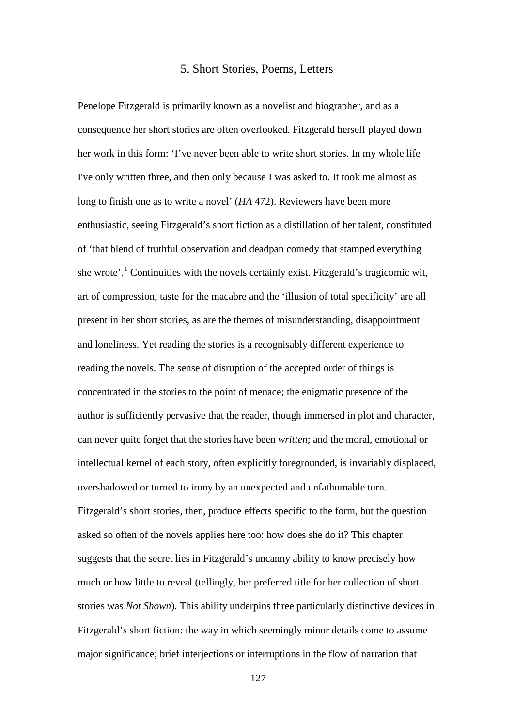## 5. Short Stories, Poems, Letters

Penelope Fitzgerald is primarily known as a novelist and biographer, and as a consequence her short stories are often overlooked. Fitzgerald herself played down her work in this form: 'I've never been able to write short stories. In my whole life I've only written three, and then only because I was asked to. It took me almost as long to finish one as to write a novel' (*HA* 472). Reviewers have been more enthusiastic, seeing Fitzgerald's short fiction as a distillation of her talent, constituted of 'that blend of truthful observation and deadpan comedy that stamped everything she wrote'.<sup>[1](#page-191-11)</sup> Continuities with the novels certainly exist. Fitzgerald's tragicomic wit, art of compression, taste for the macabre and the 'illusion of total specificity' are all present in her short stories, as are the themes of misunderstanding, disappointment and loneliness. Yet reading the stories is a recognisably different experience to reading the novels. The sense of disruption of the accepted order of things is concentrated in the stories to the point of menace; the enigmatic presence of the author is sufficiently pervasive that the reader, though immersed in plot and character, can never quite forget that the stories have been *written*; and the moral, emotional or intellectual kernel of each story, often explicitly foregrounded, is invariably displaced, overshadowed or turned to irony by an unexpected and unfathomable turn. Fitzgerald's short stories, then, produce effects specific to the form, but the question asked so often of the novels applies here too: how does she do it? This chapter suggests that the secret lies in Fitzgerald's uncanny ability to know precisely how much or how little to reveal (tellingly, her preferred title for her collection of short stories was *Not Shown*). This ability underpins three particularly distinctive devices in Fitzgerald's short fiction: the way in which seemingly minor details come to assume major significance; brief interjections or interruptions in the flow of narration that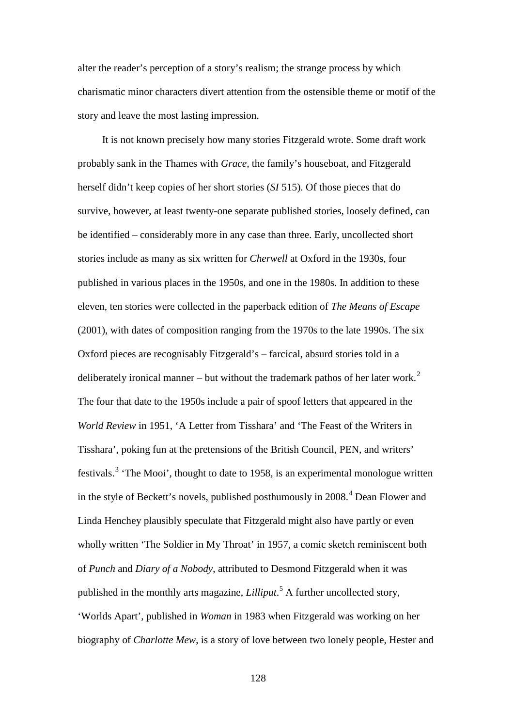alter the reader's perception of a story's realism; the strange process by which charismatic minor characters divert attention from the ostensible theme or motif of the story and leave the most lasting impression.

It is not known precisely how many stories Fitzgerald wrote. Some draft work probably sank in the Thames with *Grace*, the family's houseboat, and Fitzgerald herself didn't keep copies of her short stories (*SI* 515). Of those pieces that do survive, however, at least twenty-one separate published stories, loosely defined, can be identified – considerably more in any case than three. Early, uncollected short stories include as many as six written for *Cherwell* at Oxford in the 1930s, four published in various places in the 1950s, and one in the 1980s. In addition to these eleven, ten stories were collected in the paperback edition of *The Means of Escape* (2001), with dates of composition ranging from the 1970s to the late 1990s. The six Oxford pieces are recognisably Fitzgerald's – farcical, absurd stories told in a deliberately ironical manner – but without the trademark pathos of her later work.<sup>[2](#page-191-13)</sup> The four that date to the 1950s include a pair of spoof letters that appeared in the *World Review* in 1951, 'A Letter from Tisshara' and 'The Feast of the Writers in Tisshara', poking fun at the pretensions of the British Council, PEN, and writers' festivals.<sup>[3](#page-191-16)</sup> 'The Mooi', thought to date to 1958, is an experimental monologue written in the style of Beckett's novels, published posthumously in  $2008<sup>4</sup>$  $2008<sup>4</sup>$  $2008<sup>4</sup>$  Dean Flower and Linda Henchey plausibly speculate that Fitzgerald might also have partly or even wholly written 'The Soldier in My Throat' in 1957, a comic sketch reminiscent both of *Punch* and *Diary of a Nobody*, attributed to Desmond Fitzgerald when it was published in the monthly arts magazine, *Lilliput*. [5](#page-191-3) A further uncollected story, 'Worlds Apart', published in *Woman* in 1983 when Fitzgerald was working on her biography of *Charlotte Mew*, is a story of love between two lonely people, Hester and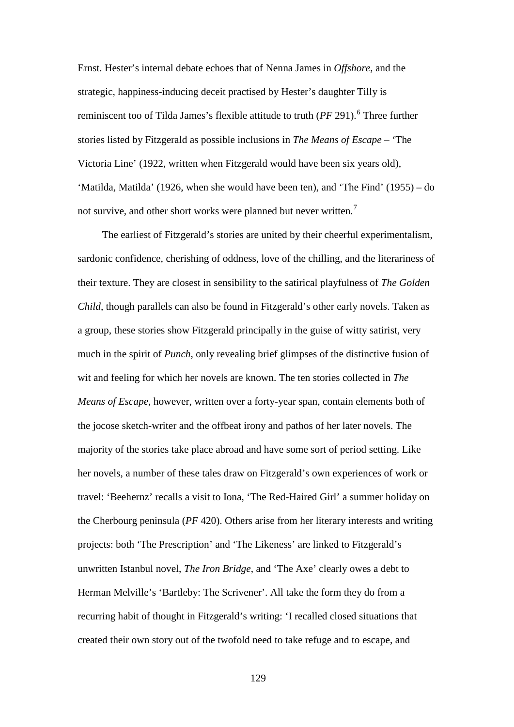Ernst. Hester's internal debate echoes that of Nenna James in *Offshore*, and the strategic, happiness-inducing deceit practised by Hester's daughter Tilly is reminiscent too of Tilda James's flexible attitude to truth  $(PF 291)$ <sup>[6](#page-191-6)</sup>. Three further stories listed by Fitzgerald as possible inclusions in *The Means of Escape* – 'The Victoria Line' (1922, written when Fitzgerald would have been six years old), 'Matilda, Matilda' (1926, when she would have been ten), and 'The Find' (1955) – do not survive, and other short works were planned but never written.<sup>[7](#page-191-18)</sup>

The earliest of Fitzgerald's stories are united by their cheerful experimentalism, sardonic confidence, cherishing of oddness, love of the chilling, and the literariness of their texture. They are closest in sensibility to the satirical playfulness of *The Golden Child*, though parallels can also be found in Fitzgerald's other early novels. Taken as a group, these stories show Fitzgerald principally in the guise of witty satirist, very much in the spirit of *Punch*, only revealing brief glimpses of the distinctive fusion of wit and feeling for which her novels are known. The ten stories collected in *The Means of Escape*, however, written over a forty-year span, contain elements both of the jocose sketch-writer and the offbeat irony and pathos of her later novels. The majority of the stories take place abroad and have some sort of period setting. Like her novels, a number of these tales draw on Fitzgerald's own experiences of work or travel: 'Beehernz' recalls a visit to Iona, 'The Red-Haired Girl' a summer holiday on the Cherbourg peninsula (*PF* 420). Others arise from her literary interests and writing projects: both 'The Prescription' and 'The Likeness' are linked to Fitzgerald's unwritten Istanbul novel, *The Iron Bridge*, and 'The Axe' clearly owes a debt to Herman Melville's 'Bartleby: The Scrivener'. All take the form they do from a recurring habit of thought in Fitzgerald's writing: 'I recalled closed situations that created their own story out of the twofold need to take refuge and to escape, and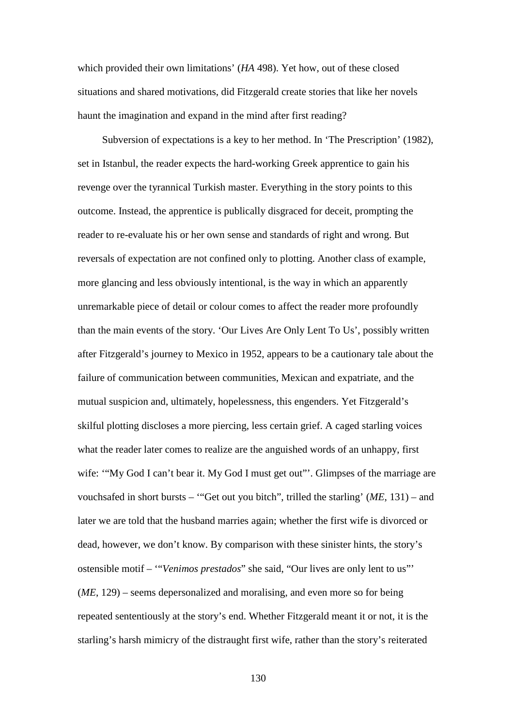which provided their own limitations' (*HA* 498). Yet how, out of these closed situations and shared motivations, did Fitzgerald create stories that like her novels haunt the imagination and expand in the mind after first reading?

Subversion of expectations is a key to her method. In 'The Prescription' (1982), set in Istanbul, the reader expects the hard-working Greek apprentice to gain his revenge over the tyrannical Turkish master. Everything in the story points to this outcome. Instead, the apprentice is publically disgraced for deceit, prompting the reader to re-evaluate his or her own sense and standards of right and wrong. But reversals of expectation are not confined only to plotting. Another class of example, more glancing and less obviously intentional, is the way in which an apparently unremarkable piece of detail or colour comes to affect the reader more profoundly than the main events of the story. 'Our Lives Are Only Lent To Us', possibly written after Fitzgerald's journey to Mexico in 1952, appears to be a cautionary tale about the failure of communication between communities, Mexican and expatriate, and the mutual suspicion and, ultimately, hopelessness, this engenders. Yet Fitzgerald's skilful plotting discloses a more piercing, less certain grief. A caged starling voices what the reader later comes to realize are the anguished words of an unhappy, first wife: "My God I can't bear it. My God I must get out"'. Glimpses of the marriage are vouchsafed in short bursts – '"Get out you bitch", trilled the starling' (*ME*, 131) – and later we are told that the husband marries again; whether the first wife is divorced or dead, however, we don't know. By comparison with these sinister hints, the story's ostensible motif – '"*Venimos prestados*" she said, "Our lives are only lent to us"' (*ME*, 129) – seems depersonalized and moralising, and even more so for being repeated sententiously at the story's end. Whether Fitzgerald meant it or not, it is the starling's harsh mimicry of the distraught first wife, rather than the story's reiterated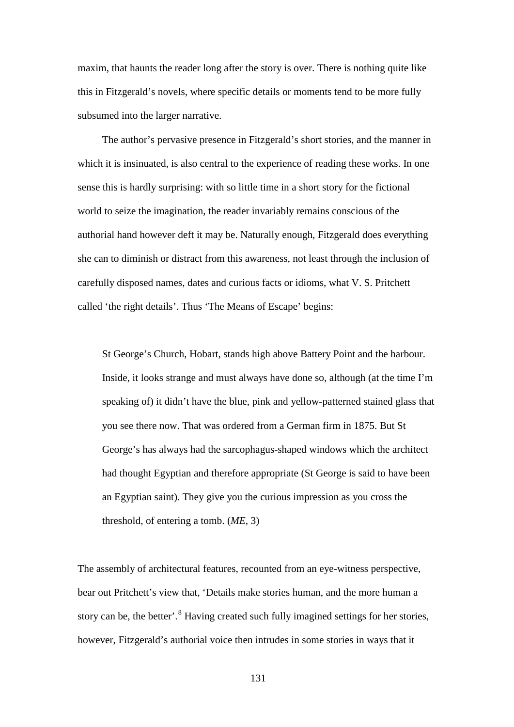maxim, that haunts the reader long after the story is over. There is nothing quite like this in Fitzgerald's novels, where specific details or moments tend to be more fully subsumed into the larger narrative.

The author's pervasive presence in Fitzgerald's short stories, and the manner in which it is insinuated, is also central to the experience of reading these works. In one sense this is hardly surprising: with so little time in a short story for the fictional world to seize the imagination, the reader invariably remains conscious of the authorial hand however deft it may be. Naturally enough, Fitzgerald does everything she can to diminish or distract from this awareness, not least through the inclusion of carefully disposed names, dates and curious facts or idioms, what V. S. Pritchett called 'the right details'. Thus 'The Means of Escape' begins:

St George's Church, Hobart, stands high above Battery Point and the harbour. Inside, it looks strange and must always have done so, although (at the time I'm speaking of) it didn't have the blue, pink and yellow-patterned stained glass that you see there now. That was ordered from a German firm in 1875. But St George's has always had the sarcophagus-shaped windows which the architect had thought Egyptian and therefore appropriate (St George is said to have been an Egyptian saint). They give you the curious impression as you cross the threshold, of entering a tomb. (*ME*, 3)

The assembly of architectural features, recounted from an eye-witness perspective, bear out Pritchett's view that, 'Details make stories human, and the more human a story can be, the better'.<sup>[8](#page-191-7)</sup> Having created such fully imagined settings for her stories, however, Fitzgerald's authorial voice then intrudes in some stories in ways that it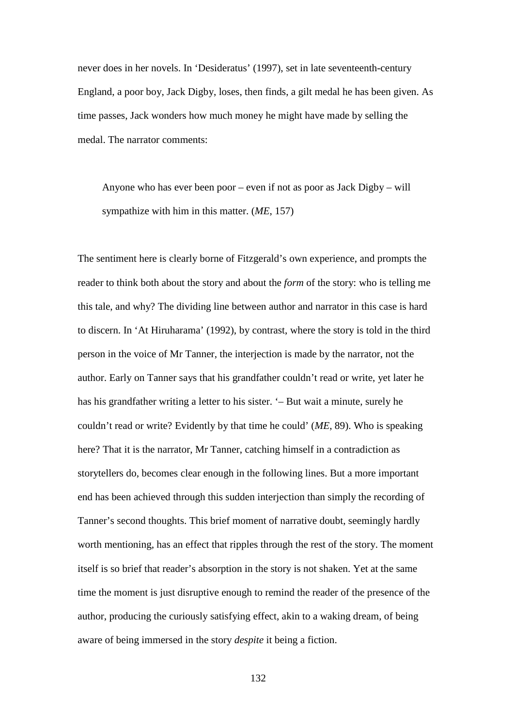never does in her novels. In 'Desideratus' (1997), set in late seventeenth-century England, a poor boy, Jack Digby, loses, then finds, a gilt medal he has been given. As time passes, Jack wonders how much money he might have made by selling the medal. The narrator comments:

Anyone who has ever been poor – even if not as poor as Jack Digby – will sympathize with him in this matter. (*ME*, 157)

The sentiment here is clearly borne of Fitzgerald's own experience, and prompts the reader to think both about the story and about the *form* of the story: who is telling me this tale, and why? The dividing line between author and narrator in this case is hard to discern. In 'At Hiruharama' (1992), by contrast, where the story is told in the third person in the voice of Mr Tanner, the interjection is made by the narrator, not the author. Early on Tanner says that his grandfather couldn't read or write, yet later he has his grandfather writing a letter to his sister. '– But wait a minute, surely he couldn't read or write? Evidently by that time he could' (*ME*, 89). Who is speaking here? That it is the narrator, Mr Tanner, catching himself in a contradiction as storytellers do, becomes clear enough in the following lines. But a more important end has been achieved through this sudden interjection than simply the recording of Tanner's second thoughts. This brief moment of narrative doubt, seemingly hardly worth mentioning, has an effect that ripples through the rest of the story. The moment itself is so brief that reader's absorption in the story is not shaken. Yet at the same time the moment is just disruptive enough to remind the reader of the presence of the author, producing the curiously satisfying effect, akin to a waking dream, of being aware of being immersed in the story *despite* it being a fiction.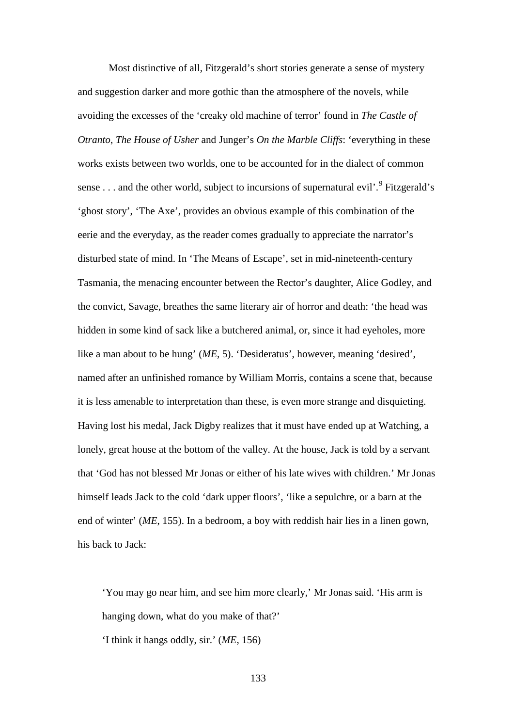Most distinctive of all, Fitzgerald's short stories generate a sense of mystery and suggestion darker and more gothic than the atmosphere of the novels, while avoiding the excesses of the 'creaky old machine of terror' found in *The Castle of Otranto*, *The House of Usher* and Junger's *On the Marble Cliffs*: 'everything in these works exists between two worlds, one to be accounted for in the dialect of common sense . . . and the other world, subject to incursions of supernatural evil'.  $9$  Fitzgerald's 'ghost story', 'The Axe', provides an obvious example of this combination of the eerie and the everyday, as the reader comes gradually to appreciate the narrator's disturbed state of mind. In 'The Means of Escape', set in mid-nineteenth-century Tasmania, the menacing encounter between the Rector's daughter, Alice Godley, and the convict, Savage, breathes the same literary air of horror and death: 'the head was hidden in some kind of sack like a butchered animal, or, since it had eyeholes, more like a man about to be hung' (*ME*, 5). 'Desideratus', however, meaning 'desired', named after an unfinished romance by William Morris, contains a scene that, because it is less amenable to interpretation than these, is even more strange and disquieting. Having lost his medal, Jack Digby realizes that it must have ended up at Watching, a lonely, great house at the bottom of the valley. At the house, Jack is told by a servant that 'God has not blessed Mr Jonas or either of his late wives with children.' Mr Jonas himself leads Jack to the cold 'dark upper floors', 'like a sepulchre, or a barn at the end of winter' (*ME*, 155). In a bedroom, a boy with reddish hair lies in a linen gown, his back to Jack:

'You may go near him, and see him more clearly,' Mr Jonas said. 'His arm is hanging down, what do you make of that?'

'I think it hangs oddly, sir.' (*ME*, 156)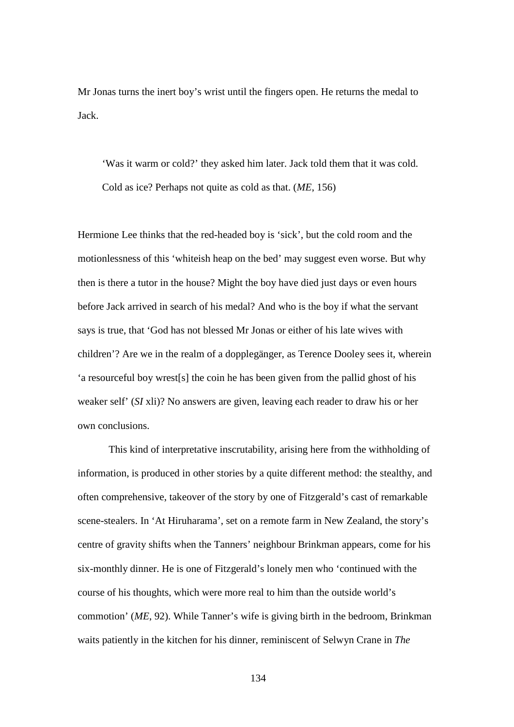Mr Jonas turns the inert boy's wrist until the fingers open. He returns the medal to Jack.

'Was it warm or cold?' they asked him later. Jack told them that it was cold. Cold as ice? Perhaps not quite as cold as that. (*ME*, 156)

Hermione Lee thinks that the red-headed boy is 'sick', but the cold room and the motionlessness of this 'whiteish heap on the bed' may suggest even worse. But why then is there a tutor in the house? Might the boy have died just days or even hours before Jack arrived in search of his medal? And who is the boy if what the servant says is true, that 'God has not blessed Mr Jonas or either of his late wives with children'? Are we in the realm of a dopplegänger, as Terence Dooley sees it, wherein 'a resourceful boy wrest[s] the coin he has been given from the pallid ghost of his weaker self' (*SI* xli)? No answers are given, leaving each reader to draw his or her own conclusions.

This kind of interpretative inscrutability, arising here from the withholding of information, is produced in other stories by a quite different method: the stealthy, and often comprehensive, takeover of the story by one of Fitzgerald's cast of remarkable scene-stealers. In 'At Hiruharama', set on a remote farm in New Zealand, the story's centre of gravity shifts when the Tanners' neighbour Brinkman appears, come for his six-monthly dinner. He is one of Fitzgerald's lonely men who 'continued with the course of his thoughts, which were more real to him than the outside world's commotion' (*ME*, 92). While Tanner's wife is giving birth in the bedroom, Brinkman waits patiently in the kitchen for his dinner, reminiscent of Selwyn Crane in *The*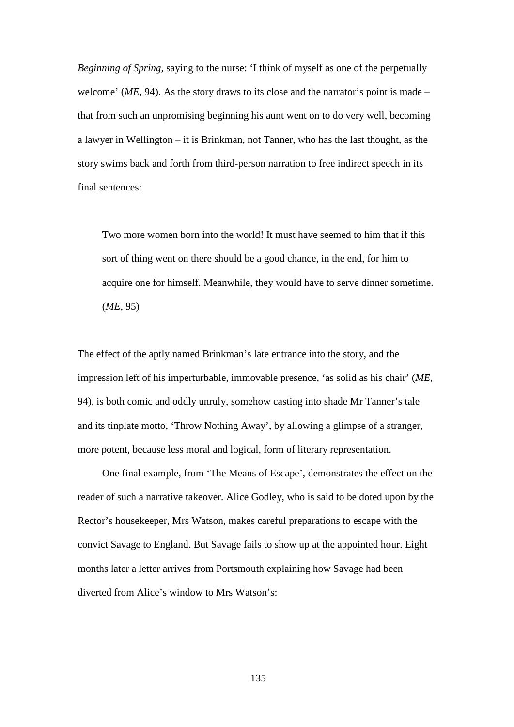*Beginning of Spring*, saying to the nurse: 'I think of myself as one of the perpetually welcome' (*ME*, 94). As the story draws to its close and the narrator's point is made – that from such an unpromising beginning his aunt went on to do very well, becoming a lawyer in Wellington – it is Brinkman, not Tanner, who has the last thought, as the story swims back and forth from third-person narration to free indirect speech in its final sentences:

Two more women born into the world! It must have seemed to him that if this sort of thing went on there should be a good chance, in the end, for him to acquire one for himself. Meanwhile, they would have to serve dinner sometime. (*ME*, 95)

The effect of the aptly named Brinkman's late entrance into the story, and the impression left of his imperturbable, immovable presence, 'as solid as his chair' (*ME*, 94), is both comic and oddly unruly, somehow casting into shade Mr Tanner's tale and its tinplate motto, 'Throw Nothing Away', by allowing a glimpse of a stranger, more potent, because less moral and logical, form of literary representation.

One final example, from 'The Means of Escape', demonstrates the effect on the reader of such a narrative takeover. Alice Godley, who is said to be doted upon by the Rector's housekeeper, Mrs Watson, makes careful preparations to escape with the convict Savage to England. But Savage fails to show up at the appointed hour. Eight months later a letter arrives from Portsmouth explaining how Savage had been diverted from Alice's window to Mrs Watson's: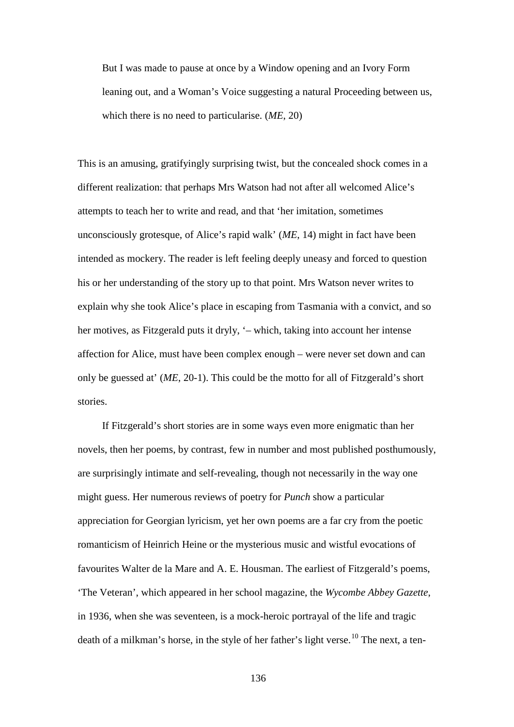But I was made to pause at once by a Window opening and an Ivory Form leaning out, and a Woman's Voice suggesting a natural Proceeding between us, which there is no need to particularise. (*ME*, 20)

This is an amusing, gratifyingly surprising twist, but the concealed shock comes in a different realization: that perhaps Mrs Watson had not after all welcomed Alice's attempts to teach her to write and read, and that 'her imitation, sometimes unconsciously grotesque, of Alice's rapid walk' (*ME*, 14) might in fact have been intended as mockery. The reader is left feeling deeply uneasy and forced to question his or her understanding of the story up to that point. Mrs Watson never writes to explain why she took Alice's place in escaping from Tasmania with a convict, and so her motives, as Fitzgerald puts it dryly, '– which, taking into account her intense affection for Alice, must have been complex enough – were never set down and can only be guessed at' (*ME*, 20-1). This could be the motto for all of Fitzgerald's short stories.

If Fitzgerald's short stories are in some ways even more enigmatic than her novels, then her poems, by contrast, few in number and most published posthumously, are surprisingly intimate and self-revealing, though not necessarily in the way one might guess. Her numerous reviews of poetry for *Punch* show a particular appreciation for Georgian lyricism, yet her own poems are a far cry from the poetic romanticism of Heinrich Heine or the mysterious music and wistful evocations of favourites Walter de la Mare and A. E. Housman. The earliest of Fitzgerald's poems, 'The Veteran', which appeared in her school magazine, the *Wycombe Abbey Gazette*, in 1936, when she was seventeen, is a mock-heroic portrayal of the life and tragic death of a milkman's horse, in the style of her father's light verse.<sup>[10](#page-191-0)</sup> The next, a ten-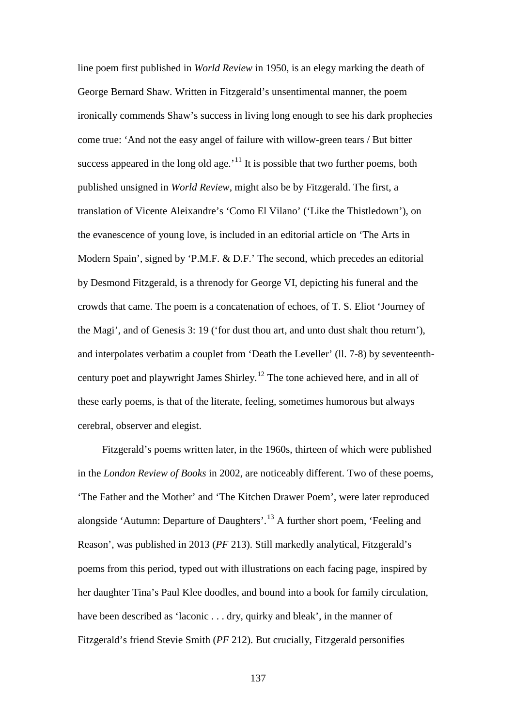line poem first published in *World Review* in 1950, is an elegy marking the death of George Bernard Shaw. Written in Fitzgerald's unsentimental manner, the poem ironically commends Shaw's success in living long enough to see his dark prophecies come true: 'And not the easy angel of failure with willow-green tears / But bitter success appeared in the long old age.<sup> $11$ </sup> It is possible that two further poems, both published unsigned in *World Review*, might also be by Fitzgerald. The first, a translation of Vicente Aleixandre's 'Como El Vilano' ('Like the Thistledown'), on the evanescence of young love, is included in an editorial article on 'The Arts in Modern Spain', signed by 'P.M.F. & D.F.' The second, which precedes an editorial by Desmond Fitzgerald, is a threnody for George VI, depicting his funeral and the crowds that came. The poem is a concatenation of echoes, of T. S. Eliot 'Journey of the Magi', and of Genesis 3: 19 ('for dust thou art, and unto dust shalt thou return'), and interpolates verbatim a couplet from 'Death the Leveller' (ll. 7-8) by seventeenthcentury poet and playwright James Shirley.[12](#page-191-2) The tone achieved here, and in all of these early poems, is that of the literate, feeling, sometimes humorous but always cerebral, observer and elegist.

Fitzgerald's poems written later, in the 1960s, thirteen of which were published in the *London Review of Books* in 2002, are noticeably different. Two of these poems, 'The Father and the Mother' and 'The Kitchen Drawer Poem', were later reproduced alongside 'Autumn: Departure of Daughters'. [13](#page-191-3) A further short poem, 'Feeling and Reason', was published in 2013 (*PF* 213). Still markedly analytical, Fitzgerald's poems from this period, typed out with illustrations on each facing page, inspired by her daughter Tina's Paul Klee doodles, and bound into a book for family circulation, have been described as 'laconic . . . dry, quirky and bleak', in the manner of Fitzgerald's friend Stevie Smith (*PF* 212). But crucially, Fitzgerald personifies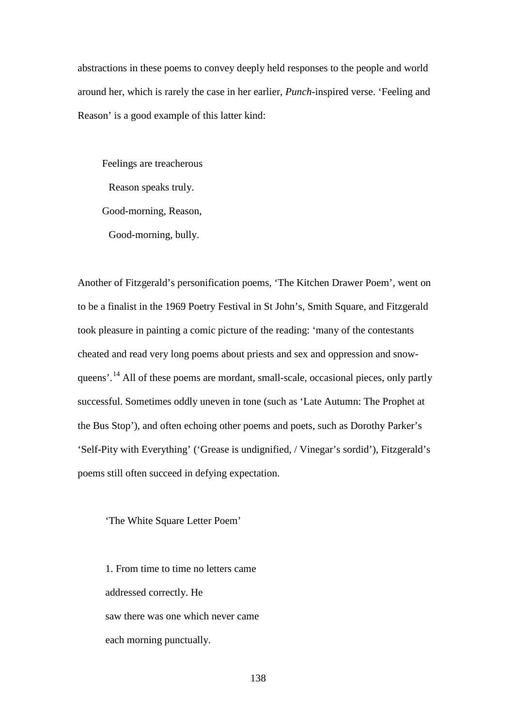abstractions in these poems to convey deeply held responses to the people and world around her, which is rarely the case in her earlier, *Punch*-inspired verse. 'Feeling and Reason' is a good example of this latter kind:

Feelings are treacherous Reason speaks truly. Good-morning, Reason, Good-morning, bully.

Another of Fitzgerald's personification poems, 'The Kitchen Drawer Poem', went on to be a finalist in the 1969 Poetry Festival in St John's, Smith Square, and Fitzgerald took pleasure in painting a comic picture of the reading: 'many of the contestants cheated and read very long poems about priests and sex and oppression and snow-queens'.<sup>[14](#page-191-4)</sup> All of these poems are mordant, small-scale, occasional pieces, only partly successful. Sometimes oddly uneven in tone (such as 'Late Autumn: The Prophet at the Bus Stop'), and often echoing other poems and poets, such as Dorothy Parker's 'Self-Pity with Everything' ('Grease is undignified, / Vinegar's sordid'), Fitzgerald's poems still often succeed in defying expectation.

'The White Square Letter Poem'

1. From time to time no letters came addressed correctly. He saw there was one which never came each morning punctually.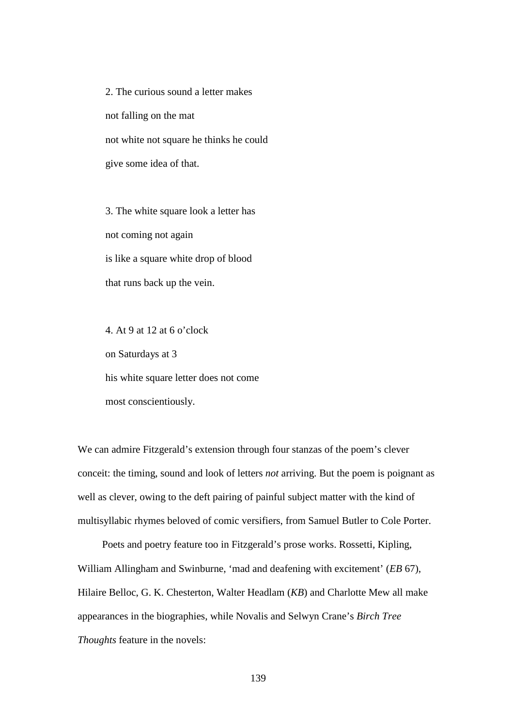2. The curious sound a letter makes not falling on the mat not white not square he thinks he could give some idea of that.

3. The white square look a letter has not coming not again is like a square white drop of blood that runs back up the vein.

4. At 9 at 12 at 6 o'clock on Saturdays at 3 his white square letter does not come most conscientiously.

We can admire Fitzgerald's extension through four stanzas of the poem's clever conceit: the timing, sound and look of letters *not* arriving. But the poem is poignant as well as clever, owing to the deft pairing of painful subject matter with the kind of multisyllabic rhymes beloved of comic versifiers, from Samuel Butler to Cole Porter.

Poets and poetry feature too in Fitzgerald's prose works. Rossetti, Kipling, William Allingham and Swinburne, 'mad and deafening with excitement' (*EB* 67), Hilaire Belloc, G. K. Chesterton, Walter Headlam (*KB*) and Charlotte Mew all make appearances in the biographies, while Novalis and Selwyn Crane's *Birch Tree Thoughts* feature in the novels: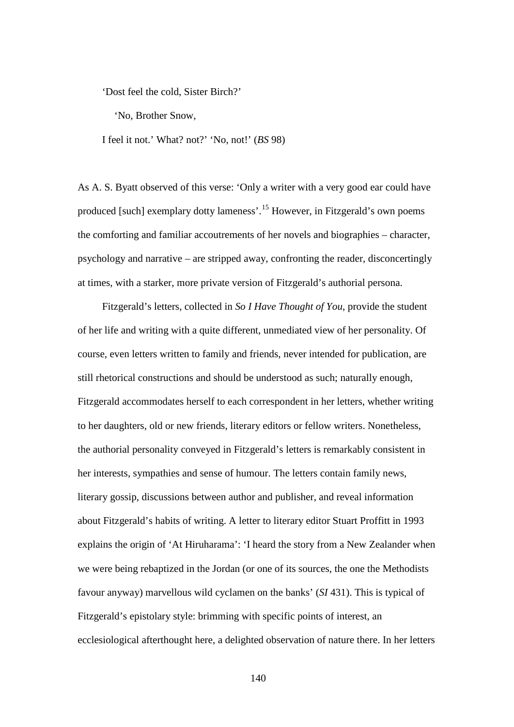'Dost feel the cold, Sister Birch?'

'No, Brother Snow,

I feel it not.' What? not?' 'No, not!' (*BS* 98)

As A. S. Byatt observed of this verse: 'Only a writer with a very good ear could have produced [such] exemplary dotty lameness'.[15](#page-191-5) However, in Fitzgerald's own poems the comforting and familiar accoutrements of her novels and biographies – character, psychology and narrative – are stripped away, confronting the reader, disconcertingly at times, with a starker, more private version of Fitzgerald's authorial persona.

Fitzgerald's letters, collected in *So I Have Thought of You*, provide the student of her life and writing with a quite different, unmediated view of her personality. Of course, even letters written to family and friends, never intended for publication, are still rhetorical constructions and should be understood as such; naturally enough, Fitzgerald accommodates herself to each correspondent in her letters, whether writing to her daughters, old or new friends, literary editors or fellow writers. Nonetheless, the authorial personality conveyed in Fitzgerald's letters is remarkably consistent in her interests, sympathies and sense of humour. The letters contain family news, literary gossip, discussions between author and publisher, and reveal information about Fitzgerald's habits of writing. A letter to literary editor Stuart Proffitt in 1993 explains the origin of 'At Hiruharama': 'I heard the story from a New Zealander when we were being rebaptized in the Jordan (or one of its sources, the one the Methodists favour anyway) marvellous wild cyclamen on the banks' (*SI* 431). This is typical of Fitzgerald's epistolary style: brimming with specific points of interest, an ecclesiological afterthought here, a delighted observation of nature there. In her letters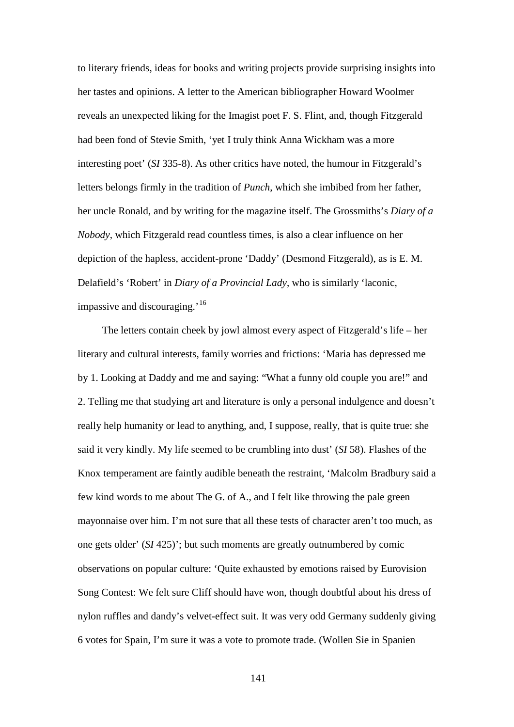to literary friends, ideas for books and writing projects provide surprising insights into her tastes and opinions. A letter to the American bibliographer Howard Woolmer reveals an unexpected liking for the Imagist poet F. S. Flint, and, though Fitzgerald had been fond of Stevie Smith, 'yet I truly think Anna Wickham was a more interesting poet' (*SI* 335-8). As other critics have noted, the humour in Fitzgerald's letters belongs firmly in the tradition of *Punch*, which she imbibed from her father, her uncle Ronald, and by writing for the magazine itself. The Grossmiths's *Diary of a Nobody*, which Fitzgerald read countless times, is also a clear influence on her depiction of the hapless, accident-prone 'Daddy' (Desmond Fitzgerald), as is E. M. Delafield's 'Robert' in *Diary of a Provincial Lady*, who is similarly 'laconic, impassive and discouraging.'<sup>[16](#page-191-6)</sup>

The letters contain cheek by jowl almost every aspect of Fitzgerald's life – her literary and cultural interests, family worries and frictions: 'Maria has depressed me by 1. Looking at Daddy and me and saying: "What a funny old couple you are!" and 2. Telling me that studying art and literature is only a personal indulgence and doesn't really help humanity or lead to anything, and, I suppose, really, that is quite true: she said it very kindly. My life seemed to be crumbling into dust' (*SI* 58). Flashes of the Knox temperament are faintly audible beneath the restraint, 'Malcolm Bradbury said a few kind words to me about The G. of A., and I felt like throwing the pale green mayonnaise over him. I'm not sure that all these tests of character aren't too much, as one gets older' (*SI* 425)'; but such moments are greatly outnumbered by comic observations on popular culture: 'Quite exhausted by emotions raised by Eurovision Song Contest: We felt sure Cliff should have won, though doubtful about his dress of nylon ruffles and dandy's velvet-effect suit. It was very odd Germany suddenly giving 6 votes for Spain, I'm sure it was a vote to promote trade. (Wollen Sie in Spanien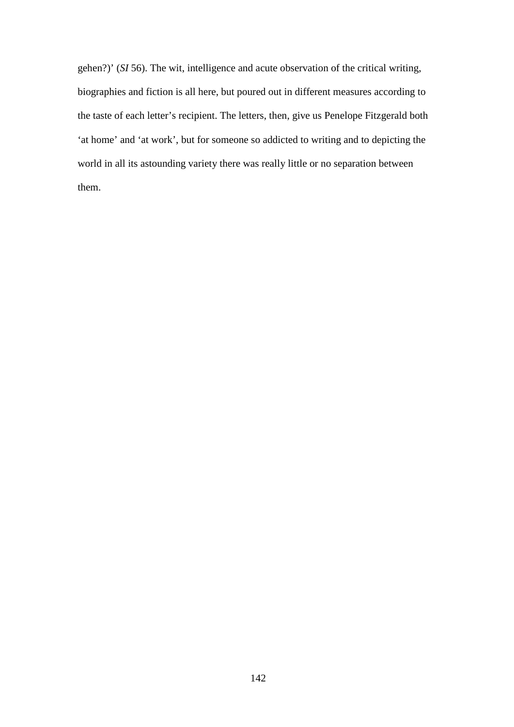gehen?)' (*SI* 56). The wit, intelligence and acute observation of the critical writing, biographies and fiction is all here, but poured out in different measures according to the taste of each letter's recipient. The letters, then, give us Penelope Fitzgerald both 'at home' and 'at work', but for someone so addicted to writing and to depicting the world in all its astounding variety there was really little or no separation between them.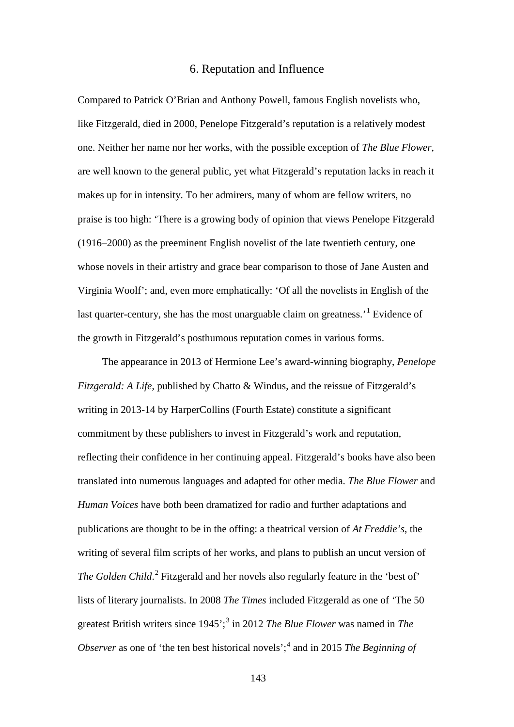## 6. Reputation and Influence

Compared to Patrick O'Brian and Anthony Powell, famous English novelists who, like Fitzgerald, died in 2000, Penelope Fitzgerald's reputation is a relatively modest one. Neither her name nor her works, with the possible exception of *The Blue Flower*, are well known to the general public, yet what Fitzgerald's reputation lacks in reach it makes up for in intensity. To her admirers, many of whom are fellow writers, no praise is too high: 'There is a growing body of opinion that views Penelope Fitzgerald (1916–2000) as the preeminent English novelist of the late twentieth century, one whose novels in their artistry and grace bear comparison to those of Jane Austen and Virginia Woolf'; and, even more emphatically: 'Of all the novelists in English of the last quarter-century, she has the most unarguable claim on greatness.<sup>[1](#page-191-7)</sup> Evidence of the growth in Fitzgerald's posthumous reputation comes in various forms.

The appearance in 2013 of Hermione Lee's award-winning biography, *Penelope Fitzgerald: A Life*, published by Chatto & Windus, and the reissue of Fitzgerald's writing in 2013-14 by HarperCollins (Fourth Estate) constitute a significant commitment by these publishers to invest in Fitzgerald's work and reputation, reflecting their confidence in her continuing appeal. Fitzgerald's books have also been translated into numerous languages and adapted for other media. *The Blue Flower* and *Human Voices* have both been dramatized for radio and further adaptations and publications are thought to be in the offing: a theatrical version of *At Freddie's*, the writing of several film scripts of her works, and plans to publish an uncut version of The Golden Child.<sup>[2](#page-191-8)</sup> Fitzgerald and her novels also regularly feature in the 'best of' lists of literary journalists. In 2008 *The Times* included Fitzgerald as one of 'The 50 greatest British writers since 1945';[3](#page-191-9) in 2012 *The Blue Flower* was named in *The Observer* as one of 'the ten best historical novels';<sup>[4](#page-191-0)</sup> and in 2015 *The Beginning of*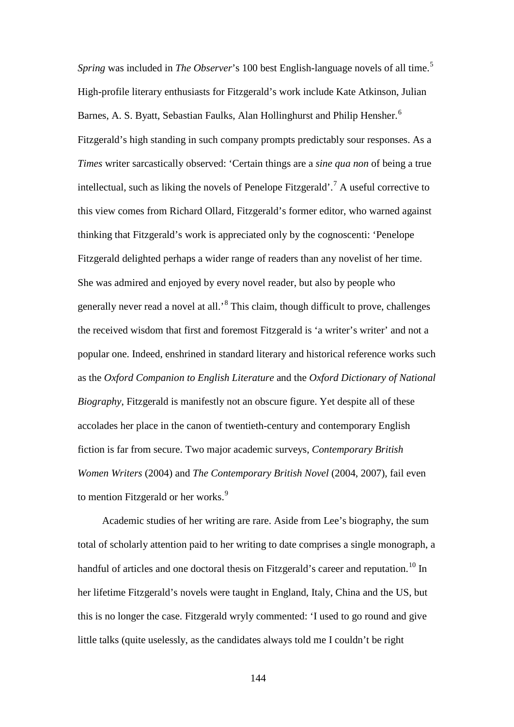*Spring* was included in *The Observer*'s 100 best English-language novels of all time.<sup>[5](#page-191-10)</sup> High-profile literary enthusiasts for Fitzgerald's work include Kate Atkinson, Julian Barnes, A. S. Byatt, Sebastian Faulks, Alan Hollinghurst and Philip Hensher.<sup>[6](#page-191-2)</sup> Fitzgerald's high standing in such company prompts predictably sour responses. As a *Times* writer sarcastically observed: 'Certain things are a *sine qua non* of being a true intellectual, such as liking the novels of Penelope Fitzgerald'.<sup>[7](#page-191-11)</sup> A useful corrective to this view comes from Richard Ollard, Fitzgerald's former editor, who warned against thinking that Fitzgerald's work is appreciated only by the cognoscenti: 'Penelope Fitzgerald delighted perhaps a wider range of readers than any novelist of her time. She was admired and enjoyed by every novel reader, but also by people who generally never read a novel at all.'[8](#page-191-12) This claim, though difficult to prove, challenges the received wisdom that first and foremost Fitzgerald is 'a writer's writer' and not a popular one. Indeed, enshrined in standard literary and historical reference works such as the *Oxford Companion to English Literature* and the *Oxford Dictionary of National Biography*, Fitzgerald is manifestly not an obscure figure. Yet despite all of these accolades her place in the canon of twentieth-century and contemporary English fiction is far from secure. Two major academic surveys, *Contemporary British Women Writers* (2004) and *The Contemporary British Novel* (2004, 2007), fail even to mention Fitzgerald or her works.<sup>[9](#page-191-13)</sup>

Academic studies of her writing are rare. Aside from Lee's biography, the sum total of scholarly attention paid to her writing to date comprises a single monograph, a handful of articles and one doctoral thesis on Fitzgerald's career and reputation.<sup>[10](#page-191-7)</sup> In her lifetime Fitzgerald's novels were taught in England, Italy, China and the US, but this is no longer the case. Fitzgerald wryly commented: 'I used to go round and give little talks (quite uselessly, as the candidates always told me I couldn't be right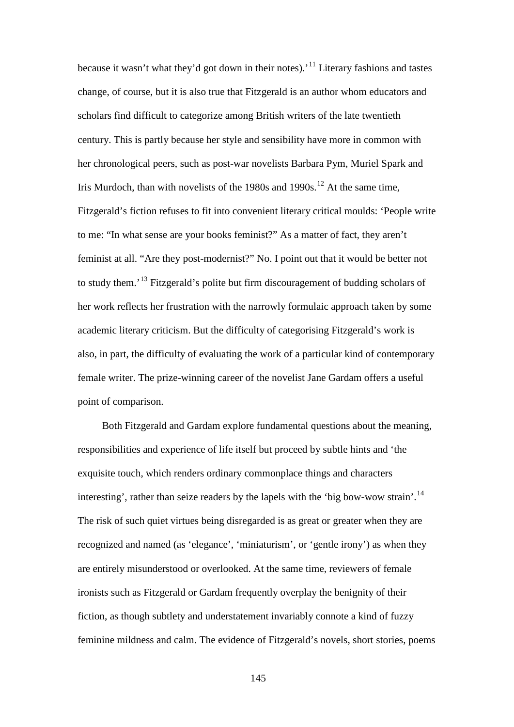because it wasn't what they'd got down in their notes).<sup>'[11](#page-191-9)</sup> Literary fashions and tastes change, of course, but it is also true that Fitzgerald is an author whom educators and scholars find difficult to categorize among British writers of the late twentieth century. This is partly because her style and sensibility have more in common with her chronological peers, such as post-war novelists Barbara Pym, Muriel Spark and Iris Murdoch, than with novelists of the 1980s and  $1990s$ .<sup>[12](#page-191-0)</sup> At the same time, Fitzgerald's fiction refuses to fit into convenient literary critical moulds: 'People write to me: "In what sense are your books feminist?" As a matter of fact, they aren't feminist at all. "Are they post-modernist?" No. I point out that it would be better not to study them.<sup>'[13](#page-191-2)</sup> Fitzgerald's polite but firm discouragement of budding scholars of her work reflects her frustration with the narrowly formulaic approach taken by some academic literary criticism. But the difficulty of categorising Fitzgerald's work is also, in part, the difficulty of evaluating the work of a particular kind of contemporary female writer. The prize-winning career of the novelist Jane Gardam offers a useful point of comparison.

Both Fitzgerald and Gardam explore fundamental questions about the meaning, responsibilities and experience of life itself but proceed by subtle hints and 'the exquisite touch, which renders ordinary commonplace things and characters interesting', rather than seize readers by the lapels with the 'big bow-wow strain'.<sup>[14](#page-191-14)</sup> The risk of such quiet virtues being disregarded is as great or greater when they are recognized and named (as 'elegance', 'miniaturism', or 'gentle irony') as when they are entirely misunderstood or overlooked. At the same time, reviewers of female ironists such as Fitzgerald or Gardam frequently overplay the benignity of their fiction, as though subtlety and understatement invariably connote a kind of fuzzy feminine mildness and calm. The evidence of Fitzgerald's novels, short stories, poems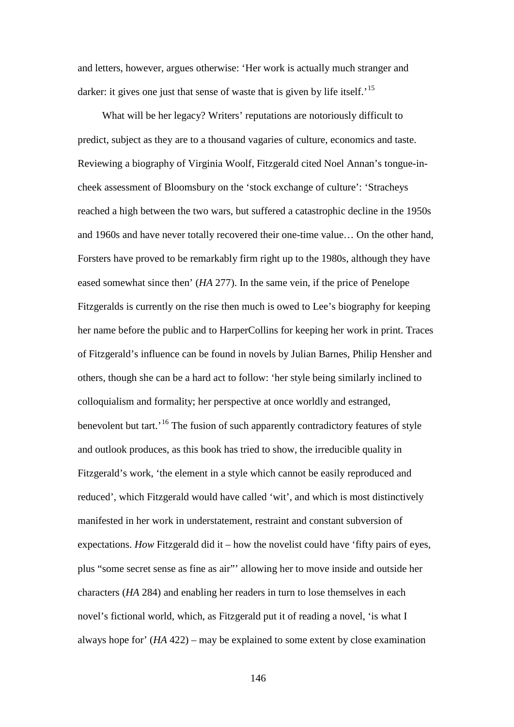and letters, however, argues otherwise: 'Her work is actually much stranger and darker: it gives one just that sense of waste that is given by life itself.<sup>[15](#page-191-15)</sup>

What will be her legacy? Writers' reputations are notoriously difficult to predict, subject as they are to a thousand vagaries of culture, economics and taste. Reviewing a biography of Virginia Woolf, Fitzgerald cited Noel Annan's tongue-incheek assessment of Bloomsbury on the 'stock exchange of culture': 'Stracheys reached a high between the two wars, but suffered a catastrophic decline in the 1950s and 1960s and have never totally recovered their one-time value… On the other hand, Forsters have proved to be remarkably firm right up to the 1980s, although they have eased somewhat since then' (*HA* 277). In the same vein, if the price of Penelope Fitzgeralds is currently on the rise then much is owed to Lee's biography for keeping her name before the public and to HarperCollins for keeping her work in print. Traces of Fitzgerald's influence can be found in novels by Julian Barnes, Philip Hensher and others, though she can be a hard act to follow: 'her style being similarly inclined to colloquialism and formality; her perspective at once worldly and estranged, benevolent but tart.<sup>[16](#page-191-11)</sup> The fusion of such apparently contradictory features of style and outlook produces, as this book has tried to show, the irreducible quality in Fitzgerald's work, 'the element in a style which cannot be easily reproduced and reduced', which Fitzgerald would have called 'wit', and which is most distinctively manifested in her work in understatement, restraint and constant subversion of expectations. *How* Fitzgerald did it – how the novelist could have 'fifty pairs of eyes, plus "some secret sense as fine as air"' allowing her to move inside and outside her characters (*HA* 284) and enabling her readers in turn to lose themselves in each novel's fictional world, which, as Fitzgerald put it of reading a novel, 'is what I always hope for' (*HA* 422) – may be explained to some extent by close examination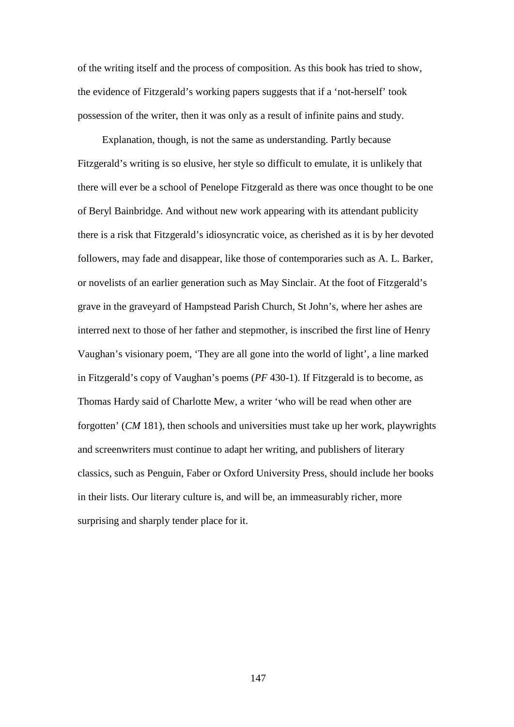of the writing itself and the process of composition. As this book has tried to show, the evidence of Fitzgerald's working papers suggests that if a 'not-herself' took possession of the writer, then it was only as a result of infinite pains and study.

Explanation, though, is not the same as understanding. Partly because Fitzgerald's writing is so elusive, her style so difficult to emulate, it is unlikely that there will ever be a school of Penelope Fitzgerald as there was once thought to be one of Beryl Bainbridge. And without new work appearing with its attendant publicity there is a risk that Fitzgerald's idiosyncratic voice, as cherished as it is by her devoted followers, may fade and disappear, like those of contemporaries such as A. L. Barker, or novelists of an earlier generation such as May Sinclair. At the foot of Fitzgerald's grave in the graveyard of Hampstead Parish Church, St John's, where her ashes are interred next to those of her father and stepmother, is inscribed the first line of Henry Vaughan's visionary poem, 'They are all gone into the world of light', a line marked in Fitzgerald's copy of Vaughan's poems (*PF* 430-1). If Fitzgerald is to become, as Thomas Hardy said of Charlotte Mew, a writer 'who will be read when other are forgotten' (*CM* 181), then schools and universities must take up her work, playwrights and screenwriters must continue to adapt her writing, and publishers of literary classics, such as Penguin, Faber or Oxford University Press, should include her books in their lists. Our literary culture is, and will be, an immeasurably richer, more surprising and sharply tender place for it.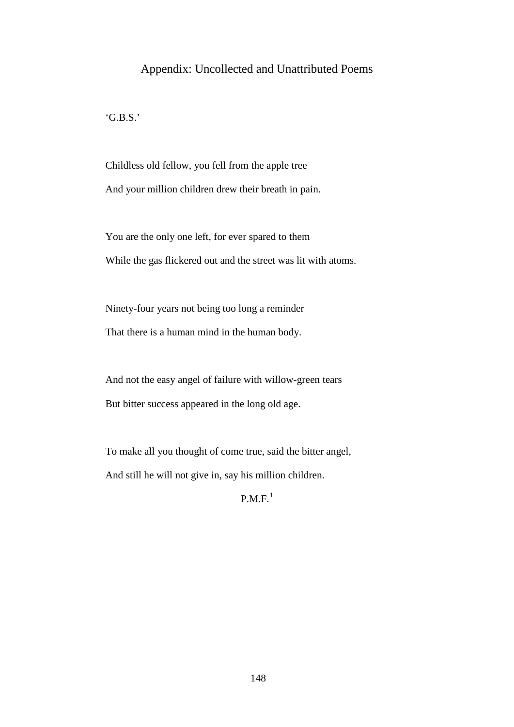# Appendix: Uncollected and Unattributed Poems

'G.B.S.'

Childless old fellow, you fell from the apple tree And your million children drew their breath in pain.

You are the only one left, for ever spared to them While the gas flickered out and the street was lit with atoms.

Ninety-four years not being too long a reminder That there is a human mind in the human body.

And not the easy angel of failure with willow-green tears But bitter success appeared in the long old age.

To make all you thought of come true, said the bitter angel, And still he will not give in, say his million children.

 $P.M.F.<sup>1</sup>$  $P.M.F.<sup>1</sup>$  $P.M.F.<sup>1</sup>$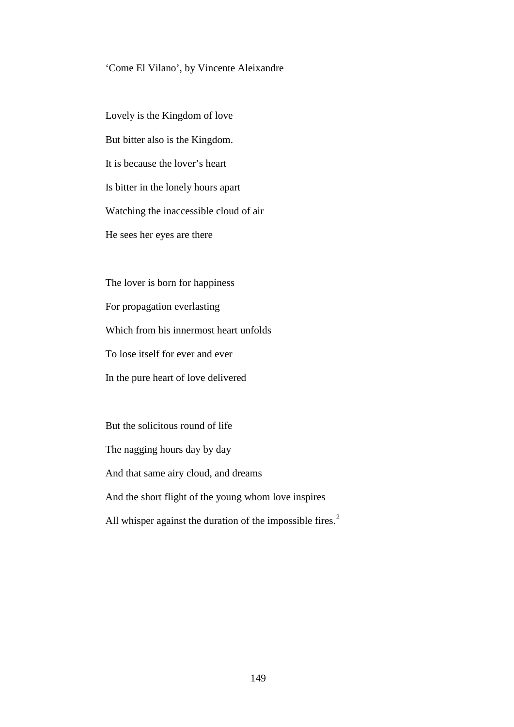### 'Come El Vilano', by Vincente Aleixandre

Lovely is the Kingdom of love But bitter also is the Kingdom. It is because the lover's heart Is bitter in the lonely hours apart Watching the inaccessible cloud of air He sees her eyes are there

The lover is born for happiness For propagation everlasting Which from his innermost heart unfolds To lose itself for ever and ever In the pure heart of love delivered

But the solicitous round of life The nagging hours day by day And that same airy cloud, and dreams And the short flight of the young whom love inspires All whisper against the duration of the impossible fires.<sup>[2](#page-191-6)</sup>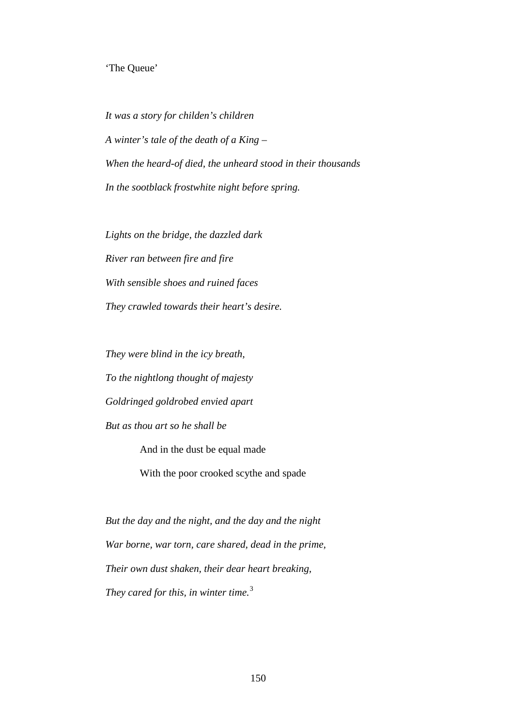## 'The Queue'

*It was a story for childen's children A winter's tale of the death of a King – When the heard-of died, the unheard stood in their thousands In the sootblack frostwhite night before spring.*

*Lights on the bridge, the dazzled dark River ran between fire and fire With sensible shoes and ruined faces They crawled towards their heart's desire.*

*They were blind in the icy breath, To the nightlong thought of majesty Goldringed goldrobed envied apart But as thou art so he shall be*

And in the dust be equal made

With the poor crooked scythe and spade

*But the day and the night, and the day and the night War borne, war torn, care shared, dead in the prime, Their own dust shaken, their dear heart breaking, They cared for this, in winter time.*[3](#page-191-16)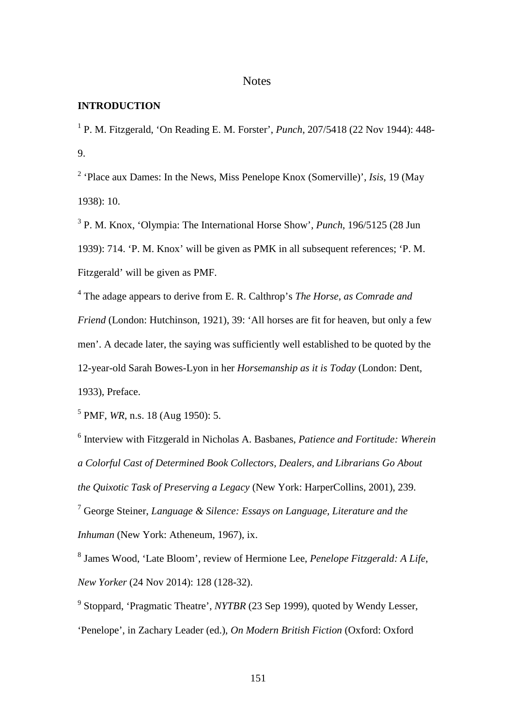# **Notes**

## **INTRODUCTION**

<sup>1</sup> P. M. Fitzgerald, 'On Reading E. M. Forster', *Punch*, 207/5418 (22 Nov 1944): 448- 9.

<sup>2</sup> 'Place aux Dames: In the News, Miss Penelope Knox (Somerville)', *Isis*, 19 (May 1938): 10.

<sup>3</sup> P. M. Knox, 'Olympia: The International Horse Show', *Punch*, 196/5125 (28 Jun 1939): 714. 'P. M. Knox' will be given as PMK in all subsequent references; 'P. M. Fitzgerald' will be given as PMF.

<sup>4</sup> The adage appears to derive from E. R. Calthrop's *The Horse, as Comrade and Friend* (London: Hutchinson, 1921), 39: 'All horses are fit for heaven, but only a few men'. A decade later, the saying was sufficiently well established to be quoted by the 12-year-old Sarah Bowes-Lyon in her *Horsemanship as it is Today* (London: Dent, 1933), Preface.

<sup>5</sup> PMF, *WR*, n.s. 18 (Aug 1950): 5.

<sup>6</sup> Interview with Fitzgerald in Nicholas A. Basbanes, *Patience and Fortitude: Wherein a Colorful Cast of Determined Book Collectors, Dealers, and Librarians Go About the Quixotic Task of Preserving a Legacy* (New York: HarperCollins, 2001), 239.

<sup>7</sup> George Steiner, *Language & Silence: Essays on Language, Literature and the Inhuman* (New York: Atheneum, 1967), ix.

<sup>8</sup> James Wood, 'Late Bloom', review of Hermione Lee, *Penelope Fitzgerald: A Life*, *New Yorker* (24 Nov 2014): 128 (128-32).

<sup>9</sup> Stoppard, 'Pragmatic Theatre', *NYTBR* (23 Sep 1999), quoted by Wendy Lesser, 'Penelope', in Zachary Leader (ed.), *On Modern British Fiction* (Oxford: Oxford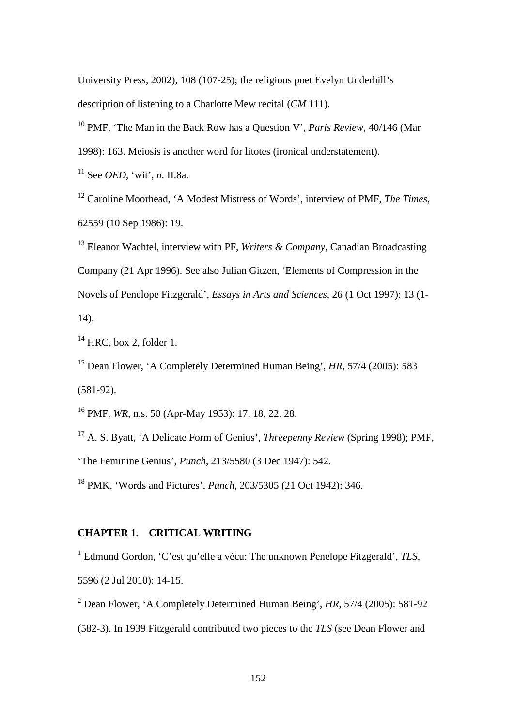University Press, 2002), 108 (107-25); the religious poet Evelyn Underhill's description of listening to a Charlotte Mew recital (*CM* 111).

<sup>10</sup> PMF, 'The Man in the Back Row has a Question V', *Paris Review*, 40/146 (Mar

1998): 163. Meiosis is another word for litotes (ironical understatement).

<sup>11</sup> See *OED*, 'wit', *n*. II.8a.

<sup>12</sup> Caroline Moorhead, 'A Modest Mistress of Words', interview of PMF, *The Times*, 62559 (10 Sep 1986): 19.

<sup>13</sup> Eleanor Wachtel, interview with PF, *Writers & Company*, Canadian Broadcasting Company (21 Apr 1996). See also Julian Gitzen, 'Elements of Compression in the Novels of Penelope Fitzgerald', *Essays in Arts and Sciences*, 26 (1 Oct 1997): 13 (1- 14).

 $14$  HRC, box 2, folder 1.

<sup>15</sup> Dean Flower, 'A Completely Determined Human Being', *HR*, 57/4 (2005): 583 (581-92).

<sup>16</sup> PMF, *WR*, n.s. 50 (Apr-May 1953): 17, 18, 22, 28.

<sup>17</sup> A. S. Byatt, 'A Delicate Form of Genius', *Threepenny Review* (Spring 1998); PMF, 'The Feminine Genius', *Punch*, 213/5580 (3 Dec 1947): 542.

<sup>18</sup> PMK, 'Words and Pictures', *Punch*, 203/5305 (21 Oct 1942): 346.

### **CHAPTER 1. CRITICAL WRITING**

<sup>1</sup> Edmund Gordon, 'C'est qu'elle a vécu: The unknown Penelope Fitzgerald', *TLS*, 5596 (2 Jul 2010): 14-15.

<sup>2</sup> Dean Flower, 'A Completely Determined Human Being', *HR*, 57/4 (2005): 581-92 (582-3). In 1939 Fitzgerald contributed two pieces to the *TLS* (see Dean Flower and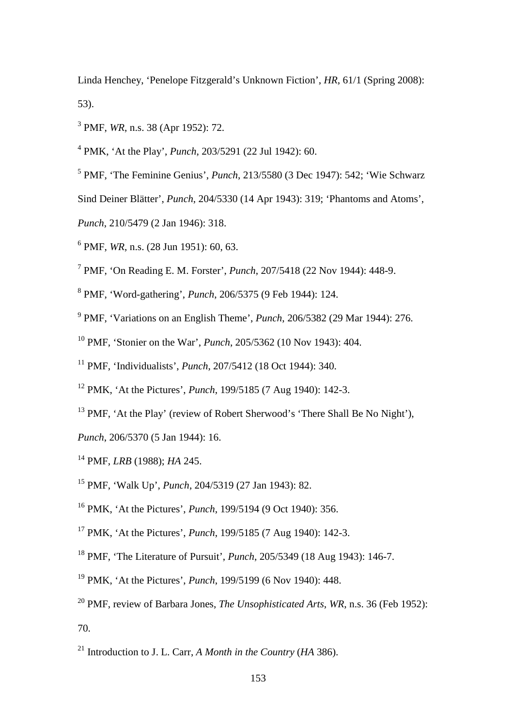Linda Henchey, 'Penelope Fitzgerald's Unknown Fiction', *HR*, 61/1 (Spring 2008): 53).

PMF, *WR*, n.s. 38 (Apr 1952): 72.

PMK, 'At the Play', *Punch*, 203/5291 (22 Jul 1942): 60.

PMF, 'The Feminine Genius', *Punch*, 213/5580 (3 Dec 1947): 542; 'Wie Schwarz

Sind Deiner Blätter', *Punch*, 204/5330 (14 Apr 1943): 319; 'Phantoms and Atoms',

- *Punch*, 210/5479 (2 Jan 1946): 318.
- PMF, *WR*, n.s. (28 Jun 1951): 60, 63.
- PMF, 'On Reading E. M. Forster', *Punch*, 207/5418 (22 Nov 1944): 448-9.
- PMF, 'Word-gathering', *Punch*, 206/5375 (9 Feb 1944): 124.
- PMF, 'Variations on an English Theme', *Punch*, 206/5382 (29 Mar 1944): 276.
- PMF, 'Stonier on the War', *Punch*, 205/5362 (10 Nov 1943): 404.
- PMF, 'Individualists', *Punch*, 207/5412 (18 Oct 1944): 340.
- PMK, 'At the Pictures', *Punch*, 199/5185 (7 Aug 1940): 142-3.
- <sup>13</sup> PMF, 'At the Play' (review of Robert Sherwood's 'There Shall Be No Night'),

*Punch*, 206/5370 (5 Jan 1944): 16.

- PMF, *LRB* (1988); *HA* 245.
- PMF, 'Walk Up', *Punch*, 204/5319 (27 Jan 1943): 82.
- PMK, 'At the Pictures', *Punch*, 199/5194 (9 Oct 1940): 356.
- PMK, 'At the Pictures', *Punch*, 199/5185 (7 Aug 1940): 142-3.
- PMF, 'The Literature of Pursuit', *Punch*, 205/5349 (18 Aug 1943): 146-7.
- PMK, 'At the Pictures', *Punch*, 199/5199 (6 Nov 1940): 448.
- PMF, review of Barbara Jones, *The Unsophisticated Arts*, *WR*, n.s. 36 (Feb 1952): 70.
- Introduction to J. L. Carr, *A Month in the Country* (*HA* 386).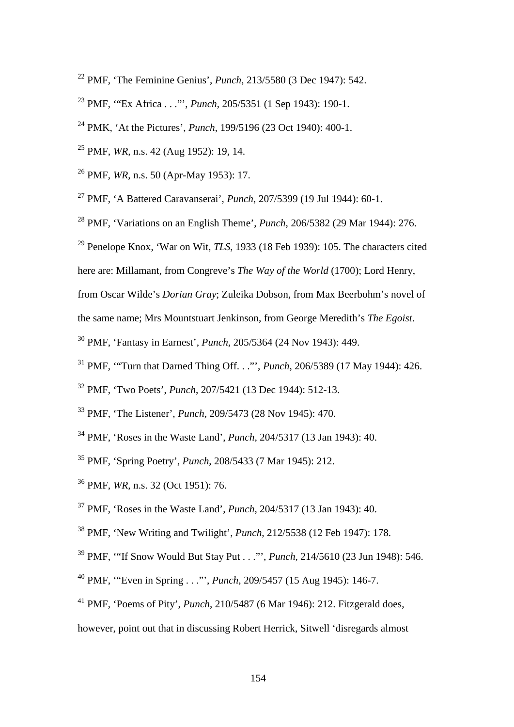- PMF, 'The Feminine Genius', *Punch*, 213/5580 (3 Dec 1947): 542.
- PMF, '"Ex Africa . . ."', *Punch*, 205/5351 (1 Sep 1943): 190-1.
- PMK, 'At the Pictures', *Punch*, 199/5196 (23 Oct 1940): 400-1.
- PMF, *WR*, n.s. 42 (Aug 1952): 19, 14.
- PMF, *WR*, n.s. 50 (Apr-May 1953): 17.
- PMF, 'A Battered Caravanserai', *Punch*, 207/5399 (19 Jul 1944): 60-1.
- PMF, 'Variations on an English Theme', *Punch*, 206/5382 (29 Mar 1944): 276.
- Penelope Knox, 'War on Wit, *TLS*, 1933 (18 Feb 1939): 105. The characters cited
- here are: Millamant, from Congreve's *The Way of the World* (1700); Lord Henry,
- from Oscar Wilde's *Dorian Gray*; Zuleika Dobson, from Max Beerbohm's novel of
- the same name; Mrs Mountstuart Jenkinson, from George Meredith's *The Egoist*.
- PMF, 'Fantasy in Earnest', *Punch*, 205/5364 (24 Nov 1943): 449.
- PMF, '"Turn that Darned Thing Off. . ."', *Punch*, 206/5389 (17 May 1944): 426.
- PMF, 'Two Poets', *Punch*, 207/5421 (13 Dec 1944): 512-13.
- PMF, 'The Listener', *Punch*, 209/5473 (28 Nov 1945): 470.
- PMF, 'Roses in the Waste Land', *Punch*, 204/5317 (13 Jan 1943): 40.
- PMF, 'Spring Poetry', *Punch*, 208/5433 (7 Mar 1945): 212.
- PMF, *WR*, n.s. 32 (Oct 1951): 76.
- PMF, 'Roses in the Waste Land', *Punch*, 204/5317 (13 Jan 1943): 40.
- PMF, 'New Writing and Twilight', *Punch*, 212/5538 (12 Feb 1947): 178.
- PMF, '"If Snow Would But Stay Put . . ."', *Punch*, 214/5610 (23 Jun 1948): 546.
- PMF, '"Even in Spring . . ."', *Punch*, 209/5457 (15 Aug 1945): 146-7.
- PMF, 'Poems of Pity', *Punch*, 210/5487 (6 Mar 1946): 212. Fitzgerald does,
- however, point out that in discussing Robert Herrick, Sitwell 'disregards almost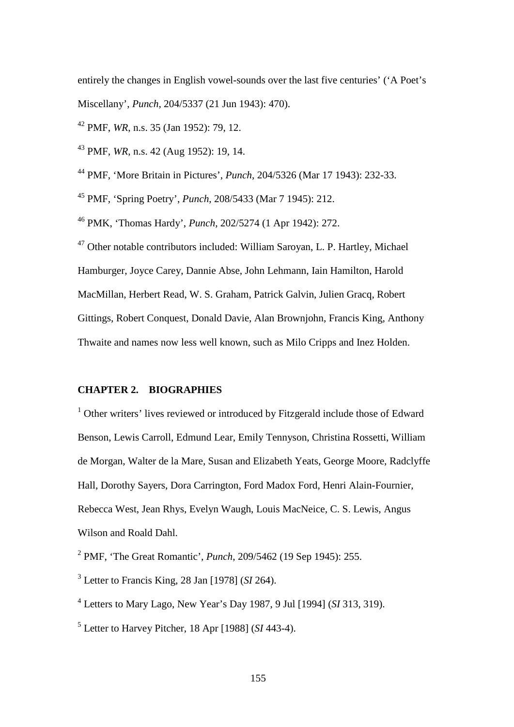entirely the changes in English vowel-sounds over the last five centuries' ('A Poet's Miscellany', *Punch*, 204/5337 (21 Jun 1943): 470).

<sup>42</sup> PMF, *WR*, n.s. 35 (Jan 1952): 79, 12.

<sup>43</sup> PMF, *WR*, n.s. 42 (Aug 1952): 19, 14.

<sup>44</sup> PMF, 'More Britain in Pictures', *Punch*, 204/5326 (Mar 17 1943): 232-33.

<sup>45</sup> PMF, 'Spring Poetry', *Punch*, 208/5433 (Mar 7 1945): 212.

<sup>46</sup> PMK, 'Thomas Hardy', *Punch*, 202/5274 (1 Apr 1942): 272.

<sup>47</sup> Other notable contributors included: William Saroyan, L. P. Hartley, Michael Hamburger, Joyce Carey, Dannie Abse, John Lehmann, Iain Hamilton, Harold MacMillan, Herbert Read, W. S. Graham, Patrick Galvin, Julien Gracq, Robert Gittings, Robert Conquest, Donald Davie, Alan Brownjohn, Francis King, Anthony Thwaite and names now less well known, such as Milo Cripps and Inez Holden.

## **CHAPTER 2. BIOGRAPHIES**

<sup>1</sup> Other writers' lives reviewed or introduced by Fitzgerald include those of Edward Benson, Lewis Carroll, Edmund Lear, Emily Tennyson, Christina Rossetti, William de Morgan, Walter de la Mare, Susan and Elizabeth Yeats, George Moore, Radclyffe Hall, Dorothy Sayers, Dora Carrington, Ford Madox Ford, Henri Alain-Fournier, Rebecca West, Jean Rhys, Evelyn Waugh, Louis MacNeice, C. S. Lewis, Angus Wilson and Roald Dahl.

<sup>2</sup> PMF, 'The Great Romantic', *Punch*, 209/5462 (19 Sep 1945): 255.

<sup>3</sup> Letter to Francis King, 28 Jan [1978] (*SI* 264).

<sup>4</sup> Letters to Mary Lago, New Year's Day 1987, 9 Jul [1994] (*SI* 313, 319).

<sup>5</sup> Letter to Harvey Pitcher, 18 Apr [1988] (*SI* 443-4).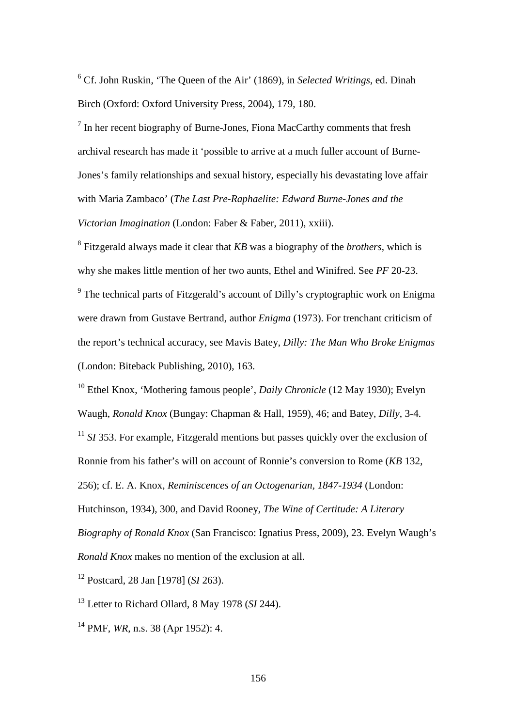<sup>6</sup> Cf. John Ruskin, 'The Queen of the Air' (1869), in *Selected Writings*, ed. Dinah Birch (Oxford: Oxford University Press, 2004), 179, 180.

<sup>7</sup> In her recent biography of Burne-Jones, Fiona MacCarthy comments that fresh archival research has made it 'possible to arrive at a much fuller account of Burne-Jones's family relationships and sexual history, especially his devastating love affair with Maria Zambaco' (*The Last Pre-Raphaelite: Edward Burne-Jones and the Victorian Imagination* (London: Faber & Faber, 2011), xxiii).

<sup>8</sup> Fitzgerald always made it clear that *KB* was a biography of the *brothers*, which is why she makes little mention of her two aunts, Ethel and Winifred. See *PF* 20-23.

<sup>9</sup> The technical parts of Fitzgerald's account of Dilly's cryptographic work on Enigma were drawn from Gustave Bertrand, author *Enigma* (1973). For trenchant criticism of the report's technical accuracy, see Mavis Batey, *Dilly: The Man Who Broke Enigmas* (London: Biteback Publishing, 2010), 163.

<sup>10</sup> Ethel Knox, 'Mothering famous people', *Daily Chronicle* (12 May 1930); Evelyn Waugh, *Ronald Knox* (Bungay: Chapman & Hall, 1959), 46; and Batey, *Dilly*, 3-4.

<sup>11</sup> *SI* 353. For example, Fitzgerald mentions but passes quickly over the exclusion of

Ronnie from his father's will on account of Ronnie's conversion to Rome (*KB* 132,

256); cf. E. A. Knox, *Reminiscences of an Octogenarian, 1847-1934* (London:

Hutchinson, 1934), 300, and David Rooney, *The Wine of Certitude: A Literary Biography of Ronald Knox* (San Francisco: Ignatius Press, 2009), 23. Evelyn Waugh's *Ronald Knox* makes no mention of the exclusion at all.

<sup>12</sup> Postcard, 28 Jan [1978] (*SI* 263).

<sup>13</sup> Letter to Richard Ollard, 8 May 1978 (*SI* 244).

<sup>14</sup> PMF, *WR*, n.s. 38 (Apr 1952): 4.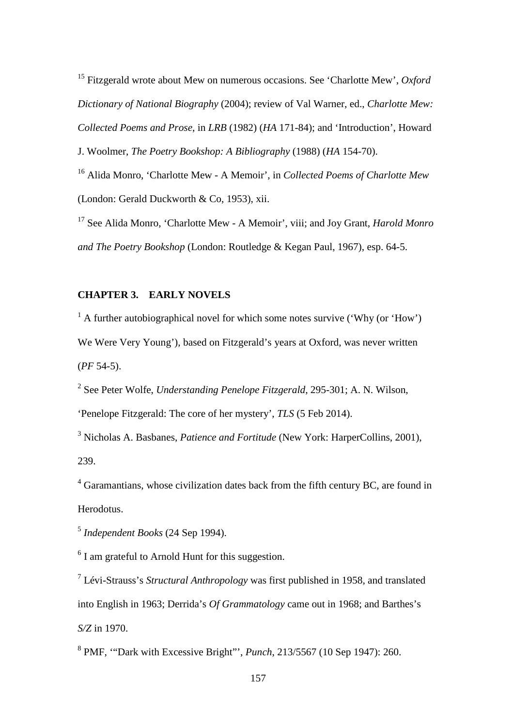<sup>15</sup> Fitzgerald wrote about Mew on numerous occasions. See 'Charlotte Mew', *Oxford Dictionary of National Biography* (2004); review of Val Warner, ed., *Charlotte Mew: Collected Poems and Prose*, in *LRB* (1982) (*HA* 171-84); and 'Introduction', Howard J. Woolmer, *The Poetry Bookshop: A Bibliography* (1988) (*HA* 154-70).

<sup>16</sup> Alida Monro, 'Charlotte Mew - A Memoir', in *Collected Poems of Charlotte Mew*

(London: Gerald Duckworth & Co, 1953), xii.

<sup>17</sup> See Alida Monro, 'Charlotte Mew - A Memoir', viii; and Joy Grant, *Harold Monro and The Poetry Bookshop* (London: Routledge & Kegan Paul, 1967), esp. 64-5.

# **CHAPTER 3. EARLY NOVELS**

 $1 \text{ A further autobiographical novel for which some notes survive ('Why (or 'How')})$ We Were Very Young'), based on Fitzgerald's years at Oxford, was never written (*PF* 54-5).

<sup>2</sup> See Peter Wolfe, *Understanding Penelope Fitzgerald*, 295-301; A. N. Wilson, 'Penelope Fitzgerald: The core of her mystery', *TLS* (5 Feb 2014).

<sup>3</sup> Nicholas A. Basbanes, *Patience and Fortitude* (New York: HarperCollins, 2001), 239.

<sup>4</sup> Garamantians, whose civilization dates back from the fifth century BC, are found in Herodotus.

<sup>5</sup> *Independent Books* (24 Sep 1994).

 $6$  I am grateful to Arnold Hunt for this suggestion.

<sup>7</sup> Lévi-Strauss's *Structural Anthropology* was first published in 1958, and translated into English in 1963; Derrida's *Of Grammatology* came out in 1968; and Barthes's *S/Z* in 1970.

<sup>8</sup> PMF, '"Dark with Excessive Bright"', *Punch*, 213/5567 (10 Sep 1947): 260.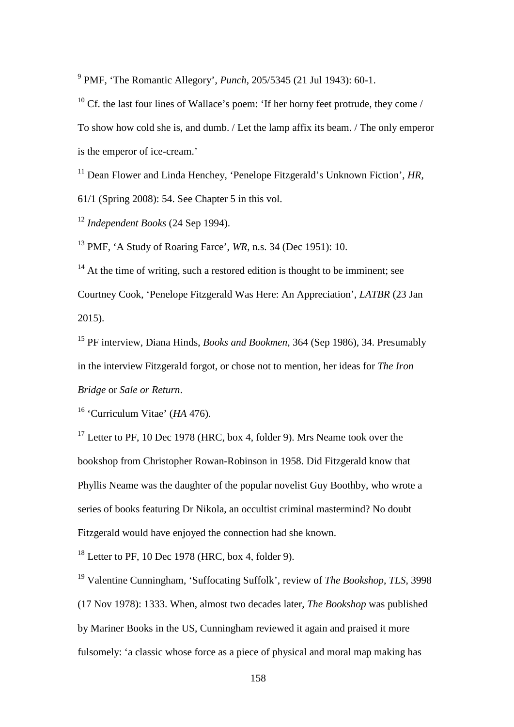<sup>9</sup> PMF, 'The Romantic Allegory', *Punch*, 205/5345 (21 Jul 1943): 60-1.

<sup>10</sup> Cf. the last four lines of Wallace's poem: 'If her horny feet protrude, they come / To show how cold she is, and dumb. / Let the lamp affix its beam. / The only emperor is the emperor of ice-cream.'

<sup>11</sup> Dean Flower and Linda Henchey, 'Penelope Fitzgerald's Unknown Fiction', *HR*, 61/1 (Spring 2008): 54. See Chapter 5 in this vol.

<sup>12</sup> *Independent Books* (24 Sep 1994).

<sup>13</sup> PMF, 'A Study of Roaring Farce', *WR*, n.s. 34 (Dec 1951): 10.

 $14$  At the time of writing, such a restored edition is thought to be imminent; see Courtney Cook, 'Penelope Fitzgerald Was Here: An Appreciation', *LATBR* (23 Jan 2015).

<sup>15</sup> PF interview, Diana Hinds, *Books and Bookmen*, 364 (Sep 1986), 34. Presumably in the interview Fitzgerald forgot, or chose not to mention, her ideas for *The Iron Bridge* or *Sale or Return*.

<sup>16</sup> 'Curriculum Vitae' (*HA* 476).

 $17$  Letter to PF, 10 Dec 1978 (HRC, box 4, folder 9). Mrs Neame took over the bookshop from Christopher Rowan-Robinson in 1958. Did Fitzgerald know that Phyllis Neame was the daughter of the popular novelist Guy Boothby, who wrote a series of books featuring Dr Nikola, an occultist criminal mastermind? No doubt Fitzgerald would have enjoyed the connection had she known.

 $18$  Letter to PF, 10 Dec 1978 (HRC, box 4, folder 9).

<sup>19</sup> Valentine Cunningham, 'Suffocating Suffolk', review of *The Bookshop*, *TLS*, 3998 (17 Nov 1978): 1333. When, almost two decades later, *The Bookshop* was published by Mariner Books in the US, Cunningham reviewed it again and praised it more fulsomely: 'a classic whose force as a piece of physical and moral map making has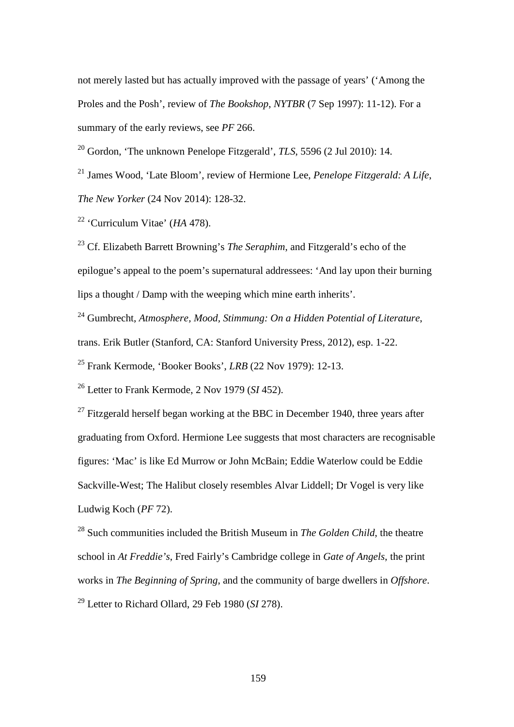not merely lasted but has actually improved with the passage of years' ('Among the Proles and the Posh', review of *The Bookshop*, *NYTBR* (7 Sep 1997): 11-12). For a summary of the early reviews, see *PF* 266.

<sup>20</sup> Gordon, 'The unknown Penelope Fitzgerald', *TLS*, 5596 (2 Jul 2010): 14.

<sup>21</sup> James Wood, 'Late Bloom', review of Hermione Lee, *Penelope Fitzgerald: A Life*, *The New Yorker* (24 Nov 2014): 128-32.

<sup>22</sup> 'Curriculum Vitae' (*HA* 478).

<sup>23</sup> Cf. Elizabeth Barrett Browning's *The Seraphim*, and Fitzgerald's echo of the epilogue's appeal to the poem's supernatural addressees: 'And lay upon their burning lips a thought / Damp with the weeping which mine earth inherits'.

<sup>24</sup> Gumbrecht, *Atmosphere, Mood, Stimmung: On a Hidden Potential of Literature*, trans. Erik Butler (Stanford, CA: Stanford University Press, 2012), esp. 1-22.

<sup>25</sup> Frank Kermode, 'Booker Books', *LRB* (22 Nov 1979): 12-13.

<sup>26</sup> Letter to Frank Kermode, 2 Nov 1979 (*SI* 452).

 $27$  Fitzgerald herself began working at the BBC in December 1940, three years after graduating from Oxford. Hermione Lee suggests that most characters are recognisable figures: 'Mac' is like Ed Murrow or John McBain; Eddie Waterlow could be Eddie Sackville-West; The Halibut closely resembles Alvar Liddell; Dr Vogel is very like Ludwig Koch (*PF* 72).

<sup>28</sup> Such communities included the British Museum in *The Golden Child*, the theatre school in *At Freddie's*, Fred Fairly's Cambridge college in *Gate of Angels*, the print works in *The Beginning of Spring*, and the community of barge dwellers in *Offshore*. <sup>29</sup> Letter to Richard Ollard, 29 Feb 1980 (*SI* 278).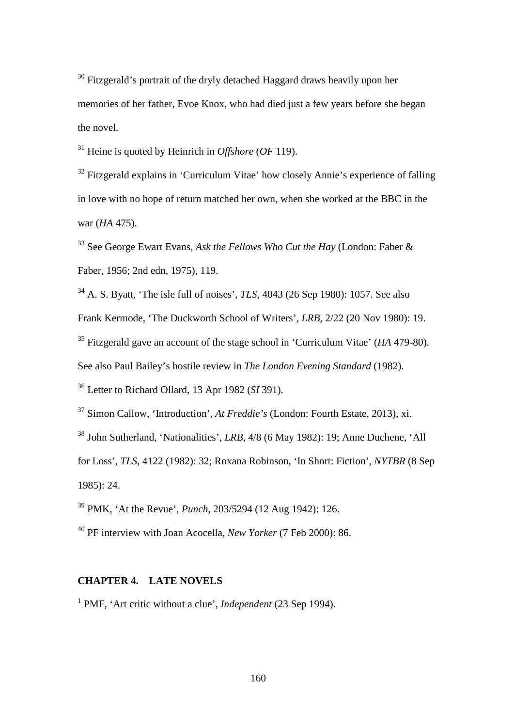<sup>30</sup> Fitzgerald's portrait of the dryly detached Haggard draws heavily upon her memories of her father, Evoe Knox, who had died just a few years before she began the novel.

<sup>31</sup> Heine is quoted by Heinrich in *Offshore* (*OF* 119).

<sup>32</sup> Fitzgerald explains in 'Curriculum Vitae' how closely Annie's experience of falling in love with no hope of return matched her own, when she worked at the BBC in the war (*HA* 475).

<sup>33</sup> See George Ewart Evans, *Ask the Fellows Who Cut the Hay* (London: Faber & Faber, 1956; 2nd edn, 1975), 119.

<sup>34</sup> A. S. Byatt, 'The isle full of noises', *TLS*, 4043 (26 Sep 1980): 1057. See also Frank Kermode, 'The Duckworth School of Writers', *LRB*, 2/22 (20 Nov 1980): 19. <sup>35</sup> Fitzgerald gave an account of the stage school in 'Curriculum Vitae' (*HA* 479-80). See also Paul Bailey's hostile review in *The London Evening Standard* (1982).

<sup>36</sup> Letter to Richard Ollard, 13 Apr 1982 (*SI* 391).

<sup>37</sup> Simon Callow, 'Introduction', *At Freddie's* (London: Fourth Estate, 2013), xi.

<sup>38</sup> John Sutherland, 'Nationalities', *LRB*, 4/8 (6 May 1982): 19; Anne Duchene, 'All

for Loss', *TLS*, 4122 (1982): 32; Roxana Robinson, 'In Short: Fiction', *NYTBR* (8 Sep 1985): 24.

<sup>39</sup> PMK, 'At the Revue', *Punch*, 203/5294 (12 Aug 1942): 126.

<sup>40</sup> PF interview with Joan Acocella, *New Yorker* (7 Feb 2000): 86.

## **CHAPTER 4. LATE NOVELS**

<sup>1</sup> PMF, 'Art critic without a clue', *Independent* (23 Sep 1994).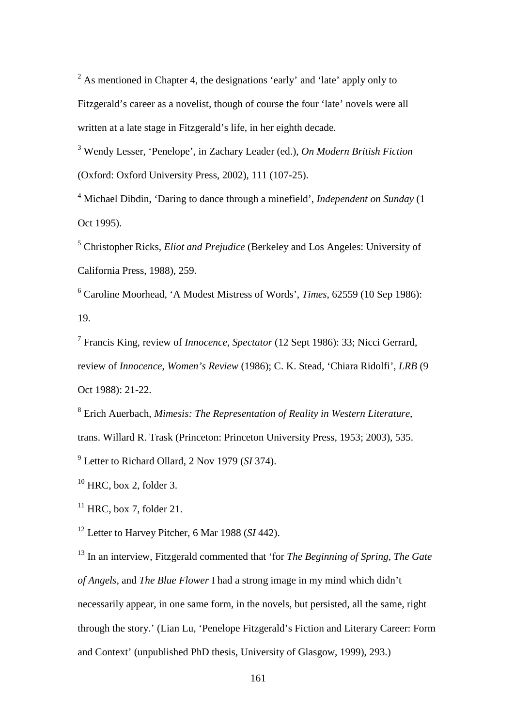$2$  As mentioned in Chapter 4, the designations 'early' and 'late' apply only to Fitzgerald's career as a novelist, though of course the four 'late' novels were all written at a late stage in Fitzgerald's life, in her eighth decade.

<sup>3</sup> Wendy Lesser, 'Penelope', in Zachary Leader (ed.), *On Modern British Fiction* (Oxford: Oxford University Press, 2002), 111 (107-25).

<sup>4</sup> Michael Dibdin, 'Daring to dance through a minefield', *Independent on Sunday* (1 Oct 1995).

<sup>5</sup> Christopher Ricks, *Eliot and Prejudice* (Berkeley and Los Angeles: University of California Press, 1988), 259.

<sup>6</sup> Caroline Moorhead, 'A Modest Mistress of Words', *Times*, 62559 (10 Sep 1986): 19.

<sup>7</sup> Francis King, review of *Innocence*, *Spectator* (12 Sept 1986): 33; Nicci Gerrard, review of *Innocence*, *Women's Review* (1986); C. K. Stead, 'Chiara Ridolfi', *LRB* (9 Oct 1988): 21-22.

<sup>8</sup> Erich Auerbach, *Mimesis: The Representation of Reality in Western Literature*, trans. Willard R. Trask (Princeton: Princeton University Press, 1953; 2003), 535.

<sup>9</sup> Letter to Richard Ollard, 2 Nov 1979 (*SI* 374).

 $10$  HRC, box 2, folder 3.

 $11$  HRC, box 7, folder 21.

<sup>12</sup> Letter to Harvey Pitcher, 6 Mar 1988 (*SI* 442).

<sup>13</sup> In an interview, Fitzgerald commented that 'for *The Beginning of Spring*, *The Gate of Angels*, and *The Blue Flower* I had a strong image in my mind which didn't necessarily appear, in one same form, in the novels, but persisted, all the same, right through the story.' (Lian Lu, 'Penelope Fitzgerald's Fiction and Literary Career: Form and Context' (unpublished PhD thesis, University of Glasgow, 1999), 293.)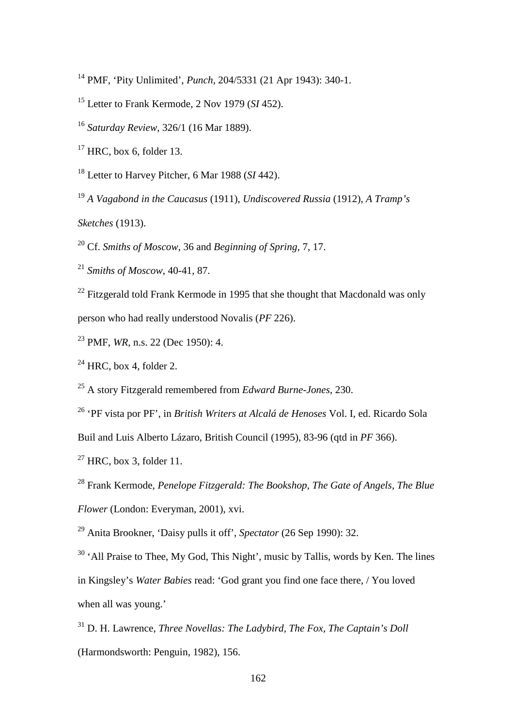PMF, 'Pity Unlimited', *Punch*, 204/5331 (21 Apr 1943): 340-1.

Letter to Frank Kermode, 2 Nov 1979 (*SI* 452).

*Saturday Review*, 326/1 (16 Mar 1889).

HRC, box 6, folder 13.

Letter to Harvey Pitcher, 6 Mar 1988 (*SI* 442).

*A Vagabond in the Caucasus* (1911), *Undiscovered Russia* (1912), *A Tramp's* 

*Sketches* (1913).

Cf. *Smiths of Moscow*, 36 and *Beginning of Spring*, 7, 17.

*Smiths of Moscow*, 40-41, 87.

<sup>22</sup> Fitzgerald told Frank Kermode in 1995 that she thought that Macdonald was only person who had really understood Novalis (*PF* 226).

PMF, *WR*, n.s. 22 (Dec 1950): 4.

HRC, box 4, folder 2.

A story Fitzgerald remembered from *Edward Burne-Jones*, 230.

'PF vista por PF', in *British Writers at Alcalá de Henoses* Vol. I, ed. Ricardo Sola

Buil and Luis Alberto Lázaro, British Council (1995), 83-96 (qtd in *PF* 366).

 $^{27}$  HRC, box 3, folder 11.

Frank Kermode, *Penelope Fitzgerald: The Bookshop, The Gate of Angels, The Blue* 

*Flower* (London: Everyman, 2001), xvi.

Anita Brookner, 'Daisy pulls it off', *Spectator* (26 Sep 1990): 32.

<sup>30</sup> 'All Praise to Thee, My God, This Night', music by Tallis, words by Ken. The lines

in Kingsley's *Water Babies* read: 'God grant you find one face there, / You loved when all was young.'

 D. H. Lawrence, *Three Novellas: The Ladybird, The Fox, The Captain's Doll* (Harmondsworth: Penguin, 1982), 156.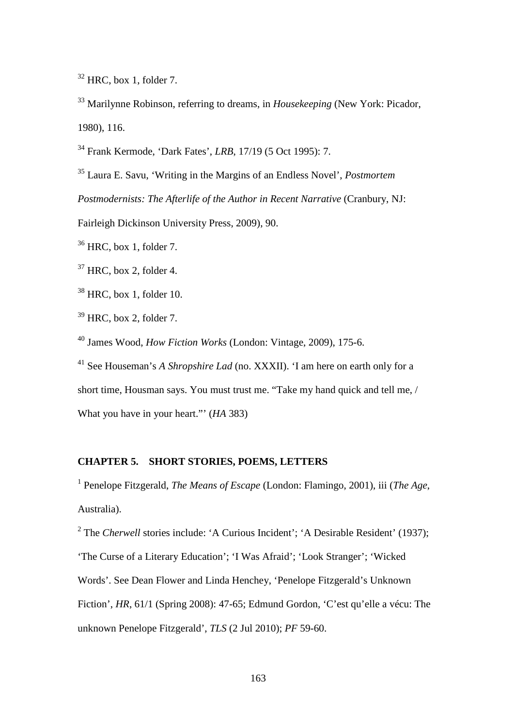$32$  HRC, box 1, folder 7.

<sup>33</sup> Marilynne Robinson, referring to dreams, in *Housekeeping* (New York: Picador, 1980), 116.

<sup>34</sup> Frank Kermode, 'Dark Fates', *LRB*, 17/19 (5 Oct 1995): 7.

<sup>35</sup> Laura E. Savu, 'Writing in the Margins of an Endless Novel', *Postmortem Postmodernists: The Afterlife of the Author in Recent Narrative* (Cranbury, NJ:

Fairleigh Dickinson University Press, 2009), 90.

 $36$  HRC, box 1, folder 7.

 $37$  HRC, box 2, folder 4.

 $38$  HRC, box 1, folder 10.

 $39$  HRC, box 2, folder 7.

<sup>40</sup> James Wood, *How Fiction Works* (London: Vintage, 2009), 175-6.

<sup>41</sup> See Houseman's *A Shropshire Lad* (no. XXXII). 'I am here on earth only for a short time, Housman says. You must trust me. "Take my hand quick and tell me, / What you have in your heart."' (*HA* 383)

# **CHAPTER 5. SHORT STORIES, POEMS, LETTERS**

<sup>1</sup> Penelope Fitzgerald, *The Means of Escape* (London: Flamingo, 2001), iii (*The Age*, Australia).

<sup>2</sup> The *Cherwell* stories include: 'A Curious Incident'; 'A Desirable Resident' (1937); 'The Curse of a Literary Education'; 'I Was Afraid'; 'Look Stranger'; 'Wicked Words'. See Dean Flower and Linda Henchey, 'Penelope Fitzgerald's Unknown Fiction', *HR*, 61/1 (Spring 2008): 47-65; Edmund Gordon, 'C'est qu'elle a vécu: The unknown Penelope Fitzgerald', *TLS* (2 Jul 2010); *PF* 59-60.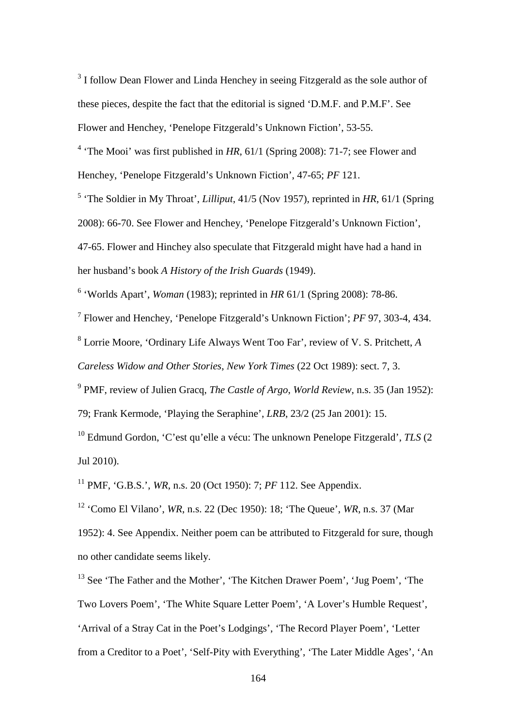<sup>3</sup> I follow Dean Flower and Linda Henchey in seeing Fitzgerald as the sole author of these pieces, despite the fact that the editorial is signed 'D.M.F. and P.M.F'. See Flower and Henchey, 'Penelope Fitzgerald's Unknown Fiction', 53-55.

<sup>4</sup> 'The Mooi' was first published in *HR*, 61/1 (Spring 2008): 71-7; see Flower and Henchey, 'Penelope Fitzgerald's Unknown Fiction', 47-65; *PF* 121.

<sup>5</sup> 'The Soldier in My Throat', *Lilliput*, 41/5 (Nov 1957), reprinted in *HR*, 61/1 (Spring 2008): 66-70. See Flower and Henchey, 'Penelope Fitzgerald's Unknown Fiction', 47-65. Flower and Hinchey also speculate that Fitzgerald might have had a hand in her husband's book *A History of the Irish Guards* (1949).

<sup>6</sup> 'Worlds Apart', *Woman* (1983); reprinted in *HR* 61/1 (Spring 2008): 78-86.

<sup>7</sup> Flower and Henchey, 'Penelope Fitzgerald's Unknown Fiction'; *PF* 97, 303-4, 434.

<sup>8</sup> Lorrie Moore, 'Ordinary Life Always Went Too Far', review of V. S. Pritchett, *A Careless Widow and Other Stories*, *New York Times* (22 Oct 1989): sect. 7, 3.

<sup>9</sup> PMF, review of Julien Gracq, *The Castle of Argo*, *World Review*, n.s. 35 (Jan 1952): 79; Frank Kermode, 'Playing the Seraphine', *LRB*, 23/2 (25 Jan 2001): 15.

<sup>10</sup> Edmund Gordon, 'C'est qu'elle a vécu: The unknown Penelope Fitzgerald', *TLS* (2 Jul 2010).

<sup>11</sup> PMF, 'G.B.S.', *WR*, n.s. 20 (Oct 1950): 7; *PF* 112. See Appendix.

<sup>12</sup> 'Como El Vilano', *WR*, n.s. 22 (Dec 1950): 18; 'The Queue', *WR*, n.s. 37 (Mar 1952): 4. See Appendix. Neither poem can be attributed to Fitzgerald for sure, though no other candidate seems likely.

<sup>13</sup> See 'The Father and the Mother', 'The Kitchen Drawer Poem', 'Jug Poem', 'The Two Lovers Poem', 'The White Square Letter Poem', 'A Lover's Humble Request', 'Arrival of a Stray Cat in the Poet's Lodgings', 'The Record Player Poem', 'Letter from a Creditor to a Poet', 'Self-Pity with Everything', 'The Later Middle Ages', 'An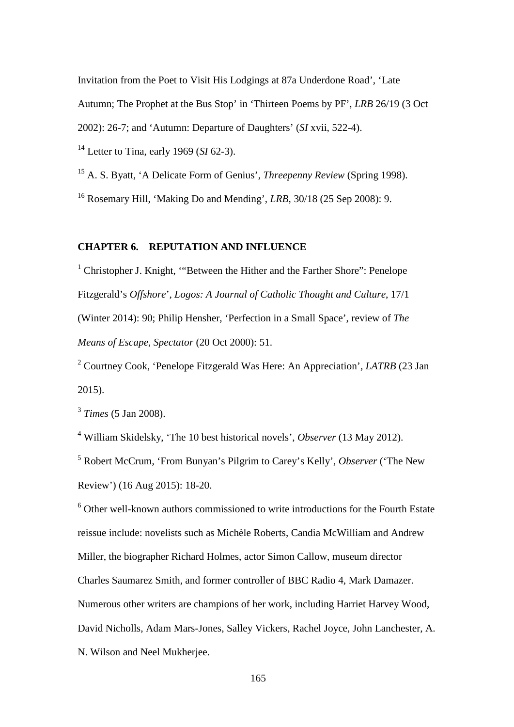Invitation from the Poet to Visit His Lodgings at 87a Underdone Road', 'Late Autumn; The Prophet at the Bus Stop' in 'Thirteen Poems by PF', *LRB* 26/19 (3 Oct

2002): 26-7; and 'Autumn: Departure of Daughters' (*SI* xvii, 522-4).

<sup>14</sup> Letter to Tina, early 1969 (*SI* 62-3).

<sup>15</sup> A. S. Byatt, 'A Delicate Form of Genius', *Threepenny Review* (Spring 1998).

<sup>16</sup> Rosemary Hill, 'Making Do and Mending', *LRB*, 30/18 (25 Sep 2008): 9.

## **CHAPTER 6. REPUTATION AND INFLUENCE**

<sup>1</sup> Christopher J. Knight, ""Between the Hither and the Farther Shore": Penelope Fitzgerald's *Offshore*', *Logos: A Journal of Catholic Thought and Culture*, 17/1 (Winter 2014): 90; Philip Hensher, 'Perfection in a Small Space', review of *The Means of Escape*, *Spectator* (20 Oct 2000): 51.

<sup>2</sup> Courtney Cook, 'Penelope Fitzgerald Was Here: An Appreciation', *LATRB* (23 Jan 2015).

<sup>3</sup> *Times* (5 Jan 2008).

<sup>4</sup> William Skidelsky, 'The 10 best historical novels', *Observer* (13 May 2012).

<sup>5</sup> Robert McCrum, 'From Bunyan's Pilgrim to Carey's Kelly', *Observer* ('The New Review') (16 Aug 2015): 18-20.

<sup>6</sup> Other well-known authors commissioned to write introductions for the Fourth Estate reissue include: novelists such as Michèle Roberts, Candia McWilliam and Andrew Miller, the biographer Richard Holmes, actor Simon Callow, museum director Charles Saumarez Smith, and former controller of BBC Radio 4, Mark Damazer. Numerous other writers are champions of her work, including Harriet Harvey Wood, David Nicholls, Adam Mars-Jones, Salley Vickers, Rachel Joyce, John Lanchester, A. N. Wilson and Neel Mukherjee.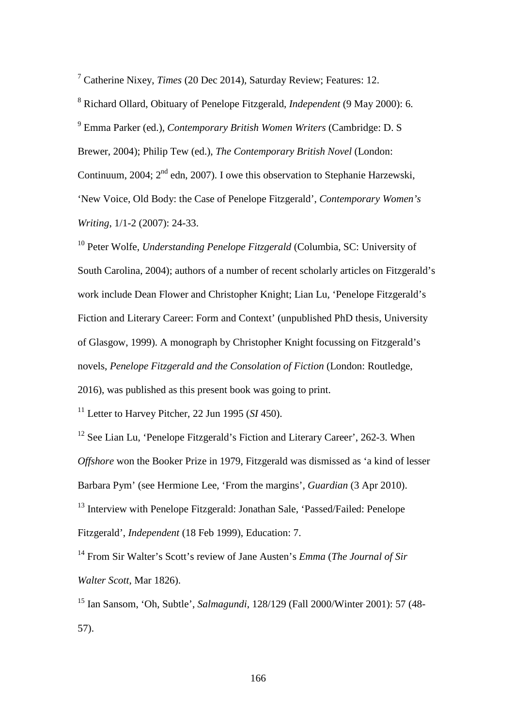<sup>7</sup> Catherine Nixey, *Times* (20 Dec 2014), Saturday Review; Features: 12.

<sup>8</sup> Richard Ollard, Obituary of Penelope Fitzgerald, *Independent* (9 May 2000): 6. <sup>9</sup> Emma Parker (ed.), *Contemporary British Women Writers* (Cambridge: D. S Brewer, 2004); Philip Tew (ed.), *The Contemporary British Novel* (London: Continuum, 2004; 2<sup>nd</sup> edn, 2007). I owe this observation to Stephanie Harzewski, 'New Voice, Old Body: the Case of Penelope Fitzgerald', *Contemporary Women's Writing*, 1/1-2 (2007): 24-33.

<sup>10</sup> Peter Wolfe, *Understanding Penelope Fitzgerald* (Columbia, SC: University of South Carolina, 2004); authors of a number of recent scholarly articles on Fitzgerald's work include Dean Flower and Christopher Knight; Lian Lu, 'Penelope Fitzgerald's Fiction and Literary Career: Form and Context' (unpublished PhD thesis, University of Glasgow, 1999). A monograph by Christopher Knight focussing on Fitzgerald's novels, *Penelope Fitzgerald and the Consolation of Fiction* (London: Routledge, 2016), was published as this present book was going to print.

<sup>11</sup> Letter to Harvey Pitcher, 22 Jun 1995 (*SI* 450).

<sup>12</sup> See Lian Lu, 'Penelope Fitzgerald's Fiction and Literary Career', 262-3. When *Offshore* won the Booker Prize in 1979, Fitzgerald was dismissed as 'a kind of lesser Barbara Pym' (see Hermione Lee, 'From the margins', *Guardian* (3 Apr 2010). <sup>13</sup> Interview with Penelope Fitzgerald: Jonathan Sale, 'Passed/Failed: Penelope Fitzgerald', *Independent* (18 Feb 1999), Education: 7.

<sup>14</sup> From Sir Walter's Scott's review of Jane Austen's *Emma* (*The Journal of Sir Walter Scott*, Mar 1826).

<sup>15</sup> Ian Sansom, 'Oh, Subtle', *Salmagundi*, 128/129 (Fall 2000/Winter 2001): 57 (48- 57).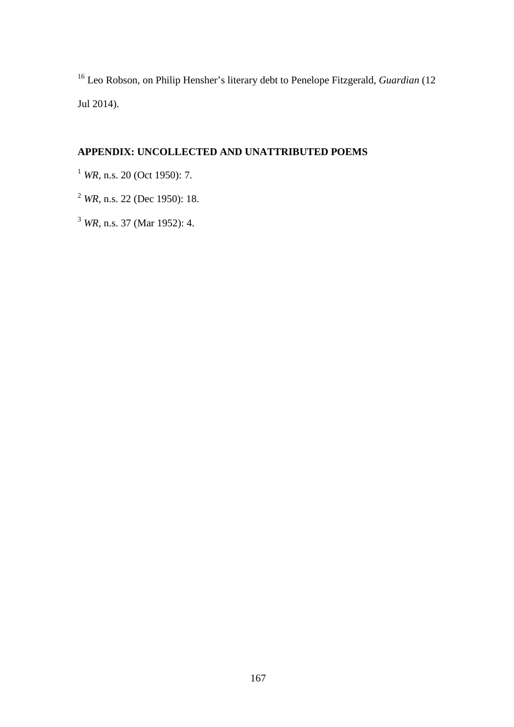Leo Robson, on Philip Hensher's literary debt to Penelope Fitzgerald, *Guardian* (12 Jul 2014).

# **APPENDIX: UNCOLLECTED AND UNATTRIBUTED POEMS**

*WR*, n.s. 20 (Oct 1950): 7.

*WR*, n.s. 22 (Dec 1950): 18.

*WR*, n.s. 37 (Mar 1952): 4.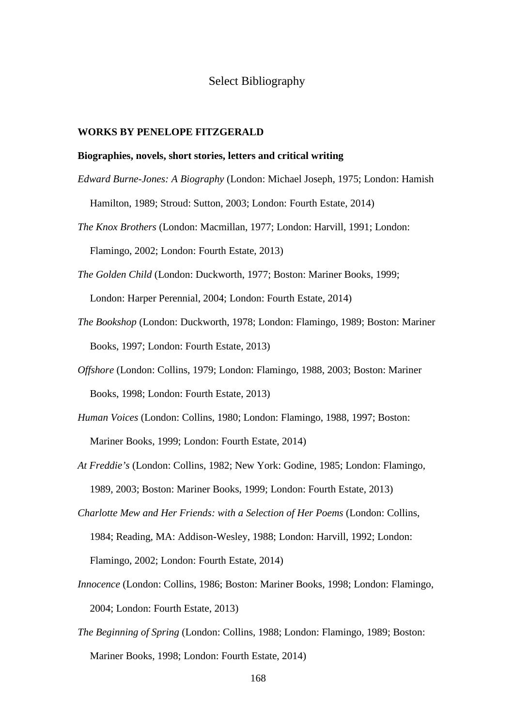# Select Bibliography

### **WORKS BY PENELOPE FITZGERALD**

### **Biographies, novels, short stories, letters and critical writing**

- *Edward Burne-Jones: A Biography* (London: Michael Joseph, 1975; London: Hamish Hamilton, 1989; Stroud: Sutton, 2003; London: Fourth Estate, 2014)
- *The Knox Brothers* (London: Macmillan, 1977; London: Harvill, 1991; London: Flamingo, 2002; London: Fourth Estate, 2013)
- *The Golden Child* (London: Duckworth, 1977; Boston: Mariner Books, 1999; London: Harper Perennial, 2004; London: Fourth Estate, 2014)
- *The Bookshop* (London: Duckworth, 1978; London: Flamingo, 1989; Boston: Mariner Books, 1997; London: Fourth Estate, 2013)
- *Offshore* (London: Collins, 1979; London: Flamingo, 1988, 2003; Boston: Mariner Books, 1998; London: Fourth Estate, 2013)
- *Human Voices* (London: Collins, 1980; London: Flamingo, 1988, 1997; Boston: Mariner Books, 1999; London: Fourth Estate, 2014)
- *At Freddie's* (London: Collins, 1982; New York: Godine, 1985; London: Flamingo, 1989, 2003; Boston: Mariner Books, 1999; London: Fourth Estate, 2013)
- *Charlotte Mew and Her Friends: with a Selection of Her Poems* (London: Collins, 1984; Reading, MA: Addison-Wesley, 1988; London: Harvill, 1992; London: Flamingo, 2002; London: Fourth Estate, 2014)
- *Innocence* (London: Collins, 1986; Boston: Mariner Books, 1998; London: Flamingo, 2004; London: Fourth Estate, 2013)
- *The Beginning of Spring* (London: Collins, 1988; London: Flamingo, 1989; Boston: Mariner Books, 1998; London: Fourth Estate, 2014)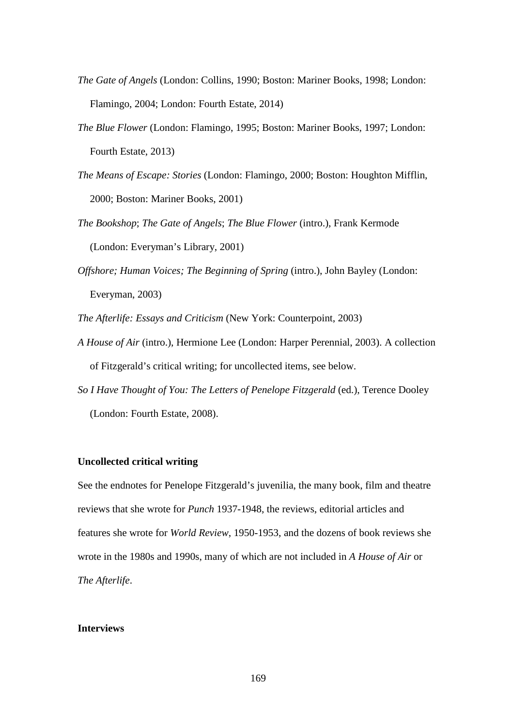- *The Gate of Angels* (London: Collins, 1990; Boston: Mariner Books, 1998; London: Flamingo, 2004; London: Fourth Estate, 2014)
- *The Blue Flower* (London: Flamingo, 1995; Boston: Mariner Books, 1997; London: Fourth Estate, 2013)
- *The Means of Escape: Stories* (London: Flamingo, 2000; Boston: Houghton Mifflin, 2000; Boston: Mariner Books, 2001)
- *The Bookshop*; *The Gate of Angels*; *The Blue Flower* (intro.), Frank Kermode (London: Everyman's Library, 2001)
- *Offshore; Human Voices; The Beginning of Spring* (intro.), John Bayley (London: Everyman, 2003)

*The Afterlife: Essays and Criticism* (New York: Counterpoint, 2003)

- *A House of Air* (intro.), Hermione Lee (London: Harper Perennial, 2003). A collection of Fitzgerald's critical writing; for uncollected items, see below.
- *So I Have Thought of You: The Letters of Penelope Fitzgerald* (ed.), Terence Dooley (London: Fourth Estate, 2008).

### **Uncollected critical writing**

See the endnotes for Penelope Fitzgerald's juvenilia, the many book, film and theatre reviews that she wrote for *Punch* 1937-1948, the reviews, editorial articles and features she wrote for *World Review*, 1950-1953, and the dozens of book reviews she wrote in the 1980s and 1990s, many of which are not included in *A House of Air* or *The Afterlife*.

### **Interviews**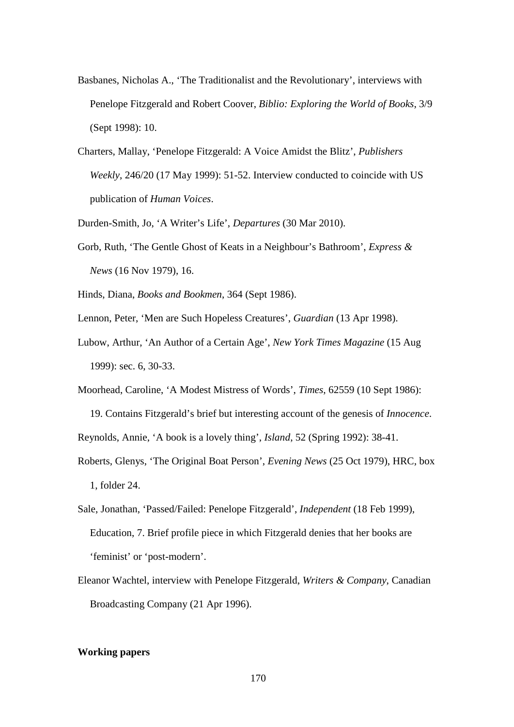- Basbanes, Nicholas A., 'The Traditionalist and the Revolutionary', interviews with Penelope Fitzgerald and Robert Coover, *Biblio: Exploring the World of Books*, 3/9 (Sept 1998): 10.
- Charters, Mallay, 'Penelope Fitzgerald: A Voice Amidst the Blitz', *Publishers Weekly*, 246/20 (17 May 1999): 51-52. Interview conducted to coincide with US publication of *Human Voices*.

Durden-Smith, Jo, 'A Writer's Life', *Departures* (30 Mar 2010).

Gorb, Ruth, 'The Gentle Ghost of Keats in a Neighbour's Bathroom', *Express & News* (16 Nov 1979), 16.

Hinds, Diana, *Books and Bookmen*, 364 (Sept 1986).

Lennon, Peter, 'Men are Such Hopeless Creatures', *Guardian* (13 Apr 1998).

Lubow, Arthur, 'An Author of a Certain Age', *New York Times Magazine* (15 Aug 1999): sec. 6, 30-33.

Moorhead, Caroline, 'A Modest Mistress of Words', *Times*, 62559 (10 Sept 1986):

19. Contains Fitzgerald's brief but interesting account of the genesis of *Innocence*. Reynolds, Annie, 'A book is a lovely thing', *Island*, 52 (Spring 1992): 38-41.

- Roberts, Glenys, 'The Original Boat Person', *Evening News* (25 Oct 1979), HRC, box 1, folder 24.
- Sale, Jonathan, 'Passed/Failed: Penelope Fitzgerald', *Independent* (18 Feb 1999), Education, 7. Brief profile piece in which Fitzgerald denies that her books are 'feminist' or 'post-modern'.
- Eleanor Wachtel, interview with Penelope Fitzgerald, *Writers & Company*, Canadian Broadcasting Company (21 Apr 1996).

### **Working papers**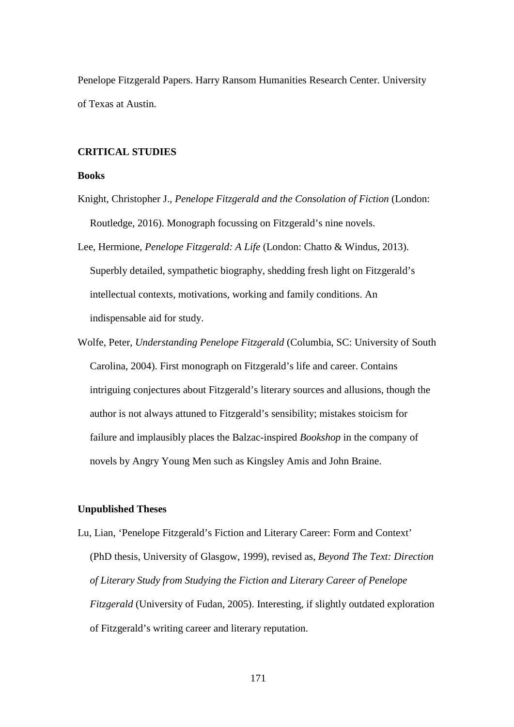Penelope Fitzgerald Papers. Harry Ransom Humanities Research Center. University of Texas at Austin.

## **CRITICAL STUDIES**

## **Books**

- Knight, Christopher J., *Penelope Fitzgerald and the Consolation of Fiction* (London: Routledge, 2016). Monograph focussing on Fitzgerald's nine novels.
- Lee, Hermione, *Penelope Fitzgerald: A Life* (London: Chatto & Windus, 2013). Superbly detailed, sympathetic biography, shedding fresh light on Fitzgerald's intellectual contexts, motivations, working and family conditions. An indispensable aid for study.
- Wolfe, Peter, *Understanding Penelope Fitzgerald* (Columbia, SC: University of South Carolina, 2004). First monograph on Fitzgerald's life and career. Contains intriguing conjectures about Fitzgerald's literary sources and allusions, though the author is not always attuned to Fitzgerald's sensibility; mistakes stoicism for failure and implausibly places the Balzac-inspired *Bookshop* in the company of novels by Angry Young Men such as Kingsley Amis and John Braine.

### **Unpublished Theses**

Lu, Lian, 'Penelope Fitzgerald's Fiction and Literary Career: Form and Context' (PhD thesis, University of Glasgow, 1999), revised as, *Beyond The Text: Direction of Literary Study from Studying the Fiction and Literary Career of Penelope Fitzgerald* (University of Fudan, 2005). Interesting, if slightly outdated exploration of Fitzgerald's writing career and literary reputation.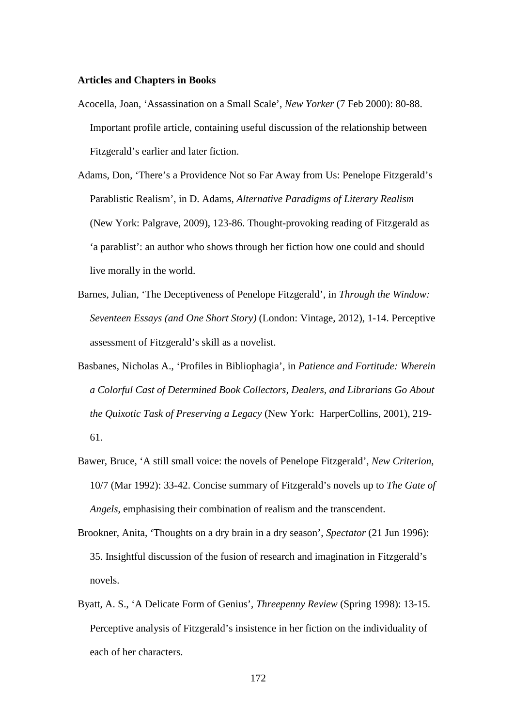## **Articles and Chapters in Books**

- Acocella, Joan, 'Assassination on a Small Scale', *New Yorker* (7 Feb 2000): 80-88. Important profile article, containing useful discussion of the relationship between Fitzgerald's earlier and later fiction.
- Adams, Don, 'There's a Providence Not so Far Away from Us: Penelope Fitzgerald's Parablistic Realism', in D. Adams, *Alternative Paradigms of Literary Realism* (New York: Palgrave, 2009), 123-86. Thought-provoking reading of Fitzgerald as 'a parablist': an author who shows through her fiction how one could and should live morally in the world.
- Barnes, Julian, 'The Deceptiveness of Penelope Fitzgerald', in *Through the Window: Seventeen Essays (and One Short Story)* (London: Vintage, 2012), 1-14. Perceptive assessment of Fitzgerald's skill as a novelist.
- Basbanes, Nicholas A., 'Profiles in Bibliophagia', in *Patience and Fortitude: Wherein a Colorful Cast of Determined Book Collectors, Dealers, and Librarians Go About the Quixotic Task of Preserving a Legacy* (New York: HarperCollins, 2001), 219- 61.
- Bawer, Bruce, 'A still small voice: the novels of Penelope Fitzgerald', *New Criterion*, 10/7 (Mar 1992): 33-42. Concise summary of Fitzgerald's novels up to *The Gate of Angels*, emphasising their combination of realism and the transcendent.
- Brookner, Anita, 'Thoughts on a dry brain in a dry season', *Spectator* (21 Jun 1996): 35. Insightful discussion of the fusion of research and imagination in Fitzgerald's novels.
- Byatt, A. S., 'A Delicate Form of Genius', *Threepenny Review* (Spring 1998): 13-15. Perceptive analysis of Fitzgerald's insistence in her fiction on the individuality of each of her characters.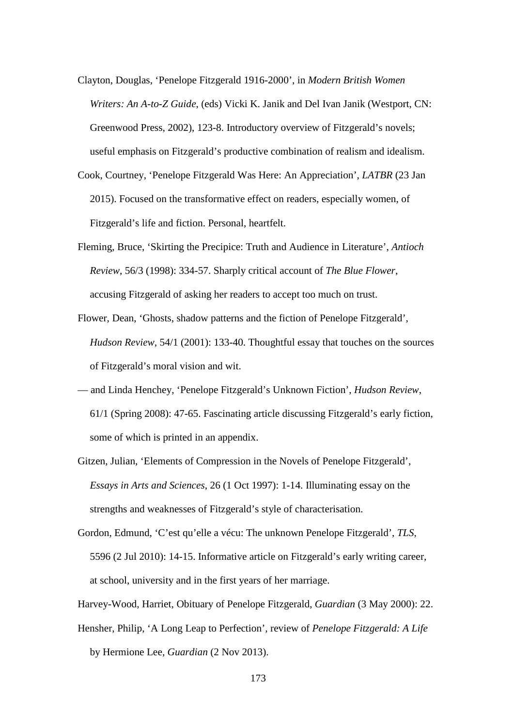- Clayton, Douglas, 'Penelope Fitzgerald 1916-2000', in *Modern British Women Writers: An A-to-Z Guide*, (eds) Vicki K. Janik and Del Ivan Janik (Westport, CN: Greenwood Press, 2002), 123-8. Introductory overview of Fitzgerald's novels; useful emphasis on Fitzgerald's productive combination of realism and idealism.
- Cook, Courtney, 'Penelope Fitzgerald Was Here: An Appreciation', *LATBR* (23 Jan 2015). Focused on the transformative effect on readers, especially women, of Fitzgerald's life and fiction. Personal, heartfelt.
- Fleming, Bruce, 'Skirting the Precipice: Truth and Audience in Literature', *Antioch Review*, 56/3 (1998): 334-57. Sharply critical account of *The Blue Flower*, accusing Fitzgerald of asking her readers to accept too much on trust.
- Flower, Dean, 'Ghosts, shadow patterns and the fiction of Penelope Fitzgerald', *Hudson Review*, 54/1 (2001): 133-40. Thoughtful essay that touches on the sources of Fitzgerald's moral vision and wit.
- and Linda Henchey, 'Penelope Fitzgerald's Unknown Fiction', *Hudson Review*, 61/1 (Spring 2008): 47-65. Fascinating article discussing Fitzgerald's early fiction, some of which is printed in an appendix.
- Gitzen, Julian, 'Elements of Compression in the Novels of Penelope Fitzgerald', *Essays in Arts and Sciences*, 26 (1 Oct 1997): 1-14. Illuminating essay on the strengths and weaknesses of Fitzgerald's style of characterisation.
- Gordon, Edmund, 'C'est qu'elle a vécu: The unknown Penelope Fitzgerald', *TLS*, 5596 (2 Jul 2010): 14-15. Informative article on Fitzgerald's early writing career, at school, university and in the first years of her marriage.
- Harvey-Wood, Harriet, Obituary of Penelope Fitzgerald, *Guardian* (3 May 2000): 22.
- Hensher, Philip, 'A Long Leap to Perfection', review of *Penelope Fitzgerald: A Life* by Hermione Lee, *Guardian* (2 Nov 2013).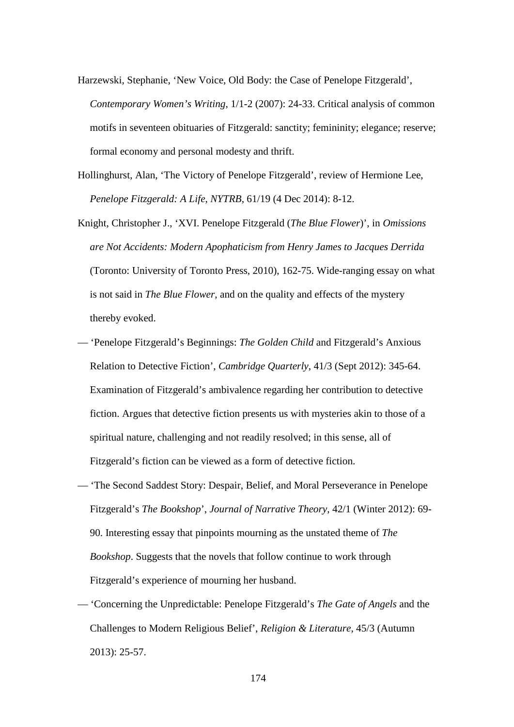- Harzewski, Stephanie, 'New Voice, Old Body: the Case of Penelope Fitzgerald', *Contemporary Women's Writing*, 1/1-2 (2007): 24-33. Critical analysis of common motifs in seventeen obituaries of Fitzgerald: sanctity; femininity; elegance; reserve; formal economy and personal modesty and thrift.
- Hollinghurst, Alan, 'The Victory of Penelope Fitzgerald', review of Hermione Lee, *Penelope Fitzgerald: A Life*, *NYTRB*, 61/19 (4 Dec 2014): 8-12.
- Knight, Christopher J., 'XVI. Penelope Fitzgerald (*The Blue Flower*)', in *Omissions are Not Accidents: Modern Apophaticism from Henry James to Jacques Derrida* (Toronto: University of Toronto Press, 2010), 162-75. Wide-ranging essay on what is not said in *The Blue Flower*, and on the quality and effects of the mystery thereby evoked.
- 'Penelope Fitzgerald's Beginnings: *The Golden Child* and Fitzgerald's Anxious Relation to Detective Fiction', *Cambridge Quarterly*, 41/3 (Sept 2012): 345-64. Examination of Fitzgerald's ambivalence regarding her contribution to detective fiction. Argues that detective fiction presents us with mysteries akin to those of a spiritual nature, challenging and not readily resolved; in this sense, all of Fitzgerald's fiction can be viewed as a form of detective fiction.
- 'The Second Saddest Story: Despair, Belief, and Moral Perseverance in Penelope Fitzgerald's *The Bookshop*', *Journal of Narrative Theory*, 42/1 (Winter 2012): 69- 90. Interesting essay that pinpoints mourning as the unstated theme of *The Bookshop*. Suggests that the novels that follow continue to work through Fitzgerald's experience of mourning her husband.
- 'Concerning the Unpredictable: Penelope Fitzgerald's *The Gate of Angels* and the Challenges to Modern Religious Belief', *Religion & Literature*, 45/3 (Autumn 2013): 25-57.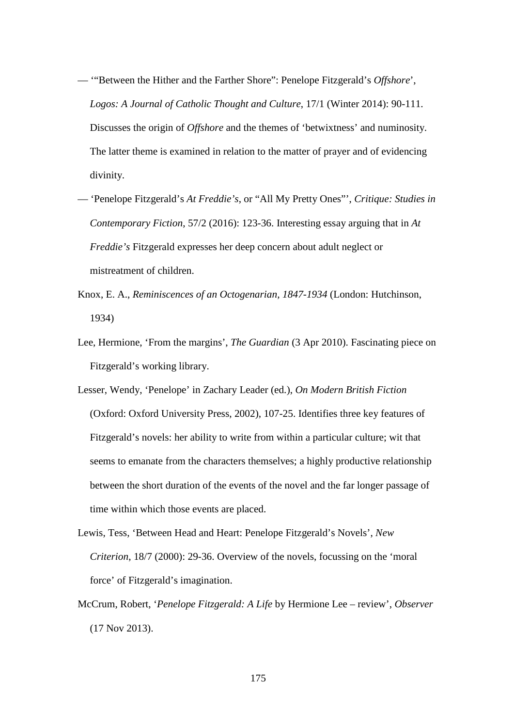- '"Between the Hither and the Farther Shore": Penelope Fitzgerald's *Offshore*', *Logos: A Journal of Catholic Thought and Culture*, 17/1 (Winter 2014): 90-111. Discusses the origin of *Offshore* and the themes of 'betwixtness' and numinosity. The latter theme is examined in relation to the matter of prayer and of evidencing divinity.
- 'Penelope Fitzgerald's *At Freddie's*, or "All My Pretty Ones"', *Critique: Studies in Contemporary Fiction*, 57/2 (2016): 123-36. Interesting essay arguing that in *At Freddie's* Fitzgerald expresses her deep concern about adult neglect or mistreatment of children.
- Knox, E. A., *Reminiscences of an Octogenarian, 1847-1934* (London: Hutchinson, 1934)
- Lee, Hermione, 'From the margins', *The Guardian* (3 Apr 2010). Fascinating piece on Fitzgerald's working library.
- Lesser, Wendy, 'Penelope' in Zachary Leader (ed.), *On Modern British Fiction* (Oxford: Oxford University Press, 2002), 107-25. Identifies three key features of Fitzgerald's novels: her ability to write from within a particular culture; wit that seems to emanate from the characters themselves; a highly productive relationship between the short duration of the events of the novel and the far longer passage of time within which those events are placed.
- Lewis, Tess, 'Between Head and Heart: Penelope Fitzgerald's Novels', *New Criterion*, 18/7 (2000): 29-36. Overview of the novels, focussing on the 'moral force' of Fitzgerald's imagination.
- McCrum, Robert, '*Penelope Fitzgerald: A Life* by Hermione Lee review', *Observer* (17 Nov 2013).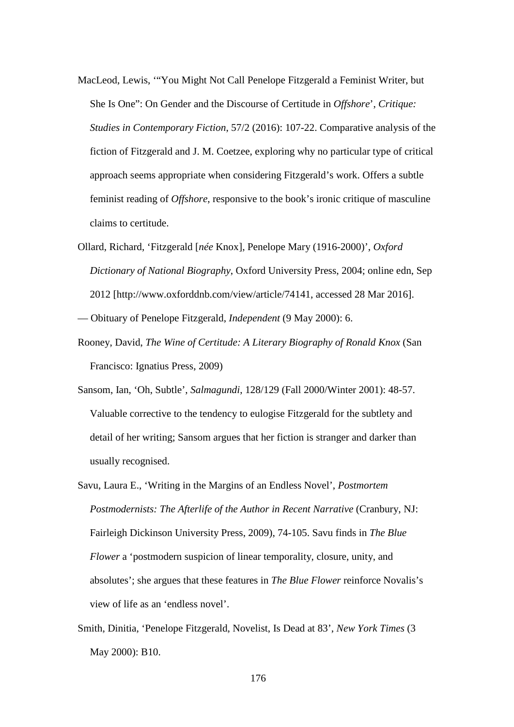- MacLeod, Lewis, '"You Might Not Call Penelope Fitzgerald a Feminist Writer, but She Is One": On Gender and the Discourse of Certitude in *Offshore*', *Critique: Studies in Contemporary Fiction*, 57/2 (2016): 107-22. Comparative analysis of the fiction of Fitzgerald and J. M. Coetzee, exploring why no particular type of critical approach seems appropriate when considering Fitzgerald's work. Offers a subtle feminist reading of *Offshore*, responsive to the book's ironic critique of masculine claims to certitude.
- Ollard, Richard, 'Fitzgerald [*née* Knox], Penelope Mary (1916-2000)', *Oxford Dictionary of National Biography*, Oxford University Press, 2004; online edn, Sep 2012 [http://www.oxforddnb.com/view/article/74141, accessed 28 Mar 2016].

— Obituary of Penelope Fitzgerald, *Independent* (9 May 2000): 6.

- Rooney, David, *The Wine of Certitude: A Literary Biography of Ronald Knox* (San Francisco: Ignatius Press, 2009)
- Sansom, Ian, 'Oh, Subtle', *Salmagundi*, 128/129 (Fall 2000/Winter 2001): 48-57. Valuable corrective to the tendency to eulogise Fitzgerald for the subtlety and detail of her writing; Sansom argues that her fiction is stranger and darker than usually recognised.
- Savu, Laura E., 'Writing in the Margins of an Endless Novel', *Postmortem Postmodernists: The Afterlife of the Author in Recent Narrative* (Cranbury, NJ: Fairleigh Dickinson University Press, 2009), 74-105. Savu finds in *The Blue Flower* a 'postmodern suspicion of linear temporality, closure, unity, and absolutes'; she argues that these features in *The Blue Flower* reinforce Novalis's view of life as an 'endless novel'.
- Smith, Dinitia, 'Penelope Fitzgerald, Novelist, Is Dead at 83', *New York Times* (3 May 2000): B10.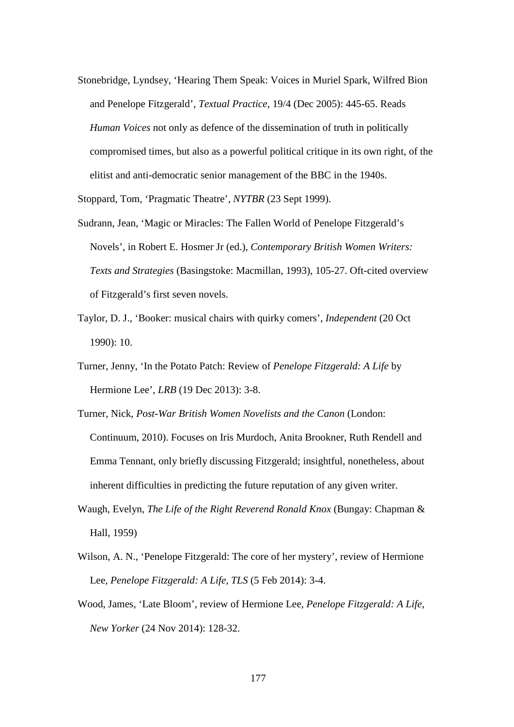Stonebridge, Lyndsey, 'Hearing Them Speak: Voices in Muriel Spark, Wilfred Bion and Penelope Fitzgerald', *Textual Practice*, 19/4 (Dec 2005): 445-65. Reads *Human Voices* not only as defence of the dissemination of truth in politically compromised times, but also as a powerful political critique in its own right, of the elitist and anti-democratic senior management of the BBC in the 1940s.

Stoppard, Tom, 'Pragmatic Theatre', *NYTBR* (23 Sept 1999).

- Sudrann, Jean, 'Magic or Miracles: The Fallen World of Penelope Fitzgerald's Novels', in Robert E. Hosmer Jr (ed.), *Contemporary British Women Writers: Texts and Strategies* (Basingstoke: Macmillan, 1993), 105-27. Oft-cited overview of Fitzgerald's first seven novels.
- Taylor, D. J., 'Booker: musical chairs with quirky comers', *Independent* (20 Oct 1990): 10.
- Turner, Jenny, 'In the Potato Patch: Review of *Penelope Fitzgerald: A Life* by Hermione Lee', *LRB* (19 Dec 2013): 3-8.

Turner, Nick, *Post-War British Women Novelists and the Canon* (London: Continuum, 2010). Focuses on Iris Murdoch, Anita Brookner, Ruth Rendell and Emma Tennant, only briefly discussing Fitzgerald; insightful, nonetheless, about inherent difficulties in predicting the future reputation of any given writer.

- Waugh, Evelyn, *The Life of the Right Reverend Ronald Knox* (Bungay: Chapman & Hall, 1959)
- Wilson, A. N., 'Penelope Fitzgerald: The core of her mystery', review of Hermione Lee, *Penelope Fitzgerald: A Life*, *TLS* (5 Feb 2014): 3-4.
- Wood, James, 'Late Bloom', review of Hermione Lee, *Penelope Fitzgerald: A Life*, *New Yorker* (24 Nov 2014): 128-32.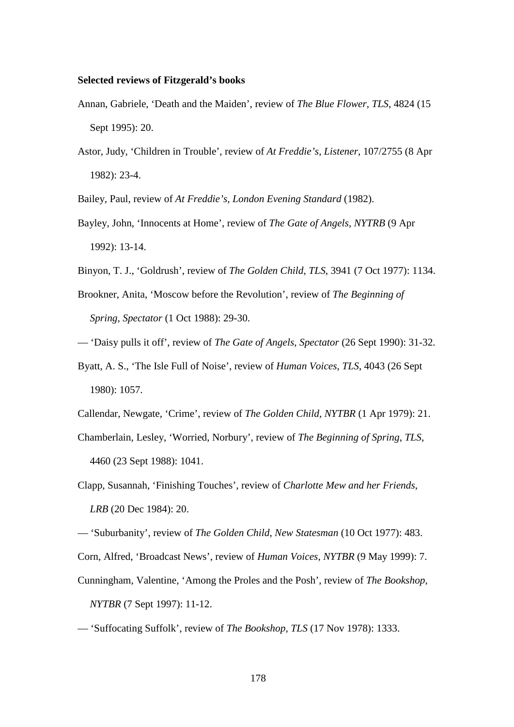## **Selected reviews of Fitzgerald's books**

- Annan, Gabriele, 'Death and the Maiden', review of *The Blue Flower*, *TLS*, 4824 (15 Sept 1995): 20.
- Astor, Judy, 'Children in Trouble', review of *At Freddie's*, *Listener*, 107/2755 (8 Apr 1982): 23-4.

Bailey, Paul, review of *At Freddie's*, *London Evening Standard* (1982).

- Bayley, John, 'Innocents at Home', review of *The Gate of Angels*, *NYTRB* (9 Apr 1992): 13-14.
- Binyon, T. J., 'Goldrush', review of *The Golden Child*, *TLS*, 3941 (7 Oct 1977): 1134.
- Brookner, Anita, 'Moscow before the Revolution', review of *The Beginning of Spring*, *Spectator* (1 Oct 1988): 29-30.
- 'Daisy pulls it off', review of *The Gate of Angels*, *Spectator* (26 Sept 1990): 31-32.
- Byatt, A. S., 'The Isle Full of Noise', review of *Human Voices*, *TLS*, 4043 (26 Sept 1980): 1057.
- Callendar, Newgate, 'Crime', review of *The Golden Child*, *NYTBR* (1 Apr 1979): 21.
- Chamberlain, Lesley, 'Worried, Norbury', review of *The Beginning of Spring*, *TLS*, 4460 (23 Sept 1988): 1041.
- Clapp, Susannah, 'Finishing Touches', review of *Charlotte Mew and her Friends*, *LRB* (20 Dec 1984): 20.

— 'Suburbanity', review of *The Golden Child*, *New Statesman* (10 Oct 1977): 483.

- Corn, Alfred, 'Broadcast News', review of *Human Voices*, *NYTBR* (9 May 1999): 7.
- Cunningham, Valentine, 'Among the Proles and the Posh', review of *The Bookshop*, *NYTBR* (7 Sept 1997): 11-12.
- 'Suffocating Suffolk', review of *The Bookshop*, *TLS* (17 Nov 1978): 1333.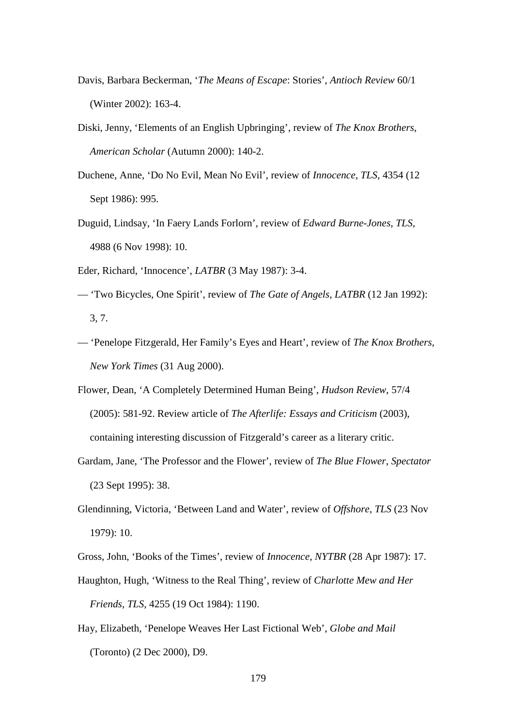- Davis, Barbara Beckerman, '*The Means of Escape*: Stories', *Antioch Review* 60/1 (Winter 2002): 163-4.
- Diski, Jenny, 'Elements of an English Upbringing', review of *The Knox Brothers*, *American Scholar* (Autumn 2000): 140-2.
- Duchene, Anne, 'Do No Evil, Mean No Evil', review of *Innocence*, *TLS*, 4354 (12 Sept 1986): 995.
- Duguid, Lindsay, 'In Faery Lands Forlorn', review of *Edward Burne-Jones*, *TLS*, 4988 (6 Nov 1998): 10.
- Eder, Richard, 'Innocence', *LATBR* (3 May 1987): 3-4.
- 'Two Bicycles, One Spirit', review of *The Gate of Angels*, *LATBR* (12 Jan 1992): 3, 7.
- 'Penelope Fitzgerald, Her Family's Eyes and Heart', review of *The Knox Brothers*, *New York Times* (31 Aug 2000).
- Flower, Dean, 'A Completely Determined Human Being', *Hudson Review*, 57/4 (2005): 581-92. Review article of *The Afterlife: Essays and Criticism* (2003), containing interesting discussion of Fitzgerald's career as a literary critic.
- Gardam, Jane, 'The Professor and the Flower', review of *The Blue Flower*, *Spectator* (23 Sept 1995): 38.
- Glendinning, Victoria, 'Between Land and Water', review of *Offshore*, *TLS* (23 Nov 1979): 10.

Gross, John, 'Books of the Times', review of *Innocence*, *NYTBR* (28 Apr 1987): 17.

- Haughton, Hugh, 'Witness to the Real Thing', review of *Charlotte Mew and Her Friends*, *TLS*, 4255 (19 Oct 1984): 1190.
- Hay, Elizabeth, 'Penelope Weaves Her Last Fictional Web', *Globe and Mail* (Toronto) (2 Dec 2000), D9.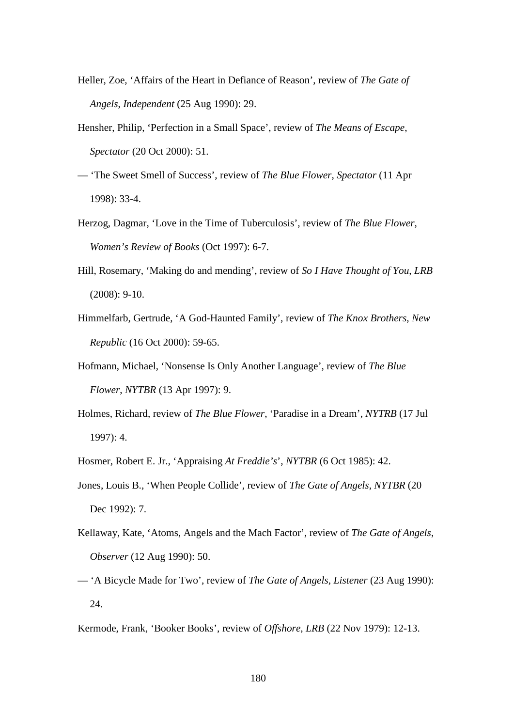- Heller, Zoe, 'Affairs of the Heart in Defiance of Reason', review of *The Gate of Angels*, *Independent* (25 Aug 1990): 29.
- Hensher, Philip, 'Perfection in a Small Space', review of *The Means of Escape*, *Spectator* (20 Oct 2000): 51.
- 'The Sweet Smell of Success', review of *The Blue Flower*, *Spectator* (11 Apr 1998): 33-4.
- Herzog, Dagmar, 'Love in the Time of Tuberculosis', review of *The Blue Flower*, *Women's Review of Books* (Oct 1997): 6-7.
- Hill, Rosemary, 'Making do and mending', review of *So I Have Thought of You*, *LRB* (2008): 9-10.
- Himmelfarb, Gertrude, 'A God-Haunted Family', review of *The Knox Brothers*, *New Republic* (16 Oct 2000): 59-65.
- Hofmann, Michael, 'Nonsense Is Only Another Language', review of *The Blue Flower*, *NYTBR* (13 Apr 1997): 9.
- Holmes, Richard, review of *The Blue Flower*, 'Paradise in a Dream', *NYTRB* (17 Jul 1997): 4.
- Hosmer, Robert E. Jr., 'Appraising *At Freddie's*', *NYTBR* (6 Oct 1985): 42.
- Jones, Louis B., 'When People Collide', review of *The Gate of Angels*, *NYTBR* (20 Dec 1992): 7.
- Kellaway, Kate, 'Atoms, Angels and the Mach Factor', review of *The Gate of Angels*, *Observer* (12 Aug 1990): 50.
- 'A Bicycle Made for Two', review of *The Gate of Angels*, *Listener* (23 Aug 1990): 24.

Kermode, Frank, 'Booker Books', review of *Offshore*, *LRB* (22 Nov 1979): 12-13.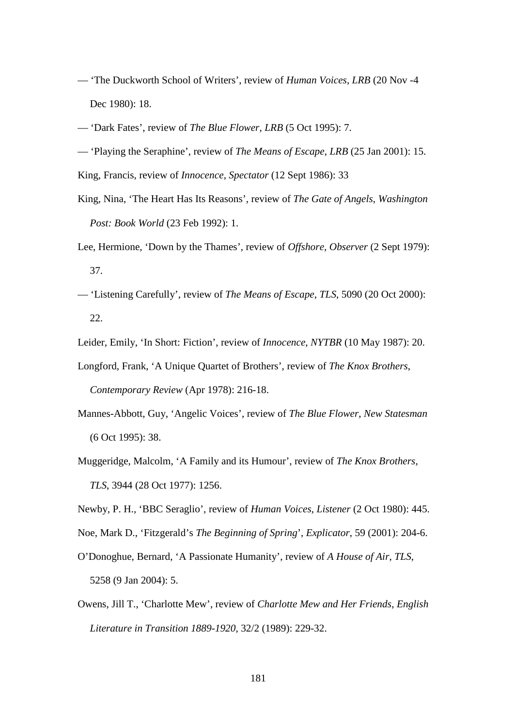— 'The Duckworth School of Writers', review of *Human Voices*, *LRB* (20 Nov -4 Dec 1980): 18.

— 'Dark Fates', review of *The Blue Flower*, *LRB* (5 Oct 1995): 7.

— 'Playing the Seraphine', review of *The Means of Escape*, *LRB* (25 Jan 2001): 15.

King, Francis, review of *Innocence*, *Spectator* (12 Sept 1986): 33

- King, Nina, 'The Heart Has Its Reasons', review of *The Gate of Angels*, *Washington Post: Book World* (23 Feb 1992): 1.
- Lee, Hermione, 'Down by the Thames', review of *Offshore*, *Observer* (2 Sept 1979): 37.
- 'Listening Carefully', review of *The Means of Escape*, *TLS*, 5090 (20 Oct 2000): 22.

Leider, Emily, 'In Short: Fiction', review of *Innocence*, *NYTBR* (10 May 1987): 20.

- Longford, Frank, 'A Unique Quartet of Brothers', review of *The Knox Brothers*, *Contemporary Review* (Apr 1978): 216-18.
- Mannes-Abbott, Guy, 'Angelic Voices', review of *The Blue Flower*, *New Statesman* (6 Oct 1995): 38.
- Muggeridge, Malcolm, 'A Family and its Humour', review of *The Knox Brothers*, *TLS*, 3944 (28 Oct 1977): 1256.
- Newby, P. H., 'BBC Seraglio', review of *Human Voices*, *Listener* (2 Oct 1980): 445.
- Noe, Mark D., 'Fitzgerald's *The Beginning of Spring*', *Explicator*, 59 (2001): 204-6.
- O'Donoghue, Bernard, 'A Passionate Humanity', review of *A House of Air*, *TLS*, 5258 (9 Jan 2004): 5.
- Owens, Jill T., 'Charlotte Mew', review of *Charlotte Mew and Her Friends*, *English Literature in Transition 1889-1920*, 32/2 (1989): 229-32.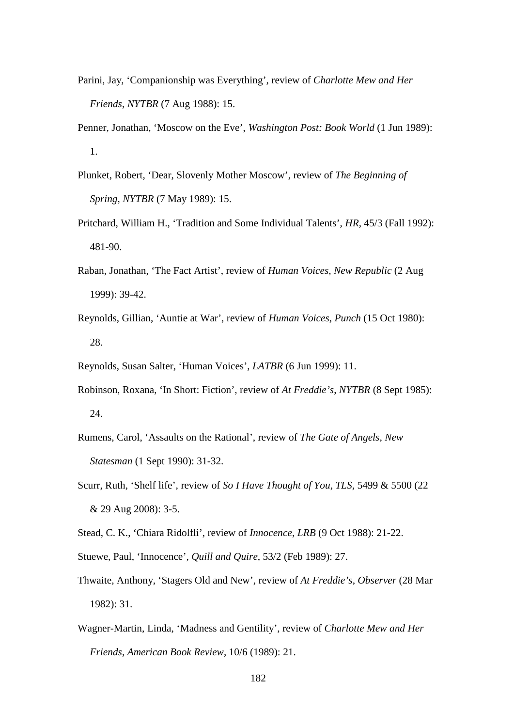- Parini, Jay, 'Companionship was Everything', review of *Charlotte Mew and Her Friends*, *NYTBR* (7 Aug 1988): 15.
- Penner, Jonathan, 'Moscow on the Eve', *Washington Post: Book World* (1 Jun 1989): 1.
- Plunket, Robert, 'Dear, Slovenly Mother Moscow', review of *The Beginning of Spring*, *NYTBR* (7 May 1989): 15.
- Pritchard, William H., 'Tradition and Some Individual Talents', *HR*, 45/3 (Fall 1992): 481-90.
- Raban, Jonathan, 'The Fact Artist', review of *Human Voices*, *New Republic* (2 Aug 1999): 39-42.
- Reynolds, Gillian, 'Auntie at War', review of *Human Voices*, *Punch* (15 Oct 1980): 28.
- Reynolds, Susan Salter, 'Human Voices', *LATBR* (6 Jun 1999): 11.
- Robinson, Roxana, 'In Short: Fiction', review of *At Freddie's*, *NYTBR* (8 Sept 1985): 24.
- Rumens, Carol, 'Assaults on the Rational', review of *The Gate of Angels*, *New Statesman* (1 Sept 1990): 31-32.
- Scurr, Ruth, 'Shelf life', review of *So I Have Thought of You*, *TLS*, 5499 & 5500 (22 & 29 Aug 2008): 3-5.
- Stead, C. K., 'Chiara Ridolfli', review of *Innocence*, *LRB* (9 Oct 1988): 21-22.
- Stuewe, Paul, 'Innocence', *Quill and Quire*, 53/2 (Feb 1989): 27.
- Thwaite, Anthony, 'Stagers Old and New', review of *At Freddie's*, *Observer* (28 Mar 1982): 31.
- Wagner-Martin, Linda, 'Madness and Gentility', review of *Charlotte Mew and Her Friends*, *American Book Review*, 10/6 (1989): 21.